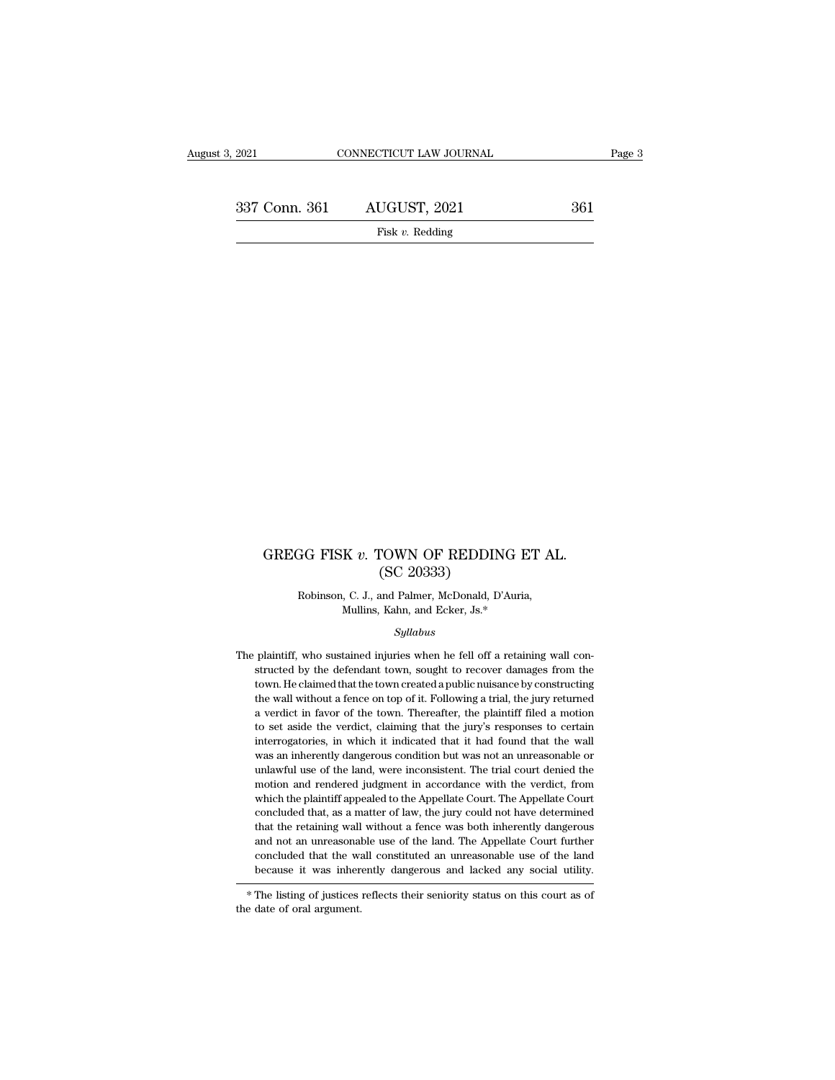337 Conn. 361 AUGUST, 2021 <sup>361</sup> Fisk *v.* Redding

## GREGG FISK *v*. TOWN OF REDDING ET AL. (SC 20333) rown of REDDIN<br>(SC 20333)<br>and Palmer, McDonald, D' GG FISK v. TOWN OF REDDING ET A<br>
(SC 20333)<br>
Robinson, C. J., and Palmer, McDonald, D'Auria,<br>
Mullins, Kahn, and Ecker, Js.\* K v. TOWN OF REDDING E<br>
(SC 20333)<br>
, C. J., and Palmer, McDonald, D'Auria,<br>
Mullins, Kahn, and Ecker, Js.\*<br>
Sullabus

### *Syllabus*

 $(SC 20333)$ <br>Robinson, C. J., and Palmer, McDonald, D'Auria,<br>Mullins, Kahn, and Ecker, Js.\*<br>Syllabus<br>The plaintiff, who sustained injuries when he fell off a retaining wall con-<br>structed by the defendant town, sought to re Robinson, C. J., and Palmer, McDonald, D'Auria,<br>Mullins, Kahn, and Ecker, Js.\*<br>Syllabus<br>plaintiff, who sustained injuries when he fell off a retaining wall constructed by the defendant town, sought to recover damages from Mullins, Kahn, and Ecker, Js.\*<br>Syllabus<br>plaintiff, who sustained injuries when he fell off a retaining wall con-<br>structed by the defendant town, sought to recover damages from the<br>town. He claimed that the town created a p Syllabus<br>plaintiff, who sustained injuries when he fell off a retaining wall con-<br>structed by the defendant town, sought to recover damages from the<br>town. He claimed that the town created a public nuisance by constructing<br> *Syllabus*<br>
plaintiff, who sustained injuries when he fell off a retaining wall con-<br>
structed by the defendant town, sought to recover damages from the<br>
town. He claimed that the town created a public nuisance by construc plaintiff, who sustained injuries when he fell off a retaining wall constructed by the defendant town, sought to recover damages from the town. He claimed that the town created a public nuisance by constructing the wall wi istucted by the defendant town, sought to recover damages from the town. He claimed that the town created a public nuisance by constructing the wall without a fence on top of it. Following a trial, the jury returned a verd town. He claimed that the town created a public nuisance by constructing the wall without a fence on top of it. Following a trial, the jury returned a verdict in favor of the town. Thereafter, the plaintiff filed a motion the wall without a fence on top of it. Following a trial, the jury returned a verdict in favor of the town. Thereafter, the plaintiff filed a motion to set aside the verdict, claiming that the jury's responses to certain i a verdict in favor of the town. Thereafter, the plaintiff filed a motion to set aside the verdict, claiming that the jury's responses to certain interrogatories, in which it indicated that it had found that the wall was an a verdict in favor of the town. Thereafter, the plaintiff filed a motion to set aside the verdict, claiming that the jury's responses to certain interrogatories, in which it indicated that it had found that the wall was a interrogatories, in which it indicated that it had found that the wall<br>interrogatories, in which it indicated that it had found that the wall<br>was an inherently dangerous condition but was not an unreasonable or<br>unlawful us measured, was an inherently dangerous condition but was not an unreasonable or unlawful use of the land, were inconsistent. The trial court denied the motion and rendered judgment in accordance with the verdict, from which and not an unreasonable use of the land. The Appellate Court further concluded that the wall constituted an unreasonable use of the land because it was inherently dangerous and lacked any social utility. motion and rendered jument in accordance with the verdict, from<br>motion and rendered jument in accordance with the verdict, from<br>which the plaintiff appealed to the Appellate Court. The Appellate Court<br>concluded that, as a because it was inherently dangerous and have determined that the retaining wall without a fence was both inherently dangerous and not an unreasonable use of the land. The Appellate Court further concluded that the wall con

 $^\ast$  The listing of justices reflects their seniority status on this court as of the date of oral argument.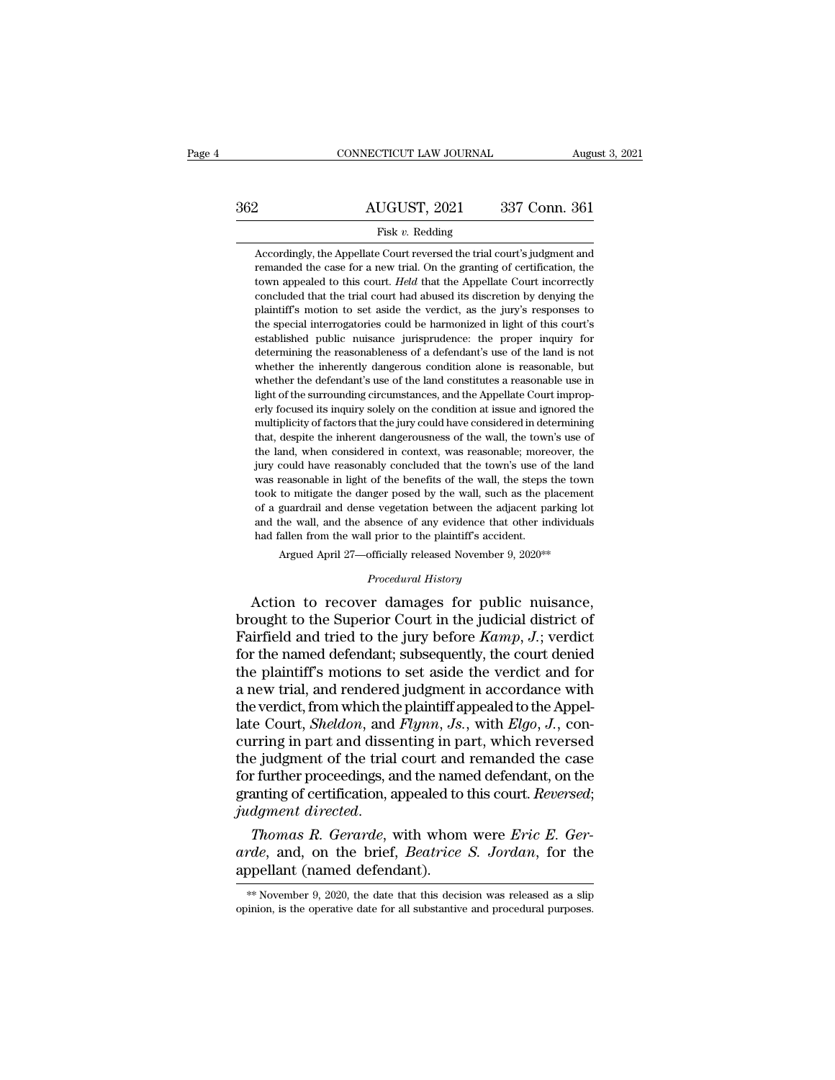# CONNECTICUT LAW JOURNAL August 3, 2021<br>362 AUGUST, 2021 337 Conn. 361<br>Fisk v. Redding

### Fisk *v.* Redding

AUGUST, 2021 337 Conn. 361<br>Fisk v. Redding<br>Accordingly, the Appellate Court reversed the trial court's judgment and<br>the case for a new trial. On the granting of certification, the **REMAN EXECUTE ALCOMORY 2021** 337 Conn. 361<br>Fisk v. Redding<br>Accordingly, the Appellate Court reversed the trial court's judgment and<br>remanded the case for a new trial. On the granting of certification, the<br>town appealed t AUGUST, 2021 337 Conn. 361<br>Fisk v. Redding<br>Accordingly, the Appellate Court reversed the trial court's judgment and<br>remanded the case for a new trial. On the granting of certification, the<br>town appealed to this court. *Hel* Fisk  $v$ . Redding<br>Accordingly, the Appellate Court reversed the trial court's judgment and<br>remanded the case for a new trial. On the granting of certification, the<br>town appealed to this court. *Held* that the Appellate Co Fisk v. Redding<br>Accordingly, the Appellate Court reversed the trial court's judgment and<br>remanded the case for a new trial. On the granting of certification, the<br>town appealed to this court. *Held* that the Appellate Cour Accordingly, the Appellate Court reversed the trial court's judgment and<br>remanded the case for a new trial. On the granting of certification, the<br>town appealed to this court. *Held* that the Appellate Court incorrectly<br>con recordingly, are rippendice contributed and and control public remainded the case for a new trial. On the granting of certification, the town appealed to this court. *Held* that the Appellate Court incorrectly concluded th determining the case of a defendant of a defendant, and the stream appealed to this court. *Held* that the Appellate Court incorrectly concluded that the trial court had abused its discretion by denying the plaintiff's mot concluded that the trial court. The inherently dangered its discretion by denying the plaintiff's motion to set aside the verdict, as the jury's responses to the special interrogatories could be harmonized in light of this behinding that we can convented the verdict, as the jury's responses to the special interrogatories could be harmonized in light of this court's established public nuisance jurisprudence: the proper inquiry for determinin plantaris motion to set take the vertice, as the jury's responses to the special interrogatories could be harmonized in light of this court's established public nuisance jurisprudence: the proper inquiry for determining th erly focused its inquiry solely on the conditional at in the conditional deremining the reasonableness of a defendant's use of the land is not whether the inherently dangerous condition alone is reasonable, but whether the established plane mislance jumspridence. The proper inquiry for<br>determining the reasonableness of a defendant's use of the land is not<br>whether the inherently dangerous condition alone is reasonable use in<br>light of the surr whether the inherently dangerous condition alone is reasonable, but whether the defendant's use of the land constitutes a reasonable use in light of the surrounding circumstances, and the Appellate Court improperly focuse mether the defendant's use of the land constitutes a reasonable use in light of the surrounding circumstances, and the Appellate Court improperly focused its inquiry solely on the condition at issue and ignored the multipl methed in exercidad to the land constrates a reasonable in light of the surrounding circumstances, and the Appellate Court improperly focused its inquiry solely on the condition at issue and ignored the multiplicity of fac where the benefits of the wall, the steps the benefits of the wall, the steps the multiplicity of factors that the jury could have considered in determining that, despite the inherent dangerousness of the wall, the town's Enji focused as highly socly on the contained at issue and spieled in<br>multiplicity of factors that the jury could have considered in determining<br>that, despite the inherent dangerousness of the wall, the town's use of<br>the l malaphety of factors and are jary collected and considered in electricity of the land, when considered in context, was reasonable; moreover, the jury could have reasonably concluded that the town's use of the land was reas and, accepted the material dingerolancess of are wan, the covirs as of the land, when considered in context, was reasonable; moreover, the jury could have reasonably concluded that the town's use of the land was reasonable jury could have reasonably concluded that the town's use of the land<br>was reasonable in light of the benefits of the wall, the steps the town<br>took to mitigate the danger posed by the wall, such as the placement<br>of a guardr was reasonable in light of the benefits of the wall, the steps the town took to mitigate the danger posed by the wall, such as the placement of a guardrail and dense vegetation between the adjacent parking lot and the wal of a guardrail and dense vegetation between the adjacent parking lot<br>and the wall, and the absence of any evidence that other individuals<br>had fallen from the wall prior to the plaintiff's accident.<br>Argued April 27—official took to mitigate the danger posed by the wall, such as the placement<br>of a guardrail and dense vegetation between the adjacent parking lot<br>and the wall, and the absence of any evidence that other individuals<br>had fallen fro

or a guardral and dense vegetation between the adjacent parking lot<br>and the wall, and the absence of any evidence that other individuals<br>had fallen from the wall prior to the plaintiff's accident.<br>Argued April 27—officiall and the wall, and the absence of any evaluate that other individuals<br>had fallen from the wall prior to the plaintiff's accident.<br>Argued April 27—officially released November 9, 2020\*\*<br>Procedural History<br>Action to recover d April 27—officially released November 9, 2020\*\*<br> *Procedural History*<br>
Action to recover damages for public nuisance,<br>
brought to the Superior Court in the judicial district of<br>
Fairfield and tried to the jury before *Kamp* Frocedural History<br>
Procedural History<br>
Action to recover damages for public nuisance,<br>
brought to the Superior Court in the judicial district of<br>
Fairfield and tried to the jury before  $Kamp$ , J.; verdict<br>
for the named def Frocedural History<br>Action to recover damages for public nuisance,<br>brought to the Superior Court in the judicial district of<br>Fairfield and tried to the jury before  $Kamp$ , J.; verdict<br>for the named defendant; subsequently, t Action to recover damages for public nuisance,<br>brought to the Superior Court in the judicial district of<br>Fairfield and tried to the jury before  $Kamp$ , J.; verdict<br>for the named defendant; subsequently, the court denied<br>the brought to the Superior Court in the judicial district of Fairfield and tried to the jury before *Kamp*, *J*.; verdict for the named defendant; subsequently, the court denied the plaintiff's motions to set aside the verdic Fairfield and tried to the jury before  $Kamp$ ,  $J$ ; verdict<br>for the named defendant; subsequently, the court denied<br>the plaintiff's motions to set aside the verdict and for<br>a new trial, and rendered judgment in accordance w for the named defendant; subsequently, the court denied<br>the plaintiff's motions to set aside the verdict and for<br>a new trial, and rendered judgment in accordance with<br>the verdict, from which the plaintiff appealed to the the plaintiff's motions to set aside the verdict and for<br>a new trial, and rendered judgment in accordance with<br>the verdict, from which the plaintiff appealed to the Appel-<br>late Court, *Sheldon*, and *Flynn*, *Js.*, with *E* a new trial, and rendered judgment in accordance with<br>the verdict, from which the plaintiff appealed to the Appel-<br>late Court, *Sheldon*, and *Flynn*, *Js.*, with *Elgo*, *J.*, con-<br>curring in part and dissenting in part, *judgment directed*, from which the plaintiff appealed to the Appellate Court, *Sheldon*, and *Flynn*, *Js.*, with *Elgo*, *J.*, concurring in part and dissenting in part, which reversed the judgment of the trial court and curring in part and dissenting in part, which reversed<br>the judgment of the trial court and remanded the case<br>for further proceedings, and the named defendant, on the<br>granting of certification, appealed to this court. *Reve* the judgment of the trial court and remanded the case<br>for further proceedings, and the named defendant, on the<br>granting of certification, appealed to this court. Reversed;<br>*judgment directed.*<br>Thomas R. Gerarde, with whom

Thomas R. Gerarde, with whom were Eric E. Gerarde, and, on the brief, Beatrice S. Jordan, for the appellant (named defendant).<br>
\*\*November 9, 2020, the date that this decision was released as a slip opinion, is the operati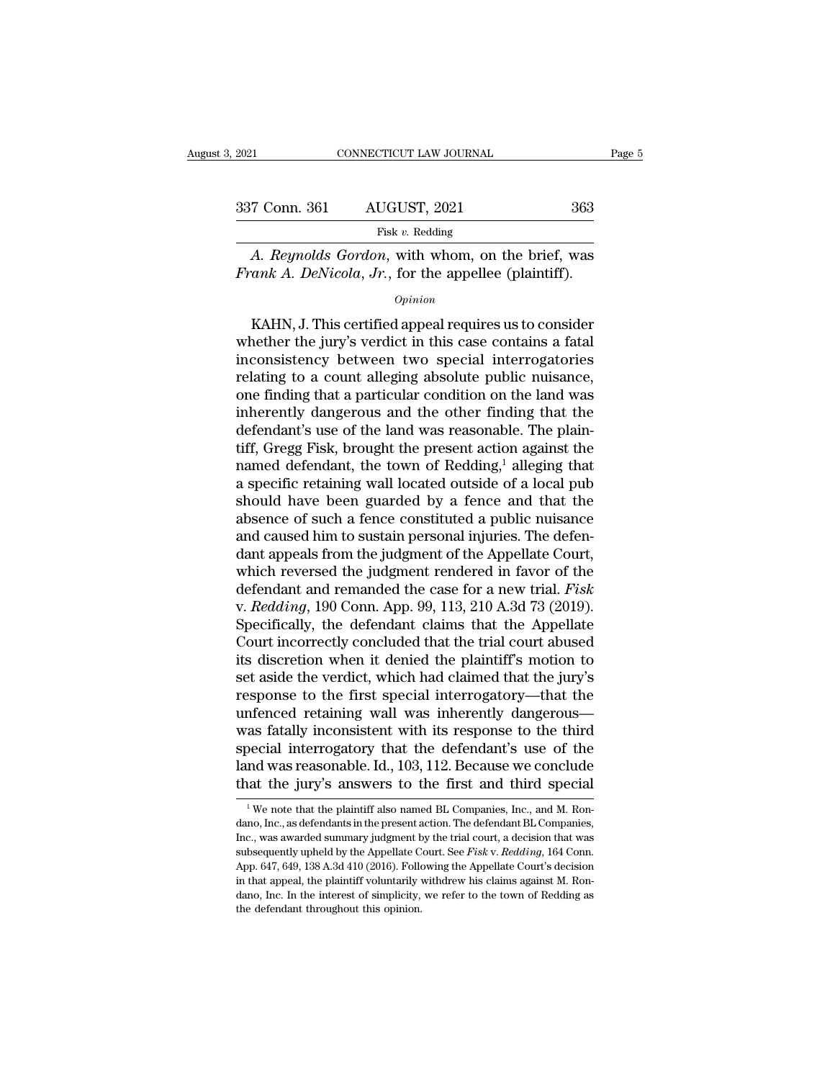| 3. 2021       | CONNECTICUT LAW JOURNAL                                                                                          | Page 5 |
|---------------|------------------------------------------------------------------------------------------------------------------|--------|
| 337 Conn. 361 | AUGUST, 2021                                                                                                     | 363    |
|               | Fisk $v$ . Redding                                                                                               |        |
|               | A. Reynolds Gordon, with whom, on the brief, was<br><i>Frank A. DeNicola, Jr., for the appellee (plaintiff).</i> |        |
|               | $\it Oninion$                                                                                                    |        |

### *Opinion*

Fisk v. Redding<br>
Fisk v. Redding<br>
A. Reynolds Gordon, with whom, on the brief, was<br>
rank A. DeNicola, Jr., for the appellee (plaintiff).<br>
Opinion<br>
KAHN, J. This certified appeal requires us to consider<br>
nether the jury's Fisk v. Redding<br>
A. Reynolds Gordon, with whom, on the brief, was<br>
Frank A. DeNicola, Jr., for the appellee (plaintiff).<br>  $opinion$ <br>
KAHN, J. This certified appeal requires us to consider<br>
whether the jury's verdict in this ca *A. Reynolds Gordon,* with whom, on the brief, was<br> *Frank A. DeNicola, Jr.*, for the appellee (plaintiff).<br> *Opinion*<br>
KAHN, J. This certified appeal requires us to consider<br>
whether the jury's verdict in this case contai Frank A. DeNicola, Jr., for the appellee (plaintiff).<br>  $opinion$ <br>
KAHN, J. This certified appeal requires us to consider<br>
whether the jury's verdict in this case contains a fatal<br>
inconsistency between two special interrogator **Example 19 Example 19 Example 10**<br>
KAHN, J. This certified appeal requires us to consider<br>
whether the jury's verdict in this case contains a fatal<br>
inconsistency between two special interrogatories<br>
relating to a count a *Common*<br>
KAHN, J. This certified appeal requires us to consider<br>
whether the jury's verdict in this case contains a fatal<br>
inconsistency between two special interrogatories<br>
relating to a count alleging absolute public nu KAHN, J. This certified appeal requires us to consider<br>whether the jury's verdict in this case contains a fatal<br>inconsistency between two special interrogatories<br>relating to a count alleging absolute public nuisance,<br>one f whether the jury's verdict in this case contains a fatal<br>inconsistency between two special interrogatories<br>relating to a count alleging absolute public nuisance,<br>one finding that a particular condition on the land was<br>inhe inconsistency between two special interrogatories<br>relating to a count alleging absolute public nuisance,<br>one finding that a particular condition on the land was<br>inherently dangerous and the other finding that the<br>defendant relating to a count alleging absolute public nuisance,<br>one finding that a particular condition on the land was<br>inherently dangerous and the other finding that the<br>defendant's use of the land was reasonable. The plain-<br>tiff one finding that a particular condition on the land was<br>inherently dangerous and the other finding that the<br>defendant's use of the land was reasonable. The plain-<br>tiff, Gregg Fisk, brought the present action against the<br>na inherently dangerous and the other finding that the<br>defendant's use of the land was reasonable. The plain-<br>tiff, Gregg Fisk, brought the present action against the<br>named defendant, the town of Redding,<sup>1</sup> alleging that<br>a defendant's use of the land was reasonable. The plaintiff, Gregg Fisk, brought the present action against the named defendant, the town of Redding,<sup>1</sup> alleging that a specific retaining wall located outside of a local pub<br> tiff, Gregg Fisk, brought the present action against the named defendant, the town of Redding,<sup>1</sup> alleging that a specific retaining wall located outside of a local pub should have been guarded by a fence and that the abs named defendant, the town of Redding,<sup>1</sup> alleging that<br>a specific retaining wall located outside of a local pub<br>should have been guarded by a fence and that the<br>absence of such a fence constituted a public nuisance<br>and ca a specific retaining wall located outside of a local pub<br>should have been guarded by a fence and that the<br>absence of such a fence constituted a public nuisance<br>and caused him to sustain personal injuries. The defen-<br>dant a should have been guarded by a fence and that the<br>absence of such a fence constituted a public nuisance<br>and caused him to sustain personal injuries. The defen-<br>dant appeals from the judgment of the Appellate Court,<br>which re absence of such a fence constituted a public nuisance<br>and caused him to sustain personal injuries. The defen-<br>dant appeals from the judgment of the Appellate Court,<br>which reversed the judgment rendered in favor of the<br>defe and caused him to sustain personal injuries. The defendant appeals from the judgment of the Appellate Court, which reversed the judgment rendered in favor of the defendant and remanded the case for a new trial. *Fisk* v. dant appeals from the judgment of the Appellate Court,<br>which reversed the judgment rendered in favor of the<br>defendant and remanded the case for a new trial. *Fisk*<br>v. *Redding*, 190 Conn. App. 99, 113, 210 A.3d 73 (2019).<br> which reversed the judgment rendered in favor of the<br>defendant and remanded the case for a new trial. *Fisk*<br>v. *Redding*, 190 Conn. App. 99, 113, 210 A.3d 73 (2019).<br>Specifically, the defendant claims that the Appellate<br> defendant and remanded the case for a new trial. *Fisk*<br>v. *Redding*, 190 Conn. App. 99, 113, 210 A.3d 73 (2019).<br>Specifically, the defendant claims that the Appellate<br>Court incorrectly concluded that the trial court abuse v. *Redding*, 190 Conn. App. 99, 113, 210 A.3d 73 (2019).<br>Specifically, the defendant claims that the Appellate<br>Court incorrectly concluded that the trial court abused<br>its discretion when it denied the plaintiff's motion t Specifically, the defendant claims that the Appellate<br>Court incorrectly concluded that the trial court abused<br>its discretion when it denied the plaintiff's motion to<br>set aside the verdict, which had claimed that the jury's Court incorrectly concluded that the trial court abused<br>its discretion when it denied the plaintiff's motion to<br>set aside the verdict, which had claimed that the jury's<br>response to the first special interrogatory—that the<br> its discretion when it denied the plaintiff's motion to<br>set aside the verdict, which had claimed that the jury's<br>response to the first special interrogatory—that the<br>unfenced retaining wall was inherently dangerous—<br>was fa set aside the verdict, which had claimed that the jury's<br>response to the first special interrogatory—that the<br>unfenced retaining wall was inherently dangerous—<br>was fatally inconsistent with its response to the third<br>specia as fatally inconsistent with its response to the third<br>becial interrogatory that the defendant's use of the<br>nd was reasonable. Id., 103, 112. Because we conclude<br>at the jury's answers to the first and third special<br> $\frac{1}{$ special interrogatory that the defendant's use of the land was reasonable. Id., 103, 112. Because we conclude that the jury's answers to the first and third special  $\frac{1}{1}$  We note that the plaintiff also named BL Compa

land was reasonable. Id., 103, 112. Because we conclude<br>that the jury's answers to the first and third special<br> $\frac{1}{1}$  We note that the plaintiff also named BL Companies, Inc., and M. Ron-<br>dano, Inc., as defendants in t that the jury's answers to the first and third special<br><sup>1</sup>We note that the plaintiff also named BL Companies, Inc., and M. Ron-<br>dano, Inc., as defendants in the present action. The defendant BL Companies,<br>Inc., was awarded The same of the state of the HISt and triftd Special<br><sup>1</sup> We note that the plaintiff also named BL Companies, Inc., and M. Rondano, Inc., as defendants in the present action. The defendant BL Companies,<br>Inc., was awarded s <sup>1</sup> We note that the plaintiff also named BL Companies, Inc., and M. Rondano, Inc., as defendants in the present action. The defendant BL Companies, Inc., was awarded summary judgment by the trial court, a decision that w dano, Inc., as defendants in the present action. The defendant BL Companies, Inc., was awarded summary judgment by the trial court, a decision that was subsequently upheld by the Appellate Court. See *Fisk v. Redding*, 164 Inc., was awarded summary judgment by the trial court, a decision that was subsequently upheld by the Appellate Court. See *Fisk v. Redding*, 164 Conn. App. 647, 649, 138 A.3d 410 (2016). Following the Appellate Court's d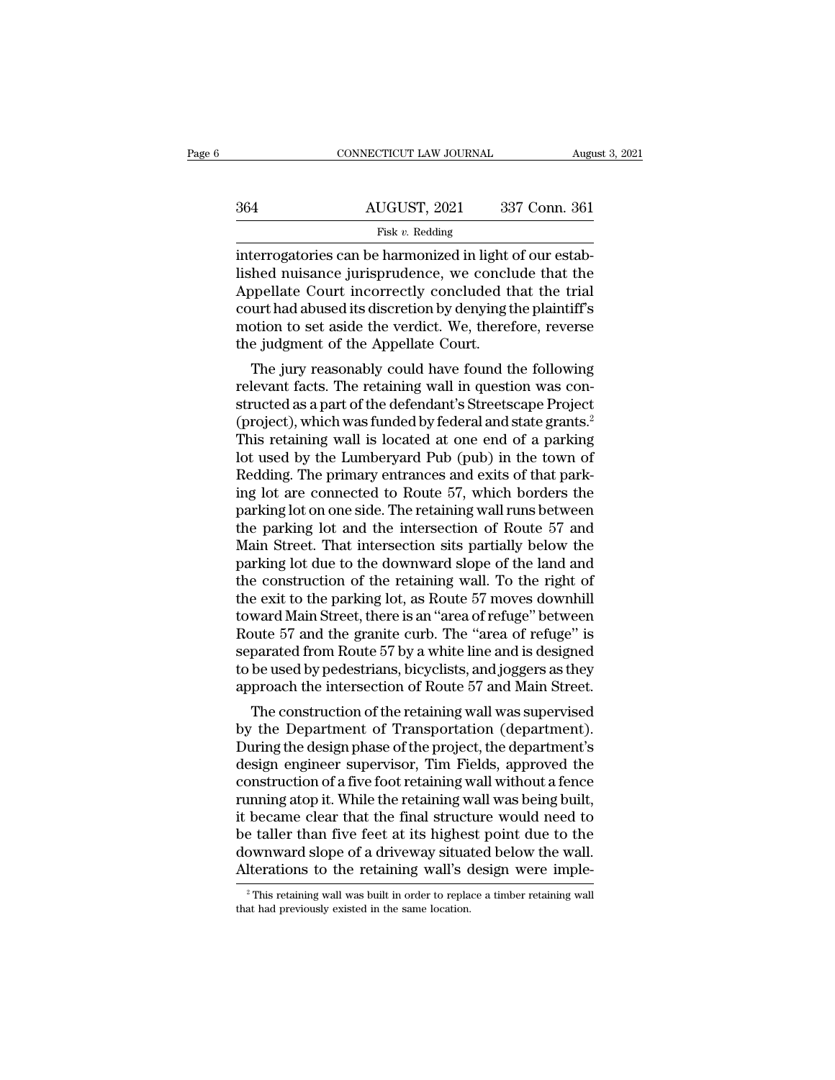|                                                          | August 3, 2021          |
|----------------------------------------------------------|-------------------------|
|                                                          |                         |
| AUGUST, 2021                                             | 337 Conn. 361           |
| Fisk v. Redding                                          |                         |
| interrogatories can be harmonized in light of our estab- |                         |
| lished nuisance jurisprudence, we conclude that the      |                         |
|                                                          | CONNECTICUT LAW JOURNAL |

 $\frac{\text{AUGUST, 2021}}{\text{Fisk } v. \text{ Redding}}$ <br>
interrogatories can be harmonized in light of our established nuisance jurisprudence, we conclude that the Appellate Court incorrectly concluded that the trial court had abused its discret  $\frac{\text{AUGUST, 2021}}{\text{Fisk } v. \text{ Redding}}$ <br>
interrogatories can be harmonized in light of our established nuisance jurisprudence, we conclude that the Appellate Court incorrectly concluded that the trial court had abused its discret  $\frac{\text{AUGUST, 2021}}{\text{Fisk } v. \text{ Redding}}$ <br>
interrogatories can be harmonized in light of our established nuisance jurisprudence, we conclude that the<br>
Appellate Court incorrectly concluded that the trial<br>
court had abused its discr Fisk v. Redding<br>
Fisk v. Redding<br>
interrogatories can be harmonized in light of our estab-<br>
lished nuisance jurisprudence, we conclude that the<br>
Appellate Court incorrectly concluded that the trial<br>
court had abused its d Fisk v. Redding<br>interrogatories can be harmonized in light (<br>lished nuisance jurisprudence, we concluded<br>Appellate Court incorrectly concluded the<br>court had abused its discretion by denying t<br>motion to set aside the verdi Ferrogatories can be narmonized in light of our establed nuisance jurisprudence, we conclude that the trial urt had abused its discretion by denying the plaintiff's potion to set aside the verdict. We, therefore, reverse e relate court incorrectly concluded that the trial<br>court had abused its discretion by denying the plaintiff's<br>motion to set aside the verdict. We, therefore, reverse<br>the judgment of the Appellate Court.<br>The jury reasonably

Appenate Court incorrectly concluded that the trial<br>court had abused its discretion by denying the plaintiff's<br>motion to set aside the verdict. We, therefore, reverse<br>the judgment of the Appellate Court.<br>The jury reasonabl (put) and a state the verdict. We, therefore, reverse<br>the judgment of the Appellate Court.<br>The jury reasonably could have found the following<br>relevant facts. The retaining wall in question was con-<br>structed as a part of th motion to set aside the verdict. We, therefore, reverse<br>the judgment of the Appellate Court.<br>The jury reasonably could have found the following<br>relevant facts. The retaining wall in question was con-<br>structed as a part of The jury reasonably could have found the following<br>relevant facts. The retaining wall in question was constructed as a part of the defendant's Streetscape Project<br>(project), which was funded by federal and state grants.<sup>2</sup> The jury reasonably could have found the following<br>relevant facts. The retaining wall in question was con-<br>structed as a part of the defendant's Streetscape Project<br>(project), which was funded by federal and state grants.<sup></sup> relevant facts. The retaining wall in question was constructed as a part of the defendant's Streetscape Project<br>(project), which was funded by federal and state grants.<sup>2</sup><br>This retaining wall is located at one end of a par structed as a part of the defendant's Streetscape Project<br>(project), which was funded by federal and state grants.<sup>2</sup><br>This retaining wall is located at one end of a parking<br>lot used by the Lumberyard Pub (pub) in the town (project), which was funded by federal and state grants.<sup>2</sup><br>This retaining wall is located at one end of a parking<br>lot used by the Lumberyard Pub (pub) in the town of<br>Redding. The primary entrances and exits of that park-<br> This retaining wall is located at one end of a parking<br>lot used by the Lumberyard Pub (pub) in the town of<br>Redding. The primary entrances and exits of that park-<br>ing lot are connected to Route 57, which borders the<br>parking lot used by the Lumberyard Pub (pub) in the town of<br>Redding. The primary entrances and exits of that park-<br>ing lot are connected to Route 57, which borders the<br>parking lot on one side. The retaining wall runs between<br>the p Redding. The primary entrances and exits of that parking lot are connected to Route 57, which borders the parking lot on one side. The retaining wall runs between the parking lot and the intersection of Route 57 and Main S ing lot are connected to Route 57, which borders the parking lot on one side. The retaining wall runs between<br>the parking lot and the intersection of Route 57 and<br>Main Street. That intersection sits partially below the<br>par parking lot on one side. The retaining wall runs between<br>the parking lot and the intersection of Route 57 and<br>Main Street. That intersection sits partially below the<br>parking lot due to the downward slope of the land and<br>th the parking lot and the intersection of Route 57 and<br>Main Street. That intersection sits partially below the<br>parking lot due to the downward slope of the land and<br>the construction of the retaining wall. To the right of<br>the Main Street. That intersection sits partially below the<br>parking lot due to the downward slope of the land and<br>the construction of the retaining wall. To the right of<br>the exit to the parking lot, as Route 57 moves downhill<br> parking lot due to the downward slope of the land and<br>the construction of the retaining wall. To the right of<br>the exit to the parking lot, as Route 57 moves downhill<br>toward Main Street, there is an "area of refuge" between the construction of the retaining wall. To the right of<br>the exit to the parking lot, as Route 57 moves downhill<br>toward Main Street, there is an "area of refuge" between<br>Route 57 and the granite curb. The "area of refuge" i e exit to the parking fot, as notice of floves downthing<br>ward Main Street, there is an "area of refuge" between<br>bute 57 and the granite curb. The "area of refuge" is<br>parated from Route 57 by a white line and is designed<br>be by the Department of Transportation (department's dosign ordinary commonly of the Case of the Department of Department). The "area of refuge" is separated from Route 57 by a white line and is designed to be used by pedestr

Route 57 and the grantie curb. The "area of retuge" is<br>separated from Route 57 by a white line and is designed<br>to be used by pedestrians, bicyclists, and joggers as they<br>approach the intersection of Route 57 and Main Stree separated front Route 57 by a white line and is designed<br>to be used by pedestrians, bicyclists, and joggers as they<br>approach the intersection of Route 57 and Main Street.<br>The construction of the retaining wall was supervis to be used by pedestrians, bicyclists, and joggers as they<br>approach the intersection of Route 57 and Main Street.<br>The construction of the retaining wall was supervised<br>by the Department of Transportation (department).<br>Duri approach the intersection of Route 57 and main street.<br>The construction of the retaining wall was supervised<br>by the Department of Transportation (department).<br>During the design phase of the project, the department's<br>design The construction of the retaining wall was supervised<br>by the Department of Transportation (department).<br>During the design phase of the project, the department's<br>design engineer supervisor, Tim Fields, approved the<br>construc by the Department of Transportation (department).<br>During the design phase of the project, the department's<br>design engineer supervisor, Tim Fields, approved the<br>construction of a five foot retaining wall without a fence<br>run During the design phase of the project, the department's<br>design engineer supervisor, Tim Fields, approved the<br>construction of a five foot retaining wall without a fence<br>running atop it. While the retaining wall was being b design engineer supervisor, Tim Fields, approved the construction of a five foot retaining wall without a fence running atop it. While the retaining wall was being built, it became clear that the final structure would nee became clear that the final structure would need to<br>e taller than five feet at its highest point due to the<br>ownward slope of a driveway situated below the wall.<br>lterations to the retaining wall's design were imple-<br><sup>2</sup>This be taller than five feet at its highes<br>downward slope of a driveway situal<br>Alterations to the retaining wall's c<br> $\frac{1}{2}$ This retaining wall was built in order to repla<br>that had previously existed in the same location.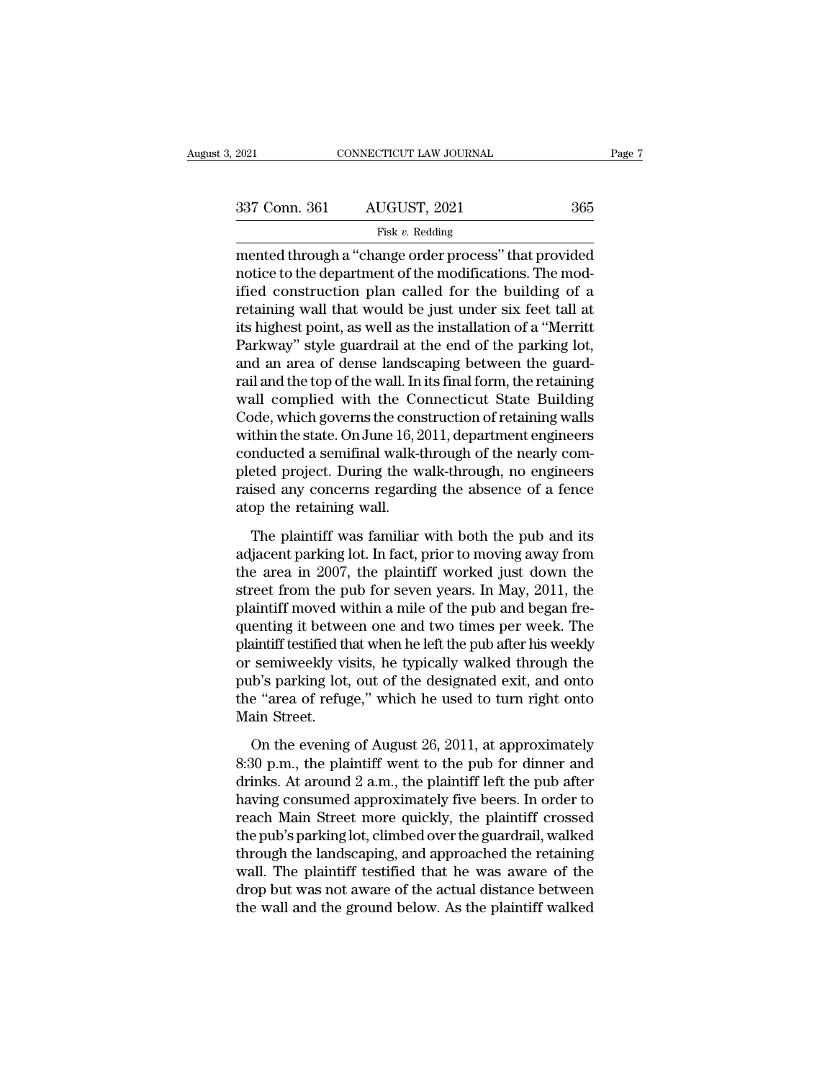| 2021          | CONNECTICUT LAW JOURNAL |     | Page 7 |
|---------------|-------------------------|-----|--------|
|               |                         |     |        |
| 337 Conn. 361 | AUGUST, 2021            | 365 |        |
|               | Fisk $v$ . Redding      |     |        |

mented through a ''change order process'' that provided 337 Conn. 361 AUGUST, 2021 365<br>
Fisk v. Redding<br>
mented through a "change order process" that provided<br>
notice to the department of the modifications. The mod-<br>
ified construction plan called for the building of a<br>
retain 337 Conn. 361 AUGUST, 2021 365<br>
Fisk v. Redding<br>
mented through a "change order process" that provided<br>
notice to the department of the modifications. The mod-<br>
ified construction plan called for the building of a<br>
retain 337 Conn. 361 AUGUST, 2021 365<br>
Fisk v. Redding<br>
mented through a "change order process" that provided<br>
notice to the department of the modifications. The mod-<br>
ified construction plan called for the building of a<br>
retain Fisk v. Redding<br>
Fisk v. Redding<br>
mented through a "change order process" that provided<br>
notice to the department of the modifications. The mod-<br>
ified construction plan called for the building of a<br>
retaining wall that wo Fisk v. Reading<br>
mented through a "change order process" that provided<br>
notice to the department of the modifications. The mod-<br>
ified construction plan called for the building of a<br>
retaining wall that would be just under its highest point, as well as the installation of a "Merritt<br>Parkway" style guardrail at the end of the parking lot,<br>and an area of dense landscaping between the guard-<br>rail and the top of the wall. In its final form, the notice to the department of the modifications. The modified construction plan called for the building of a retaining wall that would be just under six feet tall at its highest point, as well as the installation of a "Merri ified construction plan called for the building of a<br>retaining wall that would be just under six feet tall at<br>its highest point, as well as the installation of a "Merritt<br>Parkway" style guardrail at the end of the parking retaining wall that would be just under six feet tall at<br>its highest point, as well as the installation of a "Merritt<br>Parkway" style guardrail at the end of the parking lot,<br>and an area of dense landscaping between the gua its highest point, as well as the installation of a "Merritt<br>Parkway" style guardrail at the end of the parking lot,<br>and an area of dense landscaping between the guard-<br>rail and the top of the wall. In its final form, the Parkway" style guardrail at the end of the parking lot,<br>and an area of dense landscaping between the guard-<br>rail and the top of the wall. In its final form, the retaining<br>wall complied with the Connecticut State Building<br>C and an area of dense landscaping between the guard-<br>rail and the top of the wall. In its final form, the retaining<br>wall complied with the Connecticut State Building<br>Code, which governs the construction of retaining walls<br>w rail and the top of the wall. In its final form, the retaining<br>wall complied with the Connecticut State Building<br>Code, which governs the construction of retaining walls<br>within the state. On June 16, 2011, department engine wall complied with the Co<br>Code, which governs the cons<br>within the state. On June 16, 2<br>conducted a semifinal walk-t<br>pleted project. During the w<br>raised any concerns regardin<br>atop the retaining wall.<br>The plaintiff was famil thin the state. On June 16, 2011, department engineers<br>nducted a semifinal walk-through of the nearly com-<br>eted project. During the walk-through, no engineers<br>ised any concerns regarding the absence of a fence<br>op the reta conducted a semifinal walk-through of the nearly completed project. During the walk-through, no engineers<br>raised any concerns regarding the absence of a fence<br>atop the retaining wall.<br>The plaintiff was familiar with both

pleted project. During the walk-through, no engineers<br>raised any concerns regarding the absence of a fence<br>atop the retaining wall.<br>The plaintiff was familiar with both the pub and its<br>adjacent parking lot. In fact, prior raised any concerns regarding the absence of a fence<br>atop the retaining wall.<br>The plaintiff was familiar with both the pub and its<br>adjacent parking lot. In fact, prior to moving away from<br>the area in 2007, the plaintiff wo atop the retaining wall.<br>The plaintiff was familiar with both the pub and its<br>adjacent parking lot. In fact, prior to moving away from<br>the area in 2007, the plaintiff worked just down the<br>street from the pub for seven year The plaintiff was familiar with both the pub and its<br>adjacent parking lot. In fact, prior to moving away from<br>the area in 2007, the plaintiff worked just down the<br>street from the pub for seven years. In May, 2011, the<br>plai The plaintiff was familiar with both the pub and its<br>adjacent parking lot. In fact, prior to moving away from<br>the area in 2007, the plaintiff worked just down the<br>street from the pub for seven years. In May, 2011, the<br>plai adjacent parking lot. In fact, prior to moving away from<br>the area in 2007, the plaintiff worked just down the<br>street from the pub for seven years. In May, 2011, the<br>plaintiff moved within a mile of the pub and began fre-<br>q the area in 2007, the plaintiff worked just down the<br>street from the pub for seven years. In May, 2011, the<br>plaintiff moved within a mile of the pub and began fre-<br>quenting it between one and two times per week. The<br>plaint street from the pub for seven years. In May, 2011, the plaintiff moved within a mile of the pub and began frequenting it between one and two times per week. The plaintiff testified that when he left the pub after his weekl plaintiff moved w<br>quenting it betwe<br>plaintiff testified th<br>or semiweekly vi<br>pub's parking lot,<br>the "area of refug<br>Main Street.<br>On the evening matriff testified that when he left the pub after his weekly<br>semiweekly visits, he typically walked through the<br>the evening lot, out of the designated exit, and onto<br>e "area of refuge," which he used to turn right onto<br>ai or semiweekly visits, he typically walked through the<br>pub's parking lot, out of the designated exit, and onto<br>the "area of refuge," which he used to turn right onto<br>Main Street.<br>On the evening of August 26, 2011, at appro

pub's parking lot, out of the designated exit, and onto<br>the "area of refuge," which he used to turn right onto<br>Main Street.<br>On the evening of August 26, 2011, at approximately<br>8:30 p.m., the plaintiff went to the pub for d the "area of refuge," which he used to turn right onto<br>Main Street.<br>On the evening of August 26, 2011, at approximately<br>8:30 p.m., the plaintiff went to the pub for dinner and<br>drinks. At around 2 a.m., the plaintiff left t Main Street.<br>
On the evening of August 26, 2011, at approximately<br>
8:30 p.m., the plaintiff went to the pub for dinner and<br>
drinks. At around 2 a.m., the plaintiff left the pub after<br>
having consumed approximately five be On the evening of August 26, 2011, at approximately<br>8:30 p.m., the plaintiff went to the pub for dinner and<br>drinks. At around 2 a.m., the plaintiff left the pub after<br>having consumed approximately five beers. In order to<br>r On the evening of August 26, 2011, at approximately<br>8:30 p.m., the plaintiff went to the pub for dinner and<br>drinks. At around 2 a.m., the plaintiff left the pub after<br>having consumed approximately five beers. In order to<br>r 8:30 p.m., the plaintiff went to the pub for dinner and<br>drinks. At around 2 a.m., the plaintiff left the pub after<br>having consumed approximately five beers. In order to<br>reach Main Street more quickly, the plaintiff crossed drinks. At around 2 a.m., the plaintiff left the pub after<br>having consumed approximately five beers. In order to<br>reach Main Street more quickly, the plaintiff crossed<br>the pub's parking lot, climbed over the guardrail, walk having consumed approximately five beers. In order to<br>reach Main Street more quickly, the plaintiff crossed<br>the pub's parking lot, climbed over the guardrail, walked<br>through the landscaping, and approached the retaining<br>wa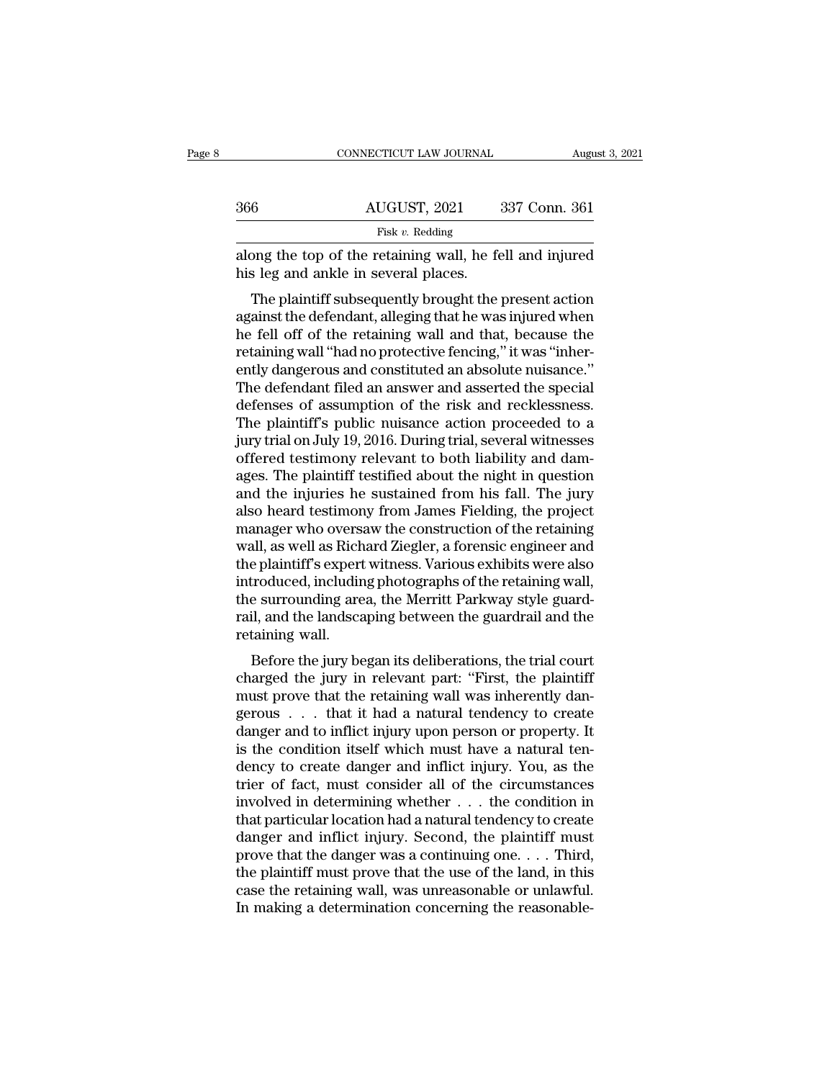| 366 | AUGUST, 2021                                                                                     | 337 Conn. 361 |
|-----|--------------------------------------------------------------------------------------------------|---------------|
|     | Fisk v. Redding                                                                                  |               |
|     | along the top of the retaining wall, he fell and injured<br>his leg and ankle in several places. |               |

 $\frac{\text{AUGUST, 2021}}{\text{Fisk } v. \text{ Redding}}$ <br>
along the top of the retaining wall, he fell and injured<br>
his leg and ankle in several places.<br>
The plaintiff subsequently brought the present action<br>
against the defendant, alleging that Fisk  $v$ . Redding<br>
along the top of the retaining wall, he fell and injured<br>
his leg and ankle in several places.<br>
The plaintiff subsequently brought the present action<br>
against the defendant, alleging that he was injured along the top of the retaining wall, he fell and injured<br>his leg and ankle in several places.<br>The plaintiff subsequently brought the present action<br>against the defendant, alleging that he was injured when<br>he fell off of th about the up of the retaining wan, he fen and injured<br>his leg and ankle in several places.<br>The plaintiff subsequently brought the present action<br>against the defendant, alleging that he was injured when<br>he fell off of the r The plaintiff subsequently brought the present action<br>against the defendant, alleging that he was injured when<br>he fell off of the retaining wall and that, because the<br>retaining wall "had no protective fencing," it was "inh The plaintiff subsequently brought the present action<br>against the defendant, alleging that he was injured when<br>he fell off of the retaining wall and that, because the<br>retaining wall "had no protective fencing," it was "inh against the defendant, alleging that he was injured when<br>he fell off of the retaining wall and that, because the<br>retaining wall "had no protective fencing," it was "inher-<br>ently dangerous and constituted an absolute nuisan he fell off of the retaining wall and that, because the retaining wall "had no protective fencing," it was "inherently dangerous and constituted an absolute nuisance."<br>The defendant filed an answer and asserted the special retaining wall "had no protective fencing," it was "inherently dangerous and constituted an absolute nuisance."<br>The defendant filed an answer and asserted the special<br>defenses of assumption of the risk and recklessness.<br>Th ently dangerous and constituted an absolute nuisance."<br>The defendant filed an answer and asserted the special<br>defenses of assumption of the risk and recklessness.<br>The plaintiff's public nuisance action proceeded to a<br>jury The defendant filed an answer and asserted the special<br>defenses of assumption of the risk and recklessness.<br>The plaintiff's public nuisance action proceeded to a<br>jury trial on July 19, 2016. During trial, several witnesses defenses of assumption of the risk and recklessness.<br>The plaintiff's public nuisance action proceeded to a<br>jury trial on July 19, 2016. During trial, several witnesses<br>offered testimony relevant to both liability and dam-<br> The plaintiff's public nuisance action proceeded to a<br>jury trial on July 19, 2016. During trial, several witnesses<br>offered testimony relevant to both liability and dam-<br>ages. The plaintiff testified about the night in ques jury trial on July 19, 2016. During trial, several witnesses<br>offered testimony relevant to both liability and dam-<br>ages. The plaintiff testified about the night in question<br>and the injuries he sustained from his fall. The offered testimony relevant to both liability and dam-<br>ages. The plaintiff testified about the night in question<br>and the injuries he sustained from his fall. The jury<br>also heard testimony from James Fielding, the project<br>ma ages. The plaintiff testified about the night in question<br>and the injuries he sustained from his fall. The jury<br>also heard testimony from James Fielding, the project<br>manager who oversaw the construction of the retaining<br>wa and the injuries he sustained from his fall. The jury<br>also heard testimony from James Fielding, the project<br>manager who oversaw the construction of the retaining<br>wall, as well as Richard Ziegler, a forensic engineer and<br>th also heard testimony from James Fielding, the project<br>manager who oversaw the construction of the retaining<br>wall, as well as Richard Ziegler, a forensic engineer and<br>the plaintiff's expert witness. Various exhibits were al manager who overs<br>wall, as well as Rich<br>the plaintiff's expert<br>introduced, includir<br>the surrounding are<br>rail, and the landsca<br>retaining wall.<br>Before the jury be an, as wen as fuchard ziegler, a forensic engineer and<br>e plaintiff's expert witness. Various exhibits were also<br>troduced, including photographs of the retaining wall,<br>e surrounding area, the Merritt Parkway style guard-<br>il the plantin is expert whitess. Various exhibits were also<br>introduced, including photographs of the retaining wall,<br>the surrounding area, the Merritt Parkway style guard-<br>rail, and the landscaping between the guardrail and

must provide that the metalling wall,<br>the surrounding area, the Merritt Parkway style guard-<br>rail, and the landscaping between the guardrail and the<br>retaining wall.<br>Before the jury began its deliberations, the trial court<br> Internall, and the landscaping between the guardrail and the<br>retaining wall.<br>Before the jury began its deliberations, the trial court<br>charged the jury in relevant part: "First, the plaintiff<br>must prove that the retaining w rain, and the landscaping between the guardian and the<br>retaining wall.<br>Before the jury began its deliberations, the trial court<br>charged the jury in relevant part: "First, the plaintiff<br>must prove that the retaining wall wa Fetanting wan.<br>
Before the jury began its deliberations, the trial court<br>
charged the jury in relevant part: "First, the plaintiff<br>
must prove that the retaining wall was inherently dan-<br>
gerous . . . that it had a natural Before the jury began its deliberations, the trial court<br>charged the jury in relevant part: "First, the plaintiff<br>must prove that the retaining wall was inherently dan-<br>gerous . . . that it had a natural tendency to create charged the jury in relevant part: "First, the plaintiff<br>must prove that the retaining wall was inherently dan-<br>gerous . . . that it had a natural tendency to create<br>danger and to inflict injury upon person or property. I must prove that the retaining wall was inherently dangerous . . . that it had a natural tendency to create danger and to inflict injury upon person or property. It is the condition itself which must have a natural tendency gerous . . . that it had a natural tendency to create<br>danger and to inflict injury upon person or property. It<br>is the condition itself which must have a natural ten-<br>dency to create danger and inflict injury. You, as the<br>t danger and to inflict injury upon person or property. It<br>is the condition itself which must have a natural ten-<br>dency to create danger and inflict injury. You, as the<br>trier of fact, must consider all of the circumstances<br> is the condition itself which must have a natural tendency to create danger and inflict injury. You, as the trier of fact, must consider all of the circumstances involved in determining whether  $\dots$  the condition in that dency to create danger and inflict injury. You, as the<br>trier of fact, must consider all of the circumstances<br>involved in determining whether . . . the condition in<br>that particular location had a natural tendency to create<br> trier of fact, must consider all of the circumstances<br>involved in determining whether  $\dots$  the condition in<br>that particular location had a natural tendency to create<br>danger and inflict injury. Second, the plaintiff must<br>p involved in determining whether  $\ldots$  the condition in that particular location had a natural tendency to create danger and inflict injury. Second, the plaintiff must prove that the danger was a continuing one.  $\ldots$  Thir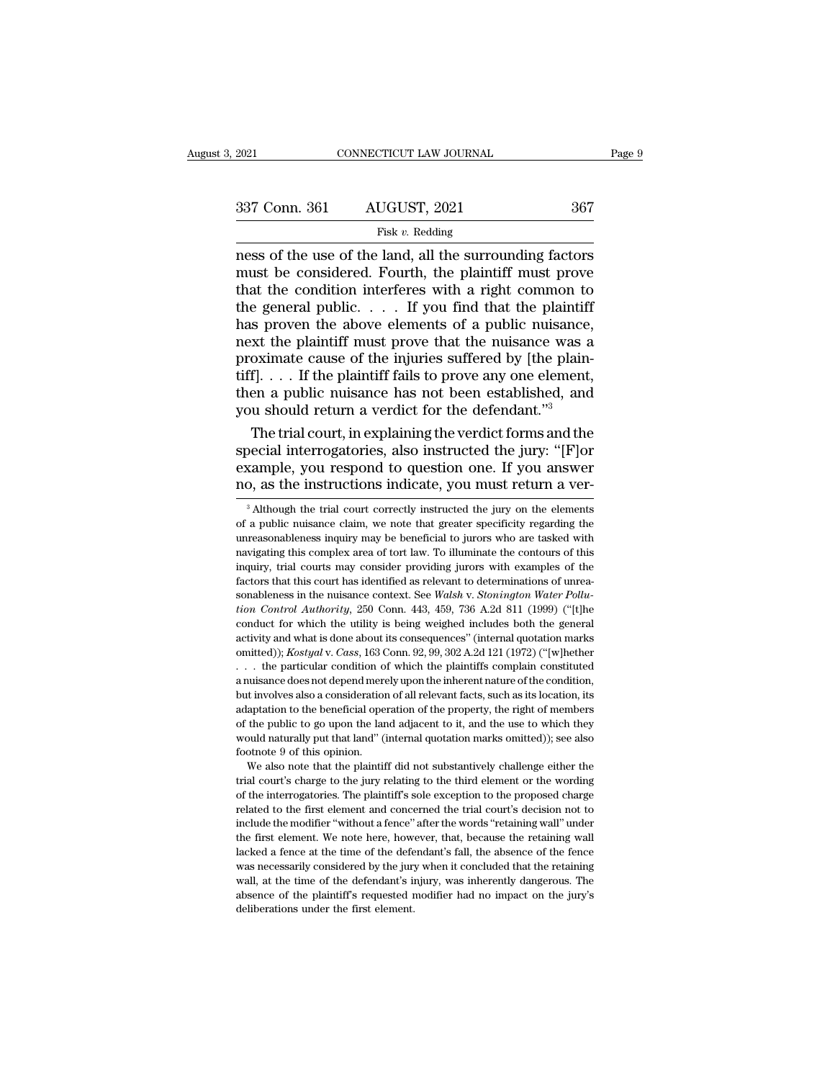| 2021          | CONNECTICUT LAW JOURNAL |     | Page 9 |
|---------------|-------------------------|-----|--------|
|               |                         |     |        |
| 337 Conn. 361 | AUGUST, 2021            | 367 |        |
|               | Fisk $v$ . Redding      |     |        |

### Fisk *v.* Redding

2021 CONNECTICUT LAW JOURNAL Page 9<br>
2021 Conn. 361 AUGUST, 2021 367<br>
Fisk v. Redding<br>
Tisk v. Redding<br>
Tisk v. Redding<br>
Tisk v. Redding<br>
The surrounding factors<br>
2 and the surrounding factors<br>
That the condition interfer 337 Conn. 361 AUGUST, 2021 367<br>
Fisk v. Redding<br>
Fisk v. Redding<br>
mess of the use of the land, all the surrounding factors<br>
must be considered. Fourth, the plaintiff must prove<br>
that the condition interferes with a right 337 Conn. 361 AUGUST, 2021 367<br>
Fisk v. Redding<br>
mess of the use of the land, all the surrounding factors<br>
must be considered. Fourth, the plaintiff must prove<br>
that the condition interferes with a right common to<br>
the ge 337 Conn. 361 AUGUST, 2021 367<br>
Fisk v. Redding<br>
mess of the use of the land, all the surrounding factors<br>
must be considered. Fourth, the plaintiff must prove<br>
that the condition interferes with a right common to<br>
the ge Fisk v. Redding<br>
Fisk v. Redding<br>
mess of the use of the land, all the surrounding factors<br>
must be considered. Fourth, the plaintiff must prove<br>
that the condition interferes with a right common to<br>
the general public... Fisk v. Redding<br>
mess of the use of the land, all the surrounding factors<br>
must be considered. Fourth, the plaintiff must prove<br>
that the condition interferes with a right common to<br>
the general public.... If you find tha ness of the use of the land, all the surrounding factors<br>must be considered. Fourth, the plaintiff must prove<br>that the condition interferes with a right common to<br>the general public.... If you find that the plaintiff<br>has must be considered. Fourth, the plaintiff must prove<br>that the condition interferes with a right common to<br>the general public.... If you find that the plaintiff<br>has proven the above elements of a public nuisance,<br>next the that the condition interferes with a right common to<br>the general public. . . . If you find that the plaintiff<br>has proven the above elements of a public nuisance,<br>next the plaintiff must prove that the nuisance was a<br>proxi the general public.  $\ldots$  If you find that the plaintiff has proven the above elements of a public nuisance, next the plaintiff must prove that the nuisance was a proximate cause of the injuries suffered by [the plaintiff s proven the above elements of a public nuisance,<br>xt the plaintiff must prove that the nuisance was a<br>oximate cause of the injuries suffered by [the plain-<br>f]. . . . If the plaintiff fails to prove any one element,<br>en a p mext the plaintiff must prove that the nuisance was a<br>proximate cause of the injuries suffered by [the plain-<br>tiff].... If the plaintiff fails to prove any one element,<br>then a public nuisance has not been established, and

proximate cause of the injuries suffered by [the plaintiff]. . . . If the plaintiff fails to prove any one element, then a public nuisance has not been established, and you should return a verdict for the defendant."<sup>3</sup><br>T tiff]. . . . If the plaintiff fails to prove any one element,<br>then a public nuisance has not been established, and<br>you should return a verdict for the defendant."<sup>3</sup><br>The trial court, in explaining the verdict forms and th The trial court, in explaining the verdict forms and the pecial interrogatories, also instructed the jury: "[F]or cample, you respond to question one. If you answer p, as the instructions indicate, you must return a ver-<br> special interrogatories, also instructed the jury: "[F]or example, you respond to question one. If you answer<br>no, as the instructions indicate, you must return a ver-<br><sup>3</sup> Although the trial court correctly instructed the j

example, you respond to question one. If you answer<br>no, as the instructions indicate, you must return a ver-<br><sup>3</sup> Although the trial court correctly instructed the jury on the elements<br>of a public nuisance claim, we note th no, as the instructions indicate, you must return a ver-<br>
<sup>3</sup> Although the trial court correctly instructed the jury on the elements<br>
of a public nuisance claim, we note that greater specificity regarding the<br>
unreasonabl  $\frac{1}{10}$ , as the instructions mulcate, you must return a ver-<br>  $\frac{1}{10}$  a public nuisance claim, we note that greater specificity regarding the<br>
unreasonableness inquiry may be beneficial to jurors who are tasked with <sup>3</sup> Although the trial court correctly instructed the jury on the elements of a public nuisance claim, we note that greater specificity regarding the unreasonableness inquiry may be beneficial to jurors who are tasked wit of a public nuisance claim, we note that greater specificity regarding the unreasonableness inquiry may be beneficial to jurors who are tasked with navigating this complex area of tort law. To illuminate the contours of th *the measure exam,* we note and greater spectherly regarding the unreasonableness inquiry may be beneficial to jurors who are tasked with navigating this complex area of tort law. To illuminate the contours of this inquiry mavigating this complex area of tort law. To illuminate the contours of this inquiry, trial courts may consider providing jurors with examples of the factors that this court has identified as relevant to determinations of inquiry, trial courts may consider providing jurors with examples of the factors that this court has identified as relevant to determinations of unreasonableness in the nuisance context. See *Walsh v. Stonington Water Pol* factors that this court has identified as relevant to determinations of unreasonableness in the nuisance context. See *Walsh v. Stonington Water Pollution Control Authority*, 250 Conn. 443, 459, 736 A.2d 811 (1999) ("[t]he sonableness in the nuisance context. See *Walsh v. Stonington Water Pollution Control Authority*, 250 Conn. 443, 459, 736 A.2d 811 (1999) ("[t]he conduct for which the utility is being weighed includes both the general act tion Control Authority, 250 Conn. 443, 459, 736 A.2d 811 (1999) ("[t]he conduct for which the utility is being weighed includes both the general activity and what is done about its consequences" (internal quotation marks conduct for which the utility is being weighed includes both the general activity and what is done about its consequences" (internal quotation marks omitted));  $Kostyal v. Cass, 163$  Com. 92, 99, 302 A.2d 121 (1972) ("[w]hether  $\$ activity and what is done about its consequences" (internal quotation marks omitted)); *Kostyal* v. *Cass*, 163 Conn. 92, 99, 302 A.2d 121 (1972) ("[w]hether . . . the particular condition of which the plaintiffs complain omitted)); *Kostyal* v. *Cass*, 163 Conn. 92, 99, 302 A.2d 121 (1972) ("[w]hether . . . the particular condition of which the plaintiffs complain constituted a nuisance does not depend merely upon the inherent nature of t whereas, the particular condition of which the plaintiffs complain constituted a nuisance does not depend merely upon the inherent nature of the condition, but involves also a consideration of all relevant facts, such as ... the particular condition of which the plaintiffs complain constituted<br>a nuisance does not depend merely upon the inherent nature of the condition,<br>but involves also a consideration of all relevant facts, such as its l It involves also a consideration of all relevant facts, such as its location, its aptation to the beneficial operation of the property, the right of members the public to go upon the land adjacent to it, and the use to whi adaptation to the beneficial operation of the property, the right of members<br>of the public to go upon the land adjacent to it, and the use to which they<br>would naturally put that land" (internal quotation marks omitted)); s

of the public to go upon the land adjacent to it, and the use to which they would naturally put that land" (internal quotation marks omitted)); see also footnote 9 of this opinion.<br>We also note that the plaintiff did not s would naturally put that land" (internal quotation marks omitted)); see also<br>footnote 9 of this opinion.<br>We also note that the plaintiff did not substantively challenge either the<br>trial court's charge to the jury relating footnote 9 of this opinion.<br>We also note that the plaintiff did not substantively challenge either the<br>trial court's charge to the jury relating to the third element or the wording<br>of the interrogatories. The plaintiff's s We also note that the plaintiff did not substantively challenge either the trial court's charge to the jury relating to the third element or the wording of the interrogatories. The plaintiff's sole exception to the propose trial court's charge to the jury relating to the third element or the wording<br>of the interrogatories. The plaintiff's sole exception to the proposed charge<br>related to the first element and concerned the trial court's decis and the interrogatories. The plaintiff's sole exception to the proposed charge related to the first element and concerned the trial court's decision not to include the modifier "without a fence" after the words "retaining exame the defendant of the paintiff's requested modifier had no imclude the modifier "without a fence" after the words "retaining wall" under the first element. We note here, however, that, because the retaining wall lacke related to the first element and concerned the trial court's decision not to include the modifier "without a fence" after the words "retaining wall" under the first element. We note here, however, that, because the retaini the first element. We note here, however, that, because the retaining wall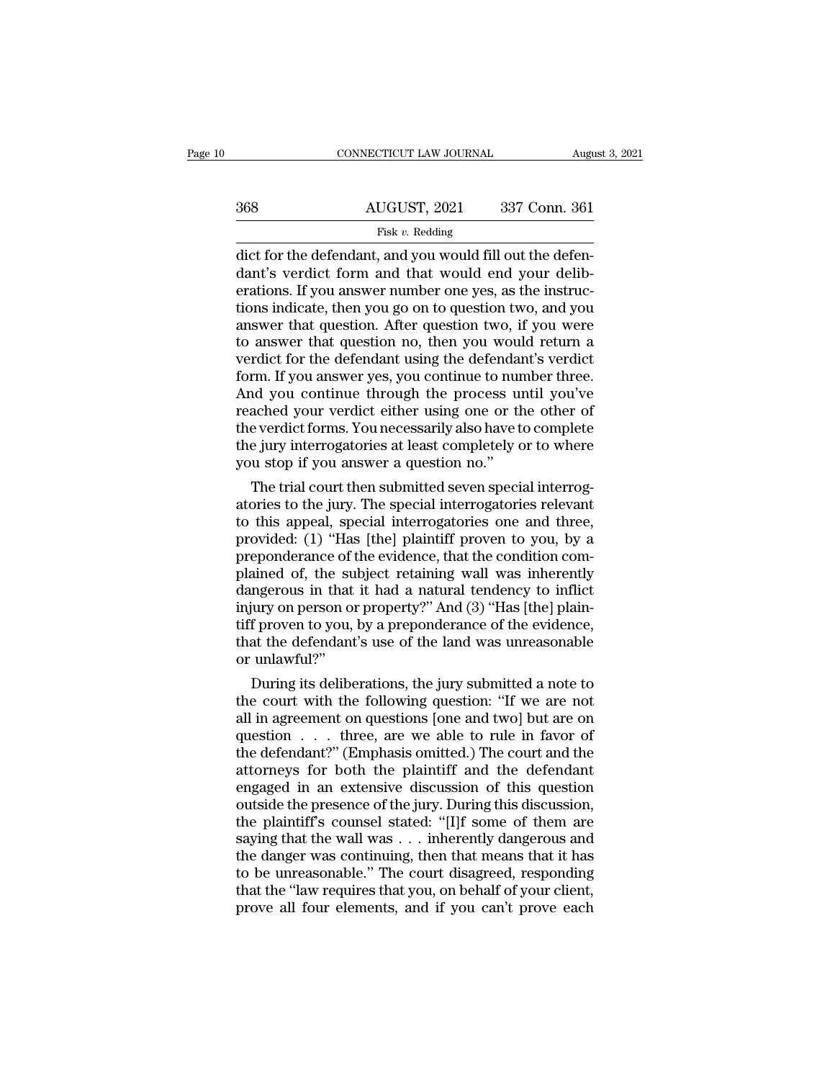|     | CONNECTICUT LAW JOURNAL                                                                                                                                                  | August 3, 2021 |
|-----|--------------------------------------------------------------------------------------------------------------------------------------------------------------------------|----------------|
| 368 | AUGUST, 2021                                                                                                                                                             | 337 Conn. 361  |
|     | Fisk $v$ . Redding                                                                                                                                                       |                |
|     | dict for the defendant, and you would fill out the defen-<br>dant's verdict form and that would end your delib-<br>erations If you answer number one yes as the instruc- |                |

 $\frac{\text{d}u}{\text{d}x}$  AUGUST, 2021 337 Conn. 361<br>
Fisk v. Redding<br>
dict for the defendant, and you would fill out the defendant's verdict form and that would end your deliberations. If you answer number one yes, as the instr 368 AUGUST, 2021 337 Conn. 361  $\frac{\text{HUGUST, 2021}}{\text{Fisk } v. \text{ Redding}}$ <br>
dict for the defendant, and you would fill out the defendant's verdict form and that would end your deliberations. If you answer number one yes, as the instructions indicate, then you go o Fisk v. Redding<br>Fisk v. Redding<br>dict for the defendant, and you would fill out the defen-<br>dant's verdict form and that would end your delib-<br>erations. If you answer number one yes, as the instruc-<br>tions indicate, then you Fisk v. Redding<br>dict for the defendant, and you would fill out the defen-<br>dant's verdict form and that would end your delib-<br>erations. If you answer number one yes, as the instruc-<br>tions indicate, then you go on to questi dict for the defendant, and you would fill out the defendant's verdict form and that would end your deliberations. If you answer number one yes, as the instructions indicate, then you go on to question two, and you answer dant's verdict form and that would end your deliberations. If you answer number one yes, as the instructions indicate, then you go on to question two, and you answer that question. After question two, if you were to answer erations. If you answer number one yes, as the instructions indicate, then you go on to question two, and you<br>answer that question. After question two, if you were<br>to answer that question no, then you would return a<br>verdic tions indicate, then you go on to question two, and you<br>answer that question. After question two, if you were<br>to answer that question no, then you would return a<br>verdict for the defendant using the defendant's verdict<br>form answer that question. After question two, if you were<br>to answer that question no, then you would return a<br>verdict for the defendant using the defendant's verdict<br>form. If you answer yes, you continue to number three.<br>And y to answer that question no, then you would return a<br>verdict for the defendant using the defendant's verdict<br>form. If you answer yes, you continue to number three.<br>And you continue through the process until you've<br>reached y verdict for the defendant using the defendant form. If you answer yes, you continue to nur And you continue through the process un reached your verdict either using one or the verdict forms. You necessarily also have the j rm. If you answer yes, you continue to number three.<br>In you continue through the process until you've<br>ached your verdict either using one or the other of<br>e verdict forms. You necessarily also have to complete<br>e jury interr And you continue through the process until you've<br>reached your verdict either using one or the other of<br>the verdict forms. You necessarily also have to complete<br>the jury interrogatories at least completely or to where<br>you

reached your verdict either using one or the other of<br>the verdict forms. You necessarily also have to complete<br>the jury interrogatories at least completely or to where<br>you stop if you answer a question no."<br>The trial court the verdict forms. You necessarily also have to complete<br>the jury interrogatories at least completely or to where<br>you stop if you answer a question no."<br>The trial court then submitted seven special interrog-<br>atories to the the jury interrogatories at least completely or to where<br>you stop if you answer a question no."<br>The trial court then submitted seven special interrog-<br>atories to the jury. The special interrogatories relevant<br>to this appea you stop if you answer a question no."<br>The trial court then submitted seven special interrog-<br>atories to the jury. The special interrogatories relevant<br>to this appeal, special interrogatories one and three,<br>provided: (1) " The trial court then submitted seven special interrogatories to the jury. The special interrogatories relevant<br>to this appeal, special interrogatories one and three,<br>provided: (1) "Has [the] plaintiff proven to you, by a<br>p atories to the jury. The special interrogatories relevant<br>to this appeal, special interrogatories one and three,<br>provided: (1) "Has [the] plaintiff proven to you, by a<br>preponderance of the evidence, that the condition comto this appeal, special interrogatories one and three,<br>provided: (1) "Has [the] plaintiff proven to you, by a<br>preponderance of the evidence, that the condition com-<br>plained of, the subject retaining wall was inherently<br>dan provided: (1) "Has [the] plaintiff proven to you, by a<br>preponderance of the evidence, that the condition com-<br>plained of, the subject retaining wall was inherently<br>dangerous in that it had a natural tendency to inflict<br>inj preponderance of<br>plained of, the su<br>dangerous in that<br>injury on person of<br>tiff proven to you,<br>that the defendant<br>or unlawful?"<br>During its delibe ained of, the subject retaining wall was inherently<br>ngerous in that it had a natural tendency to inflict<br>jury on person or property?" And (3) "Has [the] plain-<br>f proven to you, by a preponderance of the evidence,<br>at the de dangerous in that it had a natural tendency to inflict<br>injury on person or property?" And (3) "Has [the] plain-<br>tiff proven to you, by a preponderance of the evidence,<br>that the defendant's use of the land was unreasonable

injury on person or property?" And (3) "Has [the] plain-<br>tiff proven to you, by a preponderance of the evidence,<br>that the defendant's use of the land was unreasonable<br>or unlawful?"<br>During its deliberations, the jury submi tiff proven to you, by a preponderance of the evidence,<br>that the defendant's use of the land was unreasonable<br>or unlawful?"<br>During its deliberations, the jury submitted a note to<br>the court with the following question: "If that the defendant's use of the land was unreasonable<br>or unlawful?"<br>During its deliberations, the jury submitted a note to<br>the court with the following question: "If we are not<br>all in agreement on questions [one and two] b or unlawful?"<br>
During its deliberations, the jury submitted a note to<br>
the court with the following question: "If we are not<br>
all in agreement on questions [one and two] but are on<br>
question . . . . three, are we able to r During its deliberations, the jury submitted a note to<br>the court with the following question: "If we are not<br>all in agreement on questions [one and two] but are on<br>question  $\ldots$  three, are we able to rule in favor of<br>the the court with the following question: "If we are not<br>all in agreement on questions [one and two] but are on<br>question . . . three, are we able to rule in favor of<br>the defendant?" (Emphasis omitted.) The court and the<br>attor all in agreement on questions [one and two] but are on<br>question . . . three, are we able to rule in favor of<br>the defendant?" (Emphasis omitted.) The court and the<br>attorneys for both the plaintiff and the defendant<br>engaged question . . . three, are we able to rule in favor of<br>the defendant?" (Emphasis omitted.) The court and the<br>attorneys for both the plaintiff and the defendant<br>engaged in an extensive discussion of this question<br>outside the the defendant?" (Emphasis omitted.) The court and the<br>attorneys for both the plaintiff and the defendant<br>engaged in an extensive discussion of this question<br>outside the presence of the jury. During this discussion,<br>the pla attorneys for both the plaintiff and the defendant<br>engaged in an extensive discussion of this question<br>outside the presence of the jury. During this discussion,<br>the plaintiff's counsel stated: "[I]f some of them are<br>saying engaged in an extensive discussion of this question<br>outside the presence of the jury. During this discussion,<br>the plaintiff's counsel stated: "[I]f some of them are<br>saying that the wall was . . . inherently dangerous and<br>t outside the presence of the jury. During this discussion, the plaintiff's counsel stated: "[I]f some of them are saying that the wall was  $\dots$  inherently dangerous and the danger was continuing, then that means that it ha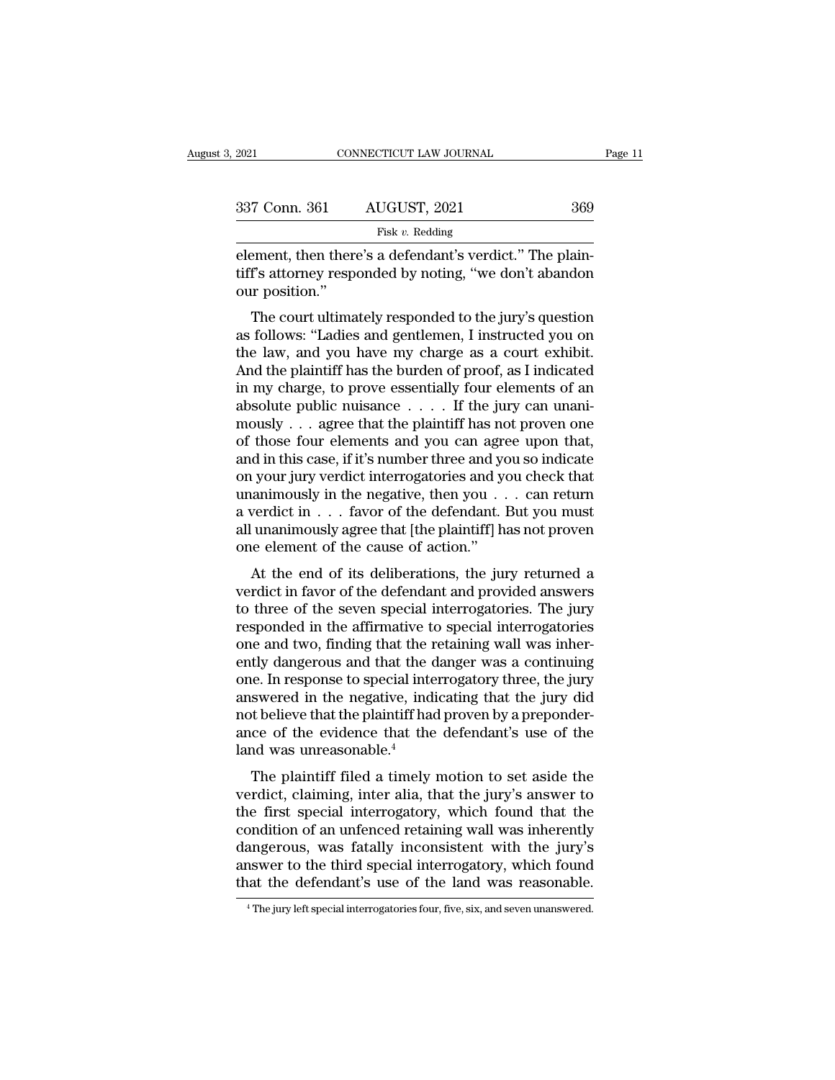| 2021           | CONNECTICUT LAW JOURNAL                                                                                            | Page 11 |
|----------------|--------------------------------------------------------------------------------------------------------------------|---------|
| 337 Conn. 361  | AUGUST, 2021                                                                                                       | 369     |
|                | Fisk $v$ . Redding                                                                                                 |         |
| our position." | element, then there's a defendant's verdict." The plain-<br>tiff's attorney responded by noting, "we don't abandon |         |
|                | The court ultimately responded to the jury's question                                                              |         |

The court ultimately responded to the jury's question<br>
The court ultimately responded to the jury's question<br>
The court ultimately responded to the jury's question<br>
The court ultimately responded to the jury's question<br>
f

Fisk v. Redding<br>
element, then there's a defendant's verdict." The plain-<br>
tiff's attorney responded by noting, "we don't abandon<br>
our position."<br>
The court ultimately responded to the jury's question<br>
as follows: "Ladies element, then there's a defendant's verdict." The plain-<br>tiff's attorney responded by noting, "we don't abandon<br>our position."<br>The court ultimately responded to the jury's question<br>as follows: "Ladies and gentlemen, I inst Element, then there's a defendant s verdict. The plantiff's attorney responded by noting, "we don't abandon<br>our position."<br>The court ultimately responded to the jury's question<br>as follows: "Ladies and gentlemen, I instruct In satisfied by noting, we don't abandon<br>our position."<br>The court ultimately responded to the jury's question<br>as follows: "Ladies and gentlemen, I instructed you on<br>the law, and you have my charge as a court exhibit.<br>And our position.<br>The court ultimately responded to the jury's question<br>as follows: "Ladies and gentlemen, I instructed you on<br>the law, and you have my charge as a court exhibit.<br>And the plaintiff has the burden of proof, as I The court ultimately responded to the jury's question<br>as follows: "Ladies and gentlemen, I instructed you on<br>the law, and you have my charge as a court exhibit.<br>And the plaintiff has the burden of proof, as I indicated<br>in as follows: "Ladies and gentlemen, I instructed you on<br>the law, and you have my charge as a court exhibit.<br>And the plaintiff has the burden of proof, as I indicated<br>in my charge, to prove essentially four elements of an<br>a the law, and you have my charge as a court exhibit.<br>And the plaintiff has the burden of proof, as I indicated<br>in my charge, to prove essentially four elements of an<br>absolute public nuisance  $\dots$ . If the jury can unani-<br>mo And the plaintiff has the burden of proof, as I indicated<br>in my charge, to prove essentially four elements of an<br>absolute public nuisance  $\dots$ . If the jury can unani-<br>mously  $\dots$  agree that the plaintiff has not proven on in my charge, to prove essentially four elements of an absolute public nuisance . . . . If the jury can unani-<br>mously . . . agree that the plaintiff has not proven one of those four elements and you can agree upon that,<br>a absolute public nuisance  $\dots$  . . . If the jury can unani-<br>mously  $\dots$  agree that the plaintiff has not proven one<br>of those four elements and you can agree upon that,<br>and in this case, if it's number three and you so indi mously  $\dots$  agree that the plaintiff has not proven one<br>of those four elements and you can agree upon that,<br>and in this case, if it's number three and you so indicate<br>on your jury verdict interrogatories and you check tha of those four elements and you can agree upon that,<br>and in this case, if it's number three and you so indicate<br>on your jury verdict interrogatories and you check that<br>unanimously in the negative, then you  $\dots$  can return<br> At the end of its deliberations, the jury returned a<br>relationships and you check that<br>animously in the negative, then you  $\dots$  can return<br>verdict in  $\dots$  favor of the defendant. But you must<br>unanimously agree that [the pl on your jury verdict interrogatories and you check that<br>unanimously in the negative, then you  $\dots$  can return<br>a verdict in  $\dots$  favor of the defendant. But you must<br>all unanimously agree that [the plaintiff] has not prove

a verdict in  $\ldots$  favor of the defendant. But you must<br>all unanimously agree that [the plaintiff] has not proven<br>one element of the cause of action."<br>At the end of its deliberations, the jury returned a<br>verdict in favor a vertuct  $\mathbf m$   $\cdot$   $\cdot$  and  $\mathbf v$  or the defendant. But you must<br>all unanimously agree that [the plaintiff] has not proven<br>one element of the cause of action."<br>At the end of its deliberations, the jury returned a<br>verd an unanificulary agree that [the piantifiii] has not proven<br>one element of the cause of action."<br>At the end of its deliberations, the jury returned a<br>verdict in favor of the defendant and provided answers<br>to three of the s At the end of its deliberations, the jury returned a<br>verdict in favor of the defendant and provided answers<br>to three of the seven special interrogatories. The jury<br>responded in the affirmative to special interrogatories<br>on At the end of its deliberations, the jury returned a<br>verdict in favor of the defendant and provided answers<br>to three of the seven special interrogatories. The jury<br>responded in the affirmative to special interrogatories<br>on verdict in favor of the defendant and provided answers<br>to three of the seven special interrogatories. The jury<br>responded in the affirmative to special interrogatories<br>one and two, finding that the retaining wall was inherto three of the seven special interrogatories. The jury<br>responded in the affirmative to special interrogatories<br>one and two, finding that the retaining wall was inher-<br>ently dangerous and that the danger was a continuing<br>o responded in the affirmative to special interrogatories<br>one and two, finding that the retaining wall was inher-<br>ently dangerous and that the danger was a continuing<br>one. In response to special interrogatory three, the jury one and two, finding that the r<br>ently dangerous and that the c<br>one. In response to special inte<br>answered in the negative, indi<br>not believe that the plaintiff had<br>ance of the evidence that the<br>land was unreasonable.<sup>4</sup><br>The Ly dangerous and that the danger was a community<br>e. In response to special interrogatory three, the jury<br>swered in the negative, indicating that the jury did<br>t believe that the plaintiff had proven by a preponder-<br>ce of th one. In response to special interrogatory time, the jury<br>answered in the negative, indicating that the jury did<br>not believe that the plaintiff had proven by a preponder-<br>ance of the evidence that the defendant's use of the

answered in the hegative, indicating that the jury dua<br>not believe that the plaintiff had proven by a preponder-<br>ance of the evidence that the defendant's use of the<br>land was unreasonable.<sup>4</sup><br>The plaintiff filed a timely m From the evidence that the defendant's use of the<br>land was unreasonable.<sup>4</sup><br>The plaintiff filed a timely motion to set aside the<br>verdict, claiming, inter alia, that the jury's answer to<br>the first special interrogatory, whi ance of the evidence that the defendant's use of the<br>land was unreasonable.<sup>4</sup><br>The plaintiff filed a timely motion to set aside the<br>verdict, claiming, inter alia, that the jury's answer to<br>the first special interrogatory, rand was unreasonable.<br>The plaintiff filed a timely motion to set aside the<br>verdict, claiming, inter alia, that the jury's answer to<br>the first special interrogatory, which found that the<br>condition of an unfenced retaining The plaintiff filed a timely motion to set aside the verdict, claiming, inter alia, that the jury's answer to the first special interrogatory, which found that the condition of an unfenced retaining wall was inherently dan condition of an unfenced retaining wall was inherently dangerous, was fatally inconsistent with the jury's answer to the third special interrogatory, which found that the defendant's use of the land was reasonable.<br> **The j**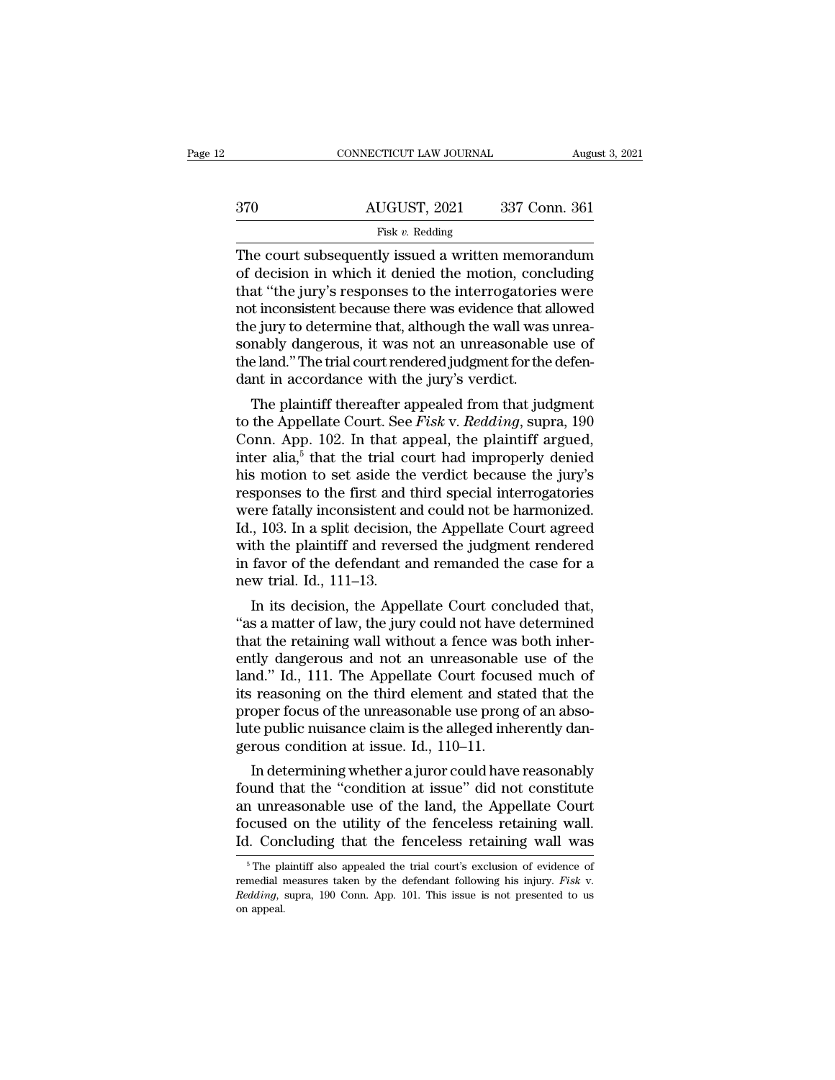|     | CONNECTICUT LAW JOURNAL                                                                                                                                               | August 3, 2021 |
|-----|-----------------------------------------------------------------------------------------------------------------------------------------------------------------------|----------------|
|     |                                                                                                                                                                       |                |
| 370 | AUGUST, 2021                                                                                                                                                          | 337 Conn. 361  |
|     | Fisk $v$ . Redding                                                                                                                                                    |                |
|     | The court subsequently issued a written memorandum<br>of decision in which it denied the motion, concluding<br>that "the jury's responses to the interrogatories were |                |

 $\begin{array}{ll}\n & \text{AUGUST, 2021} & \text{337 Conn. 361}\n \hline\n & \text{Fisk } v. \text{ Redding}\n \end{array}$ The court subsequently issued a written memorandum<br>
of decision in which it denied the motion, concluding<br>
that "the jury's responses to the interrogatories  $\begin{array}{r} \text{370} \text{AUGUST, 2021} \text{337 Conn. } 361 \text{ } \\ \text{First } v. \text{ Redding} \end{array}$ <br>
The court subsequently issued a written memorandum of decision in which it denied the motion, concluding that "the jury's responses to the interrogatories  $\frac{\text{AUGUST, 2021}}{\text{Fisk } v. \text{ Redding}}$ <br>The court subsequently issued a written memorandum<br>of decision in which it denied the motion, concluding<br>that "the jury's responses to the interrogatories were<br>not inconsistent because ther Fisk v. Redding<br>
Fisk v. Redding<br>
The court subsequently issued a written memorandum<br>
of decision in which it denied the motion, concluding<br>
that "the jury's responses to the interrogatories were<br>
not inconsistent because Fisk v. Redding<br>The court subsequently issued a written memorandum<br>of decision in which it denied the motion, concluding<br>that "the jury's responses to the interrogatories were<br>not inconsistent because there was evidence t The court subsequently issued a written memorandum<br>of decision in which it denied the motion, concluding<br>that "the jury's responses to the interrogatories were<br>not inconsistent because there was evidence that allowed<br>the j of decision in which it denied the motion, concentrat "the jury's responses to the interrogatories<br>not inconsistent because there was evidence that a<br>the jury to determine that, although the wall was<br>sonably dangerous, it at the jury s responses to the interrogatories were<br>t inconsistent because there was evidence that allowed<br>e jury to determine that, although the wall was unrea-<br>nably dangerous, it was not an unreasonable use of<br>e land." flot inconsistent because there was evidence that ahowed<br>the jury to determine that, although the wall was unrea-<br>sonably dangerous, it was not an unreasonable use of<br>the land." The trial court rendered judgment for the de

the jury to determine that, anthough the wan was unrea-<br>sonably dangerous, it was not an unreasonable use of<br>the land." The trial court rendered judgment for the defen-<br>dant in accordance with the jury's verdict.<br>The plai sonably dangerous, it was not all differentiation the defendant in accordance with the jury's verdict.<br>The plaintiff thereafter appealed from that judgment<br>to the Appellate Court. See *Fisk* v. *Redding*, supra, 190<br>Conn. the land. The trial court rendered judgment for the defendant in accordance with the jury's verdict.<br>The plaintiff thereafter appealed from that judgment<br>to the Appellate Court. See *Fisk v. Redding*, supra, 190<br>Conn. App The plaintiff thereafter appealed from that judgment<br>to the Appellate Court. See *Fisk v. Redding*, supra, 190<br>Conn. App. 102. In that appeal, the plaintiff argued,<br>inter alia,<sup>5</sup> that the trial court had improperly denie The plaintiff thereafter appealed from that judgment<br>to the Appellate Court. See *Fisk v. Redding*, supra, 190<br>Conn. App. 102. In that appeal, the plaintiff argued,<br>inter alia,<sup>5</sup> that the trial court had improperly denie to the Appellate Court. See *Fisk v. Redding*, supra, 190<br>Conn. App. 102. In that appeal, the plaintiff argued,<br>inter alia,<sup>5</sup> that the trial court had improperly denied<br>his motion to set aside the verdict because the jur Conn. App. 102. In that appeal, the plaintiff argued,<br>inter alia,<sup>5</sup> that the trial court had improperly denied<br>his motion to set aside the verdict because the jury's<br>responses to the first and third special interrogatori inter alia,<sup>5</sup> that the trial court had improperly denied<br>his motion to set aside the verdict because the jury's<br>responses to the first and third special interrogatories<br>were fatally inconsistent and could not be harmoniz his motion to set aside the<br>responses to the first and t<br>were fatally inconsistent are<br>Id., 103. In a split decision,<br>with the plaintiff and rever<br>in favor of the defendant a<br>new trial. Id., 111–13.<br>In its decision, the Ap sponses to the first and thrid special interrogatories<br>
iere fatally inconsistent and could not be harmonized.<br>
., 103. In a split decision, the Appellate Court agreed<br>
th the plaintiff and reversed the judgment rendered<br> Were latally inconsistent and could not be harmonized.<br>
Id., 103. In a split decision, the Appellate Court agreed<br>
with the plaintiff and reversed the judgment rendered<br>
in favor of the defendant and remanded the case for

that, 105. In a split decision, the Appenate Court agreed<br>with the plaintiff and reversed the judgment rendered<br>in favor of the defendant and remanded the case for a<br>new trial. Id., 111–13.<br>In its decision, the Appellate C with the plaintiff and reversed the judgment rendered<br>in favor of the defendant and remanded the case for a<br>new trial. Id., 111–13.<br>In its decision, the Appellate Court concluded that,<br>"as a matter of law, the jury could n In favor of the defendant and remanded the case for a<br>new trial. Id., 111–13.<br>In its decision, the Appellate Court concluded that,<br>"as a matter of law, the jury could not have determined<br>that the retaining wall without a f new trial. Id., 111–13.<br>
In its decision, the Appellate Court concluded that,<br>
"as a matter of law, the jury could not have determined<br>
that the retaining wall without a fence was both inher-<br>
ently dangerous and not an un In its decision, the Appellate Court concluded that,<br>"as a matter of law, the jury could not have determined<br>that the retaining wall without a fence was both inher-<br>ently dangerous and not an unreasonable use of the<br>land. " as a matter of law, the jury could not have determined<br>that the retaining wall without a fence was both inher-<br>ently dangerous and not an unreasonable use of the<br>land." Id., 111. The Appellate Court focused much of<br>its that the retaining wall without a fence was<br>ently dangerous and not an unreasonable<br>land." Id., 111. The Appellate Court focuse<br>its reasoning on the third element and stat<br>proper focus of the unreasonable use prong<br>lute pu In determining whether a juror could have reasonably<br>approximate that the oper focus of the unreasonable use prong of an abso-<br>te public nuisance claim is the alleged inherently dan-<br>rous condition at issue. Id.,  $110-11$ rand. Ta., 111. The Appenate Court Tocused much of<br>its reasoning on the third element and stated that the<br>proper focus of the unreasonable use prong of an abso-<br>lute public nuisance claim is the alleged inherently dan-<br>ger

its reasoning on the third element and stated that the<br>proper focus of the unreasonable use prong of an abso-<br>lute public nuisance claim is the alleged inherently dan-<br>gerous condition at issue. Id., 110–11.<br>In determining proper focus of the unreasonable use prong of an absolute public nuisance claim is the alleged inherently dangerous condition at issue. Id., 110–11.<br>In determining whether a juror could have reasonably found that the "cond Id. In determining whether a juror could have reasonably<br>found that the "condition at issue" did not constitute<br>an unreasonable use of the land, the Appellate Court<br>focused on the utility of the fenceless retaining wall.<br>I found that the "condition at issue" did not constitute<br>an unreasonable use of the land, the Appellate Court<br>focused on the utility of the fenceless retaining wall.<br>Id. Concluding that the fenceless retaining wall was<br> $\frac{$ 

an unreasonable use of the land, the Appellate Court focused on the utility of the fenceless retaining wall was Id. Concluding that the fenceless retaining wall was  $\frac{1}{100}$  The plaintiff also appealed the trial court's Id. Concluding that the fenceless retaining wall was<br>  $\frac{1}{100}$  The plaintiff also appealed the trial court's exclusion of evidence of<br>
remedial measures taken by the defendant following his injury. Fisk v.<br>
Redding, su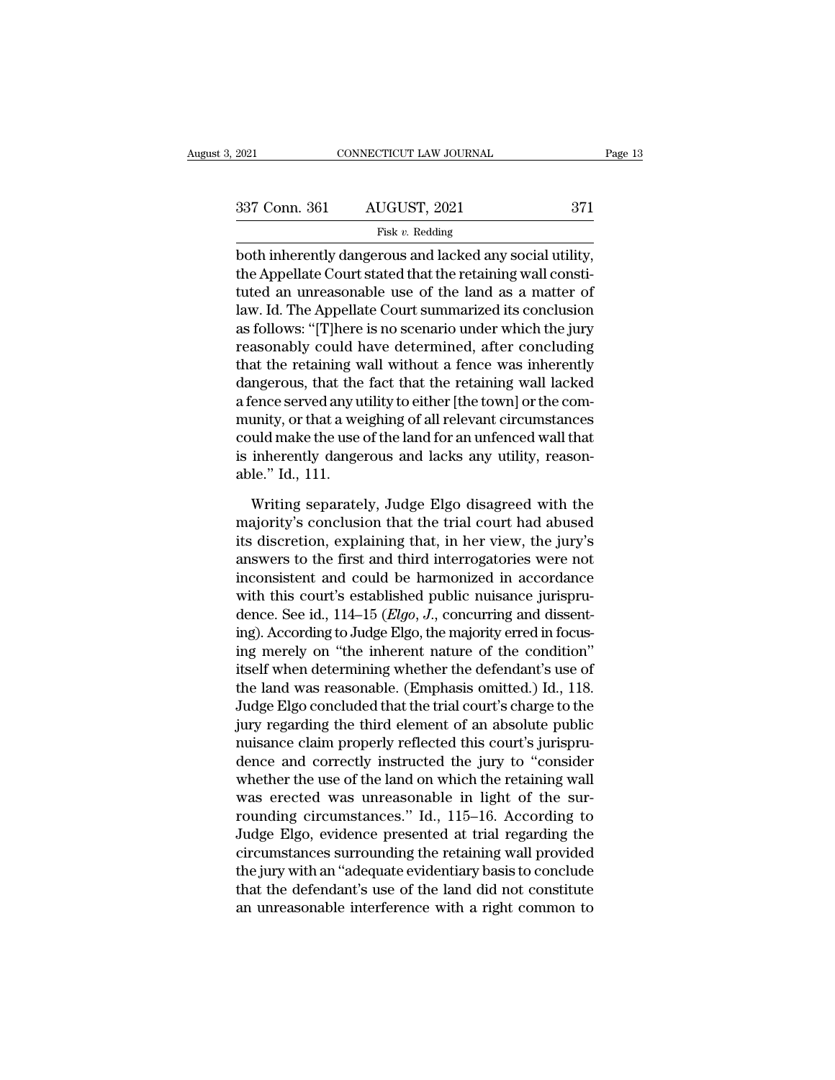| 2021          | CONNECTICUT LAW JOURNAL | Page 13 |  |
|---------------|-------------------------|---------|--|
| 337 Conn. 361 | AUGUST, 2021            | 371     |  |
|               | Fisk $v$ . Redding      |         |  |

 $\begin{array}{ccc}\n 2021 & \text{CONPECTICUT LAW JOURNAL} & \text{Page}\ \n 337 & \text{Conn. } 361 & \text{AUGUST, } 2021 & 371 \\
 \hline\n & \text{Fisk } v. \text{ Redding} & \text{both inherently dangerous and lacked any social utility}, \n the Appellate Court stated that the retaining wall constitute an unmeasurable, use of the land, see a matter of the model.} \n$ 337 Conn. 361 AUGUST, 2021 371<br>
Fisk v. Redding<br>
both inherently dangerous and lacked any social utility,<br>
the Appellate Court stated that the retaining wall consti-<br>
tuted an unreasonable use of the land as a matter of<br> 337 Conn. 361 AUGUST, 2021 371<br>
Fisk v. Redding<br>
both inherently dangerous and lacked any social utility,<br>
the Appellate Court stated that the retaining wall constituted an unreasonable use of the land as a matter of<br>
law 337 Conn. 361 AUGUST, 2021 371<br>
Fisk v. Redding<br>
both inherently dangerous and lacked any social utility,<br>
the Appellate Court stated that the retaining wall constituted an unreasonable use of the land as a matter of<br>
law Fisk v. Redding<br>both inherently dangerous and lacked any social utility,<br>the Appellate Court stated that the retaining wall consti-<br>tuted an unreasonable use of the land as a matter of<br>law. Id. The Appellate Court summari First *v*. Redding<br>both inherently dangerous and lacked any social utility,<br>the Appellate Court stated that the retaining wall consti-<br>tuted an unreasonable use of the land as a matter of<br>law. Id. The Appellate Court summ both inherently dangerous and lacked any social utility,<br>the Appellate Court stated that the retaining wall consti-<br>tuted an unreasonable use of the land as a matter of<br>law. Id. The Appellate Court summarized its conclusio the Appellate Court stated that the retaining wall constituted an unreasonable use of the land as a matter of<br>law. Id. The Appellate Court summarized its conclusion<br>as follows: "[T]here is no scenario under which the jury<br> tuted an unreasonable use of the land as a matter of<br>law. Id. The Appellate Court summarized its conclusion<br>as follows: "[T]here is no scenario under which the jury<br>reasonably could have determined, after concluding<br>that t law. Id. The Appellate Court summarized its conclusion<br>as follows: "[T]here is no scenario under which the jury<br>reasonably could have determined, after concluding<br>that the retaining wall without a fence was inherently<br>dang as follows: "[T]here is no scenario under which the jury<br>reasonably could have determined, after concluding<br>that the retaining wall without a fence was inherently<br>dangerous, that the fact that the retaining wall lacked<br>a f reasonably could have determined, after concluding<br>that the retaining wall without a fence was inherently<br>dangerous, that the fact that the retaining wall lacked<br>a fence served any utility to either [the town] or the com-<br> that the retaining w<br>dangerous, that the<br>a fence served any u<br>munity, or that a we<br>could make the use<br>is inherently dange<br>able." Id., 111.<br>Writing separate Figures are served any utility to either [the town] or the commity, or that a weighing of all relevant circumstances<br>wild make the use of the land for an unfenced wall that<br>inherently dangerous and lacks any utility, reaso munity, or that a weighing of all relevant circumstances<br>could make the use of the land for an unfenced wall that<br>is inherently dangerous and lacks any utility, reason-<br>able." Id., 111.<br>Writing separately, Judge Elgo disag

could make the use of the land for an unfenced wall that<br>is inherently dangerous and lacks any utility, reason-<br>able." Id., 111.<br>Writing separately, Judge Elgo disagreed with the<br>majority's conclusion that the trial court is inherently dangerous and lacks any utility, reasonable." Id., 111.<br>Writing separately, Judge Elgo disagreed with the<br>majority's conclusion that the trial court had abused<br>its discretion, explaining that, in her view, th able." Id., 111.<br>Writing separately, Judge Elgo disagreed with the<br>majority's conclusion that the trial court had abused<br>its discretion, explaining that, in her view, the jury's<br>answers to the first and third interrogatori Writing separately, Judge Elgo disagreed with the<br>majority's conclusion that the trial court had abused<br>its discretion, explaining that, in her view, the jury's<br>answers to the first and third interrogatories were not<br>incon Writing separately, Judge Elgo disagreed with the<br>majority's conclusion that the trial court had abused<br>its discretion, explaining that, in her view, the jury's<br>answers to the first and third interrogatories were not<br>incon majority's conclusion that the trial court had abused<br>its discretion, explaining that, in her view, the jury's<br>answers to the first and third interrogatories were not<br>inconsistent and could be harmonized in accordance<br>wit its discretion, explaining that, in her view, the jury's<br>answers to the first and third interrogatories were not<br>inconsistent and could be harmonized in accordance<br>with this court's established public nuisance jurispru-<br>d answers to the first and third interrogatories were not<br>inconsistent and could be harmonized in accordance<br>with this court's established public nuisance jurispru-<br>dence. See id., 114–15 (*Elgo*, *J*., concurring and disse inconsistent and could be harmonized in accordance<br>with this court's established public nuisance jurispru-<br>dence. See id., 114–15 (*Elgo*, *J*., concurring and dissent-<br>ing). According to Judge Elgo, the majority erred in with this court's established public nuisance jurispru-<br>dence. See id., 114–15 (*Elgo*, *J*., concurring and dissent-<br>ing). According to Judge Elgo, the majority erred in focus-<br>ing merely on "the inherent nature of the c dence. See id., 114–15 (*Elgo*, *J*., concurring and dissenting). According to Judge Elgo, the majority erred in focusing merely on "the inherent nature of the condition" itself when determining whether the defendant's use ing). According to Judge Elgo, the majority erred in focus-<br>ing merely on "the inherent nature of the condition"<br>itself when determining whether the defendant's use of<br>the land was reasonable. (Emphasis omitted.) Id., 118. ing merely on "the inherent nature of the condition"<br>itself when determining whether the defendant's use of<br>the land was reasonable. (Emphasis omitted.) Id., 118.<br>Judge Elgo concluded that the trial court's charge to the<br>j itself when determining whether the defendant's use of<br>the land was reasonable. (Emphasis omitted.) Id., 118.<br>Judge Elgo concluded that the trial court's charge to the<br>jury regarding the third element of an absolute public the land was reasonable. (Emphasis omitted.) Id., 118.<br>Judge Elgo concluded that the trial court's charge to the<br>jury regarding the third element of an absolute public<br>nuisance claim properly reflected this court's jurispr Judge Elgo concluded that the trial court's charge to the<br>jury regarding the third element of an absolute public<br>nuisance claim properly reflected this court's jurispru-<br>dence and correctly instructed the jury to "consider jury regarding the third element of an absolute public<br>nuisance claim properly reflected this court's jurispru-<br>dence and correctly instructed the jury to "consider<br>whether the use of the land on which the retaining wall<br>w nuisance claim properly reflected this court's jurispru-<br>dence and correctly instructed the jury to "consider<br>whether the use of the land on which the retaining wall<br>was erected was unreasonable in light of the sur-<br>roundi dence and correctly instructed the jury to "consider<br>whether the use of the land on which the retaining wall<br>was erected was unreasonable in light of the sur-<br>rounding circumstances." Id., 115–16. According to<br>Judge Elgo, whether the use of the land on which the retaining wall<br>was erected was unreasonable in light of the sur-<br>rounding circumstances." Id., 115–16. According to<br>Judge Elgo, evidence presented at trial regarding the<br>circumstanc was erected was unreasonable in light of the sur-<br>rounding circumstances." Id., 115–16. According to<br>Judge Elgo, evidence presented at trial regarding the<br>circumstances surrounding the retaining wall provided<br>the jury with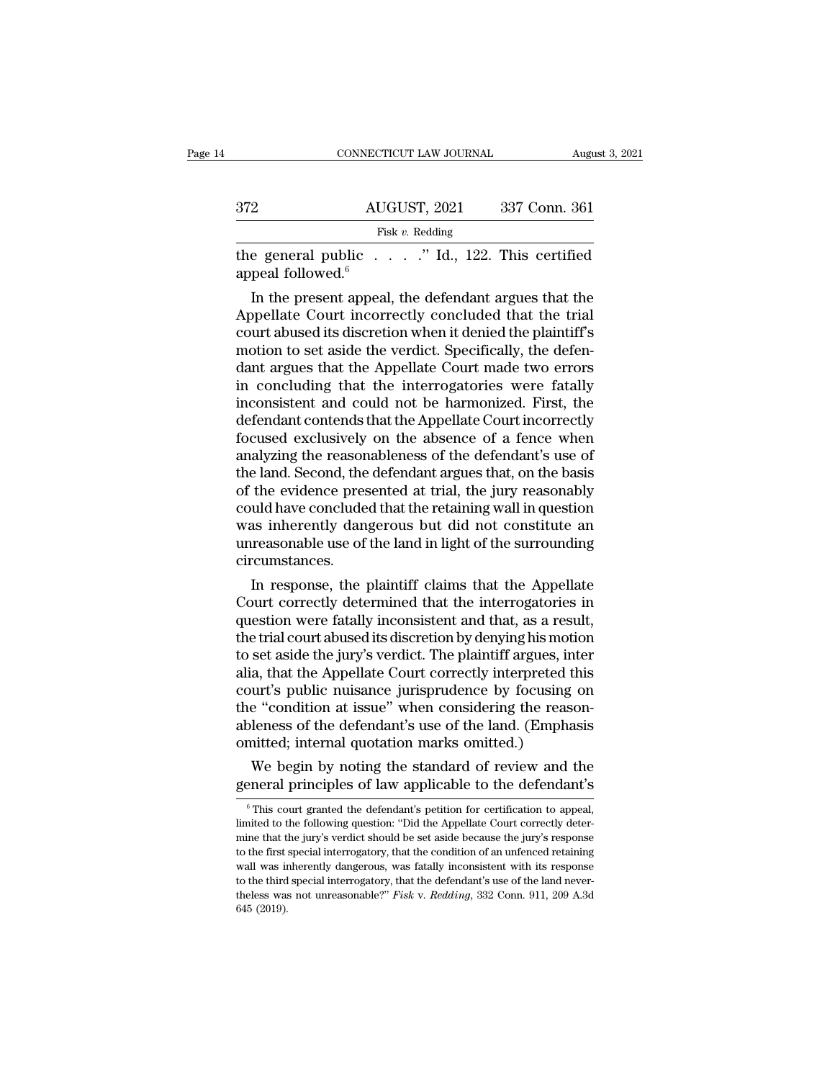|                      | CONNECTICUT LAW JOURNAL                                                                                                                                                    | August 3, 2021 |
|----------------------|----------------------------------------------------------------------------------------------------------------------------------------------------------------------------|----------------|
|                      |                                                                                                                                                                            |                |
| 372                  | AUGUST, 2021                                                                                                                                                               | 337 Conn. 361  |
|                      | Fisk $v$ . Redding                                                                                                                                                         |                |
| appeal followed. $6$ | the general public " Id., 122. This certified                                                                                                                              |                |
|                      | In the present appeal, the defendant argues that the<br>Appellate Court incorrectly concluded that the trial<br>court abused its discretion when it depied the plaintiff's |                |

 $\frac{\text{AUGUST, 2021}}{\text{Fisk } v. \text{ Redding}}$ <br>
the general public . . . . " Id., 122. This certified<br>
appeal followed.<sup>6</sup><br>
In the present appeal, the defendant argues that the<br>
Appellate Court incorrectly concluded that the trial<br>
cour Fisk v. Redding<br>the general public . . . . ." Id., 122. This certified<br>appeal followed.<sup>6</sup><br>In the present appeal, the defendant argues that the<br>Appellate Court incorrectly concluded that the trial<br>court abused its discret the general public  $\ldots$  ." Id., 122. This certified appeal followed.<sup>6</sup><br>In the present appeal, the defendant argues that the Appellate Court incorrectly concluded that the trial<br>court abused its discretion when it denied the general public  $\ldots$  and  $\ldots$  and  $\ldots$  and  $\ldots$  and  $\ldots$  appeal followed.<sup>6</sup><br>In the present appeal, the defendant argues that the Appellate Court incorrectly concluded that the trial<br>court abused its discretion wh appear followed."<br>
In the present appeal, the defendant argues that the<br>
Appellate Court incorrectly concluded that the trial<br>
court abused its discretion when it denied the plaintiff's<br>
motion to set aside the verdict. Sp In the present appeal, the defendant argues that the<br>Appellate Court incorrectly concluded that the trial<br>court abused its discretion when it denied the plaintiff's<br>motion to set aside the verdict. Specifically, the defen-Appellate Court incorrectly concluded that the trial<br>court abused its discretion when it denied the plaintiff's<br>motion to set aside the verdict. Specifically, the defen-<br>dant argues that the Appellate Court made two errors court abused its discretion when it denied the plaintiff's<br>motion to set aside the verdict. Specifically, the defen-<br>dant argues that the Appellate Court made two errors<br>in concluding that the interrogatories were fatally<br> motion to set aside the verdict. Specifically, the defendant argues that the Appellate Court made two errors<br>in concluding that the interrogatories were fatally<br>inconsistent and could not be harmonized. First, the<br>defendan dant argues that the Appellate Court made two errors<br>in concluding that the interrogatories were fatally<br>inconsistent and could not be harmonized. First, the<br>defendant contends that the Appellate Court incorrectly<br>focused in concluding that the interrogatories were fatally<br>inconsistent and could not be harmonized. First, the<br>defendant contends that the Appellate Court incorrectly<br>focused exclusively on the absence of a fence when<br>analyzing inconsistent and could not be harmonized. First, the<br>defendant contends that the Appellate Court incorrectly<br>focused exclusively on the absence of a fence when<br>analyzing the reasonableness of the defendant's use of<br>the lan defendant contends that the Appellate Court incorrectly<br>focused exclusively on the absence of a fence when<br>analyzing the reasonableness of the defendant's use of<br>the land. Second, the defendant argues that, on the basis<br>of focused exclusively on the absence of a fence when<br>analyzing the reasonableness of the defendant's use of<br>the land. Second, the defendant argues that, on the basis<br>of the evidence presented at trial, the jury reasonably<br>co circumstances. E land. Second, the defendant argues that, on the basis<br>the evidence presented at trial, the jury reasonably<br>uld have concluded that the retaining wall in question<br>as inherently dangerous but did not constitute an<br>reasonab or the evidence presented at trial, the jury reasonably<br>could have concluded that the retaining wall in question<br>was inherently dangerous but did not constitute an<br>unreasonable use of the land in light of the surrounding<br>c

could nave concluded that the retaining wall in question<br>was inherently dangerous but did not constitute an<br>unreasonable use of the land in light of the surrounding<br>circumstances.<br>In response, the plaintiff claims that the was inherently dangerous but did not constitute an<br>unreasonable use of the land in light of the surrounding<br>circumstances.<br>In response, the plaintiff claims that the Appellate<br>Court correctly determined that the interrogat unreasonable use of the land in light of the surrounding<br>circumstances.<br>In response, the plaintiff claims that the Appellate<br>Court correctly determined that the interrogatories in<br>question were fatally inconsistent and tha circumstances.<br>
In response, the plaintiff claims that the Appellate<br>
Court correctly determined that the interrogatories in<br>
question were fatally inconsistent and that, as a result,<br>
the trial court abused its discretion In response, the plaintiff claims that the Appellate<br>Court correctly determined that the interrogatories in<br>question were fatally inconsistent and that, as a result,<br>the trial court abused its discretion by denying his mot Court correctly determined that the interrogatories in question were fatally inconsistent and that, as a result, the trial court abused its discretion by denying his motion to set aside the jury's verdict. The plaintiff ar question were fatally inconsistent and that, as a result,<br>the trial court abused its discretion by denying his motion<br>to set aside the jury's verdict. The plaintiff argues, inter<br>alia, that the Appellate Court correctly in the trial court abused its discretion by denying his motif to set aside the jury's verdict. The plaintiff argues, in alia, that the Appellate Court correctly interpreted to court's public nuisance jurisprudence by focusing set aside the jury's verdict. The plaintiff argues, inter<br>a, that the Appellate Court correctly interpreted this<br>urt's public nuisance jurisprudence by focusing on<br>e "condition at issue" when considering the reason-<br>leness ana, that the Appellate Court correctly interpreted this<br>court's public nuisance jurisprudence by focusing on<br>the "condition at issue" when considering the reason-<br>ableness of the defendant's use of the land. (Emphasis<br>omi

mitted; internal quotation marks omitted.)<br>We begin by noting the standard of review and the<br>eneral principles of law applicable to the defendant's<br><sup>6</sup>This court granted the defendant's petition for certification to appeal

Imitted; internal quotation marks omitted.)<br>We begin by noting the standard of review and the<br>general principles of law applicable to the defendant's<br><sup>6</sup> This court granted the defendant's petition for certification to app We begin by noting the standard of review and the general principles of law applicable to the defendant's  $\frac{1}{100}$   $\frac{1}{100}$   $\frac{1}{100}$   $\frac{1}{100}$   $\frac{1}{100}$  for certification to appeal, limited to the following q The first special principles of law applicable to the defendant's<br>
<sup>6</sup> This court granted the defendant's petition for certification to appeal,<br>
limited to the following question: "Did the Appellate Court correctly deter-<br> general principles of law applicable to the defendant is<br>
<sup>6</sup> This court granted the defendant's petition for certification to appeal,<br>
limited to the following question: "Did the Appellate Court correctly deter-<br>
mine tha <sup>6</sup> This court granted the defendant's petition for certification to appeal, limited to the following question: "Did the Appellate Court correctly determine that the jury's verdict should be set aside because the jury's r limited to the following question: "Did the Appellate Court correctly deter-<br>mine that the jury's verdict should be set aside because the jury's response<br>to the first special interrogatory, that the condition of an unfence to the first special interrogatory, that the condition of an unfenced retaining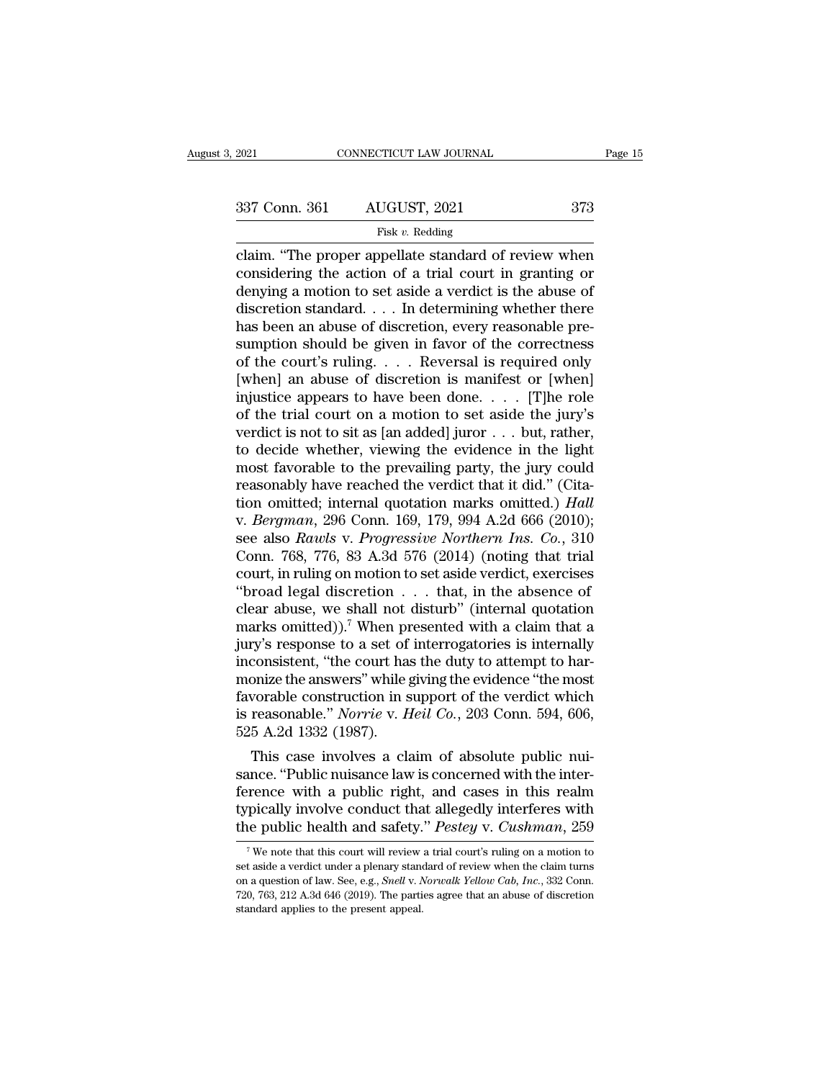### Fisk *v.* Redding

connectricut LAW JOURNAL Page 15<br>
2021 Conn. 361 AUGUST, 2021 373<br>
Fisk v. Redding<br>
Claim. "The proper appellate standard of review when<br>
considering the action of a trial court in granting or<br>
donuing a motion to set spi 337 Conn. 361 AUGUST, 2021 373<br>
Fisk v. Redding<br>
claim. "The proper appellate standard of review when<br>
considering the action of a trial court in granting or<br>
denying a motion to set aside a verdict is the abuse of<br>
discre 337 Conn. 361 AUGUST, 2021 373<br>
Fisk v. Redding<br>
claim. "The proper appellate standard of review when<br>
considering the action of a trial court in granting or<br>
denying a motion to set aside a verdict is the abuse of<br>
discr 337 Conn. 361 AUGUST, 2021 373<br>
Fisk v. Redding<br>
claim. "The proper appellate standard of review when<br>
considering the action of a trial court in granting or<br>
denying a motion to set aside a verdict is the abuse of<br>
discr Fisk v. Redding<br>
Fisk v. Redding<br>
claim. "The proper appellate standard of review when<br>
considering the action of a trial court in granting or<br>
denying a motion to set aside a verdict is the abuse of<br>
discretion standard. Fisk v. Redding<br>claim. "The proper appellate standard of review when<br>considering the action of a trial court in granting or<br>denying a motion to set aside a verdict is the abuse of<br>discretion standard.... In determining wh claim. "The proper appellate standard of review when<br>considering the action of a trial court in granting or<br>denying a motion to set aside a verdict is the abuse of<br>discretion standard. . . . In determining whether there<br>h considering the action of a trial court in granting or<br>denying a motion to set aside a verdict is the abuse of<br>discretion standard.... In determining whether there<br>has been an abuse of discretion, every reasonable pre-<br>su denying a motion to set aside a verdict is the abuse of<br>discretion standard.... In determining whether there<br>has been an abuse of discretion, every reasonable pre-<br>sumption should be given in favor of the correctness<br>of t discretion standard. . . . In determining whether there<br>has been an abuse of discretion, every reasonable pre-<br>sumption should be given in favor of the correctness<br>of the court's ruling. . . . Reversal is required only<br>[w has been an abuse of discretion, every reasonable pre-<br>sumption should be given in favor of the correctness<br>of the court's ruling.... Reversal is required only<br>[when] an abuse of discretion is manifest or [when]<br>injustice sumption should be given in favor of the correctness<br>of the court's ruling. . . . Reversal is required only<br>[when] an abuse of discretion is manifest or [when]<br>injustice appears to have been done. . . . [T]he role<br>of the of the court's ruling. . . . Reversal is required only<br>[when] an abuse of discretion is manifest or [when]<br>injustice appears to have been done. . . . [T]he role<br>of the trial court on a motion to set aside the jury's<br>verdi [when] an abuse of discretion is manifest or [when]<br>injustice appears to have been done. . . . . [T]he role<br>of the trial court on a motion to set aside the jury's<br>verdict is not to sit as [an added] juror . . . but, rathe injustice appears to have been done. . . . [T]he role<br>of the trial court on a motion to set aside the jury's<br>verdict is not to sit as [an added] juror . . . but, rather,<br>to decide whether, viewing the evidence in the ligh of the trial court on a motion to set aside the jury's<br>verdict is not to sit as [an added] juror . . . but, rather,<br>to decide whether, viewing the evidence in the light<br>most favorable to the prevailing party, the jury coul verdict is not to sit as [an added] juror . . . but, rather,<br>to decide whether, viewing the evidence in the light<br>most favorable to the prevailing party, the jury could<br>reasonably have reached the verdict that it did." (Ci to decide whether, viewing the evidence in the light<br>most favorable to the prevailing party, the jury could<br>reasonably have reached the verdict that it did." (Cita-<br>tion omitted; internal quotation marks omitted.) *Hall*<br>v most favorable to the prevailing party, the jury could<br>reasonably have reached the verdict that it did." (Cita-<br>tion omitted; internal quotation marks omitted.) Hall<br>v. Bergman, 296 Conn. 169, 179, 994 A.2d 666 (2010);<br>see reasonably have reached the verdict that it did." (Citation omitted; internal quotation marks omitted.) *Hall* v. *Bergman*, 296 Conn. 169, 179, 994 A.2d 666 (2010); see also *Rawls v. Progressive Northern Ins. Co.*, 310 tion omitted; internal quotation marks omitted.) Hall<br>v. Bergman, 296 Conn. 169, 179, 994 A.2d 666 (2010);<br>see also Rawls v. Progressive Northern Ins. Co., 310<br>Conn. 768, 776, 83 A.3d 576 (2014) (noting that trial<br>court, v. *Bergman*, 296 Conn. 169, 179, 994 A.2d 666 (2010);<br>see also *Rawls v. Progressive Northern Ins. Co.*, 310<br>Conn. 768, 776, 83 A.3d 576 (2014) (noting that trial<br>court, in ruling on motion to set aside verdict, exercise see also *Rawls v. Progressive Northern Ins. Co.*, 310<br>Conn. 768, 776, 83 A.3d 576 (2014) (noting that trial<br>court, in ruling on motion to set aside verdict, exercises<br>"broad legal discretion . . . that, in the absence of<br> Conn. 768, 776, 83 A.3d 576 (2014) (noting that trial court, in ruling on motion to set aside verdict, exercises "broad legal discretion  $\ldots$  that, in the absence of clear abuse, we shall not disturb" (internal quotation court, in ruling on motion to set aside verdict, exercises<br>
"broad legal discretion  $\ldots$  that, in the absence of<br>
clear abuse, we shall not disturb" (internal quotation<br>
marks omitted)).<sup>7</sup> When presented with a claim th "broad legal discretion  $\ldots$  that, in the absence of clear abuse, we shall not disturb" (internal quotation marks omitted)).<sup>7</sup> When presented with a claim that a jury's response to a set of interrogatories is internally clear abuse, we shall not disturb" (internal quotation marks omitted)).<sup>7</sup> When presented with a claim that a jury's response to a set of interrogatories is internally inconsistent, "the court has the duty to attempt to ha marks omitted)).<sup>7</sup> When pr<br>jury's response to a set of<br>inconsistent, "the court has<br>monize the answers" while {<br>favorable construction in s<br>is reasonable." *Norrie* v. *H*<br>525 A.2d 1332 (1987).<br>This case involves a cla ry s response to a set of interrogatories is internatiy<br>consistent, "the court has the duty to attempt to har-<br>onize the answers" while giving the evidence "the most<br>vorable construction in support of the verdict which<br>rea meonsistent, the court has the duty to attempt to harmonize the answers" while giving the evidence "the most<br>favorable construction in support of the verdict which<br>is reasonable." *Norrie v. Heil Co.*, 203 Conn. 594, 606,<br>

monize the answers while giving the evidence the most<br>favorable construction in support of the verdict which<br>is reasonable." *Norrie* v. *Heil Co.*, 203 Conn. 594, 606,<br>525 A.2d 1332 (1987).<br>This case involves a claim of ravorable construction in support of the vertict which<br>is reasonable." *Norrie* v. *Heil Co.*, 203 Conn. 594, 606,<br>525 A.2d 1332 (1987).<br>This case involves a claim of absolute public nui-<br>sance. "Public nuisance law is con Is reasonable. *Norrie* v. *Helt* Co., 203 Colin. 394, 606, 525 A.2d 1332 (1987).<br>This case involves a claim of absolute public nuisance. "Public nuisance law is concerned with the interference with a public right, and cas ance. "Public nuisance law is concerned with the inter-<br>rence with a public right, and cases in this realm<br>pically involve conduct that allegedly interferes with<br>the public health and safety." *Pestey* v. *Cushman*, 259<br><sup></sup> ference with a public right, and cases in this realm<br>typically involve conduct that allegedly interferes with<br>the public health and safety." *Pestey* v. *Cushman*, 259<br><sup>7</sup> We note that this court will review a trial court

typically involve conduct that allegedly interferes with<br>the public health and safety." *Pestey* v. *Cushman*, 259<br><sup>7</sup>We note that this court will review a trial court's ruling on a motion to<br>set aside a verdict under a pl the public health and safety." *Pestey* v. *Cushman*, 259<br>
<sup>7</sup> We note that this court will review a trial court's ruling on a motion to<br>
set aside a verdict under a plenary standard of review when the claim turns<br>
on a q The public fiead of and Safety.<br>The standard application of law set aside a verdict under a plenary stand<br>on a question of law. See, e.g., *Snell* v. N<br>720, 763, 212 A.3d 646 (2019). The partit standard applies to the pre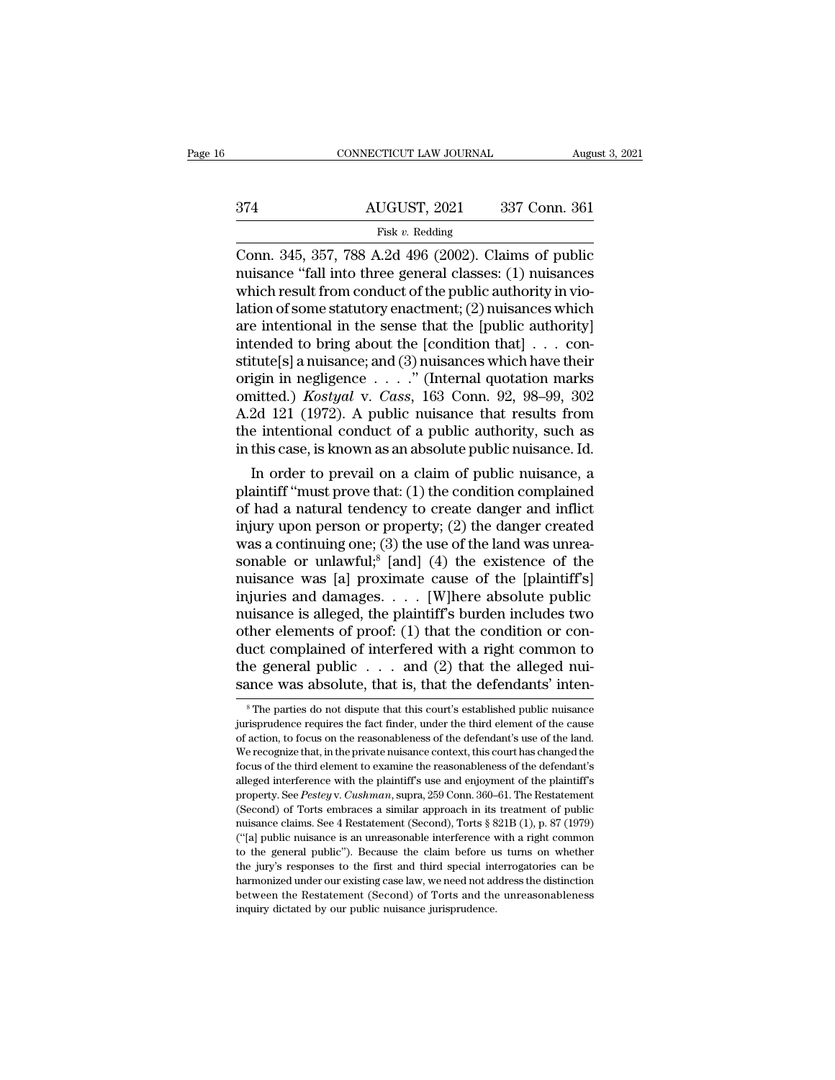|     | CONNECTICUT LAW JOURNAL | August 3, 2021 |
|-----|-------------------------|----------------|
|     |                         |                |
| 374 | AUGUST, 2021            | 337 Conn. 361  |
|     | Fisk v. Redding         |                |

CONNECTICUT LAW JOURNAL August 3, 2021<br>
374 AUGUST, 2021 337 Conn. 361<br>
Fisk v. Redding<br>
Conn. 345, 357, 788 A.2d 496 (2002). Claims of public<br>
muisance "fall into three general classes: (1) nuisances 374 AUGUST, 2021 337 Conn. 361<br>Fisk v. Redding<br>Conn. 345, 357, 788 A.2d 496 (2002). Claims of public<br>nuisance "fall into three general classes: (1) nuisances<br>which result from conduct of the public authority in vio-<br>lation  $\frac{\text{AUGUST, 2021}}{\text{Fisk } v. \text{ Redding}}$ <br>Conn. 345, 357, 788 A.2d 496 (2002). Claims of public nuisance "fall into three general classes: (1) nuisances<br>which result from conduct of the public authority in vio-<br>lation of some statu  $\frac{\text{AUGUST, 2021}}{\text{Fisk } v. \text{ Redding}}$ <br>
Conn. 345, 357, 788 A.2d 496 (2002). Claims of public<br>
nuisance "fall into three general classes: (1) nuisances<br>
which result from conduct of the public authority in vio-<br>
lation of some s Fisk v. Redding<br>
Fisk v. Redding<br>
Conn. 345, 357, 788 A.2d 496 (2002). Claims of public<br>
nuisance "fall into three general classes: (1) nuisances<br>
which result from conduct of the public authority in vio-<br>
lation of some Fisk v. Redding<br>
Conn. 345, 357, 788 A.2d 496 (2002). Claims of public<br>
muisance "fall into three general classes: (1) nuisances<br>
which result from conduct of the public authority in vio-<br>
lation of some statutory enactme Conn. 345, 357, 788 A.2d 496 (2002). Claims of public<br>nuisance "fall into three general classes: (1) nuisances<br>which result from conduct of the public authority in vio-<br>lation of some statutory enactment; (2) nuisances wh nuisance "fall into three general classes: (1) nuisances<br>which result from conduct of the public authority in vio-<br>lation of some statutory enactment; (2) nuisances which<br>are intentional in the sense that the [public auth which result from conduct of the public authority in violation of some statutory enactment; (2) nuisances which<br>are intentional in the sense that the [public authority]<br>intended to bring about the [condition that]  $\ldots$  c lation of some statutory enactment; (2) nuisances which<br>are intentional in the sense that the [public authority]<br>intended to bring about the [condition that] . . . con-<br>stitute[s] a nuisance; and (3) nuisances which have are intentional in the sense that the [public authority]<br>intended to bring about the [condition that] . . . con-<br>stitute[s] a nuisance; and (3) nuisances which have their<br>origin in negligence . . . . " (Internal quotation intended to bring about the [condition that] . . . constitute[s] a nuisance; and (3) nuisances which have their origin in negligence . . . . " (Internal quotation marks omitted.) *Kostyal* v. *Cass*, 163 Conn. 92, 98–99, tute[s] a nuisance; and (3) nuisances which have their<br>igin in negligence  $\ldots$ " (Internal quotation marks<br>nitted.) *Kostyal* v. *Cass*, 163 Conn. 92, 98–99, 302<br>2d 121 (1972). A public nuisance that results from<br>e intent origin in hegigence  $\ldots$  (internal quotation marks<br>omitted.) *Kostyal* v. *Cass*, 163 Conn. 92, 98–99, 302<br>A.2d 121 (1972). A public nuisance that results from<br>the intentional conduct of a public authority, such as<br>in th

of had a natural tendency to create danger and inflict<br>and a natural conduct of a public authority, such as<br>in this case, is known as an absolute public nuisance. Id.<br>In order to prevail on a claim of public nuisance, a<br>p A.2d 121 (1972). A public nuisance that results from<br>the intentional conduct of a public authority, such as<br>in this case, is known as an absolute public nuisance. Id.<br>In order to prevail on a claim of public nuisance, a<br>p the intentional conduct of a public authority, such as<br>in this case, is known as an absolute public nuisance. Id.<br>In order to prevail on a claim of public nuisance, a<br>plaintiff "must prove that: (1) the condition complain In this case, is known as an absolute public nuisance. Id.<br>
In order to prevail on a claim of public nuisance, a<br>
plaintiff "must prove that: (1) the condition complained<br>
of had a natural tendency to create danger and in In order to prevail on a claim of public nuisance, a<br>plaintiff "must prove that: (1) the condition complained<br>of had a natural tendency to create danger and inflict<br>injury upon person or property; (2) the danger created<br>w plaintiff "must prove that: (1) the condition complained<br>of had a natural tendency to create danger and inflict<br>injury upon person or property; (2) the danger created<br>was a continuing one; (3) the use of the land was unre of had a natural tendency to create danger and inflict<br>injury upon person or property; (2) the danger created<br>was a continuing one; (3) the use of the land was unrea-<br>sonable or unlawful;<sup>8</sup> [and] (4) the existence of the injury upon person or property; (2) the danger created<br>was a continuing one; (3) the use of the land was unrea-<br>sonable or unlawful,<sup>8</sup> [and] (4) the existence of the<br>nuisance was [a] proximate cause of the [plaintiff's]<br> was a continuing one; (3) the use of the land was unrea-<br>sonable or unlawful;<sup>8</sup> [and] (4) the existence of the<br>nuisance was [a] proximate cause of the [plaintiff's]<br>injuries and damages. . . . [W]here absolute public<br>nui sonable or unlawful;<sup>8</sup> [and] (4) the existence of the muisance was [a] proximate cause of the [plaintiff's] injuries and damages. . . . [W]here absolute public nuisance is alleged, the plaintiff's burden includes two oth muisance was [a] proximate cause of the [plaintiff's] injuries and damages. . . . [W]here absolute public muisance is alleged, the plaintiff's burden includes two other elements of proof: (1) that the condition or conduct their elements of proof: (1) that the condition or con-<br>uct complained of interfered with a right common to<br>ne general public  $\dots$  and (2) that the alleged nui-<br>ance was absolute, that is, that the defendants' inten-<br> ${}^8$ duct complained of interfered with a right common to<br>the general public . . . and (2) that the alleged nui-<br>sance was absolute, that is, that the defendants' inten-<br><sup>8</sup>The parties do not dispute that this court's establis

the general public  $\ldots$  and (2) that the alleged nuisance was absolute, that is, that the defendants' intensify intensify the parties do not dispute that this court's established public nuisance jurisprudence requires th sance was absolute, that is, that the defendants' inten-<br>
<sup>8</sup> The parties do not dispute that this court's established public nuisance<br>
jurisprudence requires the fact finder, under the third element of the cause<br>
of acti sance was absolute, that is, that the defendants inter-<br><sup>8</sup>The parties do not dispute that this court's established public nuisance<br>jurisprudence requires the fact finder, under the third element of the cause<br>of action, to <sup>8</sup> The parties do not dispute that this court's established public nuisance jurisprudence requires the fact finder, under the third element of the cause of action, to focus on the reasonableness of the defendant's use of primal property. See *Pestey* v. *Cushman*, superal end end of action, to focus on the reasonableness of the defendant's use of the land. We recognize that, in the private nuisance context, this court has changed the focus for action, to focus on the reasonableness of the defendant's use of the land. We recognize that, in the private nuisance context, this court has changed the focus of the third element to examine the reasonableness of the We recognize that, in the private nuisance context, this court has changed the focus of the third element to examine the reasonableness of the defendant's alleged interference with the plaintiff's use and enjoyment of the focus of the third element to examine the reasonableness of the defendant's alleged interference with the plaintiff's use and enjoyment of the plaintiff's property. See *Pestey v. Cushman*, supra, 259 Conn. 360–61. The Re alleged interference with the plaintiff's use and enjoyment of the plaintiff's<br>property. See *Pestey* v. *Cushman*, supra, 259 Conn. 360–61. The Restatement<br>(Second) of Torts embraces a similar approach in its treatment of the property. See *Pestey v. Cushman*, supra, 259 Conn. 360–61. The Restatement (Second) of Torts embraces a similar approach in its treatment of public muisance claims. See 4 Restatement (Second), Torts § 821B (1), p. 87 (Second) of Torts embraces a similar approach in its treatment of public (Second) of Torts embraces a similar approach in its treatment of public muisance claims. See 4 Restatement (Second), Torts  $\S$  821B (1), p. 87 (197 nuisance claims. See 4 Restatement (Second), Torts  $\S$  821B (1), p. 87 (1979) ("[a] public nuisance is an unreasonable interference with a right common to the general public"). Because the claim before us turns on whether  $i$ al public nuisance is an unreasonable interference with a right common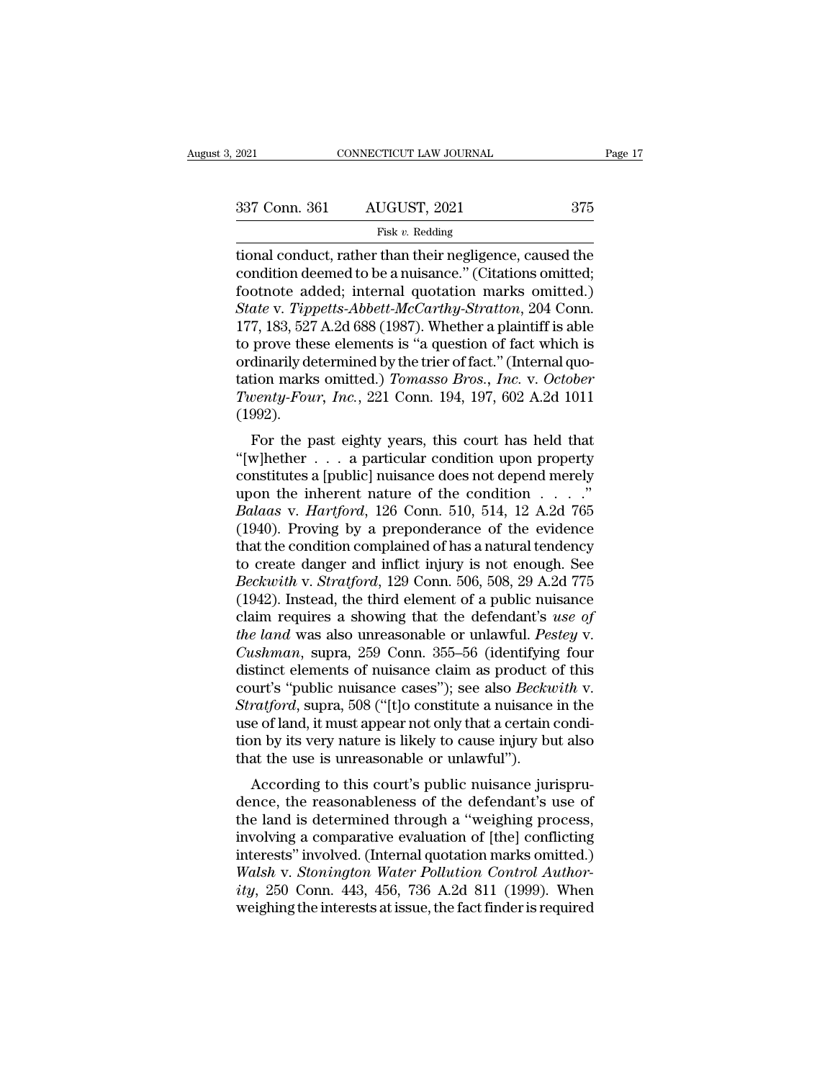Fisk *v.* Redding

The conduct, rather than their negligence, caused the<br>
tional conduct, rather than their negligence, caused the<br>
condition deemed to be a nuisance." (Citations omitted;<br>
foctnote added: internal quotation marks emitted.) 337 Conn. 361 AUGUST, 2021 375<br>Fisk v. Redding<br>tional conduct, rather than their negligence, caused the<br>condition deemed to be a nuisance.'' (Citations omitted;<br>footnote added; internal quotation marks omitted.)<br>State v. T 337 Conn. 361 AUGUST, 2021 375<br>
Fisk v. Redding<br>
tional conduct, rather than their negligence, caused the<br>
condition deemed to be a nuisance." (Citations omitted;<br>
footnote added; internal quotation marks omitted.)<br> *Stat State of AUGUST, 2021 State of Tippetts-Abbett-McCarthy-Stratton, 204 Conn.*<br> *Tippetts-Abbett-McCarthy-Stratton, 204 Conn.*<br> *State v. Tippetts-Abbett-McCarthy-Stratton, 204 Conn.*<br> *State v. Tippetts-Abbett-McCarthy-S* Fisk v. Redding<br>
Fisk v. Redding<br>
tional conduct, rather than their negligence, caused the<br>
condition deemed to be a nuisance." (Citations omitted;<br>
footnote added; internal quotation marks omitted.)<br> *State* v. *Tippetts* Fisk v. Redding<br>tional conduct, rather than their negligence, caused the<br>condition deemed to be a nuisance." (Citations omitted;<br>footnote added; internal quotation marks omitted.)<br>State v. Tippetts-Abbett-McCarthy-Stratto tional conduct, rather than their negligence, caused the condition deemed to be a nuisance." (Citations omitted, footnote added; internal quotation marks omitted.) State v. Tippetts-Abbett-McCarthy-Stratton, 204 Conn. 177 condition deemed to be a nuisance." (Citations omitted;<br>footnote added; internal quotation marks omitted.)<br>*State* v. *Tippetts-Abbett-McCarthy-Stratton*, 204 Conn.<br>177, 183, 527 A.2d 688 (1987). Whether a plaintiff is abl footnote added; internal quotation marks omitted.)<br> *State* v. *Tippetts-Abbett-McCarthy-Stratton*, 204 Conn.<br>
177, 183, 527 A.2d 688 (1987). Whether a plaintiff is able<br>
to prove these elements is "a question of fact whic (1992). For the past eighty years, this court has held that<br>which is dinarily determined by the trier of fact." (Internal quo-<br>tion marks omitted.) *Tomasso Bros., Inc.* v. *October*<br>venty-Four, Inc., 221 Conn. 194, 197, 602 A.2d to prove these elements is a question of fact which is<br>ordinarily determined by the trier of fact." (Internal quo-<br>tation marks omitted.) *Tomasso Bros., Inc.* v. *October*<br>Twenty-Four, Inc., 221 Conn. 194, 197, 602 A.2d

constantly determined by the there of fact. (Internation-<br>tation marks omitted.) Tomasso Bros., Inc. v. October<br>Twenty-Four, Inc., 221 Conn. 194, 197, 602 A.2d 1011<br>(1992).<br>For the past eighty years, this court has held t Example 19 The interest of the condition that is of the past eighty years, this court has held that "[w]hether . . . a particular condition upon property constitutes a [public] nuisance does not depend merely upon the inh *Balaas* v. *Hartford*, 126 Conn. 5194, 137, 002 A.2d 1011<br> *Balaas* v. **a** particular condition upon property<br>
constitutes a [public] nuisance does not depend merely<br>
upon the inherent nature of the condition  $\ldots$ ."<br> *B* (1992).<br>
For the past eighty years, this court has held that<br>
"[w]hether . . . a particular condition upon property<br>
constitutes a [public] nuisance does not depend merely<br>
upon the inherent nature of the condition . . . For the past eighty years, this court has held that<br>
"[w]hether . . . a particular condition upon property<br>
constitutes a [public] nuisance does not depend merely<br>
upon the inherent nature of the condition . . . ."<br> *Bala* "[w]hether . . . . a particular condition upon property<br>constitutes a [public] nuisance does not depend merely<br>upon the inherent nature of the condition . . . ."<br>Balaas v. Hartford, 126 Conn. 510, 514, 12 A.2d 765<br>(1940). *Constitutes a [public] nuisance does not depend merely*<br> *Balaas v. Hartford*, 126 Conn. 510, 514, 12 A.2d 765<br>
(1940). Proving by a preponderance of the evidence<br>
that the condition complained of has a natural tendency<br> upon the inherent nature of the condition . . . . ."<br>Balaas v. Hartford, 126 Conn. 510, 514, 12 A.2d 765<br>(1940). Proving by a preponderance of the evidence<br>that the condition complained of has a natural tendency<br>to create Balaas v. Hartford, 126 Conn. 510, 514, 12 A.2d 765<br>(1940). Proving by a preponderance of the evidence<br>that the condition complained of has a natural tendency<br>to create danger and inflict injury is not enough. See<br>Beckwith (1940). Proving by a preponderance of the evidence that the condition complained of has a natural tendency to create danger and inflict injury is not enough. See *Beckwith* v. *Stratford*, 129 Conn. 506, 508, 29 A.2d 775 ( that the condition complained of has a natural tendency<br>to create danger and inflict injury is not enough. See<br>*Beckwith* v. *Stratford*, 129 Conn. 506, 508, 29 A.2d 775<br>(1942). Instead, the third element of a public nuisa to create danger and inflict injury is not enough. See *Beckwith* v. *Stratford*, 129 Conn. 506, 508, 29 A.2d 775 (1942). Instead, the third element of a public nuisance claim requires a showing that the defendant's *use* Beckwith v. Stratford, 129 Conn. 506, 508, 29 A.2d 775 (1942). Instead, the third element of a public nuisance claim requires a showing that the defendant's use of the land was also unreasonable or unlawful. Pestey v. Cush (1942). Instead, the third element of a public nuisance<br>claim requires a showing that the defendant's *use of*<br>*the land* was also unreasonable or unlawful. *Pestey* v.<br>*Cushman*, supra, 259 Conn. 355–56 (identifying four<br> claim requires a showing that the defendant's use of<br>the land was also unreasonable or unlawful. Pestey v.<br>Cushman, supra, 259 Conn. 355–56 (identifying four<br>distinct elements of nuisance claim as product of this<br>court's " the land was also unreasonable or unlawful. Pestey v.<br>Cushman, supra, 259 Conn. 355–56 (identifying four<br>distinct elements of nuisance claim as product of this<br>court's "public nuisance cases"); see also *Beckwith* v.<br>*Stra* Cushman, supra, 259 Conn. 355–56 (identifying distinct elements of nuisance claim as product occurt's "public nuisance cases"); see also *Becku* Stratford, supra, 508 ("[t]o constitute a nuisance use of land, it must appe stinct elements of nuisance claim as product of this<br>urt's "public nuisance cases"); see also *Beckwith* v.<br>*ratford*, supra, 508 ("[t]o constitute a nuisance in the<br>e of land, it must appear not only that a certain condi-Court's public huisance cases *f*, see also *Beckwith v*.<br> *Stratford*, supra, 508 ("[t]o constitute a nuisance in the<br>
use of land, it must appear not only that a certain condi-<br>
tion by its very nature is likely to ca

 $\mathcal{B}_{t}$  and  $\mathcal{B}_{t}$  and  $\mathcal{B}_{t}$  and  $\mathcal{B}_{t}$  are of land, it must appear not only that a certain condition by its very nature is likely to cause injury but also that the use is unreasonable or unlawful").<br>Accor use of fand, it must appear not only that a certain condition by its very nature is likely to cause injury but also<br>that the use is unreasonable or unlawful").<br>According to this court's public nuisance jurispru-<br>dence, the that the use is unreasonable or unlawful").<br>
According to this court's public nuisance jurispru-<br>
dence, the reasonableness of the defendant's use of<br>
the land is determined through a "weighing process,<br>
involving a compa *According to this court's public nuisance jurisprudence, the reasonableness of the defendant's use of the land is determined through a "weighing process, involving a comparative evaluation of [the] conflicting interests"* According to this court's public nuisance jurispru-<br>dence, the reasonableness of the defendant's use of<br>the land is determined through a "weighing process,<br>involving a comparative evaluation of [the] conflicting<br>interests" dence, the reasonableness of the defendant's use of<br>the land is determined through a "weighing process,<br>involving a comparative evaluation of [the] conflicting<br>interests" involved. (Internal quotation marks omitted.)<br>Walsh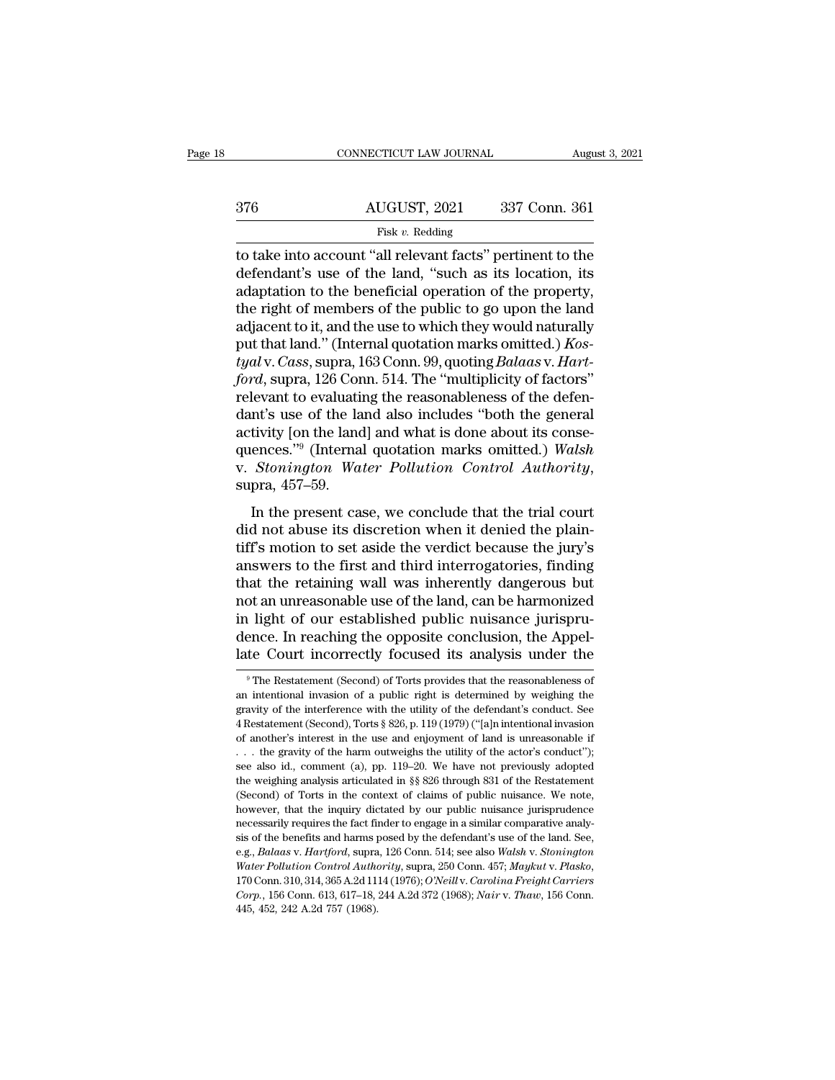|     | CONNECTICUT LAW JOURNAL                                    | August 3, 2021 |
|-----|------------------------------------------------------------|----------------|
|     |                                                            |                |
| 376 | AUGUST, 2021                                               | 337 Conn. 361  |
|     | Fisk $v$ . Redding                                         |                |
|     | to take into account "all relevant facts" pertinent to the |                |
|     | defendant's use of the land, "such as its location, its    |                |

adding a method and the land, ''such as its location, its<br>adaptation to the beneficial operation of the property,<br>the right of mombers of the nublic to go upon the land  $\begin{array}{r} \text{AUGUST, 2021} \text{337 Conn. 361} \\ \text{Fisk } v. \text{ Redding} \\ \text{to take into account "all relevant facts" pertinent to the defendant's use of the land, "such as its location, its adaptation to the beneficial operation of the property, the right of members of the public to go upon the land adjacent to it and the use to which they would naturally. \end{array}$  $\frac{\text{AUGUST, 2021}}{\text{Fisk } v. \text{ Redding}}$ <br>
to take into account "all relevant facts" pertinent to the<br>
defendant's use of the land, "such as its location, its<br>
adaptation to the beneficial operation of the property,<br>
the right of m Fisk v. Redding<br>
Fisk v. Redding<br>
to take into account "all relevant facts" pertinent to the<br>
defendant's use of the land, "such as its location, its<br>
adaptation to the beneficial operation of the property,<br>
the right of Fisk v. Redding<br>to take into account "all relevant facts" pertinent to the<br>defendant's use of the land, "such as its location, its<br>adaptation to the beneficial operation of the property,<br>the right of members of the public to take into account "all relevant facts" pertinent to the defendant's use of the land, "such as its location, its adaptation to the beneficial operation of the property, the right of members of the public to go upon the l defendant's use of the land, "such as its location, its<br>adaptation to the beneficial operation of the property,<br>the right of members of the public to go upon the land<br>adjacent to it, and the use to which they would natural adaptation to the beneficial operation of the property,<br>the right of members of the public to go upon the land<br>adjacent to it, and the use to which they would naturally<br>put that land." (Internal quotation marks omitted.) K the right of members of the public to go upon the land<br>adjacent to it, and the use to which they would naturally<br>put that land." (Internal quotation marks omitted.) *Kos-<br>tyal* v. *Cass*, supra, 163 Conn. 99, quoting *Bal* adjacent to it, and the use to which they would naturally<br>put that land." (Internal quotation marks omitted.) Kos-<br>tyal v. Cass, supra, 163 Conn. 99, quoting Balaas v. Hart-<br>ford, supra, 126 Conn. 514. The "multiplicity of put that land." (Internal quotation marks omitted.) *Kostyal* v. *Cass*, supra, 163 Conn. 99, quoting *Balaas* v. *Hart-*<br>ford, supra, 126 Conn. 514. The "multiplicity of factors"<br>relevant to evaluating the reasonableness tyal v. *Cass*, supra, 163 Conn. 99, quoting *Balaas* v. *Hart-ford*, supra, 126 Conn. 514. The "multiplicity of factors" relevant to evaluating the reasonableness of the defendant's use of the land also includes "both the In the present case, we conclude that the trial court<br>
for the present case,<br>  $\frac{1}{100}$  (Internal quotation marks omitted.) Walsh<br> *Stonington Water Pollution Control Authority*,<br>
pra, 457–59.<br>
In the present case, we co dant s use of the fand also includes boat the general<br>activity [on the land] and what is done about its conse-<br>quences."<sup>9</sup> (Internal quotation marks omitted.) *Walsh*<br>v. *Stonington Water Pollution Control Authority*,<br>sup

activity for the failty and what is done about its conse-<br>quences."<sup>9</sup> (Internal quotation marks omitted.) *Walsh*<br>v. *Stonington Water Pollution Control Authority*,<br>supra, 457–59.<br>In the present case, we conclude that the quences. (internal quotation manks onlited.) wash<br>v. Stonington Water Pollution Control Authority,<br>supra, 457–59.<br>In the present case, we conclude that the trial court<br>did not abuse its discretion when it denied the plainthat the present case, we conclude that the trial court<br>did not abuse its discretion when it denied the plain-<br>tiff's motion to set aside the verdict because the jury's<br>answers to the first and third interrogatories, find not all the present case, we conclude that the trial court<br>did not abuse its discretion when it denied the plain-<br>tiff's motion to set aside the verdict because the jury's<br>answers to the first and third interrogatories, fi In the present case, we conclude that the trial court<br>did not abuse its discretion when it denied the plain-<br>tiff's motion to set aside the verdict because the jury's<br>answers to the first and third interrogatories, finding did not abuse its discretion when it denied the plain-<br>tiff's motion to set aside the verdict because the jury's<br>answers to the first and third interrogatories, finding<br>that the retaining wall was inherently dangerous but<br> tiff's motion to set aside the verdict because the jury's<br>answers to the first and third interrogatories, finding<br>that the retaining wall was inherently dangerous but<br>not an unreasonable use of the land, can be harmonized<br> of an unreasonable use of the land, can be harmonized<br>1 light of our established public nuisance jurispru-<br>ence. In reaching the opposite conclusion, the Appel-<br>te Court incorrectly focused its analysis under the<br><sup>9</sup>The Re in light of our established public nuisance jurisprudence. In reaching the opposite conclusion, the Appellate Court incorrectly focused its analysis under the  $^{\circ}$ The Restatement (Second) of Torts provides that the reaso

dence. In reaching the opposite conclusion, the Appellate Court incorrectly focused its analysis under the<br>  $^{\circ}$ The Restatement (Second) of Torts provides that the reasonableness of<br>
an intentional invasion of a public able Court incorrectly focused its analysis under the<br>
<sup>9</sup> The Restatement (Second) of Torts provides that the reasonableness of<br>
an intentional invasion of a public right is determined by weighing the<br>
gravity of the inte The Restatement (Second) of Torts provides that the reasonableness of an intentional invasion of a public right is determined by weighing the gravity of the interference with the utility of the defendant's conduct. See 4 <sup>9</sup> The Restatement (Second) of Torts provides that the reasonableness of an intentional invasion of a public right is determined by weighing the gravity of the interference with the utility of the defendant's conduct. Se an intentional invasion of a public right is determined by weighing the gravity of the interference with the utility of the defendant's conduct. See 4 Restatement (Second), Torts § 826, p. 119 (1979) ("[a]n intentional in articulated in the method of the method of the defendant's conduct. See 4 Restatement (Second), Torts § 826, p. 119 (1979) ("[a]n intentional invasion of another's interest in the use and enjoyment of land is unreasonable 4 Restatement (Second), Torts § 826, p. 119 (1979) ("[a]n intentional invasion of another's interest in the use and enjoyment of land is unreasonable if . . . the gravity of the harm outweighs the utility of the actor's c of another's interest in the use and enjoyment of land is unreasonable if  $\ldots$  the gravity of the harm outweighs the utility of the actor's conduct''); see also id., comment (a), pp. 119–20. We have not previously adopte ... the gravity of the harm outweighs the utility of the actor's conduct");<br>see also id., comment (a), pp. 119–20. We have not previously adopted<br>the weighing analysis articulated in  $\S$  826 through 831 of the Restatement see also id., comment (a), pp. 119–20. We have not previously adopted the weighing analysis articulated in §§ 826 through 831 of the Restatement (Second) of Torts in the context of claims of public nuisance. We note, howe be weighing analysis articulated in §§ 826 through 831 of the Restatement (Second) of Torts in the context of claims of public nuisance. We note, however, that the inquiry dictated by our public nuisance jurisprudence nece *Corrollaryang Control Authority*, superalized and an interest of claims of public nuisance. We note, however, that the inquiry dictated by our public nuisance jurisprudence necessarily requires the fact finder to engage i however, that the inquiry dictated by our public nuisance jurisprudence<br>necessarily requires the fact finder to engage in a similar comparative analy-<br>sis of the benefits and harms posed by the defendant's use of the land. sis of the benefits and harms posed by the defendant's use of the land. See,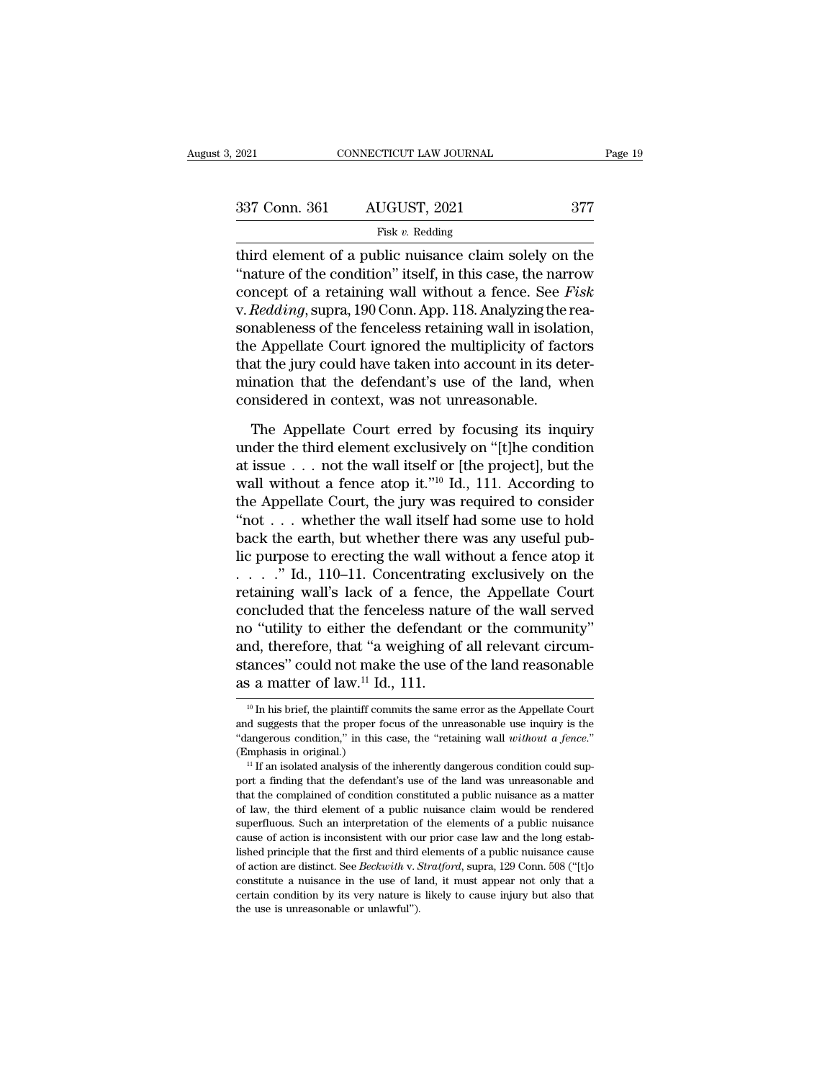| 2021          | CONNECTICUT LAW JOURNAL                                                                                                                                                                      | Page 19 |
|---------------|----------------------------------------------------------------------------------------------------------------------------------------------------------------------------------------------|---------|
|               |                                                                                                                                                                                              |         |
| 337 Conn. 361 | AUGUST, 2021                                                                                                                                                                                 | 377     |
|               | Fisk $v$ . Redding                                                                                                                                                                           |         |
|               | third element of a public nuisance claim solely on the<br>"nature of the condition" itself, in this case, the narrow<br>concept of a retaining well without a fonce $S_{\alpha\alpha}$ Fight |         |

<sup>337</sup> Conn. 361 AUGUST, 2021 <sup>377</sup><br>
<sup>Fisk v. Redding<br>
third element of a public nuisance claim solely on the<br>
"nature of the condition" itself, in this case, the narrow<br>
concept of a retaining wall without a fence. See *Fi</sup>* 337 Conn. 361 AUGUST, 2021 377<br>
Fisk v. Redding<br>
third element of a public nuisance claim solely on the<br>
"nature of the condition" itself, in this case, the narrow<br>
concept of a retaining wall without a fence. See *Fisk*<br> 337 Conn. 361 AUGUST, 2021 377<br>
Fisk v. Redding<br>
third element of a public nuisance claim solely on the<br>
"nature of the condition" itself, in this case, the narrow<br>
concept of a retaining wall without a fence. See *Fisk*<br> Fisk v. Redding<br>third element of a public nuisance claim solely on the<br>"nature of the condition" itself, in this case, the narrow<br>concept of a retaining wall without a fence. See *Fisk*<br>v. Redding, supra, 190 Conn. App. 1 FISK v. Redding<br>third element of a public nuisance claim solely on the<br>"nature of the condition" itself, in this case, the narrow<br>concept of a retaining wall without a fence. See *Fisk*<br>v. Redding, supra, 190 Conn. App. 11 third element of a public nuisance claim solely on the "nature of the condition" itself, in this case, the narrow concept of a retaining wall without a fence. See *Fisk* v. *Redding*, supra, 190 Conn. App. 118. Analyzing "nature of the condition" itself, in this case, the narrow<br>concept of a retaining wall without a fence. See *Fisk*<br>v. Redding, supra, 190 Conn. App. 118. Analyzing the rea-<br>sonableness of the fenceless retaining wall in i concept of a retaining wall without a fence. See  $F$ <br>v.  $Reducing$ , supra, 190 Conn. App. 118. Analyzing the isonableness of the fenceless retaining wall in isolati<br>the Appellate Court ignored the multiplicity of fact<br>that the mableness of the fenceless retaining wall in isolation,<br>e Appellate Court ignored the multiplicity of factors<br>at the jury could have taken into account in its deter-<br>ination that the defendant's use of the land, when<br>mside the Appellate Court ignored the multiplicity of factors<br>that the jury could have taken into account in its deter-<br>mination that the defendant's use of the land, when<br>considered in context, was not unreasonable.<br>The Appell

that the jury could have taken into account in its deter-<br>mination that the defendant's use of the land, when<br>considered in context, was not unreasonable.<br>The Appellate Court erred by focusing its inquiry<br>under the third mination that the defendant's use of the land, when<br>considered in context, was not unreasonable.<br>The Appellate Court erred by focusing its inquiry<br>under the third element exclusively on "[t]he condition<br>at issue . . . not considered in context, was not unreasonable.<br>The Appellate Court erred by focusing its inquiry<br>under the third element exclusively on "[t]he condition<br>at issue . . . not the wall itself or [the project], but the<br>wall with The Appellate Court erred by focusing its inquiry<br>under the third element exclusively on "[t]he condition<br>at issue . . . not the wall itself or [the project], but the<br>wall without a fence atop it."<sup>10</sup> Id., 111. According The Appellate Court erred by focusing its inquiry<br>under the third element exclusively on "[t]he condition<br>at issue . . . not the wall itself or [the project], but the<br>wall without a fence atop it."<sup>10</sup> Id., 111. According under the third element exclusively on "[t]he condition<br>at issue . . . not the wall itself or [the project], but the<br>wall without a fence atop it."<sup>10</sup> Id., 111. According to<br>the Appellate Court, the jury was required to at issue . . . not the wall itself or [the project], but the<br>wall without a fence atop it."<sup>10</sup> Id., 111. According to<br>the Appellate Court, the jury was required to consider<br>"not . . . whether the wall itself had some use wall without a fence atop it."<sup>10</sup> Id., 111. According to<br>the Appellate Court, the jury was required to consider<br>"not . . . whether the wall itself had some use to hold<br>back the earth, but whether there was any useful pub the Appellate Court, the jury was required to consider<br>
"not . . . whether the wall itself had some use to hold<br>
back the earth, but whether there was any useful pub-<br>
lic purpose to erecting the wall without a fence atop "not . . . whether the wall itself had some use to hold<br>back the earth, but whether there was any useful pub-<br>lic purpose to erecting the wall without a fence atop it<br> $\dots$ ." Id., 110–11. Concentrating exclusively on the<br>r back the earth, but whether there was any useful pub-<br>lic purpose to erecting the wall without a fence atop it<br>. . . . " Id., 110–11. Concentrating exclusively on the<br>retaining wall's lack of a fence, the Appellate Court<br> lic purpose to erecting the wall without a fence atop it<br>  $\ldots$  " Id., 110–11. Concentrating exclusively on the<br>
retaining wall's lack of a fence, the Appellate Court<br>
concluded that the fenceless nature of the wall serve as a matter of law.<sup>11</sup> Id., 111. 10 Tutlity to either the defendant or the community<br>
20 Tutlity of all relevant circum-<br>
20 In his brief, the plaintiff commits the same error as the Appellate Court<br>
20 In his brief, the plaintiff commits the same error and, therefore, that "a weighing of all relevant circumstances" could not make the use of the land reasonable<br>as a matter of law.<sup>11</sup> Id., 111.<br><sup>10</sup> In his brief, the plaintiff commits the same error as the Appellate Cour

stances" could not make the use of the land reasonable<br>as a matter of law.<sup>11</sup> Id., 111.<br><sup>10</sup> In his brief, the plaintiff commits the same error as the Appellate Court<br>and suggests that the proper focus of the unreasonable **as a matter of law.**<sup>11</sup> Id., 111.<br>
<sup>10</sup> In his brief, the plaintiff commits the same error as the Appellate Court<br>
and suggests that the proper focus of the unreasonable use inquiry is the<br>
"dangerous condition," in thi <sup>10</sup> In his brief, the plaintiff commits the same error as the Appellate Court and suggests that the proper focus of the unreasonable use inquiry is the "dangerous condition," in this case, the "retaining wall *without a* 

<sup>&</sup>lt;sup>11</sup> If an isolated analysis of the inherently dangerous condition could supand suggests that the proper focus of the unreasonable use inquiry is the "dangerous condition," in this case, the "retaining wall *without a fence.*" (Emphasis in original.)<br>"If an isolated analysis of the inherently dan "dangerous condition," in this case, the "retaining wall *without a fence.*"<br>
(Emphasis in original.)<br>
"If an isolated analysis of the inherently dangerous condition could sup-<br>
port a finding that the defendant's use of (Emphasis in original.)<br>
<sup>11</sup> If an isolated analysis of the inherently dangerous condition could sup-<br>
port a finding that the defendant's use of the land was unreasonable and<br>
that the complained of condition constituted For a single and analysis of the inherently dangerous condition could sup-<br>if  $\pi$  in isolated analysis of the land was unreasonable and<br>that the complained of condition constituted a public nuisance as a matter<br>of law, t port a finding that the defendant's use of the land was unreasonable and that the complained of condition constituted a public nuisance as a matter of law, the third element of a public nuisance claim would be rendered su from are distinct. See *Beckwith* v. *Stratford*, supra, 129 Conn. 508 ("[t]ornstate a number of law, the third element of a public nuisance as a matter of law, the third element of a public nuisance claim would be rendere and a nuisance claim would be rendered superfluous. Such an interpretation of the elements of a public nuisance cause of action is inconsistent with our prior case law and the long established principle that the first and of law, the third element of a public nuisance claim would be rendered superfluous. Such an interpretation of the elements of a public nuisance cause of action is inconsistent with our prior case law and the long establis cause of action is inconsistent with our prior case law and the long estab-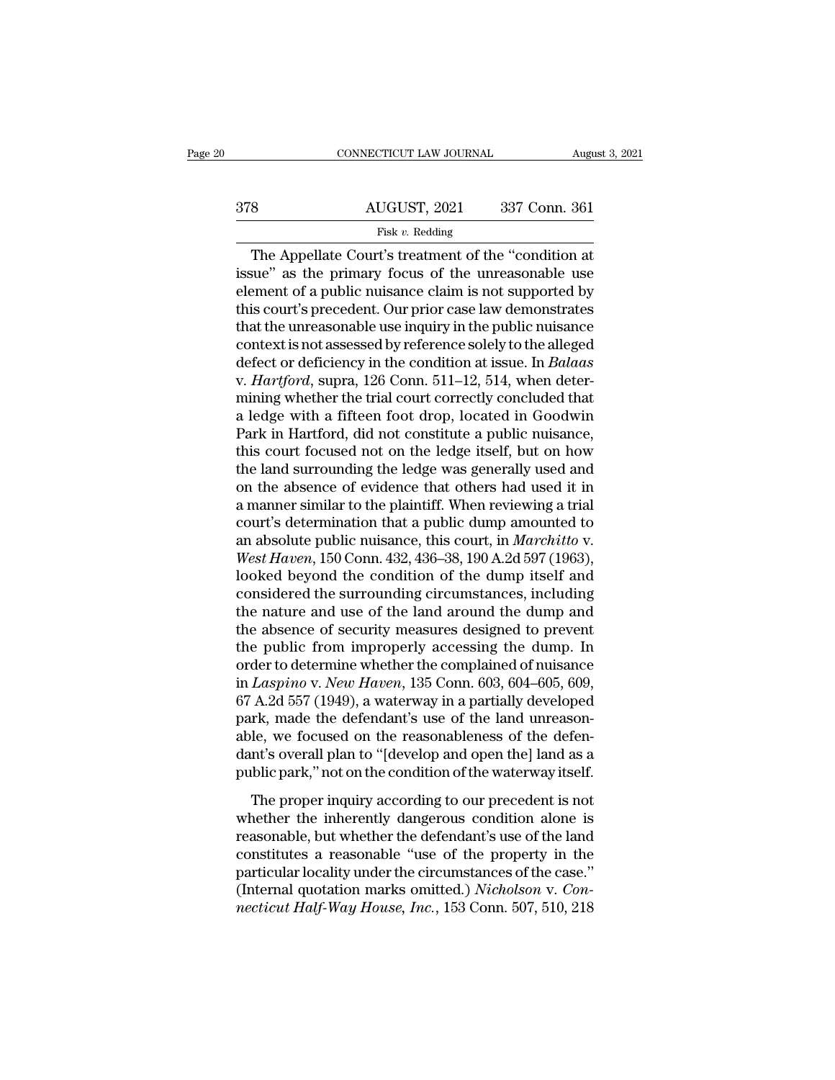|     | CONNECTICUT LAW JOURNAL | August 3, 2021 |
|-----|-------------------------|----------------|
| 378 | AUGUST, 2021            | 337 Conn. 361  |
|     | Fisk $v$ . Redding      |                |

CONNECTICUT LAW JOURNAL August 3, 202<br>  $\begin{array}{r}\n\text{AUGUST, 2021} \qquad 337 \text{ Conn. } 361 \\
\hline\n\text{Fisk } v. \text{ Redding}\n\end{array}$ The Appellate Court's treatment of the "condition at<br>
sue" as the primary focus of the unreasonable use<br>
smort of a 378 AUGUST, 2021 337 Conn. 361<br>
Fisk v. Redding<br>
The Appellate Court's treatment of the "condition at<br>
issue" as the primary focus of the unreasonable use<br>
element of a public nuisance claim is not supported by<br>
this cour a a public nuisance claim is not supported that the unreasonable use that the unreasonable use that the unreasonable use that the unreasonable use that the unreasonable use that the unreasonable use that the unreasonable 378 AUGUST, 2021 337 Conn. 361<br>
Fisk v. Redding<br>
The Appellate Court's treatment of the "condition at<br>
issue" as the primary focus of the unreasonable use<br>
element of a public nuisance claim is not supported by<br>
this cour The Appellate Court's treatment of the "condition at<br>issue" as the primary focus of the unreasonable use<br>element of a public nuisance claim is not supported by<br>this court's precedent. Our prior case law demonstrates<br>that Fisk v. Redding<br>
The Appellate Court's treatment of the "condition at<br>
issue" as the primary focus of the unreasonable use<br>
element of a public nuisance claim is not supported by<br>
this court's precedent. Our prior case la The Appellate Court's treatment of the "condition at<br>issue" as the primary focus of the unreasonable use<br>element of a public nuisance claim is not supported by<br>this court's precedent. Our prior case law demonstrates<br>that t issue" as the primary focus of the unreasonable use<br>element of a public nuisance claim is not supported by<br>this court's precedent. Our prior case law demonstrates<br>that the unreasonable use inquiry in the public nuisance<br>co element of a public nuisance claim is not supported by<br>this court's precedent. Our prior case law demonstrates<br>that the unreasonable use inquiry in the public nuisance<br>context is not assessed by reference solely to the all this court's precedent. Our prior case law demonstrates<br>that the unreasonable use inquiry in the public nuisance<br>context is not assessed by reference solely to the alleged<br>defect or deficiency in the condition at issue. In that the unreasonable use inquiry in the public nuisance<br>context is not assessed by reference solely to the alleged<br>defect or deficiency in the condition at issue. In *Balaas*<br>v. *Hartford*, supra, 126 Conn. 511–12, 514, w context is not assessed by reference solely to the alleged<br>defect or deficiency in the condition at issue. In *Balaas*<br>v. *Hartford*, supra, 126 Conn. 511–12, 514, when deter-<br>mining whether the trial court correctly concl defect or deficiency in the condition at issue. In *Balaas*<br>v. *Hartford*, supra, 126 Conn. 511–12, 514, when deter-<br>mining whether the trial court correctly concluded that<br>a ledge with a fifteen foot drop, located in Good v. *Hartford*, supra, 126 Conn. 511–12, 514, when deter-<br>mining whether the trial court correctly concluded that<br>a ledge with a fifteen foot drop, located in Goodwin<br>Park in Hartford, did not constitute a public nuisance,<br> mining whether the trial court correctly concluded that<br>a ledge with a fifteen foot drop, located in Goodwin<br>Park in Hartford, did not constitute a public nuisance,<br>this court focused not on the ledge itself, but on how<br>th a ledge with a fifteen foot drop, located in Goodwin<br>Park in Hartford, did not constitute a public nuisance,<br>this court focused not on the ledge itself, but on how<br>the land surrounding the ledge was generally used and<br>on Park in Hartford, did not constitute a public nuisance,<br>this court focused not on the ledge itself, but on how<br>the land surrounding the ledge was generally used and<br>on the absence of evidence that others had used it in<br>a m this court focused not on the ledge itself, but on how<br>the land surrounding the ledge was generally used and<br>on the absence of evidence that others had used it in<br>a manner similar to the plaintiff. When reviewing a trial<br>c the land surrounding the ledge was generally used and<br>on the absence of evidence that others had used it in<br>a manner similar to the plaintiff. When reviewing a trial<br>court's determination that a public dump amounted to<br>an on the absence of evidence that others had used it in<br>a manner similar to the plaintiff. When reviewing a trial<br>court's determination that a public dump amounted to<br>an absolute public nuisance, this court, in *Marchitto* v a manner similar to the plaintiff. When reviewing a trial<br>court's determination that a public dump amounted to<br>an absolute public nuisance, this court, in *Marchitto* v.<br>West Haven, 150 Conn. 432, 436–38, 190 A.2d 597 (196 court's determination that a public dump amounted to<br>an absolute public nuisance, this court, in *Marchitto* v.<br>West Haven, 150 Conn. 432, 436–38, 190 A.2d 597 (1963),<br>looked beyond the condition of the dump itself and<br>con an absolute public nuisance, this court, in *Marchitto* v.<br>West Haven, 150 Conn. 432, 436–38, 190 A.2d 597 (1963),<br>looked beyond the condition of the dump itself and<br>considered the surrounding circumstances, including<br>the *West Haven*, 150 Conn. 432, 436–38, 190 A.2d 597 (1963),<br>looked beyond the condition of the dump itself and<br>considered the surrounding circumstances, including<br>the nature and use of the land around the dump and<br>the absen looked beyond the condition of the dump itself and<br>considered the surrounding circumstances, including<br>the nature and use of the land around the dump and<br>the absence of security measures designed to prevent<br>the public from considered the surrounding circumstances, including<br>the nature and use of the land around the dump and<br>the absence of security measures designed to prevent<br>the public from improperly accessing the dump. In<br>order to determi the nature and use of the land around the dump and<br>the absence of security measures designed to prevent<br>the public from improperly accessing the dump. In<br>order to determine whether the complained of nuisance<br>in *Laspino* v the absence of security measures designed to prevent<br>the public from improperly accessing the dump. In<br>order to determine whether the complained of nuisance<br>in *Laspino* v. *New Haven*, 135 Conn. 603, 604–605, 609,<br>67 A.2d the public from improperly accessing the dump. In<br>order to determine whether the complained of nuisance<br>in *Laspino* v. *New Haven*, 135 Conn. 603, 604–605, 609,<br>67 A.2d 557 (1949), a waterway in a partially developed<br>park order to determine whether the complained of nuisance<br>in *Laspino* v. *New Haven*, 135 Conn. 603, 604–605, 609,<br>67 A.2d 557 (1949), a waterway in a partially developed<br>park, made the defendant's use of the land unreason-<br>a  $\Delta$ 2d 557 (1949), a waterway in a partially developed<br>rk, made the defendant's use of the land unreason-<br>le, we focused on the reasonableness of the defen-<br>nt's overall plan to "[develop and open the] land as a<br>blic park park, made the defendant's use of the land unreason-<br>able, we focused on the reasonableness of the defen-<br>dant's overall plan to "[develop and open the] land as a<br>public park," not on the condition of the waterway itself.

part, made are detendantly ase of the dand ambustant above.<br>able, we focused on the reasonableness of the defendant's overall plan to "[develop and open the] land as a<br>public park," not on the condition of the waterway its dant's overall plan to "[develop and open the] land as a<br>public park," not on the condition of the waterway itself.<br>The proper inquiry according to our precedent is not<br>whether the inherently dangerous condition alone is<br>r public park," not on the condition of the waterway itself.<br>The proper inquiry according to our precedent is not<br>whether the inherently dangerous condition alone is<br>reasonable, but whether the defendant's use of the land<br>c The proper inquiry according to our precedent is not whether the inherently dangerous condition alone is reasonable, but whether the defendant's use of the land constitutes a reasonable "use of the property in the particul The proper inquiry according to our precedent is not whether the inherently dangerous condition alone is reasonable, but whether the defendant's use of the land constitutes a reasonable "use of the property in the particul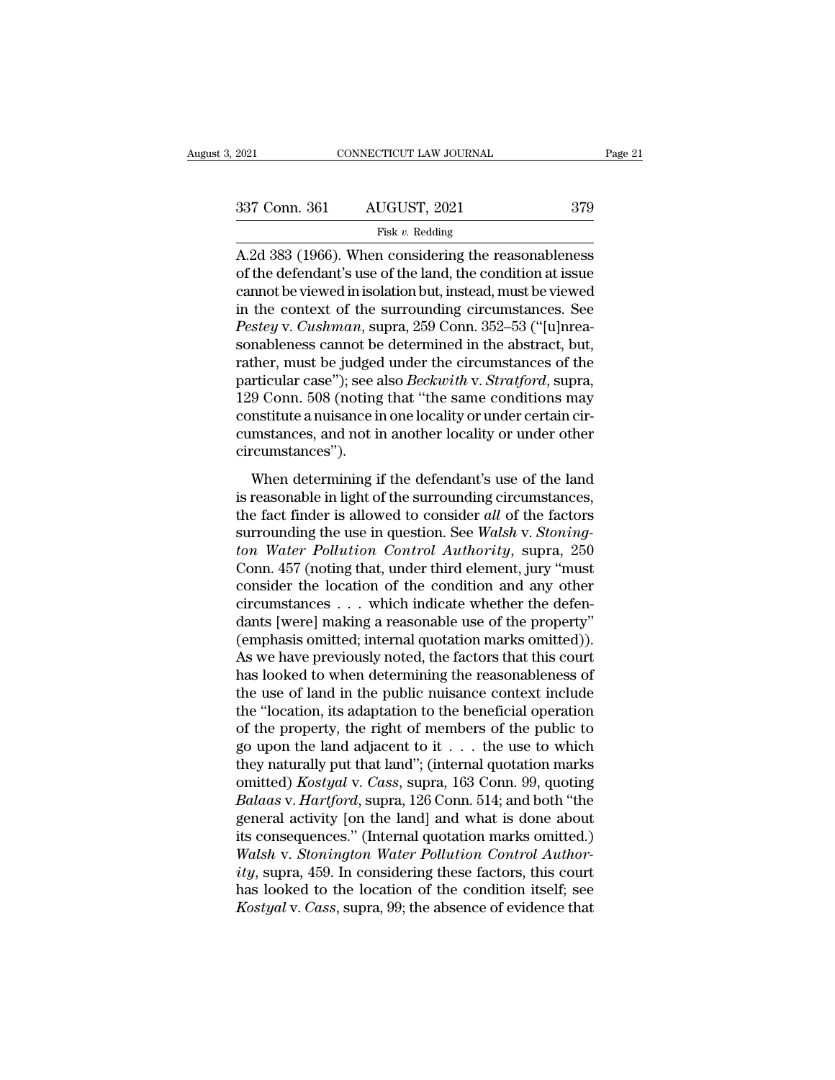| 2021          | CONNECTICUT LAW JOURNAL | Page 21 |  |
|---------------|-------------------------|---------|--|
| 337 Conn. 361 | AUGUST, 2021            | 379     |  |
|               | Fisk $v$ . Redding      |         |  |

2021 CONNECTICUT LAW JOURNAL Page 21<br>
337 Conn. 361 AUGUST, 2021 379<br>
Fisk v. Redding<br>
A.2d 383 (1966). When considering the reasonableness<br>
of the defendant's use of the land, the condition at issue<br>
cannot be viewed in i 337 Conn. 361 AUGUST, 2021 379<br>
Fisk v. Redding<br>
A.2d 383 (1966). When considering the reasonableness<br>
of the defendant's use of the land, the condition at issue<br>
cannot be viewed in isolation but, instead, must be viewed 337 Conn. 361 AUGUST, 2021 379<br>
Fisk v. Redding<br>
A.2d 383 (1966). When considering the reasonableness<br>
of the defendant's use of the land, the condition at issue<br>
cannot be viewed in isolation but, instead, must be viewed 337 Conn. 361 AUGUST, 2021 379<br>
Fisk v. Redding<br>
A.2d 383 (1966). When considering the reasonableness<br>
of the defendant's use of the land, the condition at issue<br>
cannot be viewed in isolation but, instead, must be viewed *Pester v. Pester v. 2002*, 2002, 2002, 2002, 2002, 2002, 2012, 2013, 2013, 2013, 2013, 2013, 2013, 2014, 2015, 2016, 2016, 2016, 2016, 2016, 2016, 2016, 2016, 2016, 2016, 2016, 2016, 2016, 2016, 2016, 2016, 2016, 2016, 20 Fisk v. Redding<br>A.2d 383 (1966). When considering the reasonableness<br>of the defendant's use of the land, the condition at issue<br>cannot be viewed in isolation but, instead, must be viewed<br>in the context of the surrounding A.2d 383 (1966). When considering the reasonableness<br>of the defendant's use of the land, the condition at issue<br>cannot be viewed in isolation but, instead, must be viewed<br>in the context of the surrounding circumstances. S of the defendant's use of the land, the condition at issue<br>cannot be viewed in isolation but, instead, must be viewed<br>in the context of the surrounding circumstances. See<br>*Pestey* v. *Cushman*, supra, 259 Conn. 352–53 ("[u cannot be viewed in isolation but, instead, must be viewed<br>in the context of the surrounding circumstances. See<br>*Pestey* v. *Cushman*, supra, 259 Conn. 352–53 ("[u]nrea-<br>sonableness cannot be determined in the abstract, bu in the context of the surrounding circumstances. See<br>*Pestey* v. *Cushman*, supra, 259 Conn. 352–53 ("[u]nrea-<br>sonableness cannot be determined in the abstract, but,<br>rather, must be judged under the circumstances of the<br>pa Pestey v. Cushman, supra, 259 Conn. 352–53 ("[u]nrea-<br>sonableness cannot be determined in the abstract, but,<br>rather, must be judged under the circumstances of the<br>particular case"); see also *Beckwith* v. *Stratford*, supr circumstances''). The determining if the defendant's use of the factors<br>approximate a muisance in one locality or under certain circumstances, and not in another locality or under certain circumstances.<br>When determining if the defendant's paracular case *y*, see also *Dechia the*  $i$ . *Biralyora*, supra, 129 Conn. 508 (noting that "the same conditions may constitute a nuisance in one locality or under certain circumstances, and not in another locality or u

The both soo (houng nate are stand conductors may<br>constitute a nuisance in one locality or under certain cir-<br>circumstances").<br>When determining if the defendant's use of the land<br>is reasonable in light of the surrounding c surrounding a maladine in one locality or under echancem<br>circumstances").<br>When determining if the defendant's use of the land<br>is reasonable in light of the surrounding circumstances,<br>the fact finder is allowed to consider *ton distances, and not in another focally of ander other*<br>circumstances").<br>When determining if the defendant's use of the land<br>is reasonable in light of the surrounding circumstances,<br>the fact finder is allowed to conside When determining if the defendant's use of the land<br>is reasonable in light of the surrounding circumstances,<br>the fact finder is allowed to consider all of the factors<br>surrounding the use in question. See Walsh v. Stoning-<br> When determining if the defendant's use of the land<br>is reasonable in light of the surrounding circumstances,<br>the fact finder is allowed to consider *all* of the factors<br>surrounding the use in question. See *Walsh v. Stoni* is reasonable in light of the surrounding circumstances,<br>the fact finder is allowed to consider *all* of the factors<br>surrounding the use in question. See *Walsh v. Stoning-*<br>*ton Water Pollution Control Authority*, supra, the fact finder is allowed to consider *all* of the factors<br>surrounding the use in question. See *Walsh v. Stoning-*<br>*ton Water Pollution Control Authority*, supra, 250<br>Conn. 457 (noting that, under third element, jury "m surrounding the use in question. See Walsh v. Stoning-<br>ton Water Pollution Control Authority, supra, 250<br>Conn. 457 (noting that, under third element, jury "must<br>consider the location of the condition and any other<br>circumst ton Water Pollution Control Authority, supra, 250<br>Conn. 457 (noting that, under third element, jury "must<br>consider the location of the condition and any other<br>circumstances . . . which indicate whether the defen-<br>dants [we Conn. 457 (noting that, under third element, jury "must<br>consider the location of the condition and any other<br>circumstances  $\ldots$  which indicate whether the defen-<br>dants [were] making a reasonable use of the property"<br>(emp consider the location of the condition and any other<br>circumstances . . . which indicate whether the defen-<br>dants [were] making a reasonable use of the property"<br>(emphasis omitted; internal quotation marks omitted)).<br>As we circumstances . . . which indicate whether the defendants [were] making a reasonable use of the property"<br>(emphasis omitted; internal quotation marks omitted)).<br>As we have previously noted, the factors that this court<br>has dants [were] making a reasonable use of the property"<br>(emphasis omitted; internal quotation marks omitted)).<br>As we have previously noted, the factors that this court<br>has looked to when determining the reasonableness of<br>th (emphasis omitted; internal quotation marks omitted)).<br>As we have previously noted, the factors that this court<br>has looked to when determining the reasonableness of<br>the use of land in the public nuisance context include<br>t As we have previously noted, the factors that this court<br>has looked to when determining the reasonableness of<br>the use of land in the public nuisance context include<br>the "location, its adaptation to the beneficial operatio has looked to when determining the reasonableness of<br>the use of land in the public nuisance context include<br>the "location, its adaptation to the beneficial operation<br>of the property, the right of members of the public to<br>g *Balaas* v. *Hartford*, suppressmentation of the yoperation, its adaptation to the beneficial operation of the property, the right of members of the public to go upon the land adjacent to it . . . the use to which they nat the "location, its adaptation to the beneficial operation<br>of the property, the right of members of the public to<br>go upon the land adjacent to it  $\ldots$  the use to which<br>they naturally put that land"; (internal quotation ma of the property, the right of members of the public to<br>go upon the land adjacent to it  $\ldots$  the use to which<br>they naturally put that land"; (internal quotation marks<br>omitted) *Kostyal* v. *Cass*, supra, 163 Conn. 99, quo go upon the land adjacent to it . . . . the use to which they naturally put that land"; (internal quotation marks omitted) *Kostyal* v. *Cass*, supra, 163 Conn. 99, quoting *Balaas* v. *Hartford*, supra, 126 Conn. 514; and they naturally put that land"; (internal quotation marks<br>
omitted) *Kostyal* v. *Cass*, supra, 163 Conn. 99, quoting<br> *Balaas* v. *Hartford*, supra, 126 Conn. 514; and both "the<br>
general activity [on the land] and what is omitted) *Kostyal v. Cass*, supra, 163 Conn. 99, quoting<br> *Balaas v. Hartford*, supra, 126 Conn. 514; and both "the<br>
general activity [on the land] and what is done about<br>
its consequences." (Internal quotation marks omitt *Balaas* v. *Hartford*, supra, 126 Conn. 514; and both "the general activity [on the land] and what is done about its consequences." (Internal quotation marks omitted.) *Walsh v. Stonington Water Pollution Control Authorit*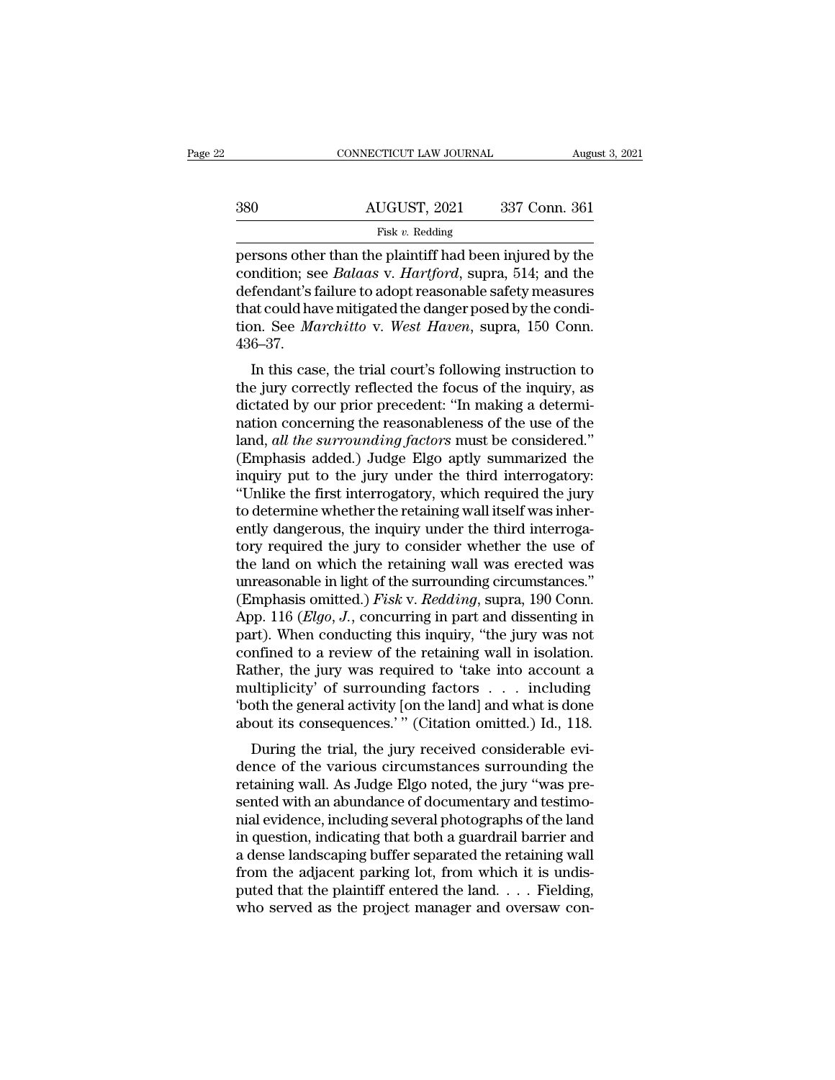|     | CONNECTICUT LAW JOURNAL                                                                                                                                                               | August 3, 2021 |
|-----|---------------------------------------------------------------------------------------------------------------------------------------------------------------------------------------|----------------|
| 380 | AUGUST, 2021                                                                                                                                                                          | 337 Conn. 361  |
|     | Fisk $v$ . Redding                                                                                                                                                                    |                |
|     | persons other than the plaintiff had been injured by the<br>condition; see <i>Balaas v. Hartford</i> , supra, 514; and the<br>defendent's feilure to adont reasonable safety measures |                |

accommodate and a HUGUST, 2021 and 337 Conn. 361<br>
Fisk v. Redding<br>
persons other than the plaintiff had been injured by the<br>
condition; see *Balaas* v. *Hartford*, supra, 514; and the<br>
defendant's failure to adopt reasonab defendant's failure to adopt reasonable safety measures  $\begin{array}{r} \text{AUGUST, 2021} \qquad 337 \text{ Conn. } 361 \ \hline \text{Fisk } v. \text{ Redding} \end{array}$  persons other than the plaintiff had been injured by the condition; see *Balaas* v. *Hartford*, supra, 514; and the defendant's failure to adopt reasonable sa Fisk v. Redding<br>
Fisk v. Redding<br>
persons other than the plaintiff had been injured by the<br>
condition; see *Balaas* v. *Hartford*, supra, 514; and the<br>
defendant's failure to adopt reasonable safety measures<br>
that could ha 436–37. In this case, the trial court's following instruction to equive the danger posed by the condition. See *Marchitto* v. *West Haven*, supra, 150 Conn.<br>6–37.<br>In this case, the trial court's following instruction to equivalenc to defendant's failure to adopt reasonable safety measures<br>that could have mitigated the danger posed by the condi-<br>tion. See *Marchitto* v. West Haven, supra, 150 Conn.<br>436–37.<br>In this case, the trial court's following in

defendant standie to adopt reasonable safety measures<br>that could have mitigated the danger posed by the condi-<br>tion. See *Marchitto* v. West Haven, supra, 150 Conn.<br>436–37.<br>In this case, the trial court's following instruc that collid have intigated the danger posed by the condition. See *Marchitto* v. West Haven, supra, 150 Conn.<br>436–37.<br>In this case, the trial court's following instruction to<br>the jury correctly reflected the focus of the land, all the surrounding factors must be considered.<br> **A36–37.**<br>
In this case, the trial court's following instruction to<br>
the jury correctly reflected the focus of the inquiry, as<br>
dictated by our prior precedent: "In ma In this case, the trial court's following instruction to<br>the jury correctly reflected the focus of the inquiry, as<br>dictated by our prior precedent: "In making a determi-<br>nation concerning the reasonableness of the use of In this case, the trial court's following instruction to<br>the jury correctly reflected the focus of the inquiry, as<br>dictated by our prior precedent: "In making a determi-<br>nation concerning the reasonableness of the use of t the jury correctly reflected the focus of the inquiry, as<br>
dictated by our prior precedent: "In making a determi-<br>
nation concerning the reasonableness of the use of the<br>
land, *all the surrounding factors* must be conside dictated by our prior precedent: "In making a determination concerning the reasonableness of the use of the land, *all the surrounding factors* must be considered."<br>(Emphasis added.) Judge Elgo aptly summarized the inquiry nation concerning the reasonableness of the use of the land, *all the surrounding factors* must be considered."<br>(Emphasis added.) Judge Elgo aptly summarized the inquiry put to the jury under the third interrogatory:<br>"Unli land, *all the surrounding factors* must be considered."<br>(Emphasis added.) Judge Elgo aptly summarized the<br>inquiry put to the jury under the third interrogatory:<br>"Unlike the first interrogatory, which required the jury<br>to (Emphasis added.) Judge Elgo aptly summarized the<br>inquiry put to the jury under the third interrogatory:<br>"Unlike the first interrogatory, which required the jury<br>to determine whether the retaining wall itself was inher-<br>e inquiry put to the jury under the third interrogatory:<br>
"Unlike the first interrogatory, which required the jury<br>
to determine whether the retaining wall itself was inher-<br>
ently dangerous, the inquiry under the third int "Unlike the first interrogatory, which required the jury<br>to determine whether the retaining wall itself was inher-<br>ently dangerous, the inquiry under the third interroga-<br>tory required the jury to consider whether the use to determine whether the retaining wall itself was inherently dangerous, the inquiry under the third interrogatory required the jury to consider whether the use of the land on which the retaining wall was erected was unrea ently dangerous, the inquiry under the third interrogatory required the jury to consider whether the use of the land on which the retaining wall was erected was unreasonable in light of the surrounding circumstances."<br>(Emp tory required the jury to consider whether the use of<br>the land on which the retaining wall was erected was<br>unreasonable in light of the surrounding circumstances."<br>(Emphasis omitted.) *Fisk* v. *Redding*, supra, 190 Conn.<br> the land on which the retaining wall was erected was<br>unreasonable in light of the surrounding circumstances."<br>(Emphasis omitted.) *Fisk* v. *Redding*, supra, 190 Conn.<br>App. 116 (*Elgo*, *J*., concurring in part and dissen unreasonable in light of the surrounding circumstances."<br>
(Emphasis omitted.) *Fisk v. Redding*, supra, 190 Conn.<br>
App. 116 (*Elgo, J.*, concurring in part and dissenting in<br>
part). When conducting this inquiry, "the jury (Emphasis omitted.) *Fisk* v. *Redding*, supra, 190 Conn.<br>App. 116 (*Elgo*, *J*., concurring in part and dissenting in<br>part). When conducting this inquiry, "the jury was not<br>confined to a review of the retaining wall in i App. 116 (*Elgo*, *J*., concurring in part and dissenting in part). When conducting this inquiry, "the jury was not confined to a review of the retaining wall in isolation. Rather, the jury was required to 'take into acco The trial conducting this induity, the jury was not<br>infined to a review of the retaining wall in isolation.<br>ther, the jury was required to 'take into account a<br>ultiplicity' of surrounding factors  $\ldots$  including<br>oth the g columed to a feview of the retaining wan in isolation.<br>Rather, the jury was required to 'take into account a<br>multiplicity' of surrounding factors . . . including<br>'both the general activity [on the land] and what is done<br>ab

retaining was required to take mito account a<br>multiplicity' of surrounding factors . . . including<br>'both the general activity [on the land] and what is done<br>about its consequences.' " (Citation omitted.) Id., 118.<br>During t sented with a general activity of the land and what is done<br>footh the general activity [on the land] and what is done<br>about its consequences.' " (Citation omitted.) Id., 118.<br>During the trial, the jury received considerabl bout the general activity [off the land] and what is done<br>about its consequences.' " (Citation omitted.) Id., 118.<br>During the trial, the jury received considerable evi-<br>dence of the various circumstances surrounding the<br>re about its consequences. (Citation onlitted.) id., 116.<br>
During the trial, the jury received considerable evi-<br>
dence of the various circumstances surrounding the<br>
retaining wall. As Judge Elgo noted, the jury "was pre-<br>
se During the trial, the jury received considerable evi-<br>dence of the various circumstances surrounding the<br>retaining wall. As Judge Elgo noted, the jury "was pre-<br>sented with an abundance of documentary and testimo-<br>nial evi dence of the various circumstances surrounding the<br>retaining wall. As Judge Elgo noted, the jury "was pre-<br>sented with an abundance of documentary and testimo-<br>nial evidence, including several photographs of the land<br>in qu retaining wall. As Judge Elgo noted, the jury "was presented with an abundance of documentary and testimonial evidence, including several photographs of the land<br>in question, indicating that both a guardrail barrier and<br>a sented with an abundance of documentary and testimo-<br>nial evidence, including several photographs of the land<br>in question, indicating that both a guardrail barrier and<br>a dense landscaping buffer separated the retaining wal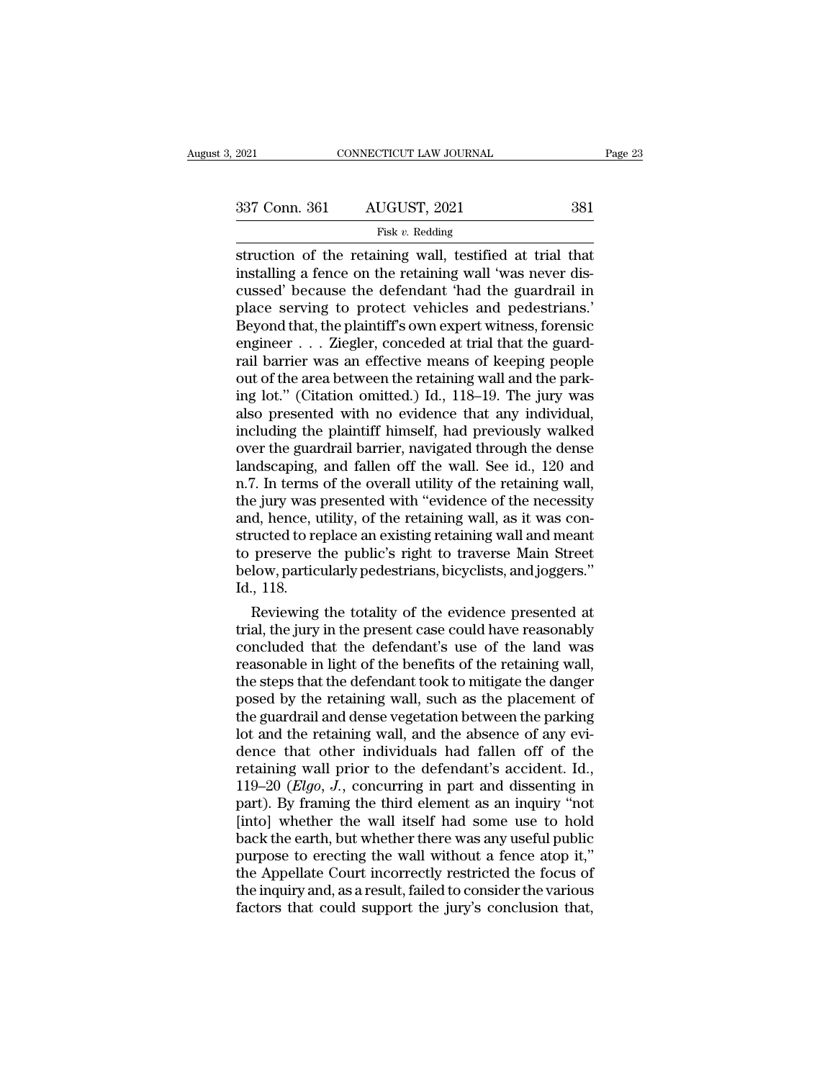### Fisk *v.* Redding

Fage 2:<br>
struction of the retaining wall, testified at trial that<br>
installing a fence on the retaining wall 'was never discussed' because the defendant 'had the suardrail in 337 Conn. 361 AUGUST, 2021 381<br>
Fisk v. Redding<br>
struction of the retaining wall, testified at trial that<br>
installing a fence on the retaining wall 'was never dis-<br>
cussed' because the defendant 'had the guardrail in<br>
pla 337 Conn. 361 AUGUST, 2021 381<br>
Fisk v. Redding<br>
struction of the retaining wall, testified at trial that<br>
installing a fence on the retaining wall 'was never dis-<br>
cussed' because the defendant 'had the guardrail in<br>
pla  $\begin{array}{r} \text{337 Conn. } 361 \text{ AUGUST, } 2021 \text{ } \text{581} \end{array}$ <br>
Fisk v. Redding<br>
struction of the retaining wall, testified at trial that<br>
installing a fence on the retaining wall 'was never dis-<br>
cussed' because the defendant 'had Fisk v. Redding<br>
Fisk v. Redding<br>
Struction of the retaining wall, testified at trial that<br>
installing a fence on the retaining wall 'was never dis-<br>
cussed' because the defendant 'had the guardrail in<br>
place serving to p Fisk v. Redding<br>struction of the retaining wall, testified at trial that<br>installing a fence on the retaining wall 'was never dis-<br>cussed' because the defendant 'had the guardrail in<br>place serving to protect vehicles and p struction of the retaining wall, testified at trial that<br>installing a fence on the retaining wall 'was never dis-<br>cussed' because the defendant 'had the guardrail in<br>place serving to protect vehicles and pedestrians.'<br>Beyo installing a fence on the retaining wall 'was never discussed' because the defendant 'had the guardrail in place serving to protect vehicles and pedestrians.'<br>Beyond that, the plaintiff's own expert witness, forensice engi cussed' because the defendant 'had the guardrail in<br>place serving to protect vehicles and pedestrians.'<br>Beyond that, the plaintiff's own expert witness, forensic<br>engineer . . . Ziegler, conceded at trial that the guard-<br>ra place serving to protect vehicles and pedestrians.'<br>Beyond that, the plaintiff's own expert witness, forensic<br>engineer . . . Ziegler, conceded at trial that the guard-<br>rail barrier was an effective means of keeping people<br> Beyond that, the plaintiff's own expert witness, forensic<br>engineer  $\ldots$  Ziegler, conceded at trial that the guard-<br>rail barrier was an effective means of keeping people<br>out of the area between the retaining wall and the engineer . . . Ziegler, conceded at trial that the guard-<br>rail barrier was an effective means of keeping people<br>out of the area between the retaining wall and the park-<br>ing lot." (Citation omitted.) Id., 118–19. The jury w rail barrier was an effective means of keeping people<br>out of the area between the retaining wall and the park-<br>ing lot." (Citation omitted.) Id., 118–19. The jury was<br>also presented with no evidence that any individual,<br>in out of the area between the retaining wall and the parking lot." (Citation omitted.) Id., 118–19. The jury was also presented with no evidence that any individual, including the plaintiff himself, had previously walked ove ing lot." (Citation omitted.) Id., 118–19. The jury was<br>also presented with no evidence that any individual,<br>including the plaintiff himself, had previously walked<br>over the guardrail barrier, navigated through the dense<br>la also presented with no evidence that any individual, including the plaintiff himself, had previously walked over the guardrail barrier, navigated through the dense landscaping, and fallen off the wall. See id., 120 and n.7 including the plaintiff himself, had previously walked<br>over the guardrail barrier, navigated through the dense<br>landscaping, and fallen off the wall. See id., 120 and<br>n.7. In terms of the overall utility of the retaining wa over the guardrail barrier, navigated through the dense<br>landscaping, and fallen off the wall. See id., 120 and<br>n.7. In terms of the overall utility of the retaining wall,<br>the jury was presented with "evidence of the necess landscaping, and fallen off the wall. See id., 120 and n.7. In terms of the overall utility of the retaining wall, the jury was presented with "evidence of the necessity and, hence, utility, of the retaining wall, as it wa n.7. In terms<br>the jury was pand, hence, u<br>structed to re<br>to preserve t<br>below, partic<br>Id., 118.<br>Reviewing e jury was presented with "evidence of the necessity<br>d, hence, utility, of the retaining wall, as it was con-<br>ructed to replace an existing retaining wall and meant<br>preserve the public's right to traverse Main Street<br>low, and, hence, utility, of the retaining wall, as it was constructed to replace an existing retaining wall and meant<br>to preserve the public's right to traverse Main Street<br>below, particularly pedestrians, bicyclists, and jogg

structed to replace an existing retaining wall and meant<br>to preserve the public's right to traverse Main Street<br>below, particularly pedestrians, bicyclists, and joggers."<br>Id., 118.<br>Reviewing the totality of the evidence pr to preserve the public's right to traverse Main Street<br>below, particularly pedestrians, bicyclists, and joggers."<br>Id., 118.<br>Reviewing the totality of the evidence presented at<br>trial, the jury in the present case could have below, particularly pedestrians, bicyclists, and joggers."<br>Id., 118.<br>Reviewing the totality of the evidence presented at<br>trial, the jury in the present case could have reasonably<br>concluded that the defendant's use of the l 10., 118.<br>Reviewing the totality of the evidence presented at<br>trial, the jury in the present case could have reasonably<br>concluded that the defendant's use of the land was<br>reasonable in light of the benefits of the retainin Reviewing the totality of the evidence presented at<br>trial, the jury in the present case could have reasonably<br>concluded that the defendant's use of the land was<br>reasonable in light of the benefits of the retaining wall,<br>th trial, the jury in the present case could have reasonably<br>concluded that the defendant's use of the land was<br>reasonable in light of the benefits of the retaining wall,<br>the steps that the defendant took to mitigate the dang concluded that the defendant's use of the land was<br>reasonable in light of the benefits of the retaining wall,<br>the steps that the defendant took to mitigate the danger<br>posed by the retaining wall, such as the placement of<br> reasonable in light of the benefits of the retaining wall,<br>the steps that the defendant took to mitigate the danger<br>posed by the retaining wall, such as the placement of<br>the guardrail and dense vegetation between the park the steps that the defendant took to mitigate the danger<br>posed by the retaining wall, such as the placement of<br>the guardrail and dense vegetation between the parking<br>lot and the retaining wall, and the absence of any evi-<br> posed by the retaining wall, such as the placement of<br>the guardrail and dense vegetation between the parking<br>lot and the retaining wall, and the absence of any evi-<br>dence that other individuals had fallen off of the<br>retain the guardrail and dense vegetation between the parking<br>lot and the retaining wall, and the absence of any evi-<br>dence that other individuals had fallen off of the<br>retaining wall prior to the defendant's accident. Id.,<br>119– lot and the retaining wall, and the absence of any evidence that other individuals had fallen off of the retaining wall prior to the defendant's accident. Id.,  $119-20$  (*Elgo*, *J*., concurring in part and dissenting in dence that other individuals had fallen off of the<br>retaining wall prior to the defendant's accident. Id.,<br>119–20 (*Elgo*, *J*., concurring in part and dissenting in<br>part). By framing the third element as an inquiry "not<br>[ retaining wall prior to the defendant's accident. Id.,<br>119–20 (*Elgo*, *J*., concurring in part and dissenting in<br>part). By framing the third element as an inquiry "not<br>[into] whether the wall itself had some use to hold<br>b 119–20 (*Elgo*, *J*., concurring in part and dissenting in part). By framing the third element as an inquiry "not [into] whether the wall itself had some use to hold back the earth, but whether there was any useful public part). By framing the third element as an inquiry "not [into] whether the wall itself had some use to hold back the earth, but whether there was any useful public purpose to erecting the wall without a fence atop it," the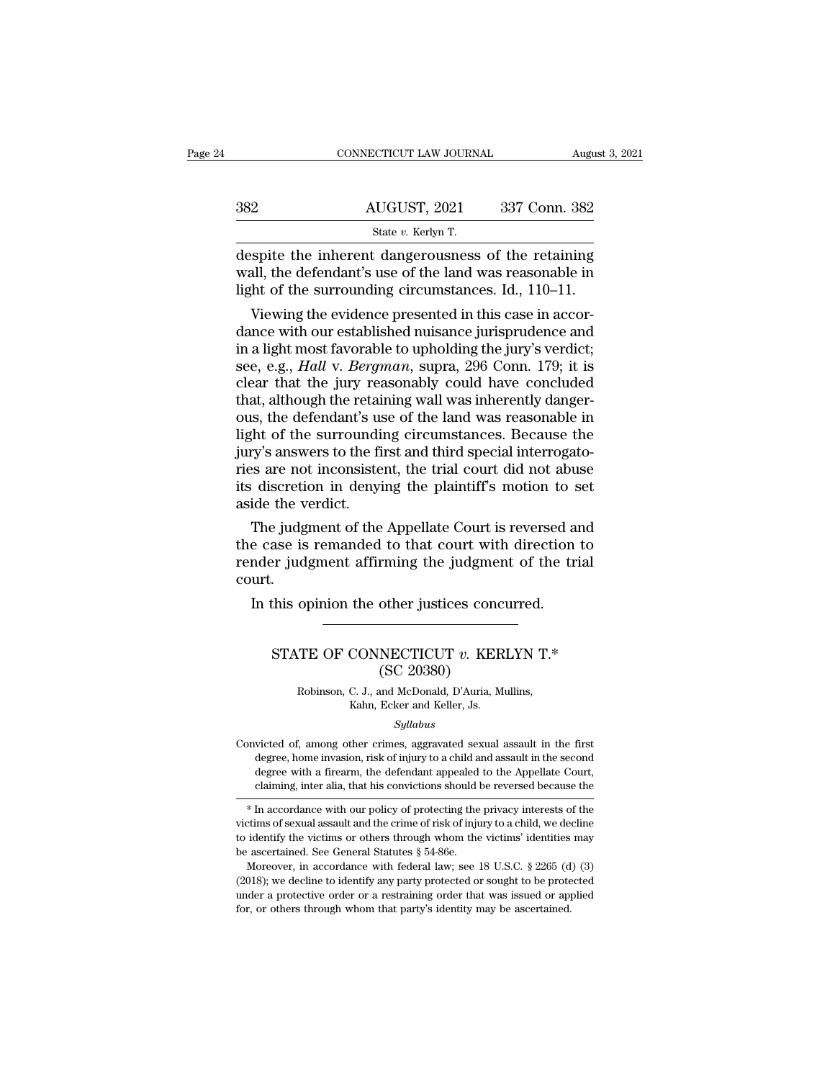| 4 |     | CONNECTICUT LAW JOURNAL                                                                                                                                               | August 3, 2021 |
|---|-----|-----------------------------------------------------------------------------------------------------------------------------------------------------------------------|----------------|
|   |     |                                                                                                                                                                       |                |
|   | 382 | AUGUST, 2021                                                                                                                                                          | 337 Conn. 382  |
|   |     | State v. Kerlyn T.                                                                                                                                                    |                |
|   |     | despite the inherent dangerousness of the retaining<br>wall, the defendant's use of the land was reasonable in<br>light of the surrounding circumstances. Id = 110-11 |                |

MUGUST, 2021 337 Conn. 382<br>State v. Kerlyn T.<br>despite the inherent dangerousness of the retaining<br>wall, the defendant's use of the land was reasonable in<br>light of the surrounding circumstances. Id., 110–11. 382 AUGUST, 2021 337 Conn. 382<br>
State v. Kerlyn T.<br>
despite the inherent dangerousness of the retaining<br>
wall, the defendant's use of the land was reasonable in<br>
light of the surrounding circumstances. Id., 110–11.<br>
Viewi 2  $\frac{\text{AUGUST, 2021}}{\text{State } v. \text{ Kerlyn T.}}$ <br>
State  $v. \text{ Kerlyn T.}$ <br>
Spite the inherent dangerousness of the retaining<br>
all, the defendant's use of the land was reasonable in<br>
the of the surrounding circumstances. Id., 110–11.<br>
Viewin

State v. Kerlyn T.<br>
despite the inherent dangerousness of the retaining<br>
wall, the defendant's use of the land was reasonable in<br>
light of the surrounding circumstances. Id., 110–11.<br>
Viewing the evidence presented in thi despite the inherent dangerousness of the retaining<br>wall, the defendant's use of the land was reasonable in<br>light of the surrounding circumstances. Id.,  $110-11$ .<br>Viewing the evidence presented in this case in accor-<br>danc despite the inherent dangerousness of the retaining<br>wall, the defendant's use of the land was reasonable in<br>light of the surrounding circumstances. Id., 110–11.<br>Viewing the evidence presented in this case in accor-<br>dance w wall, the defendant's use of the land was reasonable in<br>light of the surrounding circumstances. Id., 110–11.<br>Viewing the evidence presented in this case in accor-<br>dance with our established nuisance jurisprudence and<br>in a light of the surrounding circumstances. Id.,  $110-11$ .<br>Viewing the evidence presented in this case in accordance with our established nuisance jurisprudence and<br>in a light most favorable to upholding the jury's verdict;<br>s Viewing the evidence presented in this case in accordance with our established nuisance jurisprudence and<br>in a light most favorable to upholding the jury's verdict;<br>see, e.g., *Hall* v. *Bergman*, supra, 296 Conn. 179; it dance with our established nuisance jurisprudence and<br>in a light most favorable to upholding the jury's verdict;<br>see, e.g., *Hall* v. *Bergman*, supra, 296 Conn. 179; it is<br>clear that the jury reasonably could have conclud in a light most favorable to upholding the jury's verdict;<br>see, e.g., *Hall* v. *Bergman*, supra, 296 Conn. 179; it is<br>clear that the jury reasonably could have concluded<br>that, although the retaining wall was inherently da see, e.g., *Hall* v. *Bergman*, supra, 296 Conn. 179; it is clear that the jury reasonably could have concluded that, although the retaining wall was inherently dangerous, the defendant's use of the land was reasonable in clear that the jury reasonably could have concluded<br>that, although the retaining wall was inherently danger-<br>ous, the defendant's use of the land was reasonable in<br>light of the surrounding circumstances. Because the<br>jury's that, although the retain<br>ous, the defendant's us<br>light of the surroundi<br>jury's answers to the fi<br>ries are not inconsiste<br>its discretion in denyi<br>aside the verdict.<br>The judgment of the is, the defendant's use of the land was reasonable in<br>the fit of the surrounding circumstances. Because the<br>ry's answers to the first and third special interrogato-<br>is are not inconsistent, the trial court did not abuse<br>id light of the surrounding circumstances. Because the<br>jury's answers to the first and third special interrogato-<br>ries are not inconsistent, the trial court did not abuse<br>its discretion in denying the plaintiff's motion to se

jury's answers to the first and third special interrogatories are not inconsistent, the trial court did not abuse<br>its discretion in denying the plaintiff's motion to set<br>aside the verdict.<br>The judgment of the Appellate Cou court. In this opinion the other justices concurred.<br>In this opinion of the Appellate Court is reversed a<br>e case is remanded to that court with direction<br>nder judgment affirming the judgment of the trurt.<br>In this opinion the othe ase is remanded to that court with direction to<br>er judgment affirming the judgment of the trial<br>.<br>.<br>.<br>STATE OF CONNECTICUT *v*. KERLYN T.\*<br>.<br>.<br>.<br>.<br>.<br>.<br>.<br>.<br>. rming the judgmer<br>
other justices conc<br>
NECTICUT v. KER<br>
(SC 20380)<br>
and McDonald, D'Auria, M<br>Ecker and Keller Js

# TE OF CONNECTICUT v. KERLYN T.\*<br>
(SC 20380)<br>
Robinson, C. J., and McDonald, D'Auria, Mullins,<br>
Kahn, Ecker and Keller, Js. CONNECTICUT v. KER<br>
(SC 20380)<br>
C. J., and McDonald, D'Auria, Mi<br>
Kahn, Ecker and Keller, Js.<br>
Syllabus

### *Syllabus*

(SC 20380)<br>
Robinson, C. J., and McDonald, D'Auria, Mullins,<br>
Kahn, Ecker and Keller, Js.<br>
Syllabus<br>
Convicted of, among other crimes, aggravated sexual assault in the first<br>
degree, home invasion, risk of injury to a chi Robinson, C. J., and McDonald, D'Auria, Mullins,<br>Kahn, Ecker and Keller, Js.<br>Syllabus<br>victed of, among other crimes, aggravated sexual assault in the first<br>degree, home invasion, risk of injury to a child and assault in th Robinson, C. J., and McDonald, D'Auria, Mullins,<br>Kahn, Ecker and Keller, Js.<br>Syllabus<br>Convicted of, among other crimes, aggravated sexual assault in the first<br>degree, home invasion, risk of injury to a child and assault in kahn, Ecker and Keller, Js.<br>Syllabus<br>victed of, among other crimes, aggravated sexual assault in the first<br>degree, home invasion, risk of injury to a child and assault in the second<br>degree with a firearm, the defendant app Expansive systems and assault in the first degree, home invasion, risk of injury to a child and assault in the second degree with a firearm, the defendant appealed to the Appellate Court, claiming, inter alia, that his con Convicted of, among other crimes, aggravated sexual assault in the first<br>degree, home invasion, risk of injury to a child and assault in the second<br>degree with a firearm, the defendant appealed to the Appellate Court,<br>clai

degree, home invasion, risk of injury to a child and assault in the second<br>degree with a firearm, the defendant appealed to the Appellate Court,<br>claiming, inter alia, that his convictions should be reversed because the<br> $*$ victims of sexual assault and the crime of risk of injury to a child, we decline<br>to identify the victims or others through whom the victims' identities may<br>be ascertained. See General Statutes  $\S 54-86e$ .<br>Moreover, in acc \* In accordance with our policy of protecting the privacy interests of the victims of sexual assault and the crime of risk of injury to a child, we decline to identify the victims or others through whom the victims' ident \* In accordance with our policy of protecting the privacy interests of the victims of sexual assault and the crime of risk of injury to a child, we decline to identify the victims or others through whom the victims' ident

victims of sexual assault and the crime of risk of injury to a child, we decline to identify the victims or others through whom the victims' identities may be ascertained. See General Statutes  $\S$  54-86e.<br>Moreover, in acc to identify the victims or others through whom the victims' identities may be ascertained. See General Statutes  $\S$  54-86e.<br>Moreover, in accordance with federal law; see 18 U.S.C.  $\S$  2265 (d) (3) (2018); we decline to id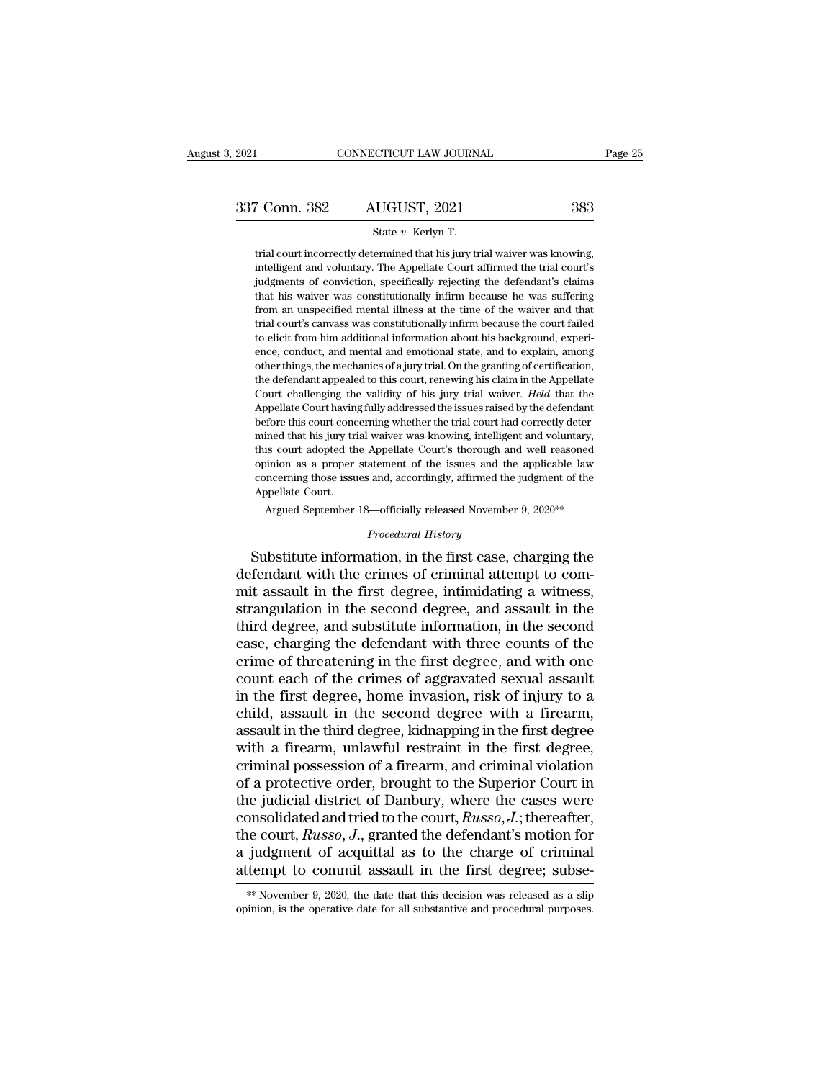CONNECTICUT LAW JOURNAL<br>
State *v.* Kerlyn T.<br>
State *v.* Kerlyn T.<br>
Final court incorrectly determined that his jury trial waiver was knowing. The Sammar Correctly determined that his jury trial waiver was knowing,<br>trial court incorrectly determined that his jury trial waiver was knowing,<br>intelligent and voluntary. The Appellate Court affirmed the trial court's For Conn. 382 AUGUST, 2021 383<br>
State v. Kerlyn T.<br>
Itrial court incorrectly determined that his jury trial waiver was knowing,<br>
intelligent and voluntary. The Appellate Court affirmed the trial court's<br>
judgments of conv Framents of conviction, specifically rejecting the defendant's claims of conviction, specifically rejecting the defendant's claims that his valver was constitutionally rejecting the defendant's claims that his waiver was c State v. Kerlyn T.<br>
trial court incorrectly determined that his jury trial waiver was knowing,<br>
intelligent and voluntary. The Appellate Court affirmed the trial court's<br>
judgments of conviction, specifically rejecting the State v. Kerlyn T.<br>
frial court incorrectly determined that his jury trial waiver was knowing,<br>
intelligent and voluntary. The Appellate Court affirmed the trial court's<br>
judgments of conviction, specifically rejecting the trial court incorrectly determined that his jury trial waiver was knowing, intelligent and voluntary. The Appellate Court affirmed the trial court's judgments of conviction, specifically rejecting the defendant's claims th the eligent and voluntary. The Appellate Court affirmed the trial court's<br>judgments of conviction, specifically rejecting the defendant's claims<br>that his waiver was constitutionally infirm because he was suffering<br>from an intengent and voldnary. The appenate court armined the transformation is judgments of conviction, specifically rejecting the defendant's claims that his waiver was constitutionally infirm because he was suffering from an u diagnments of conviction, specifically rejecting the decidual is claims<br>that his waiver was constitutionally infirm because he was suffering<br>from an unspecified mental illness at the time of the waiver and that<br>trial court the defendant appealed to this court, renewing his daim in the Appellate to elicit from him additional information about his background, experience, conduct, and mental and emotional state, and to explain, among other thin The valid is court's canvass was constitutionally infirm because the court failed to elicit from him additional information about his background, experience, conduct, and mental and emotional state, and to explain, among o The court is calvass was constrained in intribuctants the court falled to elicit from him additional information about his background, experience, conduct, and mental and emotional state, and to explain, among other things before the this court and and emotional state, and to explain, experience, conduct, and mental and emotional state, and to explain, among other things, the mechanics of a jury trial. On the granting of certification, the d ence, conduct, and include and chrononial state, and to explain, among other things, the mechanics of a jury trial. On the granting of certification, the defendant appealed to this court, renewing his claim in the Appellat offer alliges, the increasints of a jury trial. On the graining of ecclineation, the defendant appealed to this court, renewing his claim in the Appellate Court's court challenging the validity of his jury trial waiver. *H* Court challenging the validity of his jury trial waiver. *Held* that the Appellate Court having fully addressed the issues raised by the defendant before this court concerning whether the trial court had correctly determin court chancinging are vandary of institution and waver. Their data the Appellate Court having fully addressed the issues raised by the defendant before this court concerning whether the trial court had correctly determined Appellate Court Raving<br>before this court conce<br>mined that his jury tri<br>this court adopted the<br>opinion as a proper<br>concerning those issue<br>Appellate Court.<br>Argued September ined that his jury trial waiver was knowing, intelligent and voluntary,<br>is court adopted the Appellate Court's thorough and well reasoned<br>inion as a proper statement of the issues and the applicable law<br>increming those iss *Propenate Courts alonough and*<br>*atement of the issues and the*<br>*Procedural History*<br>*Procedural History*<br>**Ation in the first case** this court adopted the Appellate Court's thorough and well reasoned<br>opinion as a proper statement of the issues and the applicable law<br>concerning those issues and, accordingly, affirmed the judgment of the<br>Appellate Court.

opinion as a proper statement of the issues and the applicable law<br>concerning those issues and, accordingly, affirmed the judgment of the<br>Appellate Court.<br>Argued September 18—officially released November 9, 2020<sup>\*\*</sup><br>*Proce* concerning those issues and, accordingly, animed the judgment of the Appellate Court.<br>Argued September 18—officially released November 9, 2020<sup>\*\*</sup><br>*Procedural History*<br>Substitute information, in the first case, charging th Frame star.<br>
Argued September 18—officially released November 9, 2020<sup>\*\*</sup><br>
Procedural History<br>
Substitute information, in the first case, charging the<br>
defendant with the crimes of criminal attempt to com-<br>
mit assault in *Procedural History*<br>*Procedural History*<br>Substitute information, in the first case, charging the<br>defendant with the crimes of criminal attempt to com-<br>mit assault in the first degree, intimidating a witness,<br>strangulation *Procedural History*<br>Substitute information, in the first case, charging the<br>defendant with the crimes of criminal attempt to com-<br>mit assault in the first degree, intimidating a witness,<br>strangulation in the second degree Substitute information, in the first case, charging the<br>defendant with the crimes of criminal attempt to com-<br>mit assault in the first degree, intimidating a witness,<br>strangulation in the second degree, and assault in the<br> defendant with the crimes of criminal attempt to commit assault in the first degree, intimidating a witness, strangulation in the second degree, and assault in the third degree, and substitute information, in the second ca mit assault in the first degree, intimidating a witness,<br>strangulation in the second degree, and assault in the<br>third degree, and substitute information, in the second<br>case, charging the defendant with three counts of the<br> strangulation in the second degree, and assault in the third degree, and substitute information, in the second case, charging the defendant with three counts of the crime of threatening in the first degree, and with one co third degree, and substitute information, in the second<br>case, charging the defendant with three counts of the<br>crime of threatening in the first degree, and with one<br>count each of the crimes of aggravated sexual assault<br>in case, charging the defendant with three counts of the crime of threatening in the first degree, and with one count each of the crimes of aggravated sexual assault in the first degree, home invasion, risk of injury to a chi crime of threatening in the first degree, and with one<br>count each of the crimes of aggravated sexual assault<br>in the first degree, home invasion, risk of injury to a<br>child, assault in the second degree with a firearm,<br>assau count each of the crimes of aggravated sexual assault<br>in the first degree, home invasion, risk of injury to a<br>child, assault in the second degree with a firearm,<br>assault in the third degree, kidnapping in the first degree in the first degree, home invasion, risk of injury to a<br>child, assault in the second degree with a firearm,<br>assault in the third degree, kidnapping in the first degree<br>with a firearm, unlawful restraint in the first degre child, assault in the second degree with a firearm,<br>assault in the third degree, kidnapping in the first degree<br>with a firearm, unlawful restraint in the first degree,<br>criminal possession of a firearm, and criminal violati assault in the third degree, kidnapping in the first degree<br>with a firearm, unlawful restraint in the first degree,<br>criminal possession of a firearm, and criminal violation<br>of a protective order, brought to the Superior Co with a firearm, unlawful restraint in the first degree,<br>criminal possession of a firearm, and criminal violation<br>of a protective order, brought to the Superior Court in<br>the judicial district of Danbury, where the cases we criminal possession of a firearm, and criminal violation<br>of a protective order, brought to the Superior Court in<br>the judicial district of Danbury, where the cases were<br>consolidated and tried to the court,  $Russo, J$ ; thereaft the court, *Russo*, *J*., granted the defendant's motion for a judgment of acquittal as to the charge of criminal attempt to commit assault in the first degree; subse<sup>\*\*\*</sup>November 9, 2020, the date that this decision was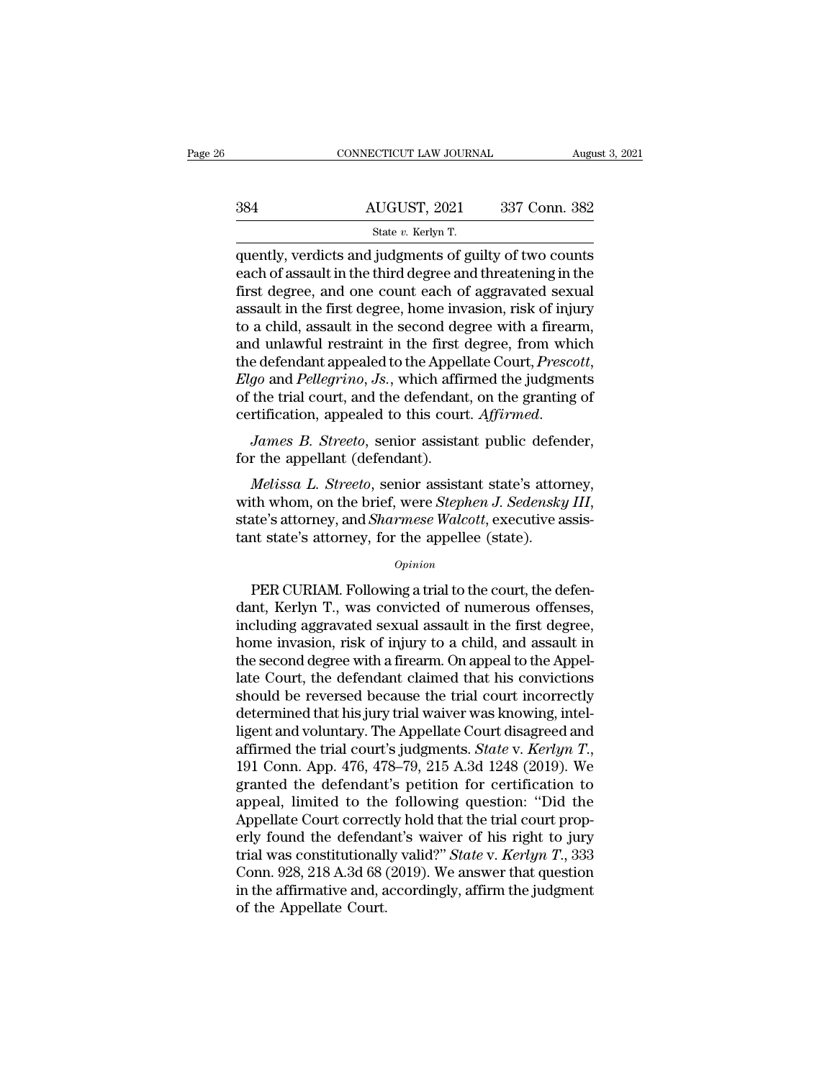|     | CONNECTICUT LAW JOURNAL                                                                                                                                                       | August 3, 2021 |
|-----|-------------------------------------------------------------------------------------------------------------------------------------------------------------------------------|----------------|
|     |                                                                                                                                                                               |                |
| 384 | AUGUST, 2021                                                                                                                                                                  | 337 Conn. 382  |
|     | State v. Kerlyn T.                                                                                                                                                            |                |
|     | quently, verdicts and judgments of guilty of two counts<br>each of assault in the third degree and threatening in the<br>first degree and are count each of aggregated sexual |                |

384 AUGUST, 2021 337 Conn. 382<br>  $\frac{\text{State } v. \text{ Kerlyn T.}}{\text{quently, verdicts and judgments of guilty of two counts}}$ <br>
each of assault in the third degree and threatening in the<br>
first degree, and one count each of aggravated sexual<br>
assault in the first degree, home inv  $\frac{\text{AUGUST, 2021}}{\text{State } v. \text{ Kerlyn T.}}$ <br>  $\frac{\text{State } v. \text{ Kerlyn T.}}{\text{quently, verdicts and judgments of guilty of two counts}}$ <br>
each of assault in the third degree and threatening in the<br>
first degree, and one count each of aggravated sexual<br>
assault in the first degree, home  $\frac{\text{AUGUST, 2021}}{\text{State } v. \text{ Kerlyn T.}}$ <br>
quently, verdicts and judgments of guilty of two counts<br>
each of assault in the third degree and threatening in the<br>
first degree, and one count each of aggravated sexual<br>
assault in the State v. Kerlyn T.<br>
State v. Kerlyn T.<br>
quently, verdicts and judgments of guilty of two counts<br>
each of assault in the third degree and threatening in the<br>
first degree, and one count each of aggravated sexual<br>
assault i state v. Kerlyn T.<br>
state v. Kerlyn T.<br>
each of assault in the third degree and threatening in the<br>
first degree, and one count each of aggravated sexual<br>
assault in the first degree, home invasion, risk of injury<br>
to a c quently, verdicts and judgments of guilty of two counts<br>each of assault in the third degree and threatening in the<br>first degree, and one count each of aggravated sexual<br>assault in the first degree, home invasion, risk of i first degree, and one count each of aggravated sexual<br>assault in the first degree, home invasion, risk of injury<br>to a child, assault in the second degree with a firearm,<br>and unlawful restraint in the first degree, from whi assault in the first degree, home invasion, risk of injury<br>to a child, assault in the second degree with a firearm,<br>and unlawful restraint in the first degree, from which<br>the defendant appealed to the Appellate Court, *Pre* and unawid restraint in the first of<br>the defendant appealed to the Appel<br>*Elgo* and *Pellegrino*, *Js.*, which affin<br>of the trial court, and the defendant<br>certification, appealed to this cour<br>*James B. Streeto*, senior ass *go* and *Pellegrino*, *Js.*, which affirmed the judgments<br>the trial court, and the defendant, on the granting of<br>rtification, appealed to this court. Affirmed.<br>James B. Streeto, senior assistant public defender,<br>r the app

of the trial court, and the defendant, on the granting of<br>certification, appealed to this court. Affirmed.<br>James B. Streeto, senior assistant public defender,<br>for the appellant (defendant).<br>Melissa L. Streeto, senior assis James B. Streeto, senior assistant public defend<br>for the appellant (defendant).<br>Melissa L. Streeto, senior assistant state's attorney<br>with whom, on the brief, were Stephen J. Sedensky<br>state's attorney, and Sharmese Walcott *Melissa L. Streeto*, senior assistant state's attorney,<br>th whom, on the brief, were *Stephen J. Sedensky III*,<br>ate's attorney, and *Sharmese Walcott*, executive assis-<br>to tate's attorney, for the appellee (state).<br>*Opinio* 

### *Opinion*

with whom, on the brief, were *Stephen J. Sedensky III*,<br>state's attorney, and *Sharmese Walcott*, executive assistant state's attorney, for the appellee (state).<br>*Opinion*<br>PER CURIAM. Following a trial to the court, the d state's attorney, and *Sharmese Walcott*, executive assistant state's attorney, for the appellee (state).<br> *Opinion*<br>
PER CURIAM. Following a trial to the court, the defendant, Kerlyn T., was convicted of numerous offenses tant state's attorney, for the appellee (state).<br>
opinion<br>
PER CURIAM. Following a trial to the court, the defen-<br>
dant, Kerlyn T., was convicted of numerous offenses,<br>
including aggravated sexual assault in the first degr opinion<br>
opinion<br>
PER CURIAM. Following a trial to the court, the defen-<br>
dant, Kerlyn T., was convicted of numerous offenses,<br>
including aggravated sexual assault in the first degree,<br>
home invasion, risk of injury to a c Dentisticant Comparison<br>
PER CURIAM. Following a trial to the court, the defendant, Kerlyn T., was convicted of numerous offenses,<br>
including aggravated sexual assault in the first degree,<br>
home invasion, risk of injury to PER CURIAM. Following a trial to the court, the defen-<br>dant, Kerlyn T., was convicted of numerous offenses,<br>including aggravated sexual assault in the first degree,<br>home invasion, risk of injury to a child, and assault in<br> dant, Kerlyn T., was convicted of numerous offenses,<br>including aggravated sexual assault in the first degree,<br>home invasion, risk of injury to a child, and assault in<br>the second degree with a firearm. On appeal to the Appe including aggravated sexual assault in the first degree,<br>home invasion, risk of injury to a child, and assault in<br>the second degree with a firearm. On appeal to the Appel-<br>late Court, the defendant claimed that his convic home invasion, risk of injury to a child, and assault in<br>the second degree with a firearm. On appeal to the Appel-<br>late Court, the defendant claimed that his convictions<br>should be reversed because the trial court incorrect late Court, the defendant claimed that his convictions<br>should be reversed because the trial court incorrectly<br>determined that his jury trial waiver was knowing, intel-<br>ligent and voluntary. The Appellate Court disagreed an should be reversed because the trial court incorrectly<br>determined that his jury trial waiver was knowing, intel-<br>ligent and voluntary. The Appellate Court disagreed and<br>affirmed the trial court's judgments. *State* v. *Ker* determined that his jury trial waiver was knowing, intel-<br>ligent and voluntary. The Appellate Court disagreed and<br>affirmed the trial court's judgments. *State v. Kerlyn T.*,<br>191 Conn. App. 476, 478–79, 215 A.3d 1248 (2019 ligent and voluntary. The Appellate Court disagreed and<br>affirmed the trial court's judgments. *State* v. *Kerlyn T.*,<br>191 Conn. App. 476, 478–79, 215 A.3d 1248 (2019). We<br>granted the defendant's petition for certification affirmed the trial court's judgments. *State* v. *Kerlyn T.*, 191 Conn. App. 476, 478–79, 215 A.3d 1248 (2019). We granted the defendant's petition for certification to appeal, limited to the following question: "Did the A 191 Conn. App. 476, 478–79, 215 A.3d 1248 (2019). We granted the defendant's petition for certification to appeal, limited to the following question: "Did the Appellate Court correctly hold that the trial court properly f granted the defendant's petition for certification to<br>appeal, limited to the following question: "Did the<br>Appellate Court correctly hold that the trial court prop-<br>erly found the defendant's waiver of his right to jury<br>tri appeal, limited to the following question: "Did the Appellate Court correctly hold that the trial court properly found the defendant's waiver of his right to jury trial was constitutionally valid?" *State v. Kerlyn T.*, 3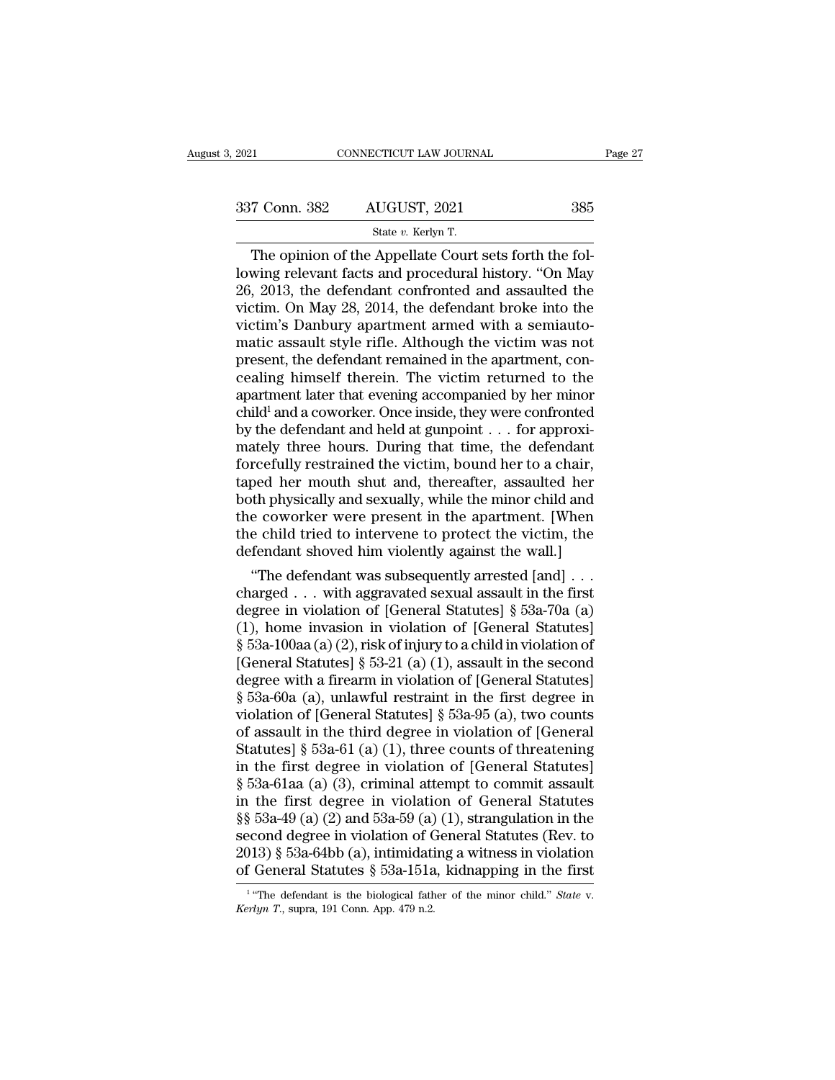| 2021          | CONNECTICUT LAW JOURNAL                                |     | Page 27 |
|---------------|--------------------------------------------------------|-----|---------|
| 337 Conn. 382 | AUGUST, 2021                                           | 385 |         |
|               | State v. Kerlyn T.                                     |     |         |
|               | The opinion of the Appellate Court sets forth the fol- |     |         |

CONNECTICUT LAW JOURNAL<br>
The opinion of the Appellate Court sets forth the fol-<br>
The opinion of the Appellate Court sets forth the fol-<br>
Wing relevant facts and procedural history. "On May<br>
2013, the defendant confronted a 337 Conn. 382 AUGUST, 2021 385<br>
State v. Kerlyn T.<br>
The opinion of the Appellate Court sets forth the fol-<br>
lowing relevant facts and procedural history. "On May<br>
26, 2013, the defendant confronted and assaulted the<br>
vict 337 Conn. 382 AUGUST, 2021 385<br>
State v. Kerlyn T.<br>
The opinion of the Appellate Court sets forth the fol-<br>
lowing relevant facts and procedural history. "On May<br>
26, 2013, the defendant confronted and assaulted the<br>
vict 337 Conn. 382 AUGUST, 2021 385<br>
state v. Kerlyn T.<br>
The opinion of the Appellate Court sets forth the fol-<br>
lowing relevant facts and procedural history. "On May<br>
26, 2013, the defendant confronted and assaulted the<br>
vict Solution of the Appellate Court sets forth the following relevant facts and procedural history. "On May 26, 2013, the defendant confronted and assaulted the victim. On May 28, 2014, the defendant broke into the victim's D State v. Kerlyn T.<br>
The opinion of the Appellate Court sets forth the fol-<br>
lowing relevant facts and procedural history. "On May<br>
26, 2013, the defendant confronted and assaulted the<br>
victim. On May 28, 2014, the defenda The opinion of the Appellate Court sets forth the following relevant facts and procedural history. "On May 26, 2013, the defendant confronted and assaulted the victim. On May 28, 2014, the defendant broke into the victim's lowing relevant facts and procedural history. "On May 26, 2013, the defendant confronted and assaulted the victim. On May 28, 2014, the defendant broke into the victim's Danbury apartment armed with a semiautomatic assault 26, 2013, the defendant confronted and assaulted the victim. On May 28, 2014, the defendant broke into the victim's Danbury apartment armed with a semiautomatic assault style rifle. Although the victim was not present, th victim. On May 28, 2014, the defendant broke into the<br>victim's Danbury apartment armed with a semiauto-<br>matic assault style rifle. Although the victim was not<br>present, the defendant remained in the apartment, con-<br>cealing victim's Danbury apartment armed with a semiautomatic assault style rifle. Although the victim was not present, the defendant remained in the apartment, concealing himself therein. The victim returned to the apartment late matic assault style rifle. Although the victim was not<br>present, the defendant remained in the apartment, con-<br>cealing himself therein. The victim returned to the<br>apartment later that evening accompanied by her minor<br>child<sup></sup> present, the defendant remained in the apartment, concealing himself therein. The victim returned to the apartment later that evening accompanied by her minor child<sup>1</sup> and a coworker. Once inside, they were confronted by cealing himself therein. The victim returned to the<br>apartment later that evening accompanied by her minor<br>child<sup>1</sup> and a coworker. Once inside, they were confronted<br>by the defendant and held at gunpoint  $\ldots$  for approxiapartment later that evening accompanied by her minor<br>child<sup>1</sup> and a coworker. Once inside, they were confronted<br>by the defendant and held at gunpoint . . . for approxi-<br>mately three hours. During that time, the defendant<br> child<sup>1</sup> and a coworker. Once inside, they were confronted<br>by the defendant and held at gunpoint . . . for approxi-<br>mately three hours. During that time, the defendant<br>forcefully restrained the victim, bound her to a chair by the defendant and held at gunpoint . . . for approximately three hours. During that time, the defendant forcefully restrained the victim, bound her to a chair, taped her mouth shut and, thereafter, assaulted her both ph mately three hours. During that time, the defendant<br>forcefully restrained the victim, bound her to a chair,<br>taped her mouth shut and, thereafter, assaulted her<br>both physically and sexually, while the minor child and<br>the co reefully restrained the victim, bound her to a chair,<br>yed her mouth shut and, thereafter, assaulted her<br>th physically and sexually, while the minor child and<br>e coworker were present in the apartment. [When<br>e child tried to taped her mouth shut and, thereatter, assaulted her<br>both physically and sexually, while the minor child and<br>the coworker were present in the apartment. [When<br>the child tried to intervene to protect the victim, the<br>defenda

both physically and sexually, while the minor child and<br>the coworker were present in the apartment. [When<br>the child tried to intervene to protect the victim, the<br>defendant shoved him violently against the wall.]<br>"The defe the coworker were present in the apartment. [When<br>the child tried to intervene to protect the victim, the<br>defendant shoved him violently against the wall.]<br>"The defendant was subsequently arrested [and] . . .<br>charged . . the child tried to intervene to protect the victim, the defendant shoved him violently against the wall.]<br>
"The defendant was subsequently arrested [and] . . .<br>
charged . . . with aggravated sexual assault in the first<br>
d detendant shoved him violently against the wall.]<br>
"The defendant was subsequently arrested [and] . . .<br>
charged . . . with aggravated sexual assault in the first<br>
degree in violation of [General Statutes] § 53a-70a (a)<br> "The defendant was subsequently arrested [and] . . .<br>charged . . . with aggravated sexual assault in the first<br>degree in violation of [General Statutes] § 53a-70a (a)<br>(1), home invasion in violation of [General Statutes]<br> charged . . . with aggravated sexual assault in the first<br>degree in violation of [General Statutes] § 53a-70a (a)<br>(1), home invasion in violation of [General Statutes]<br>§ 53a-100aa (a) (2), risk of injury to a child in vio degree in violation of [General Statutes] § 53a-70a (a)<br>
(1), home invasion in violation of [General Statutes]<br>
§ 53a-100aa (a) (2), risk of injury to a child in violation of<br>
[General Statutes] § 53-21 (a) (1), assault i (1), home invasion in violation of [General Statutes]<br>
§ 53a-100aa (a) (2), risk of injury to a child in violation of<br>
[General Statutes] § 53-21 (a) (1), assault in the second<br>
degree with a firearm in violation of [Gene § 53a-100aa (a) (2), risk of injury to a child in violation of [General Statutes] § 53-21 (a) (1), assault in the second degree with a firearm in violation of [General Statutes] § 53a-60a (a), unlawful restraint in the fi [General Statutes] § 53-21 (a) (1), assault in the second<br>degree with a firearm in violation of [General Statutes]<br>§ 53a-60a (a), unlawful restraint in the first degree in<br>violation of [General Statutes] § 53a-95 (a), two degree with a firearm in violation of [General Statutes]<br>
§ 53a-60a (a), unlawful restraint in the first degree in<br>
violation of [General Statutes] § 53a-95 (a), two counts<br>
of assault in the third degree in violation of § 53a-60a (a), unlawful restraint in the first degree in<br>violation of [General Statutes] § 53a-95 (a), two counts<br>of assault in the third degree in violation of [General<br>Statutes] § 53a-61 (a) (1), three counts of threate violation of [General Statutes] § 53a-95 (a), two counts<br>of assault in the third degree in violation of [General<br>Statutes] § 53a-61 (a) (1), three counts of threatening<br>in the first degree in violation of [General Statute of assault in the third degree in violation of [General Statutes] § 53a-61 (a) (1), three counts of threatening<br>in the first degree in violation of [General Statutes]<br>§ 53a-61aa (a) (3), criminal attempt to commit assault Statutes] § 53a-61 (a) (1), three counts of threatening<br>in the first degree in violation of [General Statutes]<br>§ 53a-61aa (a) (3), criminal attempt to commit assault<br>in the first degree in violation of General Statutes<br>§§ in the first degree in violation of [General Statutes]<br>§ 53a-61aa (a) (3), criminal attempt to commit assault<br>in the first degree in violation of General Statutes<br>§§ 53a-49 (a) (2) and 53a-59 (a) (1), strangulation in the  $\S$ § 53a-49 (a) (2) and 53a-59 (a) (1), strangulation in the second degree in violation of General Statutes (Rev. to 2013) § 53a-64bb (a), intimidating a witness in violation of General Statutes § 53a-151a, kidnapping in t

<sup>&</sup>lt;sup>1</sup> "The defendant is the biological father of the minor child." State v.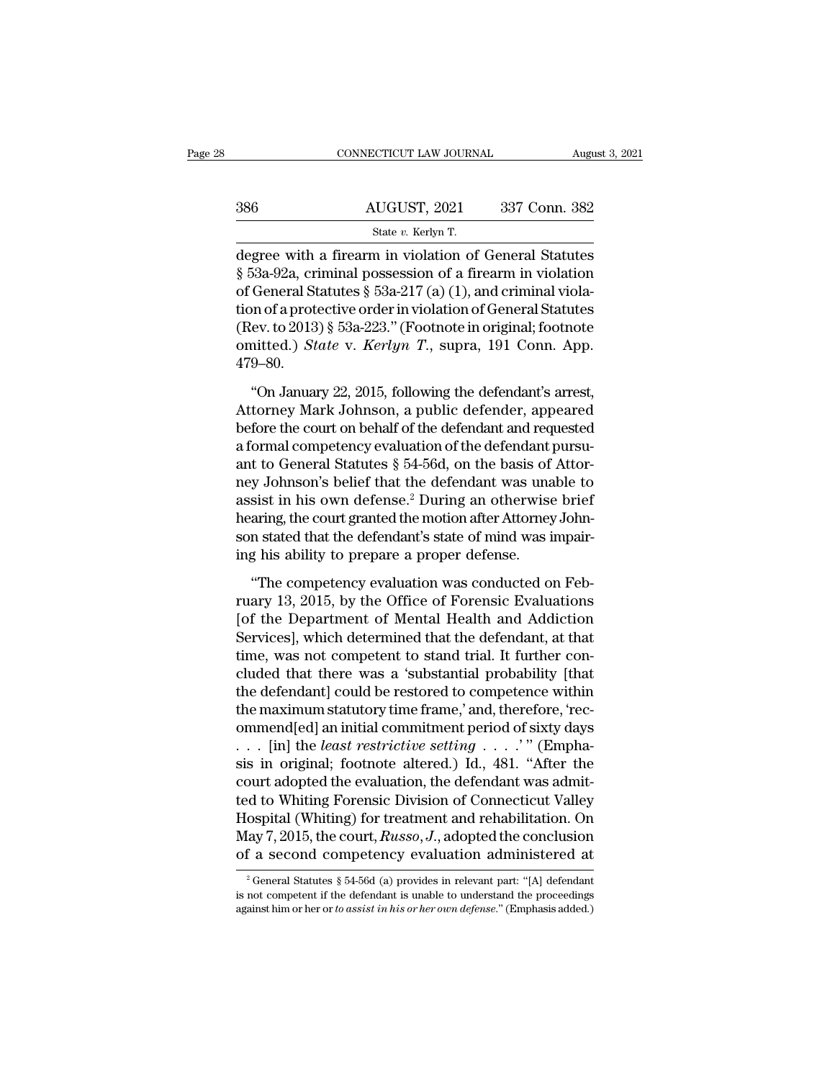|     | CONNECTICUT LAW JOURNAL                                                                                                                                                               | August 3, 2021 |
|-----|---------------------------------------------------------------------------------------------------------------------------------------------------------------------------------------|----------------|
| 386 | AUGUST, 2021                                                                                                                                                                          | 337 Conn. 382  |
|     | State v. Kerlyn T.                                                                                                                                                                    |                |
|     | degree with a firearm in violation of General Statutes<br>§ 53a-92a, criminal possession of a firearm in violation<br>of Conoral Statutos $8.59$ a $217$ (a) $(1)$ and eviminal viola |                |

386 AUGUST, 2021 337 Conn. 382<br>
State v. Kerlyn T.<br>
degree with a firearm in violation of General Statutes<br>
§ 53a-92a, criminal possession of a firearm in violation<br>
of General Statutes § 53a-217 (a) (1), and criminal viol 386 AUGUST, 2021 337 Conn. 382<br>
State v. Kerlyn T.<br>
degree with a firearm in violation of General Statutes<br>
§ 53a-92a, criminal possession of a firearm in violation<br>
of General Statutes § 53a-217 (a) (1), and criminal vio 386 AUGUST, 2021 337 Conn. 382<br>
State v. Kerlyn T.<br>
degree with a firearm in violation of General Statutes<br>
§ 53a-92a, criminal possession of a firearm in violation<br>
of General Statutes § 53a-217 (a) (1), and criminal vio State v. Kerlyn T.<br>
degree with a firearm in violation of General Statutes<br>
§ 53a-92a, criminal possession of a firearm in violation<br>
of General Statutes § 53a-217 (a) (1), and criminal viola-<br>
tion of a protective order state v. Kerlyn T.<br>degree with a firearm in violation of General Statutes<br>§ 53a-92a, criminal possession of a firearm in violation<br>of General Statutes § 53a-217 (a) (1), and criminal viola-<br>tion of a protective order in vi 479–80. The General Statutes § 53a-217 (a) (1), and criminal viola-<br>
on of a protective order in violation of General Statutes<br>
(ev. to 2013) § 53a-223." (Footnote in original; footnote<br>
mitted.) *State* v. *Kerlyn T.*, supra, 191 tion of a protective order in violation of General Statutes<br>
(Rev. to 2013) § 53a-223." (Footnote in original; footnote<br>
omitted.) State v. Kerlyn T., supra, 191 Conn. App.<br>
479–80.<br>
"On January 22, 2015, following the de

(Rev. to 2013) § 53a-223." (Footnote in original; footnote omitted.) *State v. Kerlyn T.*, supra, 191 Conn. App.<br>479–80.<br>"On January 22, 2015, following the defendant's arrest,<br>Attorney Mark Johnson, a public defender, ap omitted.) *State* v. *Kerlyn T.*, supra, 191 Conn. App.<br>479–80.<br>"On January 22, 2015, following the defendant's arrest,<br>Attorney Mark Johnson, a public defender, appeared<br>before the court on behalf of the defendant and re 479–80.<br>
"On January 22, 2015, following the defendant's arrest,<br>
Attorney Mark Johnson, a public defender, appeared<br>
before the court on behalf of the defendant and requested<br>
a formal competency evaluation of the defend "On January 22, 2015, following the defendant's arrest,<br>Attorney Mark Johnson, a public defender, appeared<br>before the court on behalf of the defendant and requested<br>a formal competency evaluation of the defendant pursu-<br>a "On January 22, 2015, following the defendant's arrest,<br>Attorney Mark Johnson, a public defender, appeared<br>before the court on behalf of the defendant and requested<br>a formal competency evaluation of the defendant pursu-<br>a Attorney Mark Johnson, a public defender, appeared<br>before the court on behalf of the defendant and requested<br>a formal competency evaluation of the defendant pursu-<br>ant to General Statutes § 54-56d, on the basis of Attor-<br> before the court on behalf of the defendant and requested<br>a formal competency evaluation of the defendant pursu-<br>ant to General Statutes  $\S$  54-56d, on the basis of Attor-<br>ney Johnson's belief that the defendant was unabl a formal competency evaluation of the defendant and to General Statutes  $\S$  54-56d, on the basis of ney Johnson's belief that the defendant was una assist in his own defense.<sup>2</sup> During an otherwise hearing, the court gran y Johnson's belief that the defendant was unable to<br>sist in his own defense.<sup>2</sup> During an otherwise brief<br>aring, the court granted the motion after Attorney John-<br>n stated that the defendant's state of mind was impair-<br>g h assist in his own defense.<sup>2</sup> During an otherwise brief<br>hearing, the court granted the motion after Attorney Johnson stated that the defendant's state of mind was impair-<br>ing his ability to prepare a proper defense.<br>"The c

hearing, the court granted the motion after Attorney Johnson stated that the defendant's state of mind was impairing his ability to prepare a proper defense.<br>
"The competency evaluation was conducted on February 13, 2015, son stated that the defendant's state of mind was impair-<br>ing his ability to prepare a proper defense.<br>"The competency evaluation was conducted on Feb-<br>ruary 13, 2015, by the Office of Forensic Evaluations<br>[of the Departme ing his ability to prepare a proper defense.<br>
"The competency evaluation was conducted on February 13, 2015, by the Office of Forensic Evaluations<br>
[of the Department of Mental Health and Addiction<br>
Services], which determ "The competency evaluation was conducted on February 13, 2015, by the Office of Forensic Evaluations [of the Department of Mental Health and Addiction Services], which determined that the defendant, at that time, was not "The competency evaluation was conducted on February 13, 2015, by the Office of Forensic Evaluations<br>[of the Department of Mental Health and Addiction<br>Services], which determined that the defendant, at that<br>time, was not c ruary 13, 2015, by the Office of Forensic Evaluations<br>[of the Department of Mental Health and Addiction<br>Services], which determined that the defendant, at that<br>time, was not competent to stand trial. It further con-<br>cluded [of the Department of Mental Health and Addiction<br>Services], which determined that the defendant, at that<br>time, was not competent to stand trial. It further con-<br>cluded that there was a 'substantial probability [that<br>the Services], which determined that the defendant, at that<br>time, was not competent to stand trial. It further con-<br>cluded that there was a 'substantial probability [that<br>the defendant] could be restored to competence within<br>t time, was not competent to stand trial. It further concluded that there was a 'substantial probability [that<br>the defendant] could be restored to competence within<br>the maximum statutory time frame,' and, therefore, 'rec-<br>o cluded that there was a 'substantial probability [that<br>the defendant] could be restored to competence within<br>the maximum statutory time frame,' and, therefore, 'rec-<br>ommend[ed] an initial commitment period of sixty days<br>the defendant] could be restored to competence within<br>the maximum statutory time frame,' and, therefore, 'rec-<br>ommend[ed] an initial commitment period of sixty days<br> $\dots$  [in] the *least restrictive setting*  $\dots$ .'" (Empha the maximum statutory time frame,' and, therefore, 'recommend[ed] an initial commitment period of sixty days . . . . [in] the *least restrictive setting* . . . . . " (Emphasis in original; footnote altered.) Id., 481. "Af ommend[ed] an initial commitment period of sixty days<br>
. . . [in] the *least restrictive setting* . . . . '" (Empha-<br>
sis in original; footnote altered.) Id., 481. "After the<br>
court adopted the evaluation, the defendant wa ... [in] the *least restrictive setting* ....'" (Emphasis in original; footnote altered.) Id., 481. "After the court adopted the evaluation, the defendant was admitted to Whiting Forensic Division of Connecticut Valley Ho 2 General Statutes § 54-56d (a) provides in relevant part: "[A] defendant and competency evaluation administered at  $\frac{2}{3}$  General Statutes § 54-56d (a) provides in relevant part: "[A] defendant not competent if the de Hospital (Whiting) for treatment and rehabilitation. On May 7, 2015, the court, *Russo*, *J*., adopted the conclusion of a second competency evaluation administered at  $\frac{1}{2}$  General Statutes § 54-56d (a) provides in r May 7, 2015, the court, *Russo*, *J*., adopted the conclusion<br>of a second competency evaluation administered at<br><sup>2</sup> General Statutes § 54-56d (a) provides in relevant part: "[A] defendant<br>is not competent if the defendant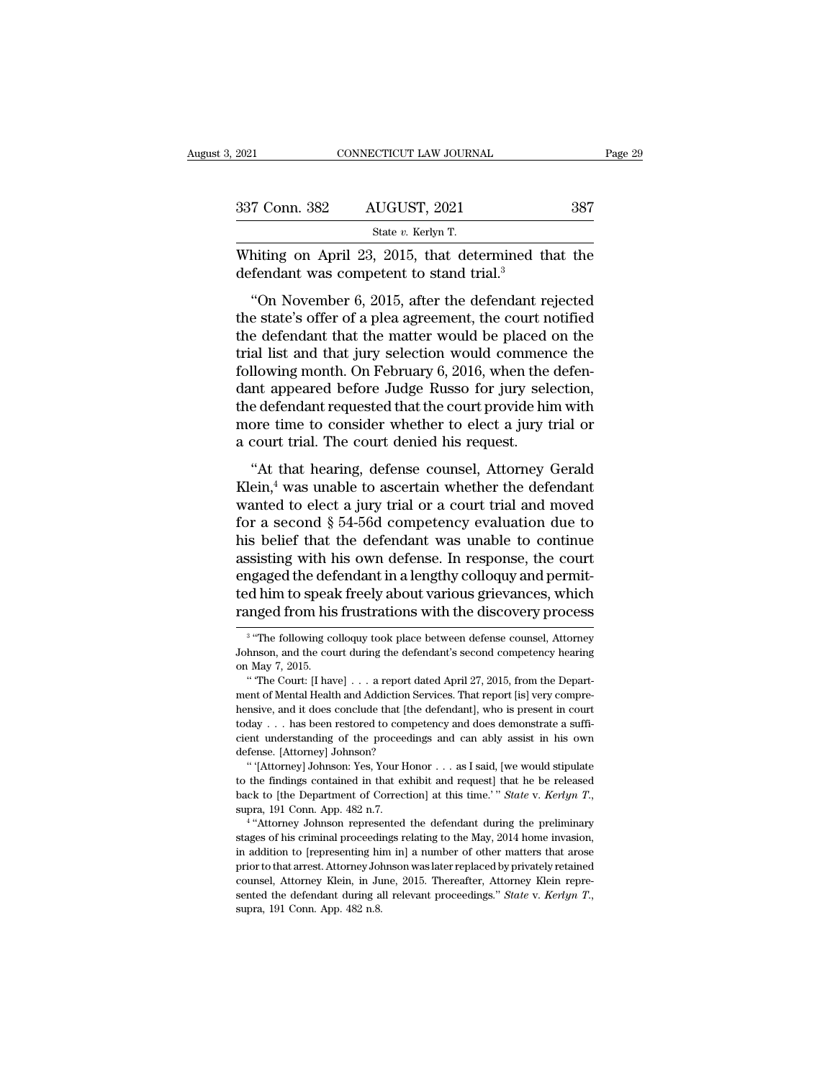| . 2021        | CONNECTICUT LAW JOURNAL                                                                                                                                                 | Page 29 |
|---------------|-------------------------------------------------------------------------------------------------------------------------------------------------------------------------|---------|
|               |                                                                                                                                                                         |         |
| 337 Conn. 382 | AUGUST, 2021                                                                                                                                                            | 387     |
|               | State v. Kerlyn T.                                                                                                                                                      |         |
|               | Whiting on April 23, 2015, that determined that the<br>defendant was competent to stand trial. <sup>3</sup>                                                             |         |
|               | "On November 6, 2015, after the defendant rejected<br>the state's offer of a plea agreement, the court notified<br>the defendant that the matter would be placed on the |         |

337 Conn. 382 AUGUST, 2021 387<br>
State v. Kerlyn T.<br>
Whiting on April 23, 2015, that determined that the<br>
defendant was competent to stand trial.<sup>3</sup><br>
"On November 6, 2015, after the defendant rejected<br>
the state's offer of State v. Kerlyn T.<br>
Whiting on April 23, 2015, that determined that the<br>
defendant was competent to stand trial.<sup>3</sup><br>
"On November 6, 2015, after the defendant rejected<br>
the state's offer of a plea agreement, the court not Whiting on April 23, 2015, that determined that the<br>defendant was competent to stand trial.<sup>3</sup><br>"On November 6, 2015, after the defendant rejected<br>the state's offer of a plea agreement, the court notified<br>the defendant tha which gon Apm 25, 2019, that determined that the<br>defendant was competent to stand trial.<sup>3</sup><br>"On November 6, 2015, after the defendant rejected<br>the state's offer of a plea agreement, the court notified<br>the defendant that t "On November 6, 2015, after the defendant rejected<br>the state's offer of a plea agreement, the court notified<br>the defendant that the matter would be placed on the<br>trial list and that jury selection would commence the<br>follo "On November 6, 2015, after the defendant rejected<br>the state's offer of a plea agreement, the court notified<br>the defendant that the matter would be placed on the<br>trial list and that jury selection would commence the<br>follo the state's offer of a plea agreement, the court notified<br>the defendant that the matter would be placed on the<br>trial list and that jury selection would commence the<br>following month. On February 6, 2016, when the defen-<br>dan the defendant that the matter would be placed<br>trial list and that jury selection would commen<br>following month. On February 6, 2016, when the<br>dant appeared before Judge Russo for jury sele<br>the defendant requested that the c at that that jury selection would conflict<br>cellowing month. On February 6, 2016, when the defen-<br>nt appeared before Judge Russo for jury selection,<br>e defendant requested that the court provide him with<br>ore time to consider Following instant on Festivaly 6, 2010, when the defendant appeared before Judge Russo for jury selection, the defendant requested that the court provide him with more time to consider whether to elect a jury trial or a c

where the defendant requested that the court provide him with<br>more time to consider whether to elect a jury trial or<br>a court trial. The court denied his request.<br>"At that hearing, defense counsel, Attorney Gerald<br>Klein,<sup>4</sup> for a second state of the second provide random<br>a court trial. The court denied his request.<br>"At that hearing, defense counsel, Attorney Gerald<br>Klein,<sup>4</sup> was unable to ascertain whether the defendant<br>wanted to elect a jury a court trial. The court denied his request.<br>
"At that hearing, defense counsel, Attorney Gerald<br>
Klein,<sup>4</sup> was unable to ascertain whether the defendant<br>
wanted to elect a jury trial or a court trial and moved<br>
for a sec a court that. The court defined his request.<br>
"At that hearing, defense counsel, Attorney Gerald Klein,<sup>4</sup> was unable to ascertain whether the defendant wanted to elect a jury trial or a court trial and moved for a second "At that hearing, defense counsel, Attorney Gerald Klein,<sup>4</sup> was unable to ascertain whether the defendant wanted to elect a jury trial or a court trial and moved for a second  $\S$  54-56d competency evaluation due to his b Klein,<sup>4</sup> was unable to ascertain whether the defendant<br>wanted to elect a jury trial or a court trial and moved<br>for a second  $\S$  54-56d competency evaluation due to<br>his belief that the defendant was unable to continue<br>ass wanted to elect a jury trial or a court trial and moved<br>for a second  $\S$  54-56d competency evaluation due to<br>his belief that the defendant was unable to continue<br>assisting with his own defense. In response, the court<br>enga engaged the defendant in a lengthy colloquy and permitted him to speak freely about various grievances, which ranged from his frustrations with the discovery process <sup>3</sup> "The following colloquy took place between defense c engaged the defendant in a lengthy colloquy and permitted him to speak freely about various grievances, which ranged from his frustrations with the discovery process  $\frac{3}{100}$  "The following colloquy took place between d

" '[Attorney] Johnson: Yes, Your Honor . . . as I said, [we would stipulate back to also existed to competency and does demonstrate a sufficient understanding of the proceedings and can ably assist in his own defense. [Attorney] Johnson?<br>
"(Attorney] Johnson? State v. *Kerlyn T.*, as I said, [we w ense. [Attorney] Johnson?<br>
"(Attorney] Johnson?<br>
"(Attorney] Johnson? Ses, Your Honor . . . as I said, [we would stipulate<br>
the findings contained in that exhibit and request] that he be released<br>
k to [the Department of C

to the findings contained in that exhibit and request] that he be released back to [the Department of Correction] at this time.'" State v. Kerlyn T., supra, 191 Conn. App. 482 n.7.<br>
""Attorney Johnson represented the defe in a different of Correction and that exhibit and request that he be released back to [the Department of Correction] at this time.'" *State v. Kerlyn T.*, supra, 191 Conn. App. 482 n.7. <br>
<sup>4</sup> "Attorney Johnson represented back to [the Department of Correction] at this time.'" State v. Kerlyn T., supra, 191 Conn. App. 482 n.7.<br> $4^{\circ}$ Attorney Johnson represented the defendant during the preliminary stages of his criminal proceedings relatin stages of his criminal proceedings relating to the May, 2014 home invasion, in addition to [representing him in] a number of other matters that arose prior to that arrest. Attorney Johnson was later replaced by privately <sup>4</sup> "Attorney Johnson represented the defendant during the preliminary stages of his criminal proceedings relating to the May, 2014 home invasion, in addition to [representing him in] a number of other matters that arose p

<sup>&</sup>lt;sup>3</sup> "The ա ted him to speal<br>ranged from his<br><sup>3</sup> "The following co<br>Johnson, and the counting The Court: [I have In the Court: The Court: Internal of the discovery process<br>
The following colloquy took place between defense counsel, Attorney<br>
Inson, and the court during the defendant's second competency hearing<br>
Index 7, 2015.<br>
"The C

Tartiged HOIH HIS HUStratiOHS WITH the UISCOVETY Process<br>
<sup>3</sup> "The following colloquy took place between defense counsel, Attorney<br>
Johnson, and the court during the defendant's second competency hearing<br>
on May 7, 2015.<br> <sup>3</sup> "The following colloquy took place between defense counsel, Attorney<br>Johnson, and the court during the defendant's second competency hearing<br>on May 7, 2015.<br>"The Court: [I have] . . . a report dated April 27, 2015, fr Johnson, and the court during the defendant's second competency hearing<br>on May 7, 2015.<br>"The Court: [I have] . . . a report dated April 27, 2015, from the Department of Mental Health and Addiction Services. That report [i on May 7, 2015.<br>
"The Court: [I have]  $\ldots$  a report dated April 27, 2015, from the Depart-<br>
ment of Mental Health and Addiction Services. That report [is] very compre-<br>
hensive, and it does conclude that [the defendant], " "In the Mental Health and Addiction Services. That report [is] very compre-<br>
merior of Mental Health and Addiction Services. That report [is] very compre-<br>
merior, and it does conclude that [the defendant], who is presen then five and it does conclude that [the defendant], who is present in court today . . . has been restored to competency and does demonstrate a sufficient understanding of the proceedings and can ably assist in his own de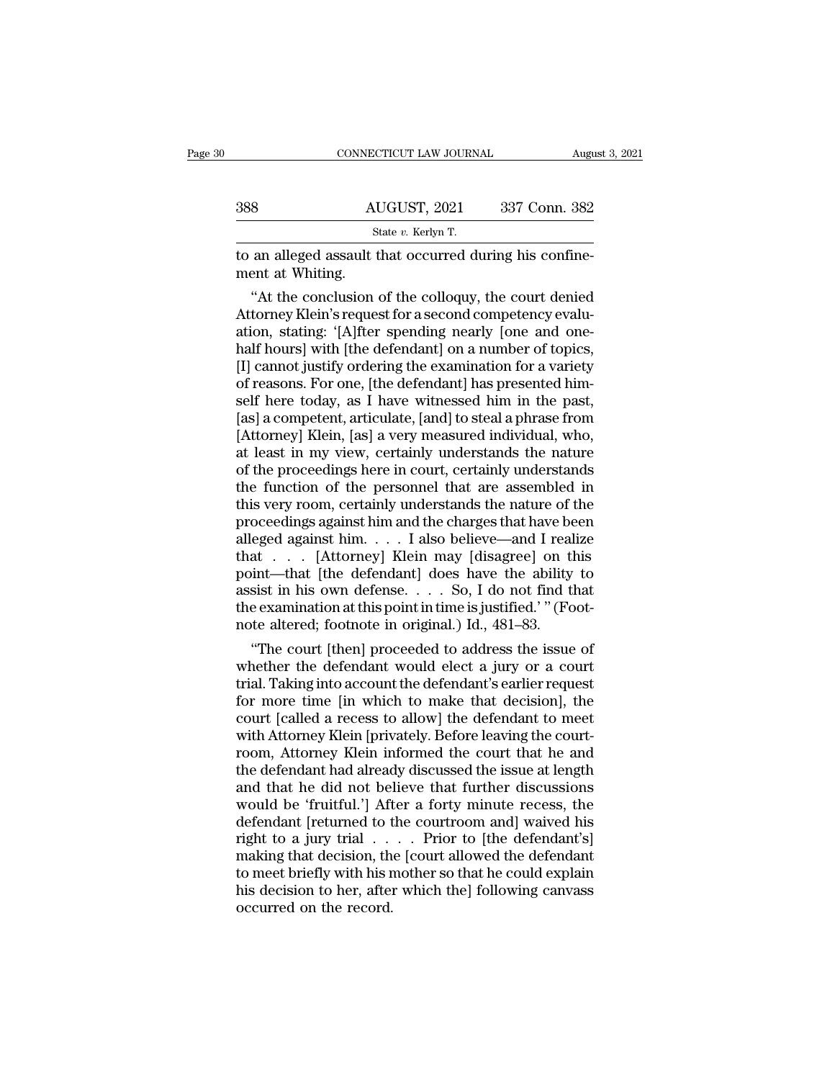|                  | CONNECTICUT LAW JOURNAL                                 | August 3, 2021 |
|------------------|---------------------------------------------------------|----------------|
|                  |                                                         |                |
| 388              | AUGUST, 2021                                            | 337 Conn. 382  |
|                  | State v. Kerlyn T.                                      |                |
| ment at Whiting. | to an alleged assault that occurred during his confine- |                |
|                  | "At the conclusion of the colloquy, the court denied    |                |

<sup>State v</sup>. Kerlyn T.<br>
State v. Kerlyn T.<br>
an alleged assault that occurred during his confine-<br>
ent at Whiting.<br>
"At the conclusion of the colloquy, the court denied<br>
torney Klein's request for a second competency evalu-<br>  $\frac{\text{AUGUST, 2021}}{\text{State } v. \text{ Kerlyn T.}}$ <br>
to an alleged assault that occurred during his confinement at Whiting.<br>
"At the conclusion of the colloquy, the court denied<br>
Attorney Klein's request for a second competency evalu-<br>
atio State v. Kerlyn T.<br>
to an alleged assault that occurred during his confine-<br>
ment at Whiting.<br>
"At the conclusion of the colloquy, the court denied<br>
Attorney Klein's request for a second competency evalu-<br>
ation, stating: half hours and that occurred during his confinement at Whiting.<br>
"At the conclusion of the colloquy, the court denied<br>
Attorney Klein's request for a second competency evaluation, stating: '[A]fter spending nearly [one and to an alleged assault that occurred during his confinement at Whiting.<br>
"At the conclusion of the colloquy, the court denied<br>
Attorney Klein's request for a second competency evalu-<br>
ation, stating: '[A]fter spending nearl ment at Whiting.<br>
"At the conclusion of the colloquy, the court denied<br>
Attorney Klein's request for a second competency evalu-<br>
ation, stating: '[A]fter spending nearly [one and one-<br>
half hours] with [the defendant] on a "At the conclusion of the colloquy, the court denied<br>Attorney Klein's request for a second competency evalu-<br>ation, stating: '[A]fter spending nearly [one and one-<br>half hours] with [the defendant] on a number of topics,<br>[I Attorney Klein's request for a second competency evaluation, stating: '[A]fter spending nearly [one and one-<br>half hours] with [the defendant] on a number of topics,<br>[I] cannot justify ordering the examination for a variety ation, stating: '[A]fter spending nearly [one and one-<br>half hours] with [the defendant] on a number of topics,<br>[I] cannot justify ordering the examination for a variety<br>of reasons. For one, [the defendant] has presented hi half hours] with [the defendant] on a number of topics,<br>[I] cannot justify ordering the examination for a variety<br>of reasons. For one, [the defendant] has presented him-<br>self here today, as I have witnessed him in the past [I] cannot justify ordering the examination for a variety<br>of reasons. For one, [the defendant] has presented him-<br>self here today, as I have witnessed him in the past,<br>[as] a competent, articulate, [and] to steal a phrase of reasons. For one, [the defendant] has presented him-<br>self here today, as I have witnessed him in the past,<br>[as] a competent, articulate, [and] to steal a phrase from<br>[Attorney] Klein, [as] a very measured individual, wh self here today, as I have witnessed him in the past,<br>[as] a competent, articulate, [and] to steal a phrase from<br>[Attorney] Klein, [as] a very measured individual, who,<br>at least in my view, certainly understands the nature [as] a competent, articulate, [and] to steal a phrase from<br>[Attorney] Klein, [as] a very measured individual, who,<br>at least in my view, certainly understands the nature<br>of the proceedings here in court, certainly understan [Attorney] Klein, [as] a very measured individual, who,<br>at least in my view, certainly understands the nature<br>of the proceedings here in court, certainly understands<br>the function of the personnel that are assembled in<br>thi at least in my view, certainly understands the nature<br>of the proceedings here in court, certainly understands<br>the function of the personnel that are assembled in<br>this very room, certainly understands the nature of the<br>pro of the proceedings here in court, certainly understands<br>the function of the personnel that are assembled in<br>this very room, certainly understands the nature of the<br>proceedings against him and the charges that have been<br>al the function of the personnel that are assembled in<br>this very room, certainly understands the nature of the<br>proceedings against him and the charges that have been<br>alleged against him.... I also believe—and I realize<br>that this very room, certainly understands the nature of the proceedings against him and the charges that have been alleged against him.... I also believe—and I realize that ... [Attorney] Klein may [disagree] on this point—th proceedings against him and the charges that have be alleged against him.  $\dots$  I also believe—and I real that  $\dots$  [Attorney] Klein may [disagree] on tl point—that [the defendant] does have the ability assist in his own d eged against him. . . . . I also believe—and I realize<br>at . . . . [Attorney] Klein may [disagree] on this<br>int—that [the defendant] does have the ability to<br>sist in his own defense. . . . So, I do not find that<br>e examinati that  $\ldots$  [Attorney] Klein may [disagree] on this<br>point—that [the defendant] does have the ability to<br>assist in his own defense.  $\ldots$  So, I do not find that<br>the examination at this point in time is justified.'" (Foot-<br>n

point—that [the defendant] does have the ability to<br>assist in his own defense. . . . So, I do not find that<br>the examination at this point in time is justified.'" (Foot-<br>note altered; footnote in original.) Id., 481–83.<br>"T assist in his own detense.  $\dots$  So, I do not find that<br>the examination at this point in time is justified.'" (Foot-<br>note altered; footnote in original.) Id., 481–83.<br>"The court [then] proceeded to address the issue of<br>whe the examination at this point in time is justified.' " (Foot-<br>note altered; footnote in original.) Id., 481–83.<br>"The court [then] proceeded to address the issue of<br>whether the defendant would elect a jury or a court<br>trial. note altered; footnote in original.) Id., 481–83.<br>
"The court [then] proceeded to address the issue of<br>
whether the defendant would elect a jury or a court<br>
trial. Taking into account the defendant's earlier request<br>
for m "The court [then] proceeded to address the issue of<br>whether the defendant would elect a jury or a court<br>trial. Taking into account the defendant's earlier request<br>for more time [in which to make that decision], the<br>court [ whether the defendant would elect a jury or a court<br>trial. Taking into account the defendant's earlier request<br>for more time [in which to make that decision], the<br>court [called a recess to allow] the defendant to meet<br>with trial. Taking into account the defendant's earlier request<br>for more time [in which to make that decision], the<br>court [called a recess to allow] the defendant to meet<br>with Attorney Klein [privately. Before leaving the court for more time [in which to make that decision], the<br>court [called a recess to allow] the defendant to meet<br>with Attorney Klein [privately. Before leaving the court-<br>room, Attorney Klein informed the court that he and<br>the d court [called a recess to allow] the defendant to meet<br>with Attorney Klein [privately. Before leaving the court-<br>room, Attorney Klein informed the court that he and<br>the defendant had already discussed the issue at length<br>a with Attorney Klein [privately. Before leaving the court-<br>room, Attorney Klein informed the court that he and<br>the defendant had already discussed the issue at length<br>and that he did not believe that further discussions<br>wou room, Attorney Klein informed the court that he and<br>the defendant had already discussed the issue at length<br>and that he did not believe that further discussions<br>would be 'fruitful.'] After a forty minute recess, the<br>defend the defendant had already discussed the issue at length<br>and that he did not believe that further discussions<br>would be 'fruitful.'] After a forty minute recess, the<br>defendant [returned to the courtroom and] waived his<br>right and that he did not believe that further discussions<br>would be 'fruitful.'] After a forty minute recess, the<br>defendant [returned to the courtroom and] waived his<br>right to a jury trial  $\ldots$ . Prior to [the defendant's]<br>maki would be 'fruitful.'] Aft<br>defendant [returned to t<br>right to a jury trial . .<br>making that decision, th<br>to meet briefly with his r<br>his decision to her, after<br>occurred on the record.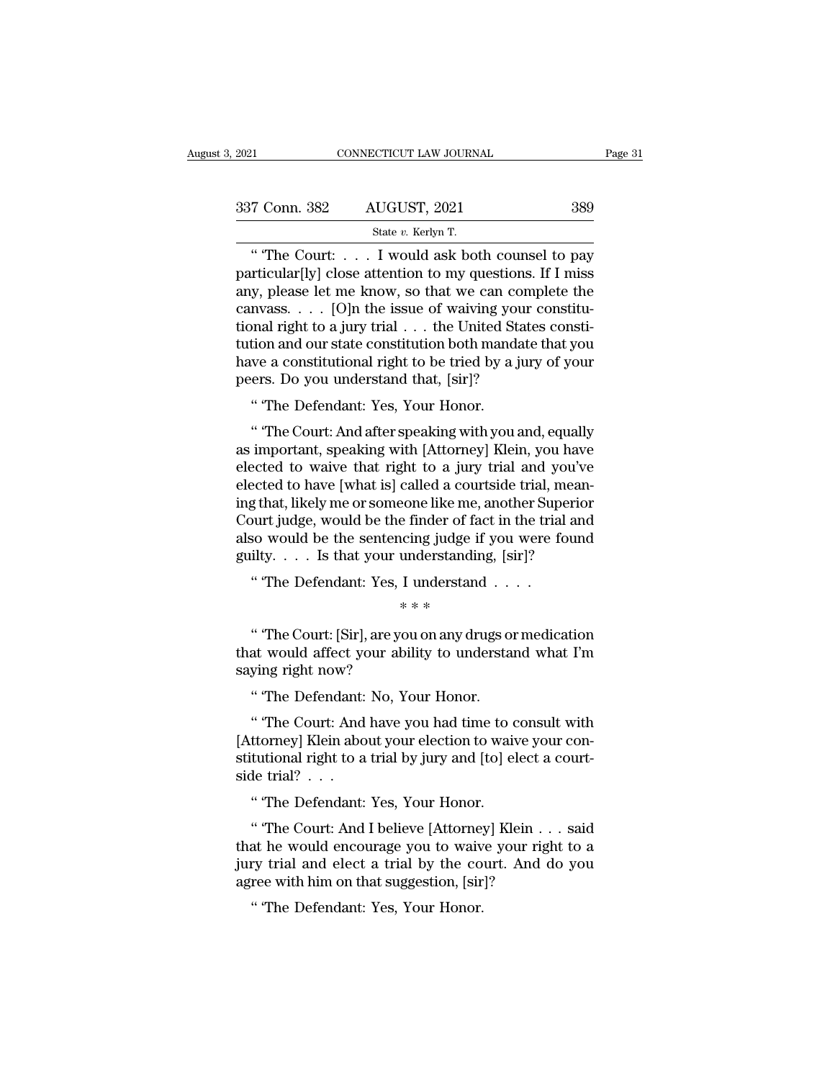| 3.2021        | CONNECTICUT LAW JOURNAL                                                                                                                                         | Page 31 |
|---------------|-----------------------------------------------------------------------------------------------------------------------------------------------------------------|---------|
| 337 Conn. 382 | AUGUST, 2021                                                                                                                                                    | 389     |
|               | State v. Kerlyn T.                                                                                                                                              |         |
|               | "The Court: I would ask both counsel to pay<br>particular [ly] close attention to my questions. If I miss<br>any plases let me know so that we can complete the |         |

337 Conn. 382 AUGUST, 2021 389<br>State v. Kerlyn T.<br>
"The Court: . . . . I would ask both counsel to pay<br>particular[ly] close attention to my questions. If I miss<br>any, please let me know, so that we can complete the<br>canyoses 337 Conn. 382 AUGUST, 2021 389<br>
State v. Kerlyn T.<br>
"The Court: . . . I would ask both counsel to pay<br>
particular[ly] close attention to my questions. If I miss<br>
any, please let me know, so that we can complete the<br>
canva 337 Conn. 382 AUGUST, 2021 389<br>
State v. Kerlyn T.<br>
"The Court: . . . I would ask both counsel to pay<br>
particular[ly] close attention to my questions. If I miss<br>
any, please let me know, so that we can complete the<br>
canva State v. Kerlyn T.<br>
"The Court: . . . I would ask both counsel to pay<br>
particular[ly] close attention to my questions. If I miss<br>
any, please let me know, so that we can complete the<br>
canvass. . . . [O]n the issue of waiv State v. Kerlyn T.<br>
"The Court: . . . . I would ask both counsel to pay<br>
particular[ly] close attention to my questions. If I miss<br>
any, please let me know, so that we can complete the<br>
canvass. . . . [O]n the issue of wa " The Court: . . . . I would ask both counsel to pay<br>particular[ly] close attention to my questions. If I miss<br>any, please let me know, so that we can complete the<br>canvass. . . . [O]n the issue of waiving your constitu-<br>t particular[ly] close attention to my questions.<br>any, please let me know, so that we can comp<br>canvass. . . . [O]n the issue of waiving your tional right to a jury trial . . . the United State<br>tution and our state constitut canvass. . . . . [O]n the issue of waiving your constitutional right to a jury trial . . . the United States constitution and our state constitution both mandate that you have a constitutional right to be tried by a jury o or in the United States constitution and our state constitution both mandate that you<br>we a constitutional right to be tried by a jury of your<br>ers. Do you understand that, [sir]?<br>"The Defendant: Yes, Your Honor.<br>"The Court:

tution and our state constitution both mandate that you<br>have a constitutional right to be tried by a jury of your<br>peers. Do you understand that, [sir]?<br>"The Defendant: Yes, Your Honor.<br>"The Court: And after speaking with y have a constitutional right to be tried by a jury of your<br>peers. Do you understand that, [sir]?<br>"The Defendant: Yes, Your Honor.<br>"The Court: And after speaking with you and, equally<br>as important, speaking with [Attorney] K peers. Do you understand that, [sir]?<br>
"The Defendant: Yes, Your Honor.<br>
"The Court: And after speaking with you and, equally<br>
as important, speaking with [Attorney] Klein, you have<br>
elected to waive that right to a jury t " The Defendant: Yes, Your Honor.<br>" The Court: And after speaking with you and, equally<br>as important, speaking with [Attorney] Klein, you have<br>elected to waive that right to a jury trial and you've<br>elected to have [what is " The Detendant. Tes, Tour Honor.<br>" The Court: And after speaking with you and, equally<br>as important, speaking with [Attorney] Klein, you have<br>elected to waive that right to a jury trial and you've<br>elected to have [what is " The Court: And after speaking with you and, equally<br>as important, speaking with [Attorney] Klein, you have<br>elected to waive that right to a jury trial and you've<br>elected to have [what is] called a courtside trial, meanas important, speaking with [Attorney] Klein, you have<br>elected to waive that right to a jury trial and you've<br>elected to have [what is] called a courtside trial, mean-<br>ing that, likely me or someone like me, another Super Expected to waive that right to a jury that and year<br>ected to have [what is] called a courtside trial, m<br>g that, likely me or someone like me, another Supe<br>ourt judge, would be the finder of fact in the trial<br>so would be t %eone like me, a<br>e finder of faction<br>inderstanding<br>I understand<br>\* \* \*<br>ou on any drug out judge, would be the indeed of fact in the that and<br>so would be the sentencing judge if you were found<br>ilty.... Is that your understanding, [sir]?<br>"The Defendant: Yes, I understand ...."<br>\*\*\*<br>"The Court: [Sir], are you

also would be the sententing judge if you were found<br>guilty.... Is that your understanding, [sir]?<br>"The Defendant: Yes, I understand ....<br>\*\*\*<br>"The Court: [Sir], are you on any drugs or medication<br>that would affect your ab gunty. . . . . is that you un<br>
" The Defendant: Yes, I<br>
" The Court: [Sir], are you<br>
that would affect your abil<br>
saying right now?<br>
" The Defendant: No, Yo % \* \* \*<br>"The Court: [Sir], are you on any drugs of<br>at would affect your ability to understaying right now?<br>"The Defendant: No, Your Honor.<br>"The Court: And have you had time to " "The Court: [Sir], are you on any drugs or medication<br>at would affect your ability to understand what I'm<br>ying right now?<br>" "The Defendant: No, Your Honor.<br>" "The Court: And have you had time to consult with<br>ttorney] Kle

" The Court: [Sir], are you on any drugs or medication<br>that would affect your ability to understand what I'm<br>saying right now?<br>"The Defendant: No, Your Honor.<br>"The Court: And have you had time to consult with<br>[Attorney] Kl that would affect your ability to understand what I'm<br>saying right now?<br>"The Defendant: No, Your Honor.<br>"The Court: And have you had time to consult with<br>[Attorney] Klein about your election to waive your con-<br>stitutional saying right now?<br>
"The Defendant:<br>
"The Court: And<br>
[Attorney] Klein abo<br>
stitutional right to a<br>
side trial?<br>
...<br>
"The Defendant: " The Defendant: No, Your Honor.<br>" The Court: And have you had time to c<br>ttorney] Klein about your election to wait<br>tutional right to a trial by jury and [to] el<br>de trial? . . .<br>" The Defendant: Yes, Your Honor.<br>" The Cour " The Court: And have you had time to consult with<br>ttorney] Klein about your election to waive your con-<br>tutional right to a trial by jury and [to] elect a court-<br>le trial? . . .<br>" The Defendant: Yes, Your Honor.<br>" The Cou

[Attorney] Klein about your election to waive your constitutional right to a trial by jury and [to] elect a court-<br>side trial?  $\ldots$ <br>"The Defendant: Yes, Your Honor.<br>"The Court: And I believe [Attorney] Klein  $\ldots$  said<br>t stitutional right to a trial by jury and [to] elect a court-<br>side trial? . . .<br>"The Defendant: Yes, Your Honor.<br>"The Court: And I believe [Attorney] Klein . . . said<br>that he would encourage you to waive your right to a<br>jur side trial? . . .<br>
"The Defendant: Yes, Your Honor.<br>
"The Court: And I believe [Attorney] Klein . .<br>
that he would encourage you to waive your righ<br>
jury trial and elect a trial by the court. And d<br>
agree with him on that " The Defendant: Yes, Your Honor.<br>" The Court: And I believe [Attorney<br>at he would encourage you to waiv<br>ry trial and elect a trial by the co<br>ree with him on that suggestion, [sir<br>" The Defendant: Yes, Your Honor.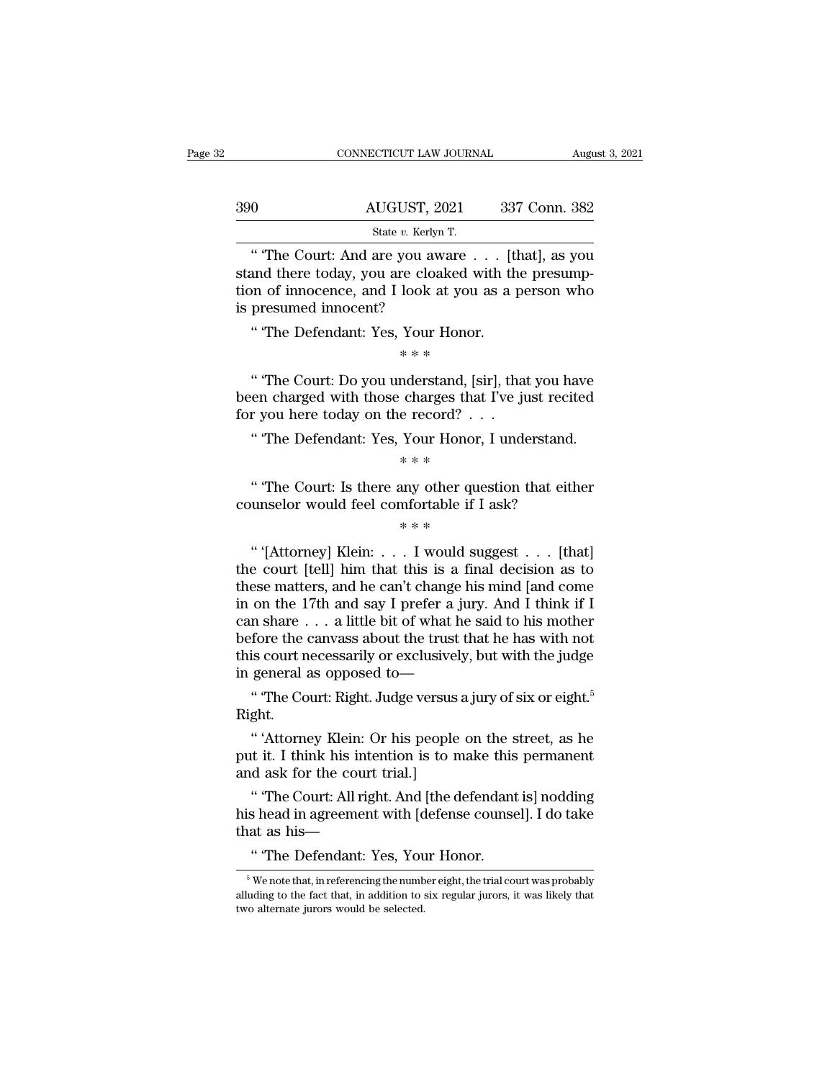|     | CONNECTICUT LAW JOURNAL                                                                                                                                   |               | August 3, 2021 |
|-----|-----------------------------------------------------------------------------------------------------------------------------------------------------------|---------------|----------------|
| 390 | AUGUST, 2021                                                                                                                                              | 337 Conn. 382 |                |
|     | State v. Kerlyn T.                                                                                                                                        |               |                |
|     | "The Court: And are you aware [that], as you<br>stand there today, you are cloaked with the presump-<br>tion of innoconce and Look at you as a norson who |               |                |

State v. Kerlyn T.<br>
State v. Kerlyn T.<br>
"The Court: And are you aware . . . [that], as you stand there today, you are cloaked with the presump-<br>
tion of innocence, and I look at you as a person who 390 AUGUST, 2021 337 Conn. 382<br>
State v. Kerlyn T.<br>
"The Court: And are you aware . . . [that], as you stand there today, you are cloaked with the presumption of innocence, and I look at you as a person who is presumed in  $\begin{tabular}{ll} \bf 390 & \tt AUGUST, 20 \\ & \tt state \it v. \; Kerlyn \\ \hline \end{tabular}$  <br> " The Court: And are you aw stand there today, you are cloal<br>tion of innocence, and I look a<br>is presumed innocent? " The Defendant: Yes, Your I State v. Kerlyn T.<br>
"The Court: And are you aware . . . [t]<br>
und there today, you are cloaked with the<br>
nom of innocence, and I look at you as a presumed innocent?<br>
"The Defendant: Yes, Your Honor.<br>
\*\*\* %<br>re cloaked wire cloaked wire look at you a<br>Nour Honor.<br>\* \* \*<br>mderstand, [sire %<br>
and there today, you are cloaked with the presump-<br>
on of innocence, and I look at you as a person who<br>
presumed innocent?<br>
"The Defendant: Yes, Your Honor.<br>
\*\*\*<br>
"The Court: Do you understand, [sir], that you have<br>
en

tion of innocence, and I look at you as a person who<br>is presumed innocent?<br>"The Defendant: Yes, Your Honor.<br>\*\*\*<br>"The Court: Do you understand, [sir], that you have<br>been charged with those charges that I've just recited<br>for is presumed innocent?<br>
"The Defendant: Yes, Your Honor.<br>
\*\*\*<br>
"The Court: Do you understand, [sir], that<br>
been charged with those charges that I've ju<br>
for you here today on the record? . . .<br>
"The Defendant: Yes, Your Hon % The Defendant: Yes, Your Honor.<br>
\*\*\*<br>
"The Court: Do you understand, [sir], that you have<br>
en charged with those charges that I've just recited<br>
r you here today on the record? . . .<br>
"The Defendant: Yes, Your Honor, I u \* \* \*<br>nderstand, [si]<br>charges that<br>e record?<br>. .<br>Your Honor,<br>\* \* \* " The Court: Do you understand, [sir], that you have<br>en charged with those charges that I've just recited<br>r you here today on the record? . . .<br>"The Defendant: Yes, Your Honor, I understand.<br> $**$ <br>"The Court: Is there any o been charged with those charges that I've just recit<br>for you here today on the record? . . .<br>"The Defendant: Yes, Your Honor, I understand.<br>\*\*\*<br>"The Court: Is there any other question that eith<br>counselor would feel comfor

e record?<br>Your Honor,<br>\* \* \*<br>any other ques<br>mfortable if I<br>\* \* \*

The Detendant: Tes, Tour Honor, I understand.<br>
\*\*\*<br>
"The Court: Is there any other question that either<br>
unselor would feel comfortable if I ask?<br>
\*\*\*<br>
"'(Attorney] Klein: . . . I would suggest . . . [that]<br>
e court [tell] <sup>\*</sup> \* \*<br>
"The Court: Is there any other question that either<br>
counselor would feel comfortable if I ask?<br>  $* * *$ <br>
"'[Attorney] Klein: . . . I would suggest . . . [that]<br>
the court [tell] him that this is a final decision a "The Court: Is there any other question that either<br>
counselor would feel comfortable if I ask?<br>  $**$ <br>
"'(Attorney) Klein: . . . I would suggest . . . [that]<br>
the court [tell] him that this is a final decision as to<br>
these Fine counselor would feel comfortable if I ask?<br>  $**$ <br>
"(Attorney) Klein: . . . I would suggest . . . [that]<br>
the court [tell] him that this is a final decision as to<br>
these matters, and he can't change his mind [and come<br> <sup>\*</sup> "(Attorney] Klein: . . . I would suggest . . . [that]<br>the court [tell] him that this is a final decision as to<br>these matters, and he can't change his mind [and come<br>in on the 17th and say I prefer a jury. And I think " "(Attorney) Klein: . . . I would suggest . . . [that]<br>the court [tell] him that this is a final decision as to<br>these matters, and he can't change his mind [and come<br>in on the 17th and say I prefer a jury. And I think if "'(Attorney] Klein: . . . I would suggest . . . [that]<br>the court [tell] him that this is a final decision as to<br>these matters, and he can't change his mind [and come<br>in on the 17th and say I prefer a jury. And I think if the court [tell] him that this is a final decision<br>these matters, and he can't change his mind [and<br>in on the 17th and say I prefer a jury. And I th<br>can share  $\dots$  a little bit of what he said to his i<br>before the canvass ese matters, and he can't change his mind [and come<br>
on the 17th and say I prefer a jury. And I think if I<br>
n share . . . a little bit of what he said to his mother<br>
fore the canvass about the trust that he has with not<br>
i The state of the call that he based to the street fore the canvass about the trust that he has with not<br>is court necessarily or exclusively, but with the judge<br>general as opposed to—<br>"The Court: Right. Judge versus a jury

Right.

put it. I think his intention is to make the mass what here<br>it is court necessarily or exclusively, but with the judge<br>in general as opposed to—<br>"The Court: Right. Judge versus a jury of six or eight.<sup>5</sup><br>Right.<br>"Attorney K and solut recessarity of enclusively<br>in general as opposed to—<br>"The Court: Right. Judge versus a<br>Right.<br>"Attorney Klein: Or his people<br>put it. I think his intention is to m<br>and ask for the court trial.]<br>"The Court: All rig " The Court: Right. Judge versus a jury of six or eight.<sup>5</sup><br>ght.<br>"'Attorney Klein: Or his people on the street, as he<br>it it. I think his intention is to make this permanent<br>d ask for the court trial.]<br>"The Court: All right Right.<br>
"Attorney Klein: Or his people on the street, as he<br>
put it. I think his intention is to make this permanent<br>
and ask for the court trial.]<br>
"The Court: All right. And [the defendant is] nodding<br>
his head in agreem " "Attorney Klein: Or his people<br>put it. I think his intention is to :<br>and ask for the court trial.]<br>" "The Court: All right. And [the his head in agreement with [defen<br>that as his—<br>" "The Defendant: Yes, Your Ho

put it. I think his intention is to make this permanent<br>and ask for the court trial.]<br>"The Court: All right. And [the defendant is] nodding<br>his head in agreement with [defense counsel]. I do take<br>that as his—<br>"The Defendan

" The Defendant: Yes, Your Honor.

his head in agreement with [defense counsel]. I do take<br>that as his—<br>"The Defendant: Yes, Your Honor.<br><sup>5</sup> We note that, in referencing the number eight, the trial court was probably<br>alluding to the fact that, in addition t  $3$  We note that, in referencing the number eight, the trial court was probably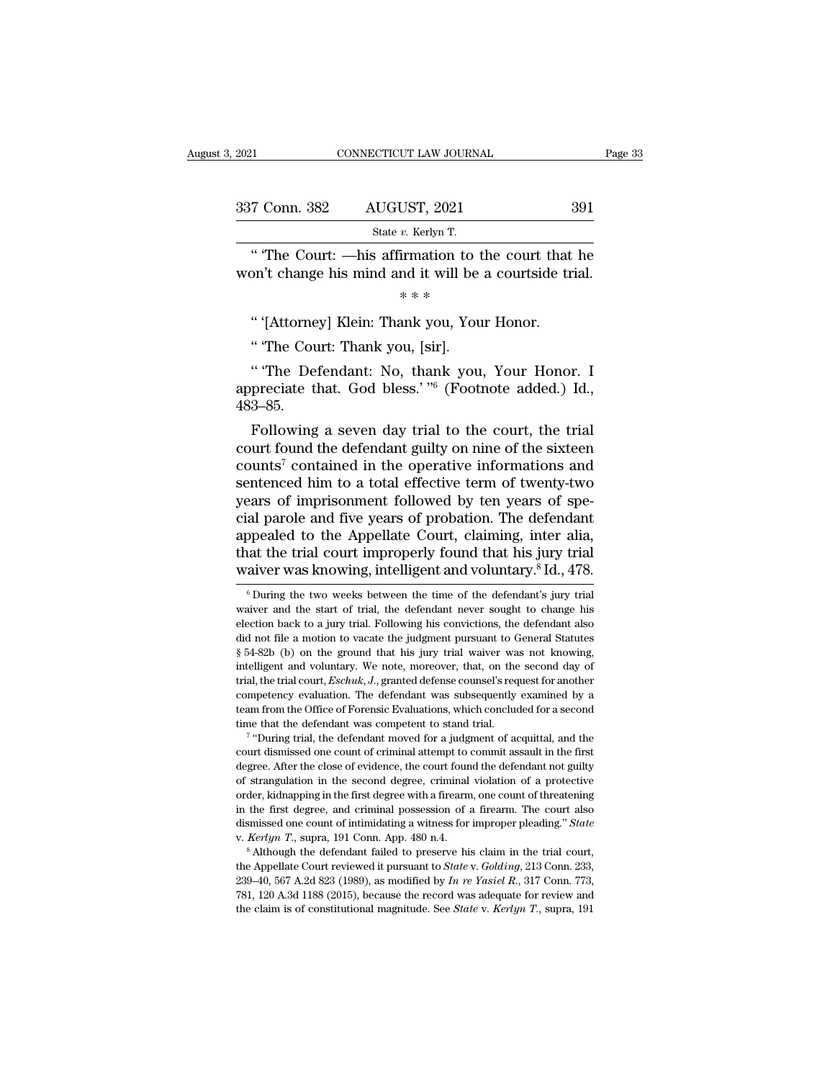| , 2021        | CONNECTICUT LAW JOURNAL                                                                                       | Page 33 |
|---------------|---------------------------------------------------------------------------------------------------------------|---------|
|               |                                                                                                               |         |
| 337 Conn. 382 | AUGUST, 2021                                                                                                  | 391     |
|               | State v. Kerlyn T.                                                                                            |         |
|               | "The Court: —his affirmation to the court that he<br>won't change his mind and it will be a court side trial. |         |
|               | * * *                                                                                                         |         |
|               | "'(Attorney) Klein: Thank you, Your Honor.                                                                    |         |
|               | "The Court: Thank you, [sir].                                                                                 |         |

" The Court: Thank you, [sir].<br>"The Defendant: No, thank you, Your Honor. I<br>appreciate that. God bless.'<sup>"6</sup> (Footnote added.) Id., Inc Court. —Ins annihidation to the court that he<br>on't change his mind and it will be a courtside trial.<br>
\*\*\*<br>
"'(Attorney] Klein: Thank you, Your Honor.<br>
"The Court: Thank you, [sir].<br>
"The Defendant: No, thank you, Your won't change his finite and it will be a coeffisite that.<br>
\*\*\*<br>
"Interverse." Thank you, Your Honor.<br>
"The Court: Thank you, [sir].<br>
"The Defendant: No, thank you, Your Honor. I<br>
appreciate that. God bless.' "6 (Footnote a 483–85. " ("Attorney] Klein: Thank you, Your Honor.<br>
" The Court: Thank you, [sir].<br>
" The Defendant: No, thank you, Your Honor. I<br>
preciate that. God bless.' "" (Footnote added.) Id.,<br>
3–85.<br>
Following a seven day trial to the c

" The Court: Thank you, [sir].<br>
"The Defendant: No, thank you, Your Honor. I<br>
appreciate that. God bless.' "<sup>6</sup> (Footnote added.) Id.,<br>
483–85.<br>
Following a seven day trial to the court, the trial<br>
court found the defenda "The Defendant: No, thank you, Your Honor. I<br>appreciate that. God bless.' "6 (Footnote added.) Id.,<br>483–85.<br>Following a seven day trial to the court, the trial<br>court found the defendant guilty on nine of the sixteen<br>count The Detendant: No, thank you, Your Honor. 1<br>appreciate that. God bless.'<sup>76</sup> (Footnote added.) Id.,<br>483–85.<br>Following a seven day trial to the court, the trial<br>court found the defendant guilty on nine of the sixteen<br>count appreciate that. God bless.  $\sim$  (Foothote added.) Id., 483–85.<br>Following a seven day trial to the court, the trial court found the defendant guilty on nine of the sixteen counts<sup>7</sup> contained in the operative informations 483–85.<br>Following a seven day trial to the court, the trial<br>court found the defendant guilty on nine of the sixteen<br>counts<sup>7</sup> contained in the operative informations and<br>sentenced him to a total effective term of twenty-tw Following a seven day trial to the court, the trial<br>court found the defendant guilty on nine of the sixteen<br>counts<sup>7</sup> contained in the operative informations and<br>sentenced him to a total effective term of twenty-two<br>years court found the defendant guilty on nine of the sixteen<br>counts<sup>7</sup> contained in the operative informations and<br>sentenced him to a total effective term of twenty-two<br>years of imprisonment followed by ten years of spe-<br>cial p counts<sup>7</sup> contained in the operative informations and sentenced him to a total effective term of twenty-two years of imprisonment followed by ten years of special parole and five years of probation. The defendant appealed al parole and five years of probation. The defendant<br>opealed to the Appellate Court, claiming, inter alia,<br>aat the trial court improperly found that his jury trial<br>aiver was knowing, intelligent and voluntary.<sup>8</sup> Id., 478 appealed to the Appellate Court, claiming, inter alia, that the trial court improperly found that his jury trial waiver was knowing, intelligent and voluntary.<sup>8</sup> Id., 478.<br>
Furing the two weeks between the time of the de

degree. After the close of evidence, the court found the competency evaluation. The defendant was subsequently examined by a team from the Office of Forensic Evaluations, which concluded for a second time that the defendan beam from the Office of Forensic Evaluations, which concluded for a second time that the defendant was competent to stand trial.<br>
<sup>7</sup> "During trial, the defendant moved for a judgment of acquittal, and the court dismissed time that the defendant was competent to stand trial.<br>
<sup>7</sup> "During trial, the defendant moved for a judgment of acquittal, and the court dismissed one count of criminal attempt to commit assault in the first degree. After <sup>7</sup> "During trial, the defendant moved for a judgment of acquittal, and the court dismissed one count of criminal attempt to commit assault in the first degree. After the close of evidence, the court found the defendant n dismissed one count of criminal attempt to commit assault in the first degree. After the close of evidence, the court found the defendant not guilty of strangulation in the second degree, criminal violation of a protective % of strangulation in the second degree, criminal violation of a protective order, kidnapping in the first degree with a firearm, one count of threatening in the first degree, and criminal possession of a firearm. The cou

in the first degree, and criminal possession of a firearm. The court also<br>dismissed one count of intimidating a witness for improper pleading." State<br>v. Kerlyn T., supra, 191 Conn. App. 480 n.4.<br><sup>8</sup> Although the defendant dismissed one count of intimidating a witness for improper pleading." State<br>v. Kerlyn T., supra, 191 Conn. App. 480 n.4.<br><sup>8</sup> Although the defendant failed to preserve his claim in the trial court,<br>the Appellate Court revi <sup>8</sup> Although the defendant failed to preserve his claim in the trial court,

That the trial court improperly found that his jury trial.<br>waiver was knowing, intelligent and voluntary.<sup>8</sup> Id., 478.<br><sup>6</sup> During the two weeks between the time of the defendant's jury trial waiver and the start of trial, waiver was knowing, intelligent and voluntary.<sup>8</sup> Id., 478.<br>
<sup>6</sup> During the two weeks between the time of the defendant's jury trial waiver and the start of trial, the defendant never sought to change his election back to Walver Was KHOWHIg, Intemperation VOIDITIATy. 10., 476.<br>
<sup>6</sup> During the two weeks between the time of the defendant's jury trial waiver and the start of trial, the defendant never sought to change his election back to a j <sup>6</sup> During the two weeks between the time of the defendant's jury trial waiver and the start of trial, the defendant never sought to change his election back to a jury trial. Following his convictions, the defendant also waiver and the start of trial, the defendant never sought to change his election back to a jury trial. Following his convictions, the defendant also did not file a motion to vacate the judgment pursuant to General Statutes election back to a jury trial. Following his convictions, the defendant also did not file a motion to vacate the judgment pursuant to General Statutes  $\S$  54-82b (b) on the ground that his jury trial waiver was not knowin did not file a motion to vacate the judgment pursuant to General Statutes  $\S$  54-82b (b) on the ground that his jury trial waiver was not knowing, intelligent and voluntary. We note, moreover, that, on the second day of t did not file a motion to vacate the judgment pursuant to General Statutes  $\S$  54-82b (b) on the ground that his jury trial waiver was not knowing, intelligent and voluntary. We note, moreover, that, on the second day of t <sup>1</sup> During trial, the note, moreover, that, on the second day of l, the trial court, *Eschuk*, *J*., granted defense counsel's request for another appetency evaluation. The defendant was subsequently examined by a m from Trial, the trial court, *Eschuk*, *J*., granted defense counsel's request for another competency evaluation. The defendant was subsequently examined by a team from the Office of Forensic Evaluations, which concluded for a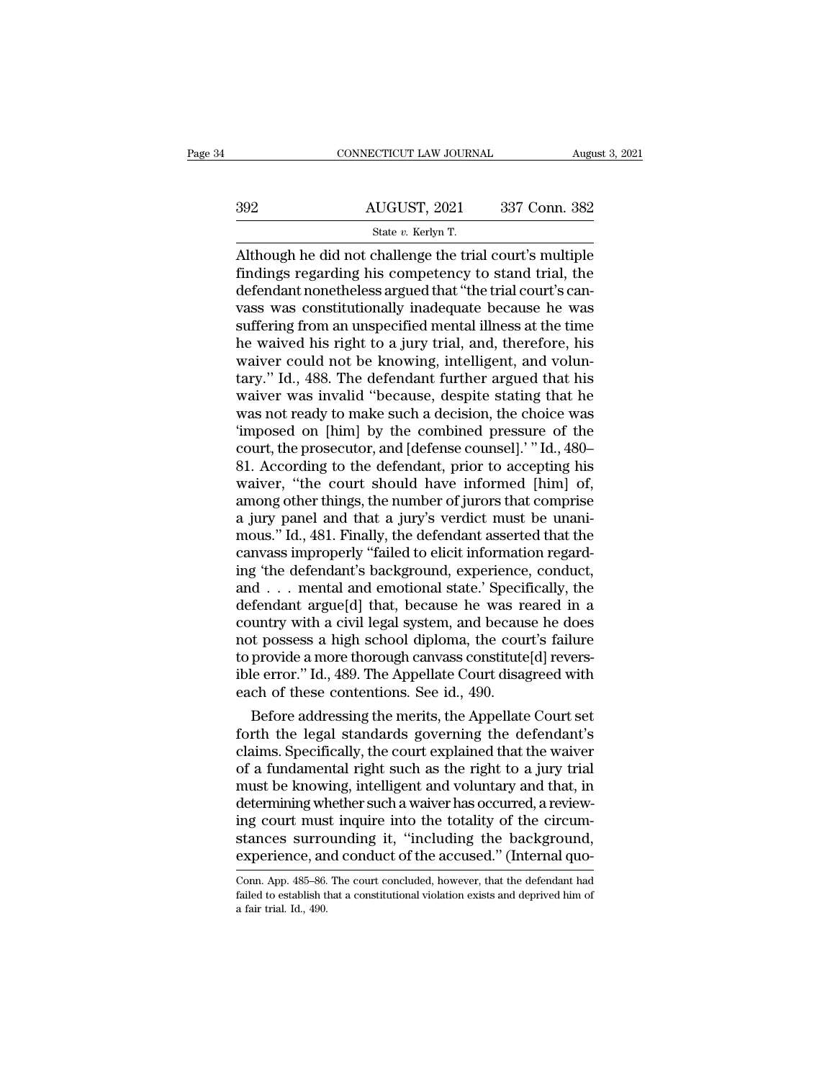|     | CONNECTICUT LAW JOURNAL                                  |               | August 3, 2021 |
|-----|----------------------------------------------------------|---------------|----------------|
|     |                                                          |               |                |
| 392 | AUGUST, 2021                                             | 337 Conn. 382 |                |
|     | State v. Kerlyn T.                                       |               |                |
|     | Although he did not challenge the trial court's multiple |               |                |

CONNECTICUT LAW JOURNAL August 3, 2021<br>
AUGUST, 2021 337 Conn. 382<br>
State v. Kerlyn T.<br>
Although he did not challenge the trial court's multiple<br>
findings regarding his competency to stand trial, the<br>
dofondant poncholoss Findings regarding his competency to stand trial, the defendant nonetheless argued that "the trial court's can-<br>was was constitutionally inadequate because he was  $\frac{\text{dUGUST, 2021}}{\text{State } v. \text{ Kerlyn T.}}$ <br>Although he did not challenge the trial court's multiple findings regarding his competency to stand trial, the defendant nonetheless argued that "the trial court's can-<br>vass was constitut  $\frac{\text{AUGUST, 2021}}{\text{State } v. \text{ Kerlyn T.}}$ <br>
Although he did not challenge the trial court's multiple<br>
findings regarding his competency to stand trial, the<br>
defendant nonetheless argued that "the trial court's can-<br>
vass was consti State v. Kerlyn T.<br>State v. Kerlyn T.<br>Although he did not challenge the trial court's multiple<br>findings regarding his competency to stand trial, the<br>defendant nonetheless argued that "the trial court's can-<br>vass was const State v. Kerlyn T.<br>
Although he did not challenge the trial court's multiple<br>
findings regarding his competency to stand trial, the<br>
defendant nonetheless argued that "the trial court's can-<br>
vass was constitutionally ina Although he did not challenge the trial court's multiple<br>findings regarding his competency to stand trial, the<br>defendant nonetheless argued that "the trial court's can-<br>vass was constitutionally inadequate because he was<br>s findings regarding his competency to stand trial, the<br>defendant nonetheless argued that "the trial court's can-<br>vass was constitutionally inadequate because he was<br>suffering from an unspecified mental illness at the time<br>h defendant nonetheless argued that "the trial court's can-<br>vass was constitutionally inadequate because he was<br>suffering from an unspecified mental illness at the time<br>he waived his right to a jury trial, and, therefore, hi vass was constitutionally inadequate because he was<br>suffering from an unspecified mental illness at the time<br>he waived his right to a jury trial, and, therefore, his<br>waiver could not be knowing, intelligent, and volun-<br>tar suffering from an unspecified mental illness at the time<br>
he waived his right to a jury trial, and, therefore, his<br>
waiver could not be knowing, intelligent, and volun-<br>
tary.'' Id., 488. The defendant further argued that he waived his right to a jury trial, and, therefore, his<br>waiver could not be knowing, intelligent, and volun-<br>tary." Id., 488. The defendant further argued that his<br>waiver was invalid "because, despite stating that he<br>was waiver could not be knowing, intelligent, and voluntary." Id., 488. The defendant further argued that his waiver was invalid "because, despite stating that he was not ready to make such a decision, the choice was 'imposed tary." Id., 488. The defendant further argued that his<br>waiver was invalid "because, despite stating that he<br>was not ready to make such a decision, the choice was<br>"imposed on [him] by the combined pressure of the<br>court, the waiver was invalid "because, despite stating that he<br>was not ready to make such a decision, the choice was<br>"imposed on [him] by the combined pressure of the<br>court, the prosecutor, and [defense counsel]." Id., 480–<br>81. Acco was not ready to make such a decision, the choice was<br>
"imposed on [him] by the combined pressure of the<br>
court, the prosecutor, and [defense counsel]." Id., 480–<br>
81. According to the defendant, prior to accepting his<br>
wa ""<br>
"imposed on [him] by the combined pressure of the<br>
court, the prosecutor, and [defense counsel]." "Id., 480–<br>
81. According to the defendant, prior to accepting his<br>
waiver, "the court should have informed [him] of,<br>
a court, the prosecutor, and [defense counsel].' "Id., 480–81. According to the defendant, prior to accepting his waiver, "the court should have informed [him] of, among other things, the number of jurors that comprise a jur 81. According to the defendant, prior to accepting his<br>waiver, "the court should have informed [him] of,<br>among other things, the number of jurors that comprise<br>a jury panel and that a jury's verdict must be unani-<br>mous." I waiver, "the court should have informed [him] of,<br>among other things, the number of jurors that comprise<br>a jury panel and that a jury's verdict must be unani-<br>mous." Id., 481. Finally, the defendant asserted that the<br>canva among other things, the number of jurors that comprise<br>a jury panel and that a jury's verdict must be unani-<br>mous." Id., 481. Finally, the defendant asserted that the<br>canvass improperly "failed to elicit information regard a jury panel and that a jury's verdict must be unani-<br>mous." Id., 481. Finally, the defendant asserted that the<br>canvass improperly "failed to elicit information regard-<br>ing 'the defendant's background, experience, conduct, mous." Id., 481. Finally, the defendant asserted that the canvass improperly "failed to elicit information regard-<br>ing 'the defendant's background, experience, conduct,<br>and . . . mental and emotional state.' Specifically, canvass improperly "failed to elicit information regarding 'the defendant's background, experience, conduct, and . . . mental and emotional state.' Specifically, the defendant argue[d] that, because he was reared in a cou ing 'the defendant's background, experience, conduct,<br>and . . . mental and emotional state.' Specifically, the<br>defendant argue[d] that, because he was reared in a<br>country with a civil legal system, and because he does<br>not and . . . mental and emotional state.' Specif<br>defendant argue[d] that, because he was recountry with a civil legal system, and becaus<br>not possess a high school diploma, the counto provide a more thorough canvass constitute rendant argue[d] that, because he was reared in a<br>untry with a civil legal system, and because he does<br>t possess a high school diploma, the court's failure<br>provide a more thorough canvass constitute[d] revers-<br>le error." I country with a civil legal system, and because he does<br>not possess a high school diploma, the court's failure<br>to provide a more thorough canvass constitute[d] revers-<br>ible error." Id., 489. The Appellate Court disagreed wi

not possess a nigh school diploma, the court's failure<br>to provide a more thorough canvass constitute[d] revers-<br>ible error." Id., 489. The Appellate Court disagreed with<br>each of these contentions. See id., 490.<br>Before addr to provide a more thorough canvass constitute[d] reversible error." Id., 489. The Appellate Court disagreed with<br>each of these contentions. See id., 490.<br>Before addressing the merits, the Appellate Court set<br>forth the lega ible error." Id., 489. The Appellate Court disagreed with<br>each of these contentions. See id., 490.<br>Before addressing the merits, the Appellate Court set<br>forth the legal standards governing the defendant's<br>claims. Specifica each of these contentions. See id., 490.<br>Before addressing the merits, the Appellate Court set<br>forth the legal standards governing the defendant's<br>claims. Specifically, the court explained that the waiver<br>of a fundamental Before addressing the merits, the Appellate Court set<br>forth the legal standards governing the defendant's<br>claims. Specifically, the court explained that the waiver<br>of a fundamental right such as the right to a jury trial<br>m forth the legal standards governing the defendant's<br>claims. Specifically, the court explained that the waiver<br>of a fundamental right such as the right to a jury trial<br>must be knowing, intelligent and voluntary and that, in claims. Specifically, the court explained that the waiver<br>of a fundamental right such as the right to a jury trial<br>must be knowing, intelligent and voluntary and that, in<br>determining whether such a waiver has occurred, a r determining whether such a waiver has occurred, a review-<br>ing court must inquire into the totality of the circum-<br>stances surrounding it, "including the background,<br>experience, and conduct of the accused." (Internal quo-<br>C ing court must inquire into the totality of the circum-<br>stances surrounding it, "including the background,<br>experience, and conduct of the accused." (Internal quo-<br>Conn. App. 485–86. The court concluded, however, that the d stances surro<br>experience, an<br>Conn. App. 485–86.<br>failed to establish ti<br>a fair trial. Id., 490.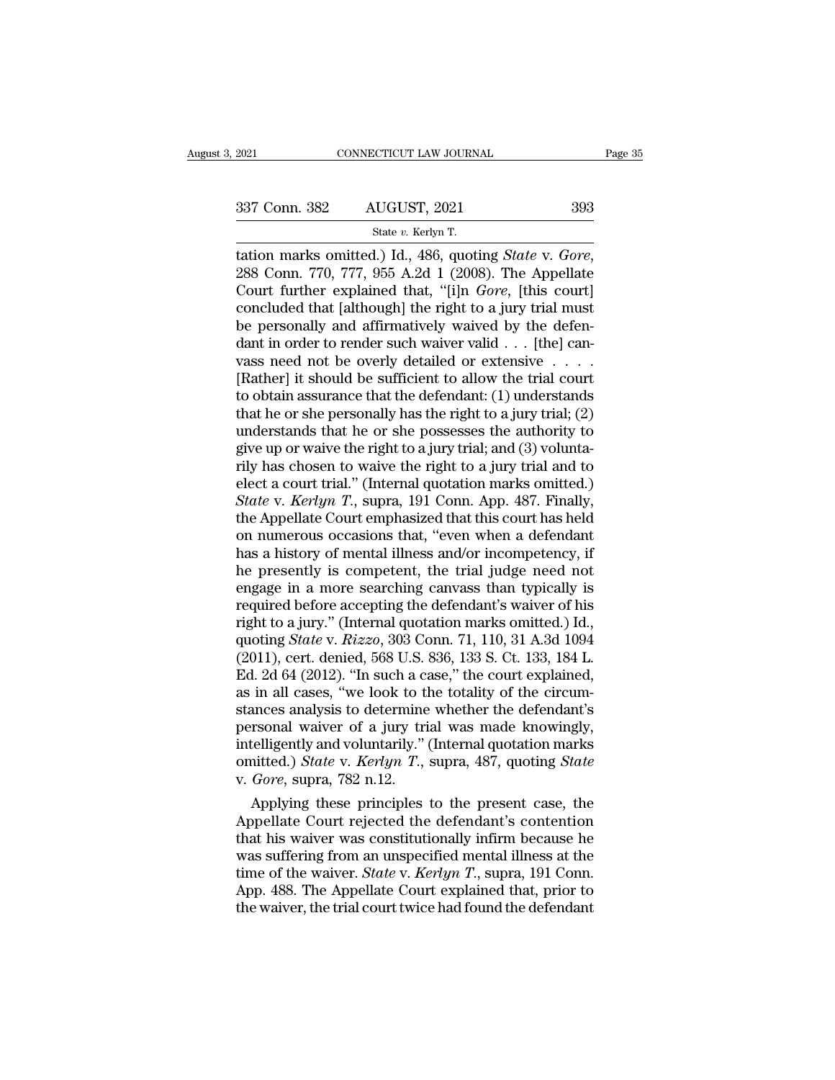SCTICUT LAW JOURN.<br><u>LUGUST, 2021<br>State v. Kerlyn T.</u><br>1 ) Id. 486 quoti tation marks omitted.) Id., 486, quoting *State* v. *Gore*, 288 Conn. 770, 777, 955 A.2d 1 (2008). The Appellate Court further explained that, "[i]n *Gore*, [this court]<br>concluded that [although] the right to a jury trial 337 Conn. 382 AUGUST, 2021 393<br>
State v. Kerlyn T.<br>
tation marks omitted.) Id., 486, quoting *State v. Gore*,<br>
288 Conn. 770, 777, 955 A.2d 1 (2008). The Appellate<br>
Court further explained that, "[i]n *Gore*, [this court] 337 Conn. 382 AUGUST, 2021 393<br>
State v. Kerlyn T.<br>
tation marks omitted.) Id., 486, quoting *State* v. *Gore*,<br>
288 Conn. 770, 777, 955 A.2d 1 (2008). The Appellate<br>
Court further explained that, "[i]n *Gore*, [this cour Solution marks omitted.) Id., 486, quoting *State v. Gore*, 288 Conn. 770, 777, 955 A.2d 1 (2008). The Appellate Court further explained that, "[i]n *Gore*, [this court] concluded that [although] the right to a jury trial State v. Kerlyn T.<br>
tation marks omitted.) Id., 486, quoting *State* v. *Gore*,<br>
288 Conn. 770, 777, 955 A.2d 1 (2008). The Appellate<br>
Court further explained that, "[i]n *Gore*, [this court]<br>
concluded that [although] th tation marks omitted.) Id., 486, quoting *State* v. *Gore*, 288 Conn. 770, 777, 955 A.2d 1 (2008). The Appellate Court further explained that, "[i]n *Gore*, [this court] concluded that [although] the right to a jury trial 288 Conn. 770, 777, 955 A.2d 1 (2008). The Appellate<br>Court further explained that, "[i]n *Gore*, [this court]<br>concluded that [although] the right to a jury trial must<br>be personally and affirmatively waived by the defen-<br>d Court further explained that, "[i]n *Gore*, [this court]<br>concluded that [although] the right to a jury trial must<br>be personally and affirmatively waived by the defen-<br>dant in order to render such waiver valid . . . [the] concluded that [although] the right to a jury trial must<br>be personally and affirmatively waived by the defen-<br>dant in order to render such waiver valid . . . [the] can-<br>vass need not be overly detailed or extensive . . . be personally and affirmatively waived by the defendant in order to render such waiver valid . . . [the] can-<br>vass need not be overly detailed or extensive . . . . .<br>[Rather] it should be sufficient to allow the trial cou dant in order to render such waiver valid . . . [the] can-<br>vass need not be overly detailed or extensive . . . . .<br>[Rather] it should be sufficient to allow the trial court<br>to obtain assurance that the defendant: (1) unde rily has chosen to waive the right to a jury trial and to [Rather] it should be sufficient to allow the trial court<br>to obtain assurance that the defendant: (1) understands<br>that he or she personally has the right to a jury trial; (2)<br>understands that he or she possesses the autho to obtain assurance that the defendant: (1) understands<br>that he or she personally has the right to a jury trial; (2)<br>understands that he or she possesses the authority to<br>give up or waive the right to a jury trial; and (3) that he or she personally has the right to a jury trial; (2) understands that he or she possesses the authority to give up or waive the right to a jury trial; and (3) voluntarily has chosen to waive the right to a jury tr understands that he or she possesses the authority to<br>give up or waive the right to a jury trial; and (3) volunta-<br>rily has chosen to waive the right to a jury trial and to<br>elect a court trial." (Internal quotation marks give up or waive the right to a jury trial; and (3) volunta-<br>rily has chosen to waive the right to a jury trial and to<br>elect a court trial." (Internal quotation marks omitted.)<br>State v. Kerlyn T., supra, 191 Conn. App. 48 rily has chosen to waive the right to a jury trial and to<br>elect a court trial." (Internal quotation marks omitted.)<br>State v. Kerlyn T., supra, 191 Conn. App. 487. Finally,<br>the Appellate Court emphasized that this court has elect a court trial." (Internal quotation marks omitted.)<br> *State v. Kerlyn T.*, supra, 191 Conn. App. 487. Finally,<br>
the Appellate Court emphasized that this court has held<br>
on numerous occasions that, "even when a defen State v. Kerlyn T., supra, 191 Conn. App. 487. Finally,<br>the Appellate Court emphasized that this court has held<br>on numerous occasions that, "even when a defendant<br>has a history of mental illness and/or incompetency, if<br>he the Appellate Court emphasized that this court has held<br>on numerous occasions that, "even when a defendant<br>has a history of mental illness and/or incompetency, if<br>he presently is competent, the trial judge need not<br>engage on numerous occasions that, "even when a defendant<br>has a history of mental illness and/or incompetency, if<br>he presently is competent, the trial judge need not<br>engage in a more searching canvass than typically is<br>required b has a history of mental illness and/or incompetency, if<br>the presently is competent, the trial judge need not<br>engage in a more searching canvass than typically is<br>required before accepting the defendant's waiver of his<br>righ he presently is competent, the trial judge need not<br>engage in a more searching canvass than typically is<br>required before accepting the defendant's waiver of his<br>right to a jury." (Internal quotation marks omitted.) Id.,<br>qu engage in a more searching canvass than typically is<br>required before accepting the defendant's waiver of his<br>right to a jury." (Internal quotation marks omitted.) Id.,<br>quoting *State* v.  $Rizzo$ , 303 Conn. 71, 110, 31 A.3d 1 required before accepting the defendant's waiver of his<br>right to a jury." (Internal quotation marks omitted.) Id.,<br>quoting *State* v. *Rizzo*, 303 Conn. 71, 110, 31 A.3d 1094<br>(2011), cert. denied, 568 U.S. 836, 133 S. Ct. right to a jury." (Internal quotation marks omitted.) Id.,<br>quoting *State* v. *Rizzo*, 303 Conn. 71, 110, 31 A.3d 1094<br>(2011), cert. denied, 568 U.S. 836, 133 S. Ct. 133, 184 L.<br>Ed. 2d 64 (2012). "In such a case," the cou quoting *State* v. *Rizzo*, 303 Conn. 71, 110, 31 A.3d 1094 (2011), cert. denied, 568 U.S. 836, 133 S. Ct. 133, 184 L.<br>Ed. 2d 64 (2012). "In such a case," the court explained, as in all cases, "we look to the totality of (2011), cert. denied, 568 U.S. 836, 133 S. Ct. 133, 184 L.<br>Ed. 2d 64 (2012). "In such a case," the court explained,<br>as in all cases, "we look to the totality of the circum-<br>stances analysis to determine whether the defenda Ed. 2d 64 (2012). "In such a case in all cases, "we look to the stances analysis to determine personal waiver of a jury trintelligently and voluntarily." (omitted.) *State v. Kerlyn T.*, v. *Gore*, supra, 782 n.12. Applyin In all cases, "we look to the totality of the circum-<br>ances analysis to determine whether the defendant's<br>rsonal waiver of a jury trial was made knowingly,<br>telligently and voluntarily." (Internal quotation marks<br>aitted.) stances analysis to determine whether the defendant's<br>personal waiver of a jury trial was made knowingly,<br>intelligently and voluntarily." (Internal quotation marks<br>omitted.) *State* v. *Kerlyn T.*, supra, 487, quoting *Sta* 

personal waiver of a jury trial was made knowingly,<br>intelligently and voluntarily." (Internal quotation marks<br>omitted.) *State v. Kerlyn T.*, supra, 487, quoting *State*<br>v. *Gore*, supra, 782 n.12.<br>Applying these principle intelligently and voluntarily." (internal quotation marks<br>
omitted.) *State* v. *Kerlyn T.*, supra, 487, quoting *State*<br>
v. *Gore*, supra, 782 n.12.<br>
Applying these principles to the present case, the<br>
Appellate Court re omitted.) *State* v. *Kerlyn T.*, supra, 487, quoting *State* v. *Gore*, supra, 782 n.12.<br>
Applying these principles to the present case, the<br>
Appellate Court rejected the defendant's contention<br>
that his waiver was consti v. Gore, supra, 782 n.12.<br>Applying these principles to the present case, the<br>Appellate Court rejected the defendant's contention<br>that his waiver was constitutionally infirm because he<br>was suffering from an unspecified ment Applying these principles to the present case, the Appellate Court rejected the defendant's contention that his waiver was constitutionally infirm because he was suffering from an unspecified mental illness at the time of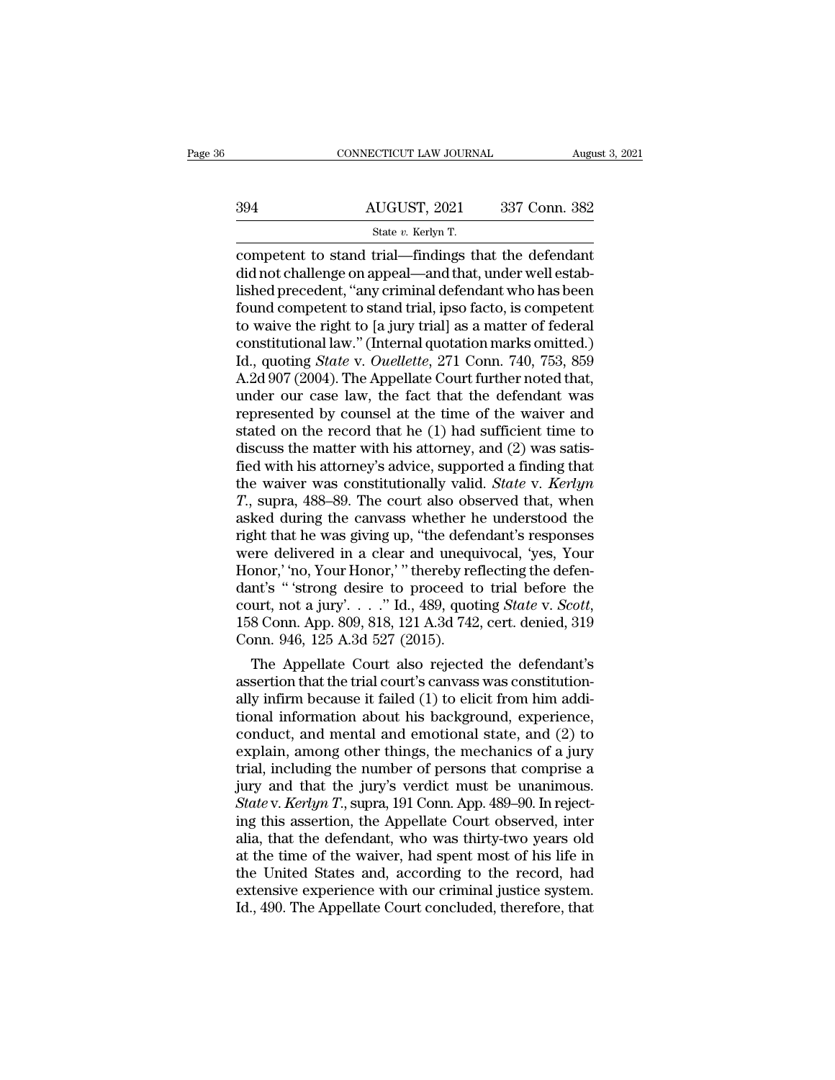# CONNECTICUT LAW JOURNAL August 3, 2021<br>394 AUGUST, 2021 337 Conn. 382<br>394 State v. Kerlyn T. <u>:CTICUT LAW JOURN.<br>UGUST, 2021<br>State v. Kerlyn T.<br>trial—findings th</u>

### CONNECTICUT LAW JOURNAL August 3, 202<br>
394 AUGUST, 2021 337 Conn. 382<br>
5tate v. Kerlyn T.<br>
competent to stand trial—findings that the defendant<br>
did not challenge on appeal—and that, under well established procedent "any c did a did not challenge on appeal—and that, under well estab-<br>dished precedent, "any criminal defendant who has been<br>found competent to stand trial—findings that the defendant<br>found competent to stand trial, inso facto, is 394 AUGUST, 2021 337 Conn. 382<br>
State v. Kerlyn T.<br>
competent to stand trial—findings that the defendant<br>
did not challenge on appeal—and that, under well estab-<br>
lished precedent, "any criminal defendant who has been<br>
fo  $\frac{\text{AUGUST, 2021}}{\text{State } v. \text{ Kerlyn T.}}$ <br>
competent to stand trial—findings that the defendant<br>
did not challenge on appeal—and that, under well estab-<br>
lished precedent, "any criminal defendant who has been<br>
found competent to s State v. Kerlyn T.<br>
State v. Kerlyn T.<br>
competent to stand trial—findings that the defendant<br>
did not challenge on appeal—and that, under well estab-<br>
lished precedent, "any criminal defendant who has been<br>
found competen state v. Kerlyn T.<br>
competent to stand trial—findings that the defendant<br>
did not challenge on appeal—and that, under well estab-<br>
lished precedent, "any criminal defendant who has been<br>
found competent to stand trial, ip competent to stand trial—findings that the defendant<br>did not challenge on appeal—and that, under well estab-<br>lished precedent, "any criminal defendant who has been<br>found competent to stand trial, ipso facto, is competent<br>t did not challenge on appeal—and that, under well established precedent, "any criminal defendant who has been<br>found competent to stand trial, ipso facto, is competent<br>to waive the right to [a jury trial] as a matter of fede lished precedent, "any criminal defendant who has been<br>found competent to stand trial, ipso facto, is competent<br>to waive the right to [a jury trial] as a matter of federal<br>constitutional law." (Internal quotation marks om found competent to stand trial, ipso facto, is competent<br>to waive the right to [a jury trial] as a matter of federal<br>constitutional law." (Internal quotation marks omitted.)<br>Id., quoting *State* v. *Ouellette*, 271 Conn. to waive the right to [a jury trial] as a matter of federal constitutional law." (Internal quotation marks omitted.)<br>Id., quoting *State* v. *Ouellette*, 271 Conn. 740, 753, 859<br>A.2d 907 (2004). The Appellate Court furthe constitutional law." (Internal quotation marks omitted.)<br>Id., quoting *State* v. *Ouellette*, 271 Conn. 740, 753, 859<br>A.2d 907 (2004). The Appellate Court further noted that,<br>under our case law, the fact that the defendan Id., quoting *State* v. *Ouellette*, 271 Conn. 740, 753, 859<br>A.2d 907 (2004). The Appellate Court further noted that,<br>under our case law, the fact that the defendant was<br>represented by counsel at the time of the waiver an A.2d 907 (2004). The Appellate Court further noted that,<br>under our case law, the fact that the defendant was<br>represented by counsel at the time of the waiver and<br>stated on the record that he (1) had sufficient time to<br>disc

under our case law, the fact that the defendant was<br>represented by counsel at the time of the waiver and<br>stated on the record that he (1) had sufficient time to<br>discuss the matter with his attorney, and (2) was satis-<br>fied represented by counsel at the time of the waiver and<br>stated on the record that he (1) had sufficient time to<br>discuss the matter with his attorney, and (2) was satis-<br>fied with his attorney's advice, supported a finding th stated on the record that he (1) had sufficient time to<br>discuss the matter with his attorney, and (2) was satis-<br>fied with his attorney's advice, supported a finding that<br>the waiver was constitutionally valid. *State* v. discuss the matter with his attorney, and (2) was satis-<br>fied with his attorney's advice, supported a finding that<br>the waiver was constitutionally valid. *State* v. *Kerlyn*<br>T., supra, 488–89. The court also observed that, fied with his attorney's advice, supported a finding that<br>the waiver was constitutionally valid. *State* v. *Kerlyn*<br>T., supra, 488–89. The court also observed that, when<br>asked during the canvass whether he understood the<br> the waiver was constitutionally valid. *State* v. *Kerlyn T.*, supra, 488–89. The court also observed that, when asked during the canvass whether he understood the right that he was giving up, "the defendant's responses T., supra, 488–89. The court also observed that, when asked during the canvass whether he understood the right that he was giving up, "the defendant's responses were delivered in a clear and unequivocal, 'yes, Your Honor,' right that he was giving up, "the deferment were delivered in a clear and unequel Honor," no, Your Honor," thereby redant's "trong desire to proceed to court, not a jury'...." Id., 489, quot 158 Conn. App. 809, 818, 121 A. ere delivered in a clear and unequivocal, 'yes, Your<br>phor,' 'no, Your Honor,' " thereby reflecting the defen-<br>nt's " 'strong desire to proceed to trial before the<br>urt, not a jury'. . . . " Id., 489, quoting *State* v. *Sc* Honor, 'no, Your Honor,' "thereby reflecting the defendant's "'strong desire to proceed to trial before the court, not a jury'..." Id., 489, quoting *State v. Scott*, 158 Conn. App. 809, 818, 121 A.3d 742, cert. denied, 3

dant s  $\degree$  strong desire to proceed to trial before the<br>court, not a jury'...." Id., 489, quoting *State* v. *Scott*,<br>158 Conn. App. 809, 818, 121 A.3d 742, cert. denied, 319<br>Conn. 946, 125 A.3d 527 (2015).<br>The Appellate court, not a jury  $\ldots$  and  $\ldots$  and  $\sim$  10.489, quoting *State v. Scott*, 158 Conn. App. 809, 818, 121 A.3d 742, cert. denied, 319 Conn. 946, 125 A.3d 527 (2015).<br>The Appellate Court also rejected the defendant's asser 158 Conn. App. 809, 818, 121 A.3d 742, cert. denied, 319<br>Conn. 946, 125 A.3d 527 (2015).<br>The Appellate Court also rejected the defendant's<br>assertion that the trial court's canvass was constitution-<br>ally infirm because it f Conn. 946, 125 A.3d 527 (2015).<br>
The Appellate Court also rejected the defendant's<br>
assertion that the trial court's canvass was constitution-<br>
ally infirm because it failed (1) to elicit from him addi-<br>
tional informatio The Appellate Court also rejected the defendant's<br>assertion that the trial court's canvass was constitution-<br>ally infirm because it failed (1) to elicit from him addi-<br>tional information about his background, experience,<br> assertion that the trial court's canvass was constitution-<br>ally infirm because it failed (1) to elicit from him addi-<br>tional information about his background, experience,<br>conduct, and mental and emotional state, and (2) to ally infirm because it failed (1) to elicit from him additional information about his background, experience, conduct, and mental and emotional state, and (2) to explain, among other things, the mechanics of a jury trial, tional information about his background, experience,<br>conduct, and mental and emotional state, and (2) to<br>explain, among other things, the mechanics of a jury<br>trial, including the number of persons that comprise a<br>jury and conduct, and mental and emotional state, and (2) to<br>explain, among other things, the mechanics of a jury<br>trial, including the number of persons that comprise a<br>jury and that the jury's verdict must be unanimous.<br>*State* v. explain, among other things, the mechanics of a jury<br>trial, including the number of persons that comprise a<br>jury and that the jury's verdict must be unanimous.<br>State v. Kerlyn T., supra, 191 Conn. App. 489–90. In reject-<br>i trial, including the number of persons that comprise a<br>jury and that the jury's verdict must be unanimous.<br>*State* v. *Kerlyn T*., supra, 191 Conn. App. 489–90. In reject-<br>ing this assertion, the Appellate Court observed, jury and that the jury's verdict must be unanimous.<br>Statev. Kerlyn T., supra, 191 Conn. App. 489–90. In reject-<br>ing this assertion, the Appellate Court observed, inter<br>alia, that the defendant, who was thirty-two years old State v. Kerlyn T., supra, 191 Conn. App. 489–90. In rejecting this assertion, the Appellate Court observed, interalia, that the defendant, who was thirty-two years old at the time of the waiver, had spent most of his life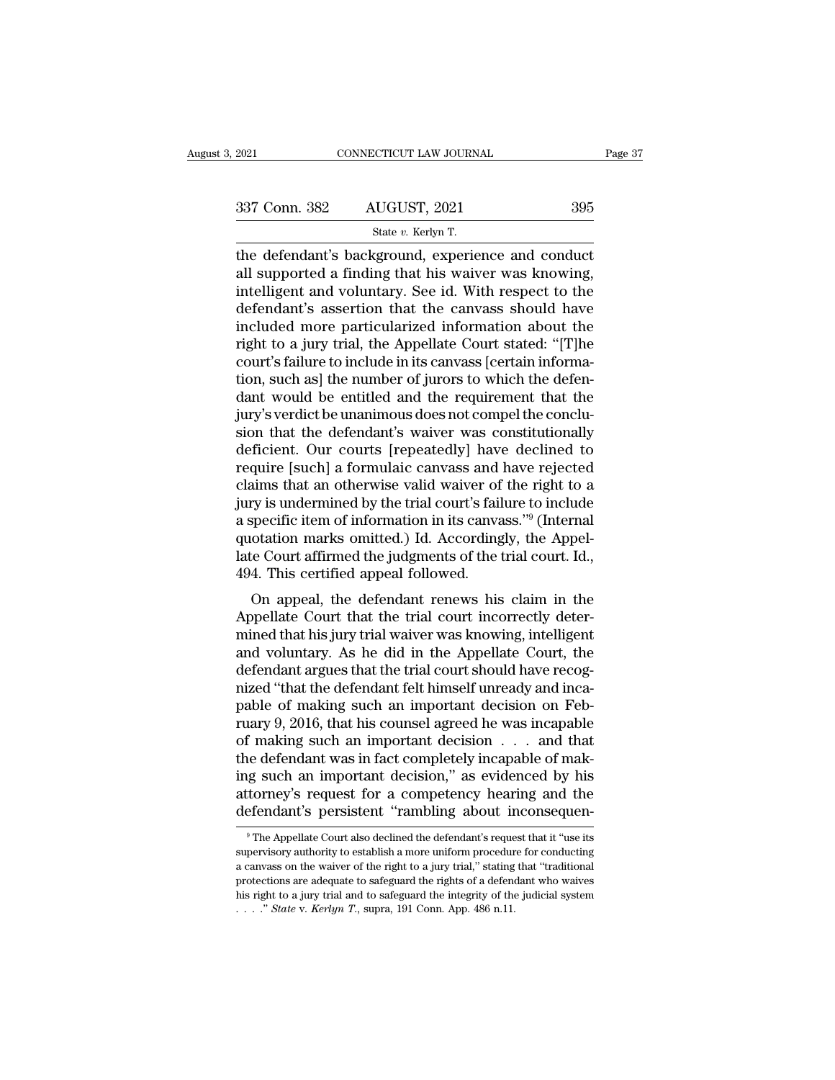| 2021          | CONNECTICUT LAW JOURNAL                           | Page 37 |  |
|---------------|---------------------------------------------------|---------|--|
| 337 Conn. 382 | AUGUST, 2021                                      | 395     |  |
|               | State v. Kerlyn T.                                |         |  |
|               | the defendant's background experience and conduct |         |  |

 $\begin{array}{r|l} \text{2021} & \text{CONRECTICUT LAW JOURNAL} & \text{Page 3'} \ \hline \text{337 Conn. } 382 & \text{AUGUST, 2021} & 395 \ \hline \text{State } v. \text{ Kerlyn T.} \ \hline \text{the defendant's background, experience and conduct all supported a finding that his wavier was knowing, installation, and voluntary. } \text{So, id. With respect to the model.} \end{array}$ 337 Conn. 382 AUGUST, 2021 395<br>
State v. Kerlyn T.<br>
the defendant's background, experience and conduct<br>
all supported a finding that his waiver was knowing,<br>
intelligent and voluntary. See id. With respect to the<br>
defendan 337 Conn. 382 AUGUST, 2021 395<br>
State v. Kerlyn T.<br>
the defendant's background, experience and conduct<br>
all supported a finding that his waiver was knowing,<br>
intelligent and voluntary. See id. With respect to the<br>
defenda  $\frac{337 \text{ Conn. } 382}{\text{State } v. \text{ Kerlyn T.}}$ <br>
the defendant's background, experience and conduct<br>
all supported a finding that his waiver was knowing,<br>
intelligent and voluntary. See id. With respect to the<br>
defendant's assertion t State v. Kerlyn T.<br>
State v. Kerlyn T.<br>
the defendant's background, experience and conduct<br>
all supported a finding that his waiver was knowing,<br>
intelligent and voluntary. See id. With respect to the<br>
defendant's asserti state  $v$ . Kerlyn T.<br>
the defendant's background, experience and conduct<br>
all supported a finding that his waiver was knowing,<br>
intelligent and voluntary. See id. With respect to the<br>
defendant's assertion that the canvas the defendant's background, experience and conduct<br>all supported a finding that his waiver was knowing,<br>intelligent and voluntary. See id. With respect to the<br>defendant's assertion that the canvass should have<br>included mor all supported a finding that his waiver was knowing,<br>intelligent and voluntary. See id. With respect to the<br>defendant's assertion that the canvass should have<br>included more particularized information about the<br>right to a j intelligent and voluntary. See id. With respect to the defendant's assertion that the canvass should have included more particularized information about the right to a jury trial, the Appellate Court stated: "[T]he court's defendant's assertion that the canvass should have<br>included more particularized information about the<br>right to a jury trial, the Appellate Court stated: "[T]he<br>court's failure to include in its canvass [certain informa-<br>ti included more particularized information about the<br>right to a jury trial, the Appellate Court stated: "[T]he<br>court's failure to include in its canvass [certain informa-<br>tion, such as] the number of jurors to which the defe right to a jury trial, the Appellate Court stated: "[T]he<br>court's failure to include in its canvass [certain informa-<br>tion, such as] the number of jurors to which the defen-<br>dant would be entitled and the requirement that court's failure to include in its canvass [certain information, such as] the number of jurors to which the defendant would be entitled and the requirement that the jury's verdict be unanimous does not compel the conclusion tion, such as] the number of jurors to which the defen-<br>dant would be entitled and the requirement that the<br>jury's verdict be unanimous does not compel the conclu-<br>sion that the defendant's waiver was constitutionally<br>defi dant would be entitled and the requirement that the<br>jury's verdict be unanimous does not compel the conclu-<br>sion that the defendant's waiver was constitutionally<br>deficient. Our courts [repeatedly] have declined to<br>require jury's verdict be unanimous does not compel the conclusion that the defendant's waiver was constitutionally deficient. Our courts [repeatedly] have declined to require [such] a formulaic canvass and have rejected claims th sion that the defendant's waiver was constitutionally<br>deficient. Our courts [repeatedly] have declined to<br>require [such] a formulaic canvass and have rejected<br>claims that an otherwise valid waiver of the right to a<br>jury is deficient. Our courts [repeatedly] have declined to<br>require [such] a formulaic canvass and have rejected<br>claims that an otherwise valid waiver of the right to a<br>jury is undermined by the trial court's failure to include<br>a require [such] a formulaic canvass and<br>claims that an otherwise valid waiver of<br>jury is undermined by the trial court's fail<br>a specific item of information in its canva<br>quotation marks omitted.) Id. According<br>late Court af ints that an otherwise vand warver of the right to a<br>ry is undermined by the trial court's failure to include<br>specific item of information in its canvass."<sup>9</sup> (Internal<br>otation marks omitted.) Id. Accordingly, the Appel-<br>r a specific item of information in its canvass."<sup>9</sup> (Internal quotation marks omitted.) Id. Accordingly, the Appellate Court affirmed the judgments of the trial court. Id., 494. This certified appeal followed.<br>On appeal, th

a specific field of information in its carvass. (Internation marks omitted.) Id. Accordingly, the Appellate Court affirmed the judgments of the trial court. Id., 494. This certified appeal followed.<br>On appeal, the defendan quotation marks omitted.) Id. Accordingly, the Appel-<br>late Court affirmed the judgments of the trial court. Id.,<br>494. This certified appeal followed.<br>On appeal, the defendant renews his claim in the<br>Appellate Court that th rate Court armined the Judgments of the trial court. Fu., 494. This certified appeal followed.<br>On appeal, the defendant renews his claim in the Appellate Court that the trial court incorrectly deter-<br>mined that his jury tr For this certified appear followed.<br>On appeal, the defendant renews his claim in the Appellate Court that the trial court incorrectly deter-<br>mined that his jury trial waiver was knowing, intelligent<br>and voluntary. As he d On appeal, the defendant renews his claim in the<br>Appellate Court that the trial court incorrectly deter-<br>mined that his jury trial waiver was knowing, intelligent<br>and voluntary. As he did in the Appellate Court, the<br>defend Appellate Court that the trial court incorrectly determined that his jury trial waiver was knowing, intelligent<br>and voluntary. As he did in the Appellate Court, the<br>defendant argues that the trial court should have recogmined that his jury trial waiver was knowing, intelligent<br>and voluntary. As he did in the Appellate Court, the<br>defendant argues that the trial court should have recog-<br>nized "that the defendant felt himself unready and inc and voluntary. As he did in the Appellate Court, the<br>defendant argues that the trial court should have recog-<br>nized "that the defendant felt himself unready and inca-<br>pable of making such an important decision on Feb-<br>rua defendant argues that the trial court should have recog-<br>nized "that the defendant felt himself unready and inca-<br>pable of making such an important decision on Feb-<br>ruary 9, 2016, that his counsel agreed he was incapable<br>o nized "that the defendant felt himself unready and inca-<br>pable of making such an important decision on Feb-<br>ruary 9, 2016, that his counsel agreed he was incapable<br>of making such an important decision . . . and that<br>the de pable of making such an important decision on February 9, 2016, that his counsel agreed he was incapable of making such an important decision  $\ldots$  and that the defendant was in fact completely incapable of making such an ie defendant was in fact completely incapable of mak-<br>ig such an important decision," as evidenced by his<br>torney's request for a competency hearing and the<br>efendant's persistent "rambling about inconsequen-<br><sup>9</sup>The Appellat ing such an important decision," as evidenced by his<br>attorney's request for a competency hearing and the<br>defendant's persistent "rambling about inconsequen-<br><sup>9</sup>The Appellate Court also declined the defendant's request that

attorney's request for a competency hearing and the defendant's persistent "rambling about inconsequen-<br><sup>9</sup>The Appellate Court also declined the defendant's request that it "use its supervisory authority to establish a mor **defendant's persistent "rambling about inconsequen-**<br> **The Appellate Court also declined the defendant's request that it "use its supervisory authority to establish a more uniform procedure for conducting a canvass on th** The Appellate Court also declined the defendant's request that it "use its<br>supervisory authority to establish a more uniform procedure for conducting<br>a canvass on the waiver of the right to a jury trial," stating that "tr <sup>9</sup> The Appellate Court also declined the defendant's request that it "use its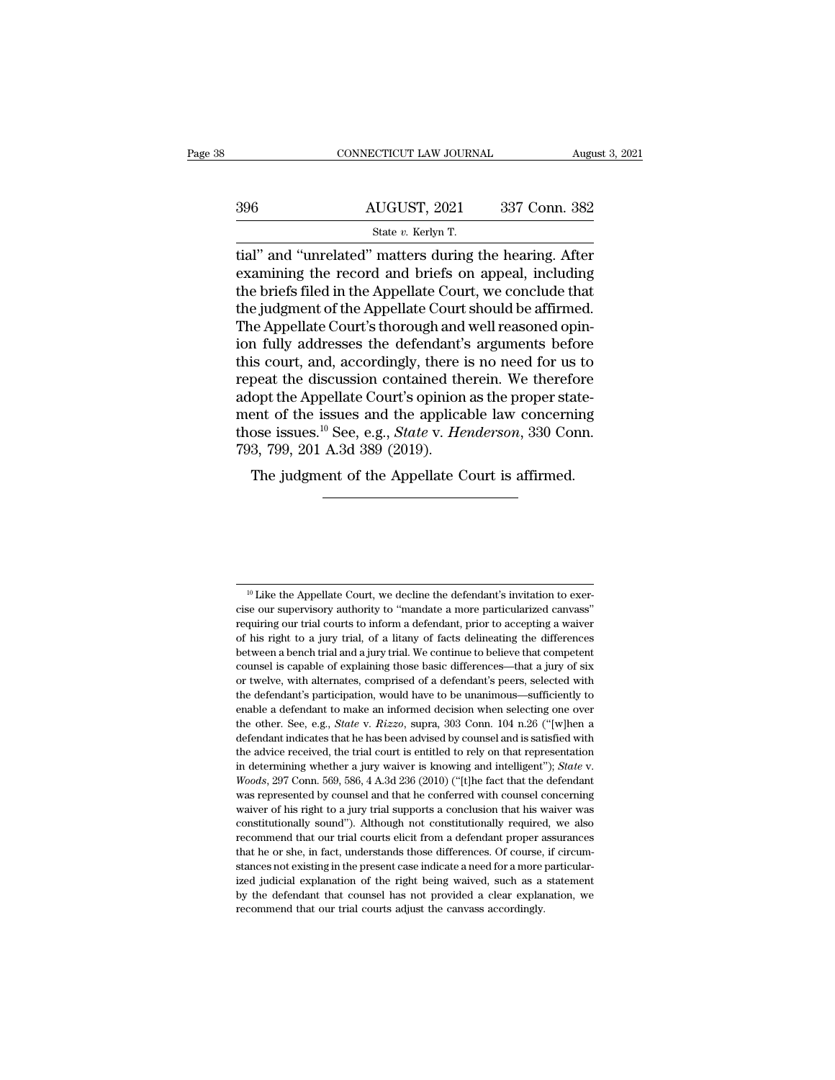|     | CONNECTICUT LAW JOURNAL                                                                                                                                                      | August 3, 2021 |
|-----|------------------------------------------------------------------------------------------------------------------------------------------------------------------------------|----------------|
| 396 | AUGUST, 2021                                                                                                                                                                 | 337 Conn. 382  |
|     | State v. Kerlyn T.                                                                                                                                                           |                |
|     | tial" and "unrelated" matters during the hearing. After<br>examining the record and briefs on appeal, including<br>the briefs filed in the Appellate Court, we conclude that |                |

396  $\overline{AUGUST}$ , 2021 337 Conn. 382<br>
state v. Kerlyn T.<br>
tial" and "unrelated" matters during the hearing. After<br>
examining the record and briefs on appeal, including<br>
the briefs filed in the Appellate Court, we conclude t  $\begin{array}{r} \text{396} \text{AUGUST, 2021} \text{337 Conn. } \text{382} \ \text{State } v. \text{ Kerlyn T.} \ \text{trial" and "unrelated" matters during the hearing. After examining the record and briefs on appeal, including the briefs filed in the Appellate Court, we conclude that the judgment of the Appellate Court should be affirmed.} \text{The Amellate Court's through and well reasoned on in.} \end{array}$  $\frac{\text{AUGUST, 2021}}{\text{State } v. \text{ Kerlyn T.}}$ <br>
tial" and "unrelated" matters during the hearing. After<br>
examining the record and briefs on appeal, including<br>
the briefs filed in the Appellate Court, we conclude that<br>
the judgment of t State v. Kerlyn T.<br>
State v. Kerlyn T.<br>
Tial" and "unrelated" matters during the hearing. After<br>
examining the record and briefs on appeal, including<br>
the briefs filed in the Appellate Court, we conclude that<br>
the judgmen state  $v$ . Kerlyn T.<br>
tial" and "unrelated" matters during the hearing. After<br>
examining the record and briefs on appeal, including<br>
the briefs filed in the Appellate Court, we conclude that<br>
the judgment of the Appellate tial" and "unrelated" matters during the hearing. After<br>examining the record and briefs on appeal, including<br>the briefs filed in the Appellate Court, we conclude that<br>the judgment of the Appellate Court should be affirmed. examining the record and briefs on appeal, including<br>the briefs filed in the Appellate Court, we conclude that<br>the judgment of the Appellate Court should be affirmed.<br>The Appellate Court's thorough and well reasoned opin-<br> the briefs filed in the Appellate Court, we conclude that<br>the judgment of the Appellate Court should be affirmed.<br>The Appellate Court's thorough and well reasoned opin-<br>ion fully addresses the defendant's arguments before<br> the judgment of the Appellate Court should be affirmed.<br>The Appellate Court's thorough and well reasoned opin-<br>ion fully addresses the defendant's arguments before<br>this court, and, accordingly, there is no need for us to<br> The Appellate Court's thorough and well reasoned opin-<br>ion fully addresses the defendant's arguments before<br>this court, and, accordingly, there is no need for us to<br>repeat the discussion contained therein. We therefore<br>ado ion fully addresses the defendant's<br>this court, and, accordingly, there i<br>repeat the discussion contained th<br>adopt the Appellate Court's opinion<br>ment of the issues and the applica<br>those issues.<sup>10</sup> See, e.g., *State v. He* Solut, and, accordingly, there is no heed for us to peat the discussion contained therein. We therefore opt the Appellate Court's opinion as the proper state-<br>ent of the issues and the applicable law concerning ose issues.

 $^{10}$  Like the Appellate Court, we decline the defendant's invitation to exercise our supervisory authority to "mandate a more particularized canvass"  $\frac{10}{10}$  Like the Appellate Court, we decline the defendant's invitation to exercise our supervisory authority to "mandate a more particularized canvass" requiring our trial courts to inform a defendant, prior to accep <sup>10</sup> Like the Appellate Court, we decline the defendant's invitation to exercise our supervisory authority to "mandate a more particularized canvass" requiring our trial courts to inform a defendant, prior to accepting a <sup>10</sup> Like the Appellate Court, we decline the defendant's invitation to exercise our supervisory authority to "mandate a more particularized canvass" requiring our trial courts to inform a defendant, prior to accepting a <sup>10</sup> Like the Appellate Court, we decline the defendant's invitation to exercise our supervisory authority to "mandate a more particularized canvass" requiring our trial courts to inform a defendant, prior to accepting a <sup>10</sup> Like the Appellate Court, we decline the defendant's invitation to exercise our supervisory authority to "mandate a more particularized canvass" requiring our trial courts to inform a defendant, prior to accepting a cise our supervisory authority to "mandate a more particularized canvass"<br>requiring our trial courts to inform a defendant, prior to accepting a waiver<br>of his right to a jury trial, of a litany of facts delineating the dif requiring our trial courts to inform a defendant, prior to accepting a waiver<br>of his right to a jury trial, of a litany of facts delineating the differences<br>between a bench trial and a jury trial. We continue to believe th For this right to a jury trial, of a litany of facts delineating the differences between a bench trial and a jury trial. We continue to believe that competent counsel is capable of explaining those basic differences—that of the other. See, e.g., *State* v. *Rizzo*, supra, 303 Conn. 104 n.26 (''[w]hen a defendant indicates that he has been advised by continue to believe that competent counsel is capable of explaining those basic differences counsel is capable of explaining those basic differences—that a jury of six or twelve, with alternates, comprised of a defendant's peers, selected with the defendant's participation, would have to be unanimous—sufficientl for twelve, with alternates, comprised of a defendant's peers, selected with the defendant's participation, would have to be unanimous—sufficiently to enable a defendant to make an informed decision when selecting one ove in determining whether a jury waiver is knowing and intelligent when the defendant is participation, would have to be unaninous—sufficiently to enable a defendant to make an informed decision when selecting one over the ot the other. See, e.g., *State* v. *Rizzo*, supra, 303 Conn. 104 n.26 ("[w]hen a defendant indicates that he has been advised by counsel and is satisfied with the advice received, the trial court is entitled to rely on that defendant indicates that he has been advised by counsel and is satisfied with the advice received, the trial court is entitled to rely on that representation in determining whether a jury waiver is knowing and intelligent" the advice received, the trial court is entitled to rely on that representation<br>in determining whether a jury waiver is knowing and intelligent"); *State* v.<br>*Woods*, 297 Conn. 569, 586, 4 A.3d 236 (2010) ("[t]he fact that in determining whether a jury waiver is knowing and intelligent"); *State* v. *Woods*, 297 Conn. 569, 586, 4 A.3d 236 (2010) ("[t]he fact that the defendant was represented by counsel and that he conferred with counsel co *Woods*, 297 Conn. 569, 586, 4 A.3d 236 (2010) ("[t]he fact that the defendant was represented by counsel and that he conferred with counsel concerning waiver of his right to a jury trial supports a conclusion that his wa was represented by counsel and that he conferred with counsel concerning<br>waiver of his right to a jury trial supports a conclusion that his waiver was<br>constitutionally sound"). Although not constitutionally required, we al waiver of his right to a jury trial supports a conclusion that his waiver was constitutionally sound"). Although not constitutionally required, we also recommend that our trial courts elicit from a defendant proper assura constitutionally sound"). Although not constitutionally required, we also recommend that our trial courts elicit from a defendant proper assurances that he or she, in fact, understands those differences. Of course, if circ recommend that our trial courts elicit from a defendant proper assurances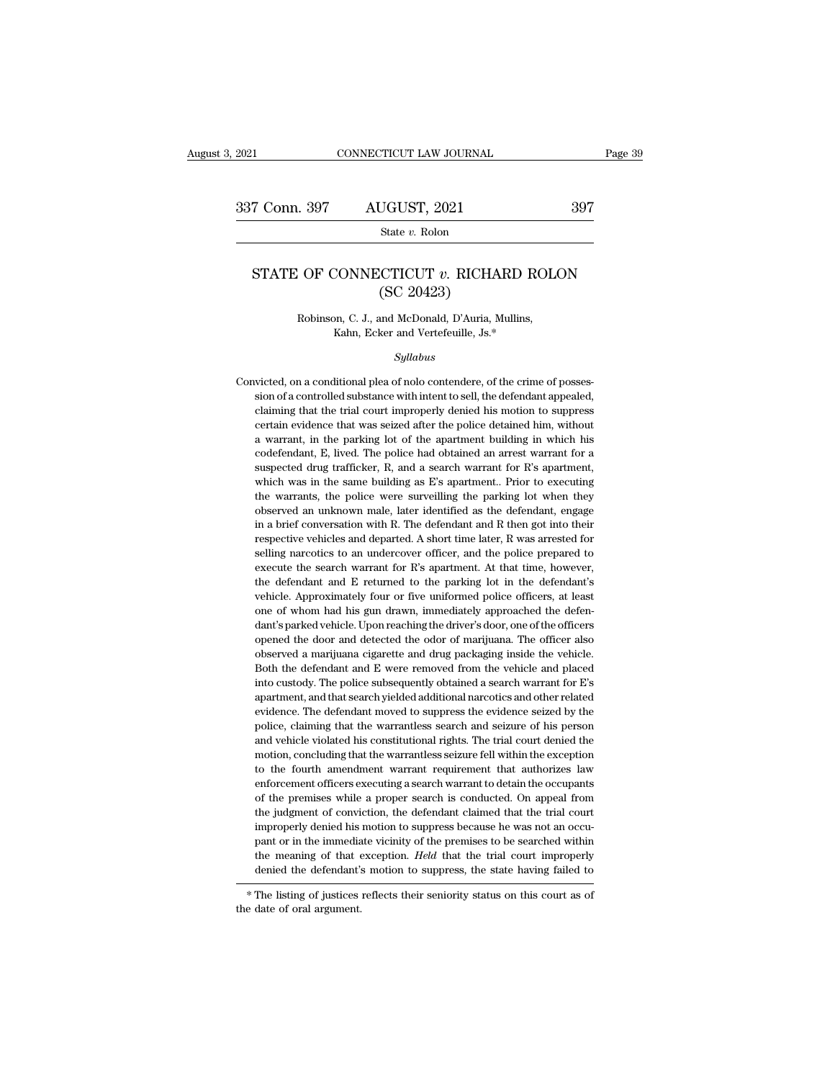State *v.* Rolon

## T Conn. 397 AUGUST, 2021 397<br>State *v*. Rolon<br>STATE OF CONNECTICUT *v*. RICHARD ROLON (SC 20423)  $\frac{UGUST, 2021}{\text{State } v. \text{ Rolon}}$ <br>CTICUT  $v. \text{RICHA}$ <br>(SC 20423)<br>and McDonald, D'Auria, M EXECTICUT *v.* RICHARD ROL<br>
(SC 20423)<br>
Robinson, C. J., and McDonald, D'Auria, Mullins,<br>
Kahn, Ecker and Vertefeuille, Js.\* CONNECTICUT  $v$ . RICHARD R<br>
(SC 20423)<br>
on, C. J., and McDonald, D'Auria, Mullins,<br>
Kahn, Ecker and Vertefeuille, Js.\*

### *Syllabus*

(SC 20423)<br>
Robinson, C. J., and McDonald, D'Auria, Mullins,<br>
Kahn, Ecker and Vertefeuille, Js.\*<br>
Syllabus<br>
Convicted, on a conditional plea of nolo contendere, of the crime of posses-<br>
sion of a controlled substance with Robinson, C. J., and McDonald, D'Auria, Mullins,<br>Kahn, Ecker and Vertefeuille, Js.\*<br>Syllabus<br>victed, on a conditional plea of nolo contendere, of the crime of posses-<br>sion of a controlled substance with intent to sell, the Kahn, Ecker and Vertefeuille, Js.\*<br>Syllabus<br>victed, on a conditional plea of nolo contendere, of the crime of posses-<br>sion of a controlled substance with intent to sell, the defendant appealed,<br>claiming that the trial cour Syllabus<br>wicted, on a conditional plea of nolo contendere, of the crime of posses-<br>sion of a controlled substance with intent to sell, the defendant appealed,<br>claiming that the trial court improperly denied his motion to s symmum symmum symmum symmum symmum symmum symmum of a controlled substance with intent to sell, the defendant appealed, claiming that the trial court improperly denied his motion to suppress certain evidence that was seize victed, on a conditional plea of nolo contendere, of the crime of posses-<br>sion of a controlled substance with intent to sell, the defendant appealed,<br>claiming that the trial court improperly denied his motion to suppress<br>c sion of a controlled substance with intent to sell, the defendant appealed, claiming that the trial court improperly denied his motion to suppress certain evidence that was seized after the police detained him, without a claiming that the trial court improperly denied his motion to suppress<br>certain evidence that was seized after the police detained him, without<br>a warrant, in the parking lot of the apartment building in which his<br>codefenda certain evidence that was seized after the police detained him, without a warrant, in the parking lot of the apartment building in which his codefendant, E, lived. The police had obtained an arrest warrant for a suspected a warrant, in the parking lot of the apartment building in which his codefendant, E, lived. The police had obtained an arrest warrant for a suspected drug trafficker, R, and a search warrant for R's apartment, which was i <sup>2</sup> codefendant, E, lived. The police had obtained an arrest warrant for a suspected drug trafficker, R, and a search warrant for R's apartment, which was in the same building as E's apartment.. Prior to executing the warr suspected drug trafficker, R, and a search warrant for R's apartment, which was in the same building as E's apartment. Prior to executing the warrants, the police were surveilling the parking lot when they observed an unk subselling narcotics to an undercover officer, and the police prepared to executing the warrants, the police were surveilling the parking lot when they observed an unknown male, later identified as the defendant, engage i the warrants, the police were surveilling the parking lot when they observed an unknown male, later identified as the defendant, engage in a brief conversation with R. The defendant and R then got into their respective veh note observed an unknown male, later identified as the defendant, engage in a brief conversation with R. The defendant and R then got into their respective vehicles and departed. A short time later, R was arrested for sell observed an unknown male, later identified as the defendant, engage in a brief conversation with R. The defendant and R then got into their respective vehicles and departed. A short time later, R was arrested for selling respective vehicles and departed. A short time later, R was arrested for selling narcotics to an undercover officer, and the police prepared to execute the search warrant for R's apartment. At that time, however, the defen selling narcotics to an undercover officer, and the police prepared to execute the search warrant for R's apartment. At that time, however, the defendant and E returned to the parking lot in the defendant's vehicle. Approx execute the search warrant for R's apartment. At that time, however, the defendant and E returned to the parking lot in the defendant's vehicle. Approximately four or five uniformed police officers, at least one of whom ha the defendant and E returned to the parking lot in the defendant's vehicle. Approximately four or five uniformed police officers, at least one of whom had his gun drawn, immediately approached the defendant's parked vehicl vehicle. Approximately four or five uniformed police officers, at least<br>one of whom had his gun drawn, immediately approached the defen-<br>dant's parked vehicle. Upon reaching the driver's door, one of the officers<br>opened th one of whom had his gun drawn, immediately approached the defendant's parked vehicle. Upon reaching the driver's door, one of the officers opened the door and detected the odor of marijuana. The officer also observed a mar dant's parked vehicle. Upon reaching the driver's door, one of the officers<br>opened the door and detected the odor of marijuana. The officer also<br>observed a marijuana cigarette and drug packaging inside the vehicle.<br>Both th opened the door and detected the odor of marijuana. The officer also<br>observed a marijuana cigarette and drug packaging inside the vehicle.<br>Both the defendant and E were removed from the vehicle and placed<br>into custody. The observed a marijuana cigarette and drug packaging inside the vehicle.<br>Both the defendant and E were removed from the vehicle and placed<br>into custody. The police subsequently obtained a search warrant for E's<br>apartment, and Both the defendant and E were removed from the vehicle and placed into custody. The police subsequently obtained a search warrant for E's apartment, and that search yielded additional narcotics and other related evidence. into custody. The police subsequently obtained a search warrant for E's<br>apartment, and that search yielded additional narcotics and other related<br>evidence. The defendant moved to suppress the evidence seized by the<br>police, apartment, and that search yielded additional narcotics and other related evidence. The defendant moved to suppress the evidence seized by the police, claiming that the warrantless search and seizure of his person and vehi evidence. The defendant moved to suppress the evidence seized by the police, claiming that the warrantless search and seizure of his person and vehicle violated his constitutional rights. The trial court denied the motion, police, claiming that the warrantless search and seizure of his person and vehicle violated his constitutional rights. The trial court denied the motion, concluding that the warrantless seizure fell within the exception to and vehicle violated his constitutional rights. The trial court denied the motion, concluding that the warrantless seizure fell within the exception to the fourth amendment warrant requirement that authorizes law enforceme and vehicle violated his constitutional rights. The trial court denied the motion, concluding that the warrantless seizure fell within the exception to the fourth amendment warrant requirement that authorizes law enforcem to the fourth amendment warrant requirement that authorizes law<br>enforcement officers executing a search warrant to detain the occupants<br>of the premises while a proper search is conducted. On appeal from<br>the judgment of con enforcement officers executing a search warrant to detain the occupants<br>of the premises while a proper search is conducted. On appeal from<br>the judgment of conviction, the defendant claimed that the trial court<br>improperly d of the premises while a proper search is conducted. On appeal from<br>the judgment of conviction, the defendant claimed that the trial court<br>improperly denied his motion to suppress because he was not an occu-<br>pant or in the the judgment of conviction, the detendant claimed that the trial court<br>improperly denied his motion to suppress because he was not an occu-<br>pant or in the immediate vicinity of the premises to be searched within<br>the meanin mproperly defined in<br>the meaning of that  $\epsilon$ <br>denied the defendant's<br> $*$  The listing of justices<br>the date of oral argument.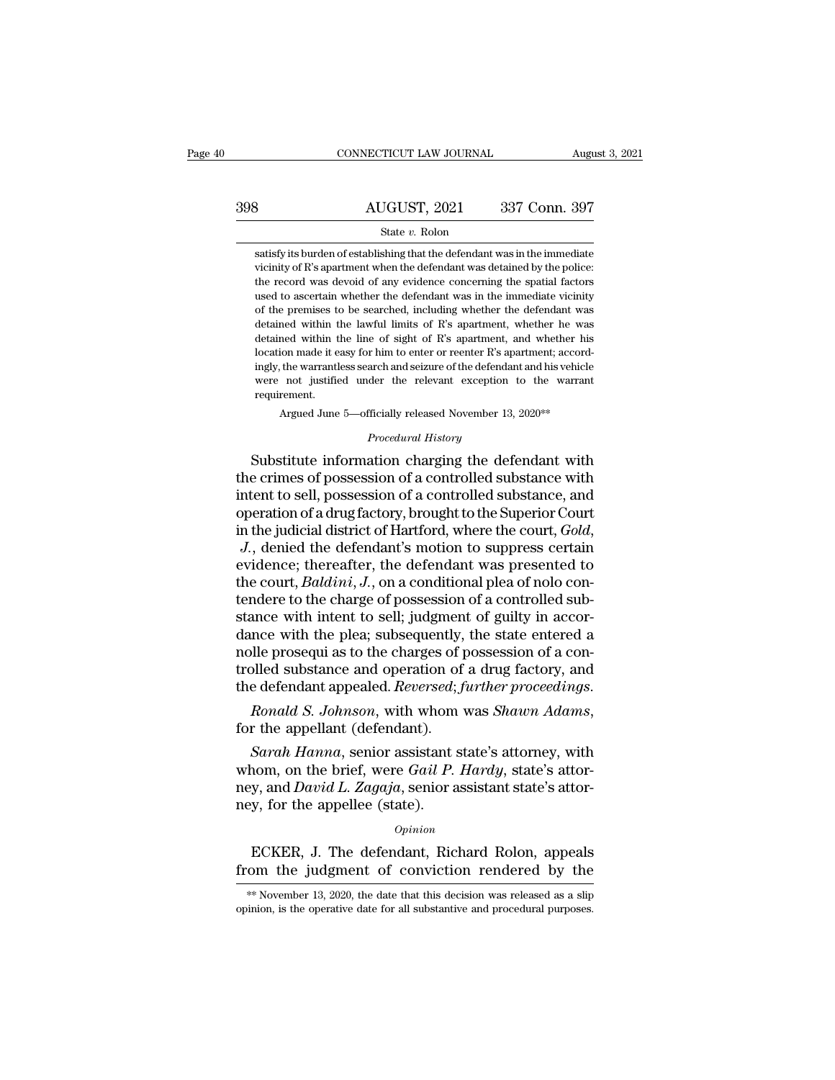# CONNECTICUT LAW JOURNAL August 3, 2021<br>398 AUGUST, 2021 337 Conn. 397<br>398 State v. Rolon State *v.* Rolon

 $\begin{minipage}[c]{0.9\linewidth} \textbf{AUGUST, 2021} & 337 \textbf{ Conn. } 397 \textbf{ \\ \textbf{State $v$.} \textbf{ Rolon} \textbf{satisfy its burden of establishing that the defendant was in the immediate vicinity of R's apartment when the defendant was detailed by the police:} \end{minipage}$  $\frac{\text{AUGUST, 2021}}{\text{State } v. \text{ Rolon}}$ <br>
state v. Rolon<br>
satisfy its burden of establishing that the defendant was in the immediate<br>
vicinity of R's apartment when the defendant was detained by the police:<br>
the record was devoid o  $\frac{\text{AUGUST, 2021}}{\text{State } v. \text{ Rolon}}$ <br>  $\frac{\text{State } v. \text{ Rolon}}{\text{satisfy its burden of establishing that the defendant was in the immediate vicinity of R's apartment when the defendant was detailed by the police: }$ the record was devoid of any evidence concerning the spatial factors used to ascertain whether the defendant was in the immediate vicinity State  $v$ . Rolon<br>
State  $v$ . Rolon<br>
Statisfy its burden of establishing that the defendant was in the immediate<br>
vicinity of R's apartment when the defendant was detained by the police:<br>
the record was devoid of any evide State v. Rolon<br>satisfy its burden of establishing that the defendant was in the immediate<br>vicinity of R's apartment when the defendant was detained by the police:<br>the record was devoid of any evidence concerning the spatia satisfy its burden of establishing that the defendant was in the immediate vicinity of R's apartment when the defendant was detained by the police: the record was devoid of any evidence concerning the spatial factors used between the defendant was detained by the police:<br>the record was devoid of any evidence concerning the spatial factors<br>used to ascertain whether the defendant was in the immediate vicinity<br>of the premises to be searched, We the creating of the signal anche when the determinant was detained by the pointer.<br>the record was devoid of any evidence concerning the spatial factors<br>used to ascertain whether the defendant was in the immediate vicin ingly, the warrantless search and seizure of the defendant was in the immediate vicinity of the premises to be searched, including whether the defendant was detained within the lawful limits of R's apartment, whether he wa were the premises to be searched, including whether the defendant was detained within the lawful limits of R's apartment, whether he was detained within the line of sight of R's apartment, and whether his location made it requirement. med within the line of sight of R's apartment, and whether his<br>ion made it easy for him to enter or reenter R's apartment; accord-<br>the warrantless search and seizure of the defendant and his vehicle<br>not justified under the ingly, the warrantless search and seizure of the defendant and his vehicle<br>were not justified under the relevant exception to the warrant<br>requirement.<br>Argued June 5—officially released November 13, 2020\*\*<br>*Procedural Histo* location made it easy for him to enter or reenter R's apartment; accordingly, the warrantless search and seizure of the defendant and his vehicle<br>were not justified under the relevant exception to the warrant<br>requirement.<br>

mgly, the warrantless search and seizure of the defendant and his vehicle<br>were not justified under the relevant exception to the warrant<br>requirement.<br>Argued June 5—officially released November 13, 2020\*\*<br>Procedural History From the sell of substance internal to the Variant requirement.<br>
Argued June 5—officially released November 13, 2020<sup>\*\*</sup><br> *Procedural History*<br>
Substitute information charging the defendant with<br>
the crimes of possession o Argued June 5—officially released November 13, 2020\*\*<br>
Procedural History<br>
Substitute information charging the defendant with<br>
the crimes of possession of a controlled substance with<br>
intent to sell, possession of a contro Frocedural History<br>Frocedural History<br>the crimes of possession of a controlled substance with<br>intent to sell, possession of a controlled substance, and<br>operation of a drug factory, brought to the Superior Court<br>in the judi Substitute information charging the defendant with<br>the crimes of possession of a controlled substance with<br>intent to sell, possession of a controlled substance, and<br>operation of a drug factory, brought to the Superior Cou the crimes of possession of a controlled substance with<br>intent to sell, possession of a controlled substance, and<br>operation of a drug factory, brought to the Superior Court<br>in the judicial district of Hartford, where the c intent to sell, possession of a controlled substance, and<br>operation of a drug factory, brought to the Superior Court<br>in the judicial district of Hartford, where the court, *Gold*,<br>*J.*, denied the defendant's motion to sup operation of a drug factory, brought to the Superior Court<br>in the judicial district of Hartford, where the court, *Gold*,<br>*J.*, denied the defendant's motion to suppress certain<br>evidence; thereafter, the defendant was pres in the judicial district of Hartford, where the court,  $Gold$ ,<br>  $J$ ., denied the defendant's motion to suppress certain<br>
evidence; thereafter, the defendant was presented to<br>
the court,  $Baldini$ ,  $J$ ., on a conditional plea of J., denied the defendant's motion to suppress certain evidence; thereafter, the defendant was presented to the court, *Baldini*, J., on a conditional plea of nolo contendere to the charge of possession of a controlled sub evidence; thereafter, the defendant was presented to<br>the court, *Baldini*, *J*., on a conditional plea of nolo con-<br>tendere to the charge of possession of a controlled sub-<br>stance with intent to sell; judgment of guilty in the court, *Baldini*, *J*., on a conditional plea of nolo contendere to the charge of possession of a controlled substance with the plea; subsequently, the state entered a nolle prosequi as to the charges of possession of Ile prosequi as to the charges of possession of a con-<br>
Ile prosequi as to the charges of possession of a con-<br>
Iled substance and operation of a drug factory, and<br>
e defendant appealed. *Reversed*; *further proceedings.*<br>

it is a set of the state of possession of a solid trolled substance and operation of a drug factory, and the defendant appealed. *Reversed*; *further proceedings*.<br> *Ronald S. Johnson*, with whom was *Shawn Adams*, for the ney, and *David L. Reversed*; further proceedings.<br>
Ronald S. Johnson, with whom was Shawn Adams,<br>
for the appellant (defendant).<br>
Sarah Hanna, senior assistant state's attorney, with<br>
whom, on the brief, were Gail P. Hard ney, *Ronald S. Johnson*, with whom<br>for the appellant (defendant).<br>*Sarah Hanna*, senior assistant :<br>whom, on the brief, were *Gail P.*<br>ney, and *David L. Zagaja*, senior a<br>ney, for the appellee (state).<br>*Opinion* Sarah Hanna, senior assistant state's attorney, with<br>nom, on the brief, were Gail P. Hardy, state's attor-<br>y, and David L. Zagaja, senior assistant state's attor-<br>y, for the appellee (state).<br> $o_{pinion}$ <br>ECKER, J. The defendan whom, on the brief, were *Gail P. Hardy*, state's attor-<br>ney, and *David L. Zagaja*, senior assistant state's attor-<br>ney, for the appellee (state).<br> $opinion$ <br>ECKER, J. The defendant, Richard Rolon, appeals<br>from the judgment of

### *Opinion*

*Opinion*<br>ECKER, J. The defendant, Richard Rolon, appeals<br>om the judgment of conviction rendered by the<br>\*\* November 13, 2020, the date that this decision was released as a slip<br>inion, is the operative date for all substan *Opinion*<br>
ECKER, J. The defendant, Richard Rolon, appeals<br>
from the judgment of conviction rendered by the<br>
<sup>\*\*</sup>November 13, 2020, the date that this decision was released as a slip<br>
opinion, is the operative date for all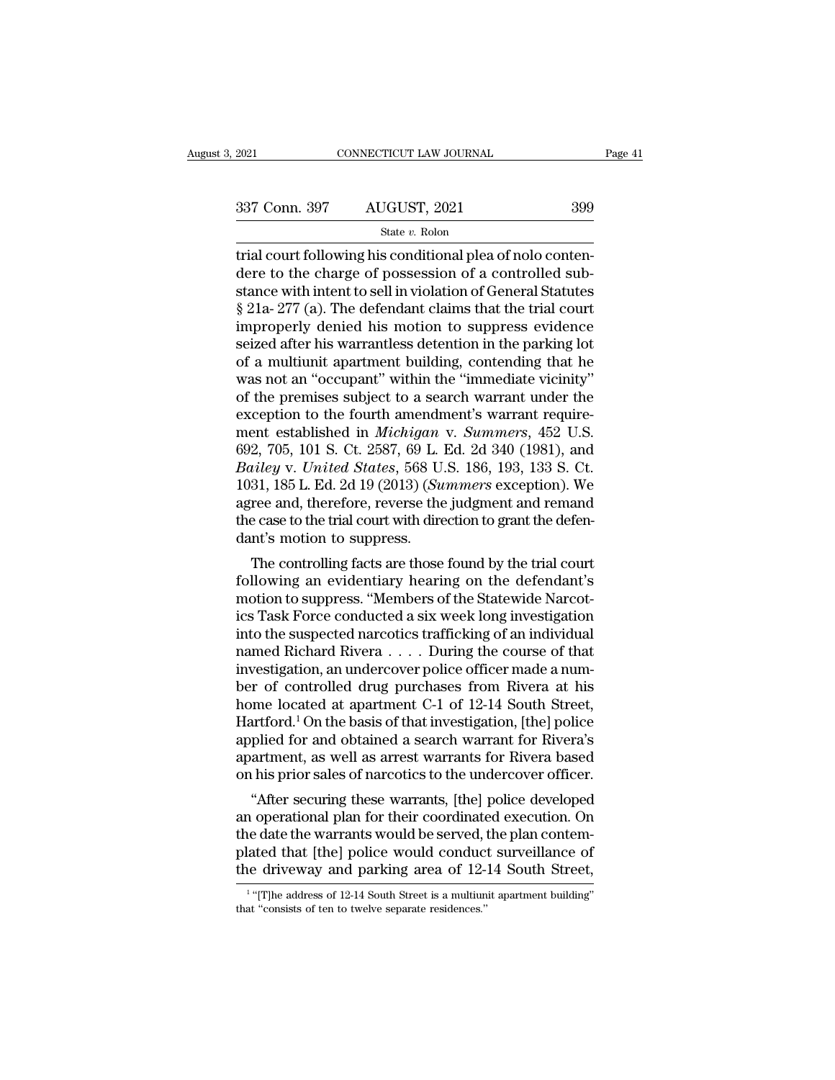State *v.* Rolon

The connecticut conditional conditions and the state value of the charge of possession of a controlled substance with intent to sell in violation of General Statutes 337 Conn. 397 AUGUST, 2021 399<br>  $\frac{\text{State } v. \text{ Robin}}{\text{State } v. \text{ Robin}}$ <br>
Attrial court following his conditional plea of nolo conten-<br>
dere to the charge of possession of a controlled sub-<br>
stance with intent to sell in violation of 337 Conn. 397 AUGUST, 2021 399<br>
State v. Rolon<br>
trial court following his conditional plea of nolo conten-<br>
dere to the charge of possession of a controlled sub-<br>
stance with intent to sell in violation of General Statute 337 Conn. 397 AUGUST, 2021 399<br>  $\frac{\text{State } v. \text{ Rolon}}{\text{trial court following his conditional pla of nolo content}}$ <br>
dere to the charge of possession of a controlled substance with intent to sell in violation of General Statutes<br>  $\S 21a-277$  (a). The defendant claims that Since 2012, 2022, 2022<br>
State v. Rolon<br>
Trial court following his conditional plea of nolo conten-<br>
dere to the charge of possession of a controlled sub-<br>
stance with intent to sell in violation of General Statutes<br>
§ 21a state v. Rolon<br>trial court following his conditional plea of nolo conten-<br>dere to the charge of possession of a controlled sub-<br>stance with intent to sell in violation of General Statutes<br> $\S 21a-277$  (a). The defendant cl trial court following his conditional plea of nolo conten-<br>dere to the charge of possession of a controlled sub-<br>stance with intent to sell in violation of General Statutes<br>§ 21a- 277 (a). The defendant claims that the tri dere to the charge of possession of a controlled substance with intent to sell in violation of General Statutes § 21a- 277 (a). The defendant claims that the trial court improperly denied his motion to suppress evidence se stance with intent to sell in violation of General Statutes<br>
§ 21a- 277 (a). The defendant claims that the trial court<br>
improperly denied his motion to suppress evidence<br>
seized after his warrantless detention in the park § 21a- 277 (a). The defendant claims that the trial court<br>improperly denied his motion to suppress evidence<br>seized after his warrantless detention in the parking lot<br>of a multiunit apartment building, contending that he<br>w improperly denied his motion to suppress evidence<br>seized after his warrantless detention in the parking lot<br>of a multiunit apartment building, contending that he<br>was not an "occupant" within the "immediate vicinity"<br>of the seized after his warrantless detention in the parking lot<br>of a multiunit apartment building, contending that he<br>was not an "occupant" within the "immediate vicinity"<br>of the premises subject to a search warrant under the<br>ex of a multiunit apartment building, contending that he was not an "occupant" within the "immediate vicinity"<br>of the premises subject to a search warrant under the<br>exception to the fourth amendment's warrant require-<br>ment es was not an "occupant" within the "immediate vicinity"<br>of the premises subject to a search warrant under the<br>exception to the fourth amendment's warrant require-<br>ment established in *Michigan* v. *Summers*, 452 U.S.<br>692, 70 of the premises subject to a search warrant under the<br>exception to the fourth amendment's warrant require-<br>ment established in *Michigan* v. Summers, 452 U.S.<br>692, 705, 101 S. Ct. 2587, 69 L. Ed. 2d 340 (1981), and<br>*Bailey* exception to the fourth amendment's warrant requirement established in *Michigan* v. Summers, 452 U.S. 692, 705, 101 S. Ct. 2587, 69 L. Ed. 2d 340 (1981), and *Bailey* v. *United States*, 568 U.S. 186, 193, 133 S. Ct. 1031 ment established in *Michigan*<br>692, 705, 101 S. Ct. 2587, 69 L.<br>Bailey v. United States, 568 U.<br>1031, 185 L. Ed. 2d 19 (2013) (Su<br>agree and, therefore, reverse the<br>the case to the trial court with dire<br>dant's motion to sup 2, 705, 101 S. Ct. 2587, 69 L. Ed. 2d 340 (1981), and<br>*iiley v. United States*, 568 U.S. 186, 193, 133 S. Ct.<br>31, 185 L. Ed. 2d 19 (2013) (*Summers* exception). We<br>ree and, therefore, reverse the judgment and remand<br>e cas Battey v. Onttea States, 506 U.S. 160, 195, 155 S. Ut.<br>1031, 185 L. Ed. 2d 19 (2013) (*Summers* exception). We<br>agree and, therefore, reverse the judgment and remand<br>the case to the trial court with direction to grant the d

TOST, 189 L. Ed. 2d 19 (2015) (*Summers* exception). We agree and, therefore, reverse the judgment and remand the case to the trial court with direction to grant the defendant's motion to suppress.<br>The controlling facts ar agree and, therefore, reverse the judgment and remaind<br>the case to the trial court with direction to grant the defen-<br>dant's motion to suppress.<br>The controlling facts are those found by the trial court<br>following an evident the case to the that court will direction to grant the defendant's motion to suppress.<br>The controlling facts are those found by the trial court following an evidentiary hearing on the defendant's<br>motion to suppress. "Membe The controlling facts are those found by the trial court<br>following an evidentiary hearing on the defendant's<br>motion to suppress. "Members of the Statewide Narcot-<br>ics Task Force conducted a six week long investigation<br>int The controlling facts are those found by the trial court<br>following an evidentiary hearing on the defendant's<br>motion to suppress. "Members of the Statewide Narcot-<br>ics Task Force conducted a six week long investigation<br>int following an evidentiary hearing on the defendant's<br>motion to suppress. "Members of the Statewide Narcot-<br>ics Task Force conducted a six week long investigation<br>into the suspected narcotics trafficking of an individual<br>nam motion to suppress. "Members of the Statewide Narcotics Task Force conducted a six week long investigation<br>into the suspected narcotics trafficking of an individual<br>named Richard Rivera  $\dots$ . During the course of that<br>inv ics Task Force conducted a six week long investigation<br>into the suspected narcotics trafficking of an individual<br>named Richard Rivera . . . . During the course of that<br>investigation, an undercover police officer made a num into the suspected narcotics trafficking of an individual<br>named Richard Rivera  $\,\ldots\,$ . During the course of that<br>investigation, an undercover police officer made a num-<br>ber of controlled drug purchases from Rivera at hi named Richard Rivera  $\dots$ . During the course of that<br>investigation, an undercover police officer made a num-<br>ber of controlled drug purchases from Rivera at his<br>home located at apartment C-1 of 12-14 South Street,<br>Hartfor investigation, an undercover police officer made a num-<br>ber of controlled drug purchases from Rivera at his<br>home located at apartment C-1 of 12-14 South Street,<br>Hartford.<sup>1</sup> On the basis of that investigation, [the] police The controlled artig purchases from Kivera at his<br>
me located at apartment C-1 of 12-14 South Street,<br>
artford.<sup>1</sup> On the basis of that investigation, [the] police<br>
plied for and obtained a search warrant for Rivera's<br>
art nome located at apartment U-1 of 12-14 South Street,<br>Hartford.<sup>1</sup> On the basis of that investigation, [the] police<br>applied for and obtained a search warrant for Rivera's<br>apartment, as well as arrest warrants for Rivera bas

Hartford. On the basis of that investigation, [the] police<br>applied for and obtained a search warrant for Rivera's<br>apartment, as well as arrest warrants for Rivera based<br>on his prior sales of narcotics to the undercover off applied for and obtained a search warrant for Kivera s<br>apartment, as well as arrest warrants for Rivera based<br>on his prior sales of narcotics to the undercover officer.<br>"After securing these warrants, [the] police develope apartment, as well as arrest warrants for Kivera based<br>on his prior sales of narcotics to the undercover officer.<br>"After securing these warrants, [the] police developed<br>an operational plan for their coordinated execution. operational plan for their coordinated execution. On<br>
e date the warrants would be served, the plan contem-<br>
ted that [the] police would conduct surveillance of<br>
e driveway and parking area of 12-14 South Street,<br>
"[T]he a the date the warrants would be served, plated that [the] police would conduct<br>the driveway and parking area of 12-<br> $\frac{1}{1}$ "[T]he address of 12-14 South Street is a multiun<br>that "consists of ten to twelve separate reside

<sup>&</sup>lt;sup>1</sup> "[T]he address of 12-14 South Street is a multiunit apartment building"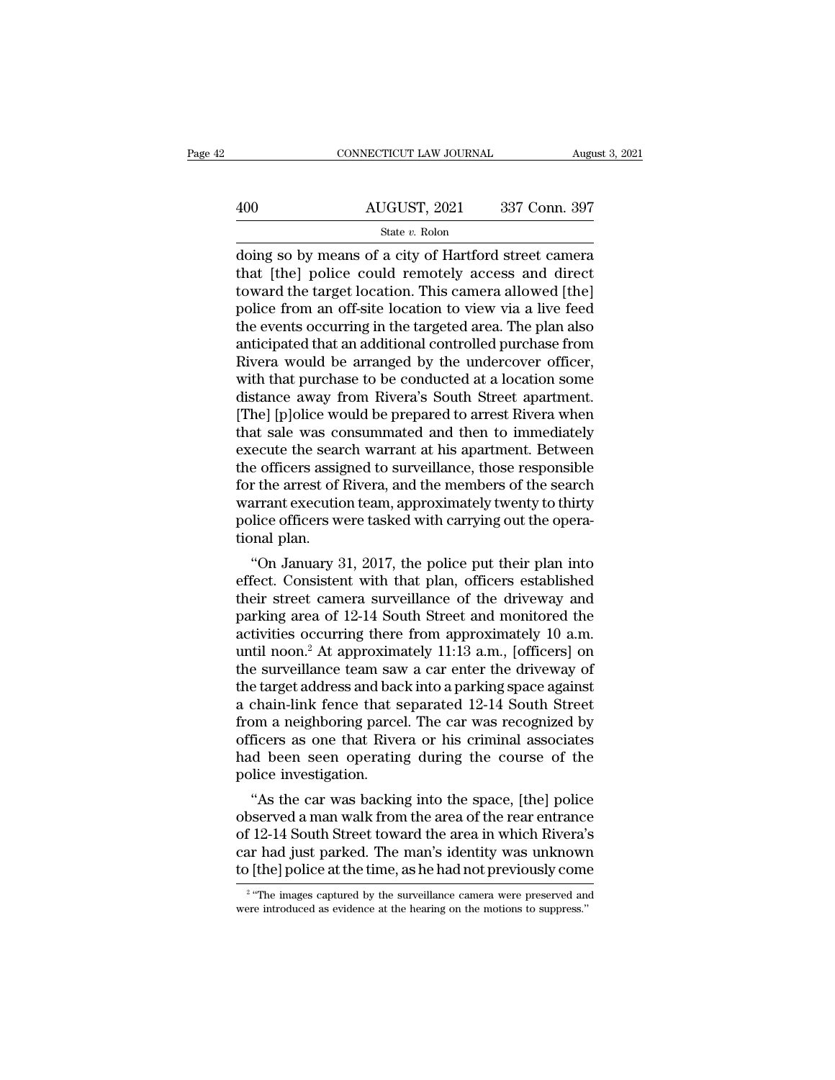|     | CONNECTICUT LAW JOURNAL                                                                                                                                              | August 3, 2021 |
|-----|----------------------------------------------------------------------------------------------------------------------------------------------------------------------|----------------|
| 400 | AUGUST, 2021                                                                                                                                                         | 337 Conn. 397  |
|     | State v. Rolon                                                                                                                                                       |                |
|     | doing so by means of a city of Hartford street camera<br>that [the] police could remotely access and direct<br>toward the target location. This camera allowed [the] |                |

 $\frac{\text{AUGUST, 2021}}{\text{State } v. \text{ Rolon}}$  337 Conn. 397<br>  $\frac{\text{State } v. \text{ Rolon}}{\text{doning so by means of a city of Hartford street camera}}$ that [the] police could remotely access and direct<br>
toward the target location. This camera allowed [the]<br>
police from an off site location  $\begin{array}{c|c} \text{AUGUST, 2021} & \text{337 Conn. 397} \ \hline \text{State } v. \text{ Rolon} \ \hline \text{doting so by means of a city of Hartford street camera that [the] police could remotely access and direct toward the target location. This camera allowed [the] police from an off-site location to view via a live feed the events occurring in the targeted area. The plan also$  $\frac{\text{AUGUST, 2021}}{\text{State } v. \text{ Rolon}}$ <br>  $\frac{\text{State } v. \text{ Rolon}}{\text{doling so by means of a city of Hartford street camera}}$ <br>
that [the] police could remotely access and direct<br>
toward the target location. This camera allowed [the]<br>
police from an off-site location to view via a State v. Rolon<br>State v. Rolon<br>doing so by means of a city of Hartford street camera<br>that [the] police could remotely access and direct<br>toward the target location. This camera allowed [the]<br>police from an off-site location state  $v$ . Rolon<br>
doing so by means of a city of Hartford street camera<br>
that [the] police could remotely access and direct<br>
toward the target location. This camera allowed [the]<br>
police from an off-site location to view doing so by means of a city of Hartford street camera<br>that [the] police could remotely access and direct<br>toward the target location. This camera allowed [the]<br>police from an off-site location to view via a live feed<br>the ev that [the] police could remotely access and direct<br>toward the target location. This camera allowed [the]<br>police from an off-site location to view via a live feed<br>the events occurring in the targeted area. The plan also<br>ant toward the target location. This camera allowed [the]<br>police from an off-site location to view via a live feed<br>the events occurring in the targeted area. The plan also<br>anticipated that an additional controlled purchase fro police from an off-site location to view via a live feed<br>the events occurring in the targeted area. The plan also<br>anticipated that an additional controlled purchase from<br>Rivera would be arranged by the undercover officer,<br> the events occurring in the targeted area. The plan also<br>anticipated that an additional controlled purchase from<br>Rivera would be arranged by the undercover officer,<br>with that purchase to be conducted at a location some<br>dis anticipated that an additional controlled purchase from<br>Rivera would be arranged by the undercover officer,<br>with that purchase to be conducted at a location some<br>distance away from Rivera's South Street apartment.<br>[The] [p Rivera would be arranged by the undercover officer,<br>with that purchase to be conducted at a location some<br>distance away from Rivera's South Street apartment.<br>[The] [p]olice would be prepared to arrest Rivera when<br>that sale with that purchase to be conducted at a location some<br>distance away from Rivera's South Street apartment.<br>[The] [p]olice would be prepared to arrest Rivera when<br>that sale was consummated and then to immediately<br>execute the distance away from Rivera's South Street apartment.<br>[The] [p]olice would be prepared to arrest Rivera when<br>that sale was consummated and then to immediately<br>execute the search warrant at his apartment. Between<br>the officers [The] [p]olice would be prepared to arrest Rivera when<br>that sale was consummated and then to immediately<br>execute the search warrant at his apartment. Between<br>the officers assigned to surveillance, those responsible<br>for the that sale was convex<br>execute the sear<br>the officers assign<br>for the arrest of<br>warrant executic<br>police officers w<br>tional plan.<br>"On January 3 ectue the search warrant at his apartment. Detween<br>
e officers assigned to surveillance, those responsible<br>
r the arrest of Rivera, and the members of the search<br>
arrant execution team, approximately twenty to thirty<br>
lice the officers assigned to surventance, those responsible<br>for the arrest of Rivera, and the members of the search<br>warrant execution team, approximately twenty to thirty<br>police officers were tasked with carrying out the opera

for the arrest of Kivera, and the members of the search<br>warrant execution team, approximately twenty to thirty<br>police officers were tasked with carrying out the opera-<br>tional plan.<br>"On January 31, 2017, the police put thei warrant execution team, approximately twenty to thirty<br>police officers were tasked with carrying out the opera-<br>tional plan.<br>"On January 31, 2017, the police put their plan into<br>effect. Consistent with that plan, officers ponce officers were tasked with carrying out the operational plan.<br>
"On January 31, 2017, the police put their plan into<br>
effect. Consistent with that plan, officers established<br>
their street camera surveillance of the dri "On January 31, 2017, the police put their plan into<br>effect. Consistent with that plan, officers established<br>their street camera surveillance of the driveway and<br>parking area of 12-14 South Street and monitored the<br>activi "On January 31, 2017, the police put their plan into<br>effect. Consistent with that plan, officers established<br>their street camera surveillance of the driveway and<br>parking area of 12-14 South Street and monitored the<br>activi effect. Consistent with that plan, officers established<br>their street camera surveillance of the driveway and<br>parking area of 12-14 South Street and monitored the<br>activities occurring there from approximately 10 a.m.<br>until their street camera surveillance of the driveway and<br>parking area of 12-14 South Street and monitored the<br>activities occurring there from approximately 10 a.m.<br>until noon.<sup>2</sup> At approximately 11:13 a.m., [officers] on<br>the parking area of 12-14 South Street and monitored the<br>activities occurring there from approximately 10 a.m.<br>until noon.<sup>2</sup> At approximately 11:13 a.m., [officers] on<br>the surveillance team saw a car enter the driveway of<br>the activities occurring there from approximately 10 a.m.<br>until noon.<sup>2</sup> At approximately 11:13 a.m., [officers] on<br>the surveillance team saw a car enter the driveway of<br>the target address and back into a parking space against until noon.<sup>2</sup> At approximately 11:13 a.m., [officers] on<br>the surveillance team saw a car enter the driveway of<br>the target address and back into a parking space against<br>a chain-link fence that separated 12-14 South Street<br> the surveillance team save<br>the target address and back<br>a chain-link fence that s<br>from a neighboring parce<br>officers as one that Rive<br>had been seen operatin<br>police investigation.<br>"As the car was backin e target address and back into a parking space against<br>
chain-link fence that separated 12-14 South Street<br>
om a neighboring parcel. The car was recognized by<br>
ficers as one that Rivera or his criminal associates<br>
d been s a chain-link fence that separated 12-14 South Street<br>from a neighboring parcel. The car was recognized by<br>officers as one that Rivera or his criminal associates<br>had been seen operating during the course of the<br>police inves

rrom a neignboring parcel. The car was recognized by<br>officers as one that Rivera or his criminal associates<br>had been seen operating during the course of the<br>police investigation.<br>"As the car was backing into the space, [th omcers as one that kivera or his criminal associates<br>had been seen operating during the course of the<br>police investigation.<br>"As the car was backing into the space, [the] police<br>observed a man walk from the area of the rear The investigation.<br>
"As the car was backing into the space, [the] police<br>
observed a man walk from the area of the rear entrance<br>
of 12-14 South Street toward the area in which Rivera's<br>
car had just parked. The man's ide served a man walk from the area of the rear entrance<br>12-14 South Street toward the area in which Rivera's<br>r had just parked. The man's identity was unknown<br>[the] police at the time, as he had not previously come<br>"The image of 12-14 South Street toward the area in which Rivera's car had just parked. The man's identity was unknown to [the] police at the time, as he had not previously come  $\frac{2}{\frac{1}{2}}$  "The images captured by the surveillanc

<sup>&</sup>lt;sup>2</sup> "The images captured by the surveillance camera were preserved and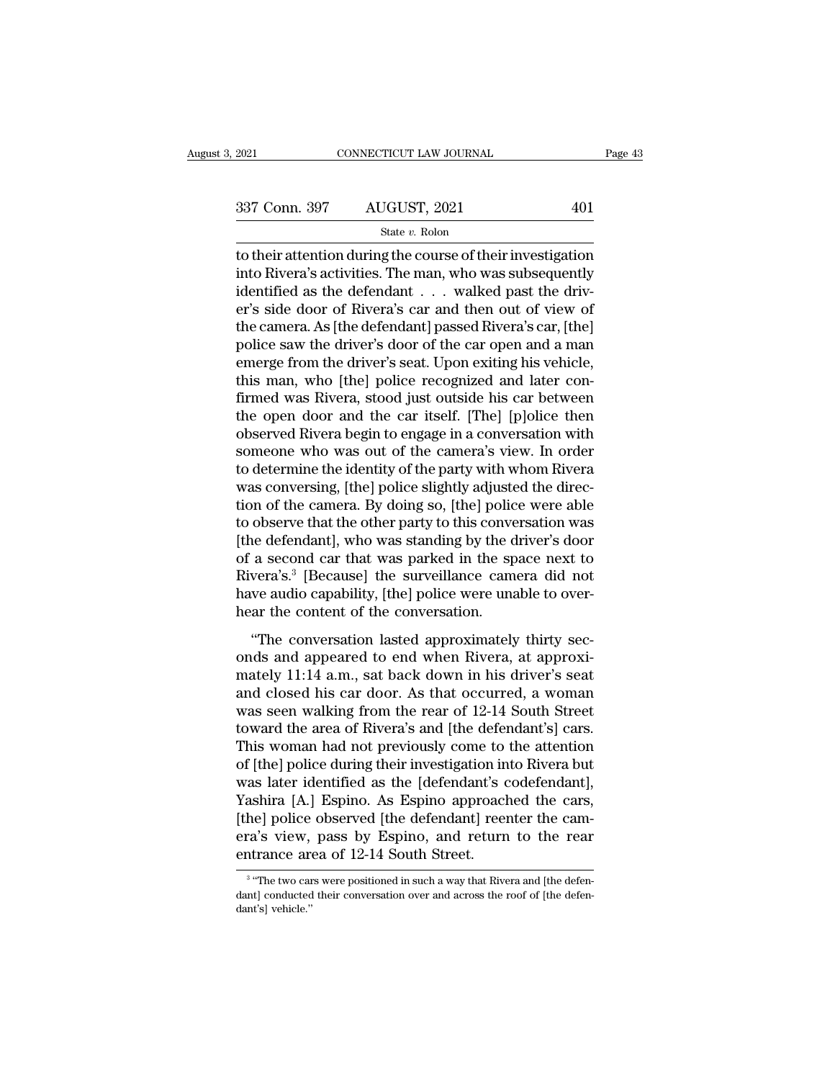State *v.* Rolon

2021 CONNECTICUT LAW JOURNAL Page 43<br>  $337 \text{ Conn. } 397$  AUGUST, 2021 401<br>  $\frac{\text{State } v. \text{ Rolon}}{\text{State } v. \text{ Rolon}}$ <br>
to their attention during the course of their investigation<br>
into Rivera's activities. The man, who was subsequently<br> 337 Conn. 397 AUGUST, 2021 401<br>
state v. Rolon<br>
to their attention during the course of their investigation<br>
into Rivera's activities. The man, who was subsequently<br>
identified as the defendant . . . walked past the driv-337 Conn. 397 AUGUST, 2021 401<br>
state v. Rolon<br>
to their attention during the course of their investigation<br>
into Rivera's activities. The man, who was subsequently<br>
identified as the defendant . . . walked past the driv-337 Conn. 397 AUGUST, 2021 401<br>
State v. Rolon<br>
to their attention during the course of their investigation<br>
into Rivera's activities. The man, who was subsequently<br>
identified as the defendant . . . walked past the driv-State v. Rolon<br>to their attention during the course of their investigation<br>into Rivera's activities. The man, who was subsequently<br>identified as the defendant . . . walked past the driv-<br>er's side door of Rivera's car and state v. Rolon<br>to their attention during the course of their investigation<br>into Rivera's activities. The man, who was subsequently<br>identified as the defendant . . . walked past the driv-<br>er's side door of Rivera's car and to their attention during the course of their investigation<br>into Rivera's activities. The man, who was subsequently<br>identified as the defendant . . . walked past the driv-<br>er's side door of Rivera's car and then out of vie into Rivera's activities. The man, who was subsequently<br>identified as the defendant  $\ldots$  walked past the driv-<br>er's side door of Rivera's car and then out of view of<br>the camera. As [the defendant] passed Rivera's car, [t identified as the defendant . . . walked past the driver's side door of Rivera's car and then out of view of<br>the camera. As [the defendant] passed Rivera's car, [the]<br>police saw the driver's door of the car open and a man<br> er's side door of Rivera's car and then out of view of<br>the camera. As [the defendant] passed Rivera's car, [the]<br>police saw the driver's door of the car open and a man<br>emerge from the driver's seat. Upon exiting his vehicl the camera. As [the defendant] passed Rivera's car, [the]<br>police saw the driver's door of the car open and a man<br>emerge from the driver's seat. Upon exiting his vehicle,<br>this man, who [the] police recognized and later conpolice saw the driver's door of the car open and a man<br>emerge from the driver's seat. Upon exiting his vehicle,<br>this man, who [the] police recognized and later con-<br>firmed was Rivera, stood just outside his car between<br>the emerge from the driver's seat. Upon exiting his vehicle,<br>this man, who [the] police recognized and later con-<br>firmed was Rivera, stood just outside his car between<br>the open door and the car itself. [The] [p]olice then<br>obse this man, who [the] police recognized and later confirmed was Rivera, stood just outside his car between<br>the open door and the car itself. [The] [p]olice then<br>observed Rivera begin to engage in a conversation with<br>someone firmed was Rivera, stood just outside his car between<br>the open door and the car itself. [The] [p]olice then<br>observed Rivera begin to engage in a conversation with<br>someone who was out of the camera's view. In order<br>to deter the open door and the car itself. [The] [p]olice then<br>observed Rivera begin to engage in a conversation with<br>someone who was out of the camera's view. In order<br>to determine the identity of the party with whom Rivera<br>was co observed Rivera begin to engage in a conversation with<br>someone who was out of the camera's view. In order<br>to determine the identity of the party with whom Rivera<br>was conversing, [the] police slightly adjusted the direc-<br>ti someone who was out of the camera's view. In order<br>to determine the identity of the party with whom Rivera<br>was conversing, [the] police slightly adjusted the direc-<br>tion of the camera. By doing so, [the] police were able<br>t to determine the identity of the party with whom Rivera<br>was conversing, [the] police slightly adjusted the direc-<br>tion of the camera. By doing so, [the] police were able<br>to observe that the other party to this conversation was conversing, [the] police slightly adjusted the direction of the camera. By doing so, [the] police were able to observe that the other party to this conversation was [the defendant], who was standing by the driver's doo tion of the camera. By doing so, [the] polic<br>to observe that the other party to this conve<br>[the defendant], who was standing by the d<br>of a second car that was parked in the sp<br>Rivera's.<sup>3</sup> [Because] the surveillance cam<br>ha be defendant], who was standing by the driver's door<br>a second car that was parked in the space next to<br>vera's.<sup>3</sup> [Because] the surveillance camera did not<br>we audio capability, [the] police were unable to over-<br>ar the con onder a second car that was busineding by the direct b door<br>of a second car that was parked in the space next to<br>Rivera's.<sup>3</sup> [Because] the surveillance camera did not<br>have audio capability, [the] police were unable to ov

mately 11:14 a.m., sat back down in his driver's seat and closed his car door the conversation.<br>
"The conversation lasted approximately thirty seconds and appeared to end when Rivera, at approximately 11:14 a.m., sat back raveras. [Because] are salverated earliera and not<br>have audio capability, [the] police were unable to over-<br>hear the conversation lasted approximately thirty sec-<br>onds and appeared to end when Rivera, at approxi-<br>mately 11 mare adds explasmly, [are] police were didate to over<br>hear the content of the conversation.<br>"The conversation lasted approximately thirty sec-<br>onds and appeared to end when Rivera, at approxi-<br>mately 11:14 a.m., sat back d "The conversation lasted approximately thirty seconds and appeared to end when Rivera, at approximately 11:14 a.m., sat back down in his driver's seat and closed his car door. As that occurred, a woman was seen walking fro "The conversation lasted approximately thirty seconds and appeared to end when Rivera, at approximately 11:14 a.m., sat back down in his driver's seat<br>and closed his car door. As that occurred, a woman<br>was seen walking fr onds and appeared to end when Rivera, at approximately 11:14 a.m., sat back down in his driver's seat<br>and closed his car door. As that occurred, a woman<br>was seen walking from the rear of 12-14 South Street<br>toward the area mately 11:14 a.m., sat back down in his driver's seat<br>and closed his car door. As that occurred, a woman<br>was seen walking from the rear of 12-14 South Street<br>toward the area of Rivera's and [the defendant's] cars.<br>This wom and closed his car door. As that occurred, a woman<br>was seen walking from the rear of 12-14 South Street<br>toward the area of Rivera's and [the defendant's] cars.<br>This woman had not previously come to the attention<br>of [the] p was seen walking from the rear of 12-14 South Street<br>toward the area of Rivera's and [the defendant's] cars.<br>This woman had not previously come to the attention<br>of [the] police during their investigation into Rivera but<br>wa toward the area of Rivera's and [the defendant's] cars.<br>This woman had not previously come to the attention<br>of [the] police during their investigation into Rivera but<br>was later identified as the [defendant's codefendant],<br> This woman had not previously come to<br>of [the] police during their investigation in<br>was later identified as the [defendant's c<br>Yashira [A.] Espino. As Espino approacl<br>[the] police observed [the defendant] ree<br>era's view, p Yashira [A.] Espino. As Espino approached the cars,<br>
[the] police observed [the defendant] reenter the camera's view, pass by Espino, and return to the rear<br>
entrance area of 12-14 South Street.<br>  $\frac{1}{3}$  "The two cars w [the] police observed [the defendant] reenter the camera's view, pass by Espino, and return to the rear entrance area of 12-14 South Street.<br> $\frac{3}{4}$  "The two cars were positioned in such a way that Rivera and [the defen

<sup>&</sup>lt;sup>3</sup> "The two cars were positioned in such a way that Rivera and [the defenera's view,<br>entrance are<br><sup>3</sup> "The two car<br>dant's] vehicle."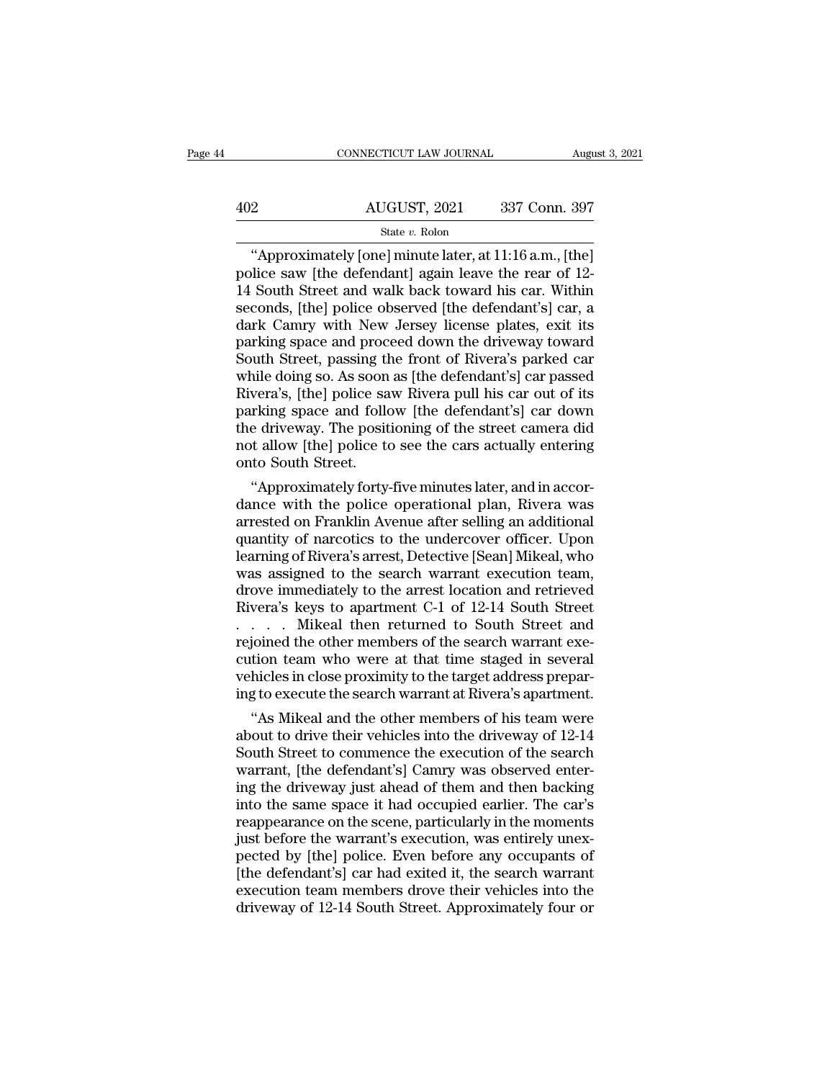|     | CONNECTICUT LAW JOURNAL | August 3, 2021 |
|-----|-------------------------|----------------|
| 402 | AUGUST, 2021            | 337 Conn. 397  |
|     | State $v$ . Rolon       |                |

CONNECTICUT LAW JOURNAL August 3, 202<br>
2<br>
AUGUST, 2021 337 Conn. 397<br>
State v. Rolon<br>
"Approximately [one] minute later, at 11:16 a.m., [the]<br>
lice saw [the defendant] again leave the rear of 12-<br>
South Street and walk bac AUGUST, 2021 337 Conn. 397<br>
State v. Rolon<br>
"Approximately [one] minute later, at  $11:16$  a.m., [the]<br>
police saw [the defendant] again leave the rear of 12-<br>
14 South Street and walk back toward his car. Within<br>
seconds 402 AUGUST, 2021 337 Conn. 397<br>
State v. Rolon<br>
"Approximately [one] minute later, at 11:16 a.m., [the]<br>
police saw [the defendant] again leave the rear of 12-<br>
14 South Street and walk back toward his car. Within<br>
second AUGUST, 2021 337 Conn. 397<br>
State v. Rolon<br>
"Approximately [one] minute later, at 11:16 a.m., [the]<br>
police saw [the defendant] again leave the rear of 12-<br>
14 South Street and walk back toward his car. Within<br>
seconds, [ State v. Rolon<br>
State v. Rolon<br>
"Approximately [one] minute later, at 11:16 a.m., [the]<br>
police saw [the defendant] again leave the rear of 12-<br>
14 South Street and walk back toward his car. Within<br>
seconds, [the] police State v. Rolon<br>
"Approximately [one] minute later, at 11:16 a.m., [the]<br>
police saw [the defendant] again leave the rear of 12-<br>
14 South Street and walk back toward his car. Within<br>
seconds, [the] police observed [the de "Approximately [one] minute later, at  $11:16$  a.m., [the]<br>police saw [the defendant] again leave the rear of 12-<br>14 South Street and walk back toward his car. Within<br>seconds, [the] police observed [the defendant's] car, a police saw [the defendant] again leave the rear of 12-<br>14 South Street and walk back toward his car. Within<br>seconds, [the] police observed [the defendant's] car, a<br>dark Camry with New Jersey license plates, exit its<br>parkin 14 South Street and walk back toward his car. Within<br>seconds, [the] police observed [the defendant's] car, a<br>dark Camry with New Jersey license plates, exit its<br>parking space and proceed down the driveway toward<br>South Stre seconds, [the] police observed [the defendant's] car, a<br>dark Camry with New Jersey license plates, exit its<br>parking space and proceed down the driveway toward<br>South Street, passing the front of Rivera's parked car<br>while do dark Camry with New Jersey license plates, exit its<br>parking space and proceed down the driveway toward<br>South Street, passing the front of Rivera's parked car<br>while doing so. As soon as [the defendant's] car passed<br>Rivera's parking space and proceed down the driveway toward<br>South Street, passing the front of Rivera's parked car<br>while doing so. As soon as [the defendant's] car passed<br>Rivera's, [the] police saw Rivera pull his car out of its<br>pa South Street, passing the while doing so. As soon<br>Rivera's, [the] police sa<br>parking space and follo<br>the driveway. The posit<br>not allow [the] police to<br>onto South Street.<br>"Approximately forty ile doing so. As soon as [the defendant's] car passed<br>vera's, [the] police saw Rivera pull his car out of its<br>rking space and follow [the defendant's] car down<br>e driveway. The positioning of the street camera did<br>t allow [ Rivera's, [the] police saw Rivera pull his car out of its<br>parking space and follow [the defendant's] car down<br>the driveway. The positioning of the street camera did<br>not allow [the] police to see the cars actually entering<br>

parking space and follow [the defendant's] car down<br>the driveway. The positioning of the street camera did<br>not allow [the] police to see the cars actually entering<br>onto South Street.<br>"Approximately forty-five minutes later the driveway. The positioning of the street camera did<br>not allow [the] police to see the cars actually entering<br>onto South Street.<br>"Approximately forty-five minutes later, and in accor-<br>dance with the police operational pl not allow [the] police to see the cars actually entering<br>onto South Street.<br>"Approximately forty-five minutes later, and in accor-<br>dance with the police operational plan, Rivera was<br>arrested on Franklin Avenue after sellin onto South Street.<br>
"Approximately forty-five minutes later, and in accordance with the police operational plan, Rivera was<br>
arrested on Franklin Avenue after selling an additional<br>
quantity of narcotics to the undercover "Approximately forty-five minutes later, and in accordance with the police operational plan, Rivera was arrested on Franklin Avenue after selling an additional quantity of narcotics to the undercover officer. Upon learning dance with the police operational plan, Rivera was<br>arrested on Franklin Avenue after selling an additional<br>quantity of narcotics to the undercover officer. Upon<br>learning of Rivera's arrest, Detective [Sean] Mikeal, who<br>was arrested on Franklin Avenue after selling an additional<br>quantity of narcotics to the undercover officer. Upon<br>learning of Rivera's arrest, Detective [Sean] Mikeal, who<br>was assigned to the search warrant execution team,<br>dro quantity of narcotics to the undercover officer. Upon<br>learning of Rivera's arrest, Detective [Sean] Mikeal, who<br>was assigned to the search warrant execution team,<br>drove immediately to the arrest location and retrieved<br>Rive learning of Rivera's arrest, Detective [Sean] Mikeal, who was assigned to the search warrant execution team,<br>drove immediately to the arrest location and retrieved<br>Rivera's keys to apartment C-1 of 12-14 South Street<br> $\ldots$ was assigned to the search warrant execution team,<br>drove immediately to the arrest location and retrieved<br>Rivera's keys to apartment C-1 of 12-14 South Street<br>. . . . . Mikeal then returned to South Street and<br>rejoined the drove immediately to the arrest location and retrieved<br>Rivera's keys to apartment C-1 of 12-14 South Street<br>. . . . . Mikeal then returned to South Street and<br>rejoined the other members of the search warrant exe-<br>cution te vera's keys to apartment C-1 of 12-14 South Street<br>
. . . . Mikeal then returned to South Street and<br>
joined the other members of the search warrant exe-<br>
tion team who were at that time staged in several<br>
hicles in close

about the other members of the search warrant execution team who were at that time staged in several<br>vehicles in close proximity to the target address prepar-<br>ing to execute the search warrant at Rivera's apartment.<br>"As Mi rejoined the other members of the search warrant execution team who were at that time staged in several<br>vehicles in close proximity to the target address prepar-<br>ing to execute the search warrant at Rivera's apartment.<br>"As cution team who were at that time staged in several<br>vehicles in close proximity to the target address prepar-<br>ing to execute the search warrant at Rivera's apartment.<br>"As Mikeal and the other members of his team were<br>about vehicles in close proximity to the target address preparing to execute the search warrant at Rivera's apartment.<br>
"As Mikeal and the other members of his team were<br>
about to drive their vehicles into the driveway of 12-14<br> ing to execute the search warrant at Rivera's apartment.<br>
"As Mikeal and the other members of his team were<br>
about to drive their vehicles into the driveway of 12-14<br>
South Street to commence the execution of the search<br>
w "As Mikeal and the other members of his team were<br>about to drive their vehicles into the driveway of 12-14<br>South Street to commence the execution of the search<br>warrant, [the defendant's] Camry was observed enter-<br>ing the about to drive their vehicles into the driveway of 12-14<br>South Street to commence the execution of the search<br>warrant, [the defendant's] Camry was observed enter-<br>ing the driveway just ahead of them and then backing<br>into t South Street to commence the execution of the search<br>warrant, [the defendant's] Camry was observed enter-<br>ing the driveway just ahead of them and then backing<br>into the same space it had occupied earlier. The car's<br>reappear warrant, [the defendant's] Camry was observed enter-<br>ing the driveway just ahead of them and then backing<br>into the same space it had occupied earlier. The car's<br>reappearance on the scene, particularly in the moments<br>just b ing the driveway just ahead of them and then backing<br>into the same space it had occupied earlier. The car's<br>reappearance on the scene, particularly in the moments<br>just before the warrant's execution, was entirely unex-<br>pec into the same space it had occupied earlier. The car's<br>reappearance on the scene, particularly in the moments<br>just before the warrant's execution, was entirely unex-<br>pected by [the] police. Even before any occupants of<br>[th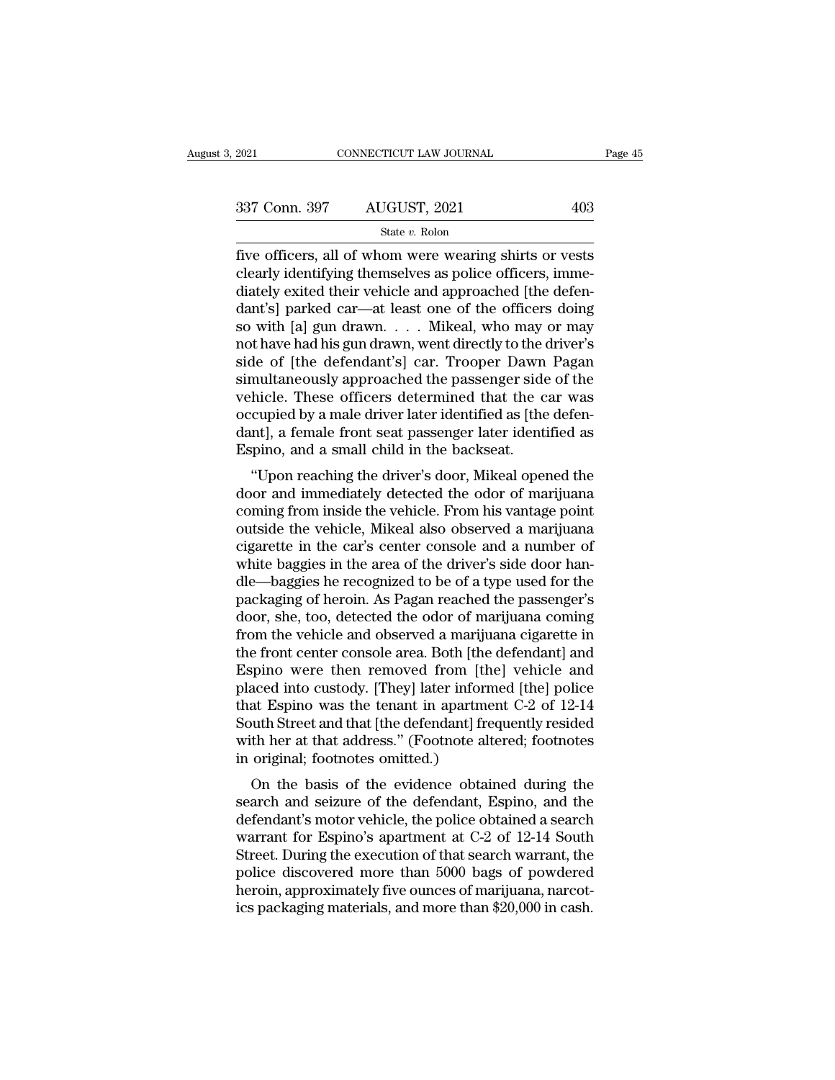| 2021          | CONNECTICUT LAW JOURNAL |     | Page 45 |
|---------------|-------------------------|-----|---------|
|               |                         |     |         |
| 337 Conn. 397 | AUGUST, 2021            | 403 |         |
|               | State v. Rolon          |     |         |

Figure 2021 CONNECTICUT LAW JOURNAL Page 45<br>  $\frac{337 \text{ Conn. } 397}{\text{State } v. \text{ Rolon}}$ <br>  $\frac{544 \text{ eV.} \text{ Rolon}}{\text{Five officers, all of whom were wearing shirts or vests}}$ <br>
clearly identifying themselves as police officers, immediately oxited their vehicle and amproached [the 337 Conn. 397 AUGUST, 2021 403<br>
state v. Rolon<br>
five officers, all of whom were wearing shirts or vests<br>
clearly identifying themselves as police officers, imme-<br>
diately exited their vehicle and approached [the defen-<br>
d 337 Conn. 397 AUGUST, 2021 403<br>
State v. Rolon<br>
five officers, all of whom were wearing shirts or vests<br>
clearly identifying themselves as police officers, imme-<br>
diately exited their vehicle and approached [the defen-<br>
d 337 Conn. 397 AUGUST, 2021 403<br>
State v. Rolon<br>
five officers, all of whom were wearing shirts or vests<br>
clearly identifying themselves as police officers, imme-<br>
diately exited their vehicle and approached [the defen-<br>
d So we consider the cocouple of the cocouple of the state v. Rolon<br>five officers, all of whom were wearing shirts or vests<br>clearly identifying themselves as police officers, imme-<br>diately exited their vehicle and approache state v. Rolon<br>five officers, all of whom were wearing shirts or vests<br>clearly identifying themselves as police officers, imme-<br>diately exited their vehicle and approached [the defen-<br>dant's] parked car—at least one of th five officers, all of whom were wearing shirts or vests<br>clearly identifying themselves as police officers, imme-<br>diately exited their vehicle and approached [the defen-<br>dant's] parked car—at least one of the officers doing clearly identifying themselves as police officers, immediately exited their vehicle and approached [the defendant's] parked car—at least one of the officers doing<br>so with [a] gun drawn. . . . . Mikeal, who may or may<br>not h diately exited their vehicle and approached [the defen-<br>dant's] parked car—at least one of the officers doing<br>so with [a] gun drawn. . . . Mikeal, who may or may<br>not have had his gun drawn, went directly to the driver's<br>si dant's] parked car—at least one of the officers doing<br>so with [a] gun drawn. . . . Mikeal, who may or may<br>not have had his gun drawn, went directly to the driver's<br>side of [the defendant's] car. Trooper Dawn Pagan<br>simultan so with [a] gun drawn. . . . . Mikeal, who may or may<br>not have had his gun drawn, went directly to the driver's<br>side of [the defendant's] car. Trooper Dawn Pagan<br>simultaneously approached the passenger side of the<br>vehicle. not have had his gun drawn, went directly to the side of [the defendant's] car. Trooper Dawn<br>simultaneously approached the passenger side<br>vehicle. These officers determined that the c<br>occupied by a male driver later identi The determined the passenger side of the<br>
hicle. These officers determined that the car was<br>
cupied by a male driver later identified as [the defen-<br>
nt], a female front seat passenger later identified as<br>
spino, and a sma simultaneously approached the passenger side of the<br>vehicle. These officers determined that the car was<br>occupied by a male driver later identified as [the defen-<br>dant], a female front seat passenger later identified as<br>Esp

venicle. These officers determined that the car was<br>occupied by a male driver later identified as [the defen-<br>dant], a female front seat passenger later identified as<br>Espino, and a small child in the backseat.<br>"Upon reachi occupied by a male driver later identified as [the defendant], a female front seat passenger later identified as Espino, and a small child in the backseat.<br>
"Upon reaching the driver's door, Mikeal opened the door and imme dant], a remate front seat passenger fater identified as<br>Espino, and a small child in the backseat.<br>"Upon reaching the driver's door, Mikeal opened the<br>door and immediately detected the odor of marijuana<br>coming from inside Espino, and a small child in the backseat.<br>
"Upon reaching the driver's door, Mikeal opened the<br>
door and immediately detected the odor of marijuana<br>
coming from inside the vehicle. From his vantage point<br>
outside the vehi "Upon reaching the driver's door, Mikeal opened the<br>door and immediately detected the odor of marijuana<br>coming from inside the vehicle. From his vantage point<br>outside the vehicle, Mikeal also observed a marijuana<br>cigarette door and immediately detected the odor of marijuana<br>coming from inside the vehicle. From his vantage point<br>outside the vehicle, Mikeal also observed a marijuana<br>cigarette in the car's center console and a number of<br>white b coming from inside the vehicle. From his vantage point<br>outside the vehicle, Mikeal also observed a marijuana<br>cigarette in the car's center console and a number of<br>white baggies in the area of the driver's side door han-<br>dl outside the vehicle, Mikeal also observed a marijuana<br>cigarette in the car's center console and a number of<br>white baggies in the area of the driver's side door han-<br>dle—baggies he recognized to be of a type used for the<br>pa cigarette in the car's center console and a number of<br>white baggies in the area of the driver's side door han-<br>dle—baggies he recognized to be of a type used for the<br>packaging of heroin. As Pagan reached the passenger's<br>do white baggies in the area of the driver's side door han-<br>dle—baggies he recognized to be of a type used for the<br>packaging of heroin. As Pagan reached the passenger's<br>door, she, too, detected the odor of marijuana coming<br>f dle—baggies he recognized to be of a type used for the<br>packaging of heroin. As Pagan reached the passenger's<br>door, she, too, detected the odor of marijuana coming<br>from the vehicle and observed a marijuana cigarette in<br>the packaging of heroin. As Pagan reached the passenger's<br>door, she, too, detected the odor of marijuana coming<br>from the vehicle and observed a marijuana cigarette in<br>the front center console area. Both [the defendant] and<br>Esp door, she, too, detected the odor of marijuana coming<br>from the vehicle and observed a marijuana cigarette in<br>the front center console area. Both [the defendant] and<br>Espino were then removed from [the] vehicle and<br>placed in from the vehicle and observed a marijuana cigarette in<br>the front center console area. Both [the defendant] and<br>Espino were then removed from [the] vehicle and<br>placed into custody. [They] later informed [the] police<br>that Es the front center console area. Both [the Espino were then removed from [the placed into custody. [They] later inform that Espino was the tenant in apartme South Street and that [the defendant] free with her at that address pland were then removed from [the] venicle and<br>aced into custody. [They] later informed [the] police<br>at Espino was the tenant in apartment C-2 of 12-14<br>uth Street and that [the defendant] frequently resided<br>th her at that placed into custody. [They] later informed [the] poince<br>that Espino was the tenant in apartment C-2 of 12-14<br>South Street and that [the defendant] frequently resided<br>with her at that address." (Footnote altered; footnotes

diat Espino was the tenant in apartment C-2 of 12-14<br>South Street and that [the defendant] frequently resided<br>with her at that address." (Footnote altered; footnotes<br>in original; footnotes omitted.)<br>On the basis of the evi south street and that [the defendant] hequently resided<br>with her at that address." (Footnote altered; footnotes<br>in original; footnotes omitted.)<br>On the basis of the evidence obtained during the<br>search and seizure of the de with her at that address. (Foothote antered, hoothotes<br>in original; foothotes omitted.)<br>On the basis of the evidence obtained during the<br>search and seizure of the defendant, Espino, and the<br>defendant's motor vehicle, the p In original, footnotes onlitted.)<br>
On the basis of the evidence obtained during the<br>
search and seizure of the defendant, Espino, and the<br>
defendant's motor vehicle, the police obtained a search<br>
warrant for Espino's apar On the basis of the evidence obtained during the<br>search and seizure of the defendant, Espino, and the<br>defendant's motor vehicle, the police obtained a search<br>warrant for Espino's apartment at C-2 of 12-14 South<br>Street. Dur search and seizure of the defendant, Espino, and the defendant's motor vehicle, the police obtained a search warrant for Espino's apartment at C-2 of 12-14 South Street. During the execution of that search warrant, the pol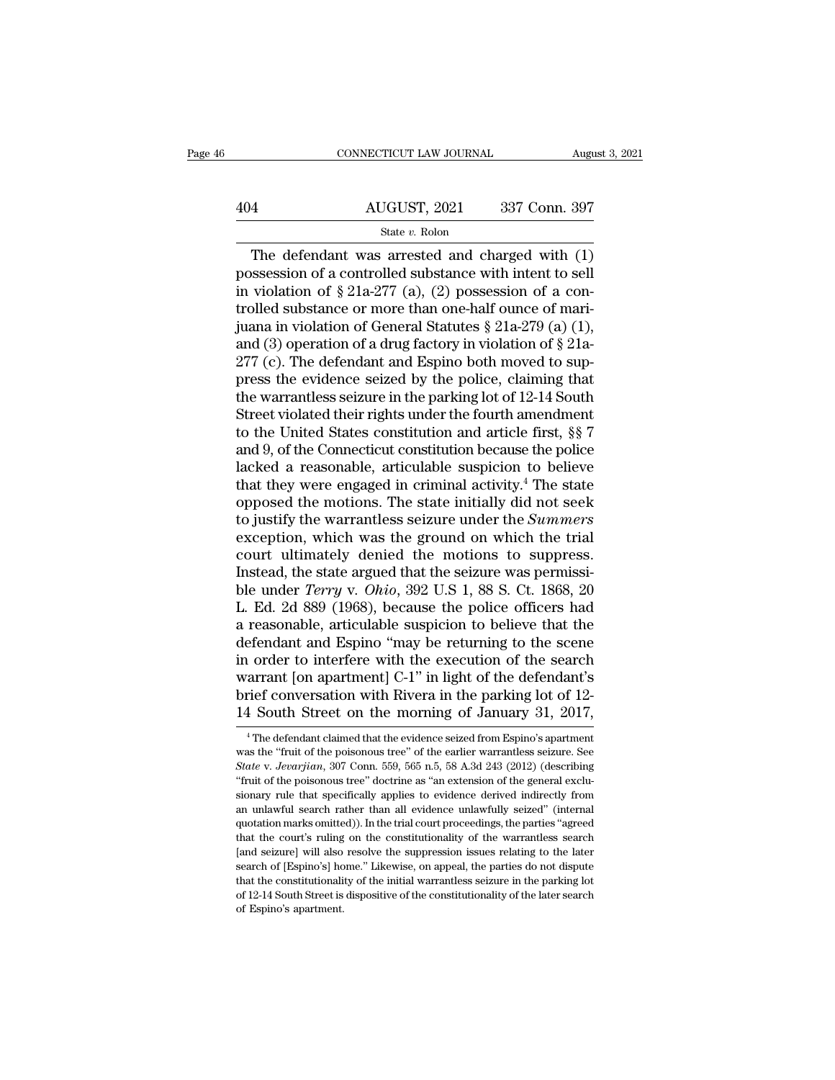|     | CONNECTICUT LAW JOURNAL | August 3, 2021 |
|-----|-------------------------|----------------|
|     |                         |                |
| 404 | AUGUST, 2021            | 337 Conn. 397  |
|     | State v. Rolon          |                |

CONNECTICUT LAW JOURNAL August 3, 2021<br>
4<br>
AUGUST, 2021 337 Conn. 397<br>
State v. Rolon<br>
The defendant was arrested and charged with (1)<br>
ssession of a controlled substance with intent to sell<br>
violation of  $8.212.277$  (a) 404 AUGUST, 2021 337 Conn. 397<br>
State v. Rolon<br>
The defendant was arrested and charged with  $(1)$ <br>
possession of a controlled substance with intent to sell<br>
in violation of § 21a-277 (a), (2) possession of a con-<br>
trolled 404 AUGUST, 2021 337 Conn. 397<br>
State v. Rolon<br>
The defendant was arrested and charged with (1)<br>
possession of a controlled substance with intent to sell<br>
in violation of § 21a-277 (a), (2) possession of a con-<br>
trolled s 404 AUGUST, 2021 337 Conn. 397<br>
State v. Rolon<br>
The defendant was arrested and charged with (1)<br>
possession of a controlled substance with intent to sell<br>
in violation of § 21a-277 (a), (2) possession of a con-<br>
trolled s State v. Rolon<br>State v. Rolon<br>The defendant was arrested and charged with (1)<br>possession of a controlled substance with intent to sell<br>in violation of § 21a-277 (a), (2) possession of a con-<br>trolled substance or more than state v. Rolon<br>The defendant was arrested and charged with (1)<br>possession of a controlled substance with intent to sell<br>in violation of § 21a-277 (a), (2) possession of a con-<br>trolled substance or more than one-half ounce The defendant was arrested and charged with (1)<br>possession of a controlled substance with intent to sell<br>in violation of  $\S 21a-277$  (a), (2) possession of a con-<br>trolled substance or more than one-half ounce of mari-<br>jua possession of a controlled substance with intent to sell<br>in violation of § 21a-277 (a), (2) possession of a con-<br>trolled substance or more than one-half ounce of mari-<br>juana in violation of General Statutes § 21a-279 (a) in violation of § 21a-277 (a), (2) possession of a con-<br>trolled substance or more than one-half ounce of mari-<br>juana in violation of General Statutes § 21a-279 (a) (1),<br>and (3) operation of a drug factory in violation of trolled substance or more than one-half ounce of mari-<br>juana in violation of General Statutes § 21a-279 (a) (1),<br>and (3) operation of a drug factory in violation of § 21a-<br>277 (c). The defendant and Espino both moved to s juana in violation of General Statutes  $\S 21a-279$  (a) (1),<br>and (3) operation of a drug factory in violation of  $\S 21a-277$  (c). The defendant and Espino both moved to sup-<br>press the evidence seized by the police, claimin and (3) operation of a drug factory in violation of § 21a-<br>277 (c). The defendant and Espino both moved to sup-<br>press the evidence seized by the police, claiming that<br>the warrantless seizure in the parking lot of 12-14 So 277 (c). The defendant and Espino both moved to suppress the evidence seized by the police, claiming that<br>the warrantless seizure in the parking lot of 12-14 South<br>Street violated their rights under the fourth amendment<br>t press the evidence seized by the police, claiming that<br>the warrantless seizure in the parking lot of 12-14 South<br>Street violated their rights under the fourth amendment<br>to the United States constitution and article first, the warrantless seizure in the parking lot of 12-14 South<br>Street violated their rights under the fourth amendment<br>to the United States constitution and article first, §§ 7<br>and 9, of the Connecticut constitution because the Street violated their rights under the fourth amendment<br>to the United States constitution and article first, §§ 7<br>and 9, of the Connecticut constitution because the police<br>lacked a reasonable, articulable suspicion to beli to the United States constitution and article first,  $\S$  7<br>and 9, of the Connecticut constitution because the police<br>lacked a reasonable, articulable suspicion to believe<br>that they were engaged in criminal activity.<sup>4</sup> Th and 9, of the Connecticut constitution because the police<br>lacked a reasonable, articulable suspicion to believe<br>that they were engaged in criminal activity.<sup>4</sup> The state<br>opposed the motions. The state initially did not se lacked a reasonable, articulable suspicion to believe<br>that they were engaged in criminal activity.<sup>4</sup> The state<br>opposed the motions. The state initially did not seek<br>to justify the warrantless seizure under the *Summers*<br> that they were engaged in criminal activity.<sup>4</sup> The state<br>opposed the motions. The state initially did not seek<br>to justify the warrantless seizure under the *Summers*<br>exception, which was the ground on which the trial<br>cour opposed the motions. The state initially did not seek<br>to justify the warrantless seizure under the *Summers*<br>exception, which was the ground on which the trial<br>court ultimately denied the motions to suppress.<br>Instead, the to justify the warrantless seizure under the *Summers*<br>exception, which was the ground on which the trial<br>court ultimately denied the motions to suppress.<br>Instead, the state argued that the seizure was permissi-<br>ble under exception, which was the ground on which the trial<br>court ultimately denied the motions to suppress.<br>Instead, the state argued that the seizure was permissi-<br>ble under *Terry* v. *Ohio*, 392 U.S 1, 88 S. Ct. 1868, 20<br>L. Ed. court ultimately denied the motions to suppress.<br>Instead, the state argued that the seizure was permissi-<br>ble under *Terry* v. *Ohio*, 392 U.S 1, 88 S. Ct. 1868, 20<br>L. Ed. 2d 889 (1968), because the police officers had<br>a r Instead, the state argued that the seizure was permissi-<br>ble under *Terry* v. *Ohio*, 392 U.S 1, 88 S. Ct. 1868, 20<br>L. Ed. 2d 889 (1968), because the police officers had<br>a reasonable, articulable suspicion to believe that ble under *Terry* v. *Ohio*, 392 U.S 1, 88 S. Ct. 1868, 20<br>L. Ed. 2d 889 (1968), because the police officers had<br>a reasonable, articulable suspicion to believe that the<br>defendant and Espino "may be returning to the scene<br>i L. Ed. 2d 889 (1968), because the police officers had<br>a reasonable, articulable suspicion to believe that the<br>defendant and Espino "may be returning to the scene<br>in order to interfere with the execution of the search<br>warr 1 order to interfere with the execution of the search<br>arrant [on apartment] C-1" in light of the defendant's<br>rief conversation with Rivera in the parking lot of 12-<br>4 South Street on the morning of January 31, 2017,<br><sup>4</sup>Th warrant [on apartment] C-1" in light of the defendant's<br>brief conversation with Rivera in the parking lot of 12-<br>14 South Street on the morning of January 31, 2017,<br><sup>4</sup>The defendant claimed that the evidence seized from Es 14 South Street on the morning of January 31, 2017,

**State V.** *State* State on the morning of January 31, 2017, The defendant claimed that the evidence seized from Espino's apartment was the "fruit of the poisonous tree" of the earlier warrantless seizure. See *State* v. THE SOULTE SIFT ON THE HIOTHING OF JULIARY 31,  $2017$ ,<br>  $^4$  The defendant claimed that the evidence seized from Espino's apartment<br>
was the "fruit of the poisonous tree" of the earlier warrantless seizure. See<br>
State v. State v. Jevarjian, 307 Conn. 559, 565 n.5, 58 A.3d 243 (2012) (describing "fruit of the poisonous tree" doctrine as "an extension of the general exclusionary rule that specifically applies to evidence derived indirectly was the "fruit of the poisonous tree" of the earlier warrantless seizure. See *State* v. *Jevarjian*, 307 Conn. 559, 565 n.5, 58 A.3d 243 (2012) (describing "fruit of the poisonous tree" doctrine as "an extension of the g State v. Jevaryian, 307 Conn. 559, 565 n.5, 58 A.3d 243 (2012) (describing "fruit of the poisonous tree" doctrine as "an extension of the general exclusionary rule that specifically applies to evidence derived indirectly "fruit of the poisonous tree" doctrine as "an extension of the general exclusionary rule that specifically applies to evidence derived indirectly from an unlawful search rather than all evidence unlawfully seized" (interna sionary rule that specifically applies to evidence derived indirectly from<br>an unlawful search rather than all evidence unlawfully seized" (internal<br>quotation marks omitted)). In the trial court proceedings, the parties "ag an unlawful search rather than all evidence unlawfully seized" (internal quotation marks omitted)). In the trial court proceedings, the parties "agreed that the court's ruling on the constitutionality of the warrantless se an variant marks omitted)). In the trial court proceedings, the parties "agreed that the court's ruling on the constitutionality of the warrantless search [and seizure] will also resolve the suppression issues relating to [and seizure] will also resolve the suppression issues relating to the later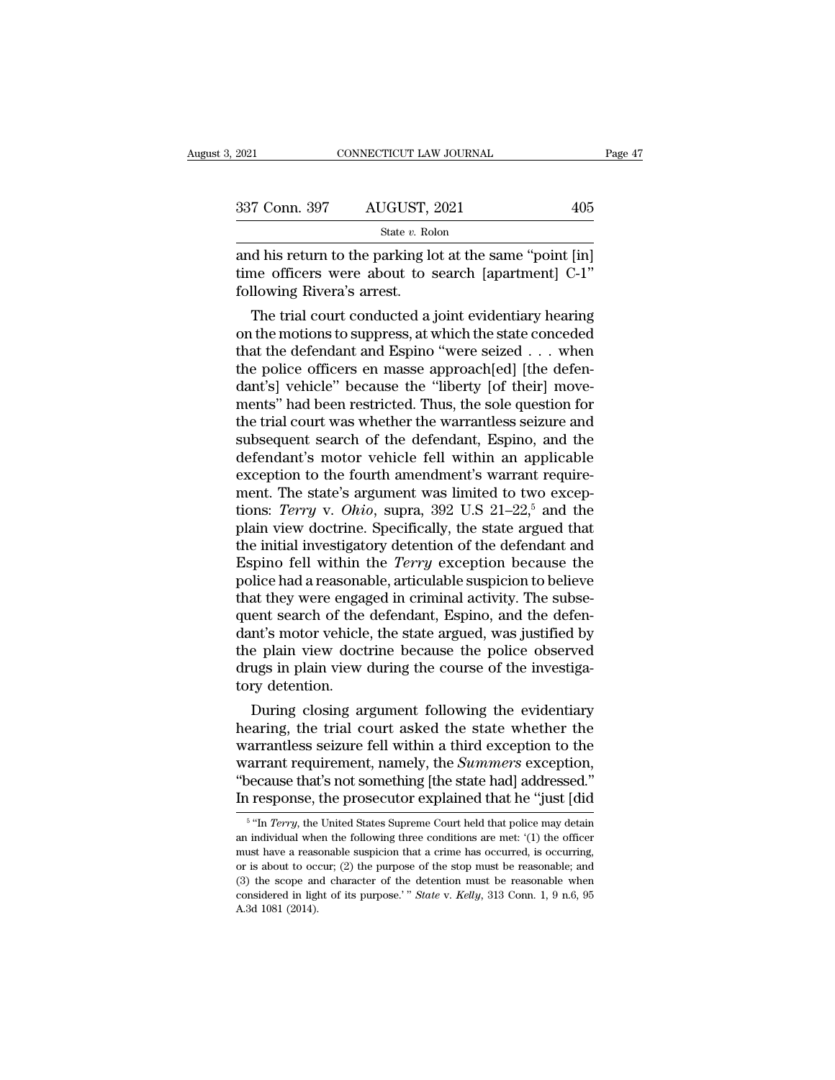| 2021                      | CONNECTICUT LAW JOURNAL                                                                                          | Page 47 |
|---------------------------|------------------------------------------------------------------------------------------------------------------|---------|
| 337 Conn. 397             | AUGUST, 2021                                                                                                     | 405     |
|                           | State v. Rolon                                                                                                   |         |
| following Divore's orroot | and his return to the parking lot at the same "point [in]<br>time officers were about to search [apartment] C-1" |         |

337 Conn. 397 AUGUST, 2021 405<br>
State v. Rolon<br>
and his return to the parking lot at the same "point [in]<br>
time officers were about to search [apartment] C-1"<br>
following Rivera's arrest. 337 Conn. 397 AUGUST,  $\frac{\text{State } v. \text{ Rob}}{\text{state } v. \text{ Rob}}$ <br>and his return to the parking lot<br>time officers were about to s<br>following Rivera's arrest.<br>The trial court conducted a The Connersign Connersing State v. Rolon<br>
State v. Rolon<br>
d his return to the parking lot at the same "point [in]<br>
ine officers were about to search [apartment] C-1"<br>
llowing Rivera's arrest.<br>
The trial court conducted a

State v. Rolon<br>
and his return to the parking lot at the same "point [in]<br>
time officers were about to search [apartment] C-1"<br>
following Rivera's arrest.<br>
The trial court conducted a joint evidentiary hearing<br>
on the mot and his return to the parking lot at the same "point [in]<br>time officers were about to search [apartment] C-1"<br>following Rivera's arrest.<br>The trial court conducted a joint evidentiary hearing<br>on the motions to suppress, at and ins return to the parking fot at the same point [m]<br>time officers were about to search [apartment] C-1"<br>following Rivera's arrest.<br>The trial court conducted a joint evidentiary hearing<br>on the motions to suppress, at wh dentically controllable the trial court conducted a joint evidentiary hearing<br>on the motions to suppress, at which the state conceded<br>that the defendant and Espino "were seized . . . when<br>the police officers en masse appro The trial court conducted a joint evidentiary hearing<br>
on the motions to suppress, at which the state conceded<br>
that the defendant and Espino "were seized  $\ldots$  when<br>
the police officers en masse approach[ed] [the defen-<br> The trial court conducted a joint evidentiary hearing<br>on the motions to suppress, at which the state conceded<br>that the defendant and Espino "were seized . . . when<br>the police officers en masse approach[ed] [the defen-<br>dant on the motions to suppress, at which the state conceded<br>that the defendant and Espino "were seized . . . when<br>the police officers en masse approach[ed] [the defen-<br>dant's] vehicle" because the "liberty [of their] move-<br>men that the defendant and Espino "were seized  $\ldots$  when<br>the police officers en masse approach[ed] [the defen-<br>dant's] vehicle" because the "liberty [of their] move-<br>ments" had been restricted. Thus, the sole question for<br>th the police officers en masse approach[ed] [the defendant's] vehicle" because the "liberty [of their] move-<br>ments" had been restricted. Thus, the sole question for<br>the trial court was whether the warrantless seizure and<br>su dant's] vehicle" because the "liberty [of their] move-<br>ments" had been restricted. Thus, the sole question for<br>the trial court was whether the warrantless seizure and<br>subsequent search of the defendant, Espino, and the<br>de ments" had been restricted. Thus, the sole question for<br>the trial court was whether the warrantless seizure and<br>subsequent search of the defendant, Espino, and the<br>defendant's motor vehicle fell within an applicable<br>except the trial court was whether the warrantless seizure and<br>subsequent search of the defendant, Espino, and the<br>defendant's motor vehicle fell within an applicable<br>exception to the fourth amendment's warrant require-<br>ment. Th subsequent search of the defendant, Espino, and the<br>defendant's motor vehicle fell within an applicable<br>exception to the fourth amendment's warrant require-<br>ment. The state's argument was limited to two excep-<br>tions: *Terr* defendant's motor vehicle fell within an applicable<br>exception to the fourth amendment's warrant require-<br>ment. The state's argument was limited to two excep-<br>tions: *Terry* v. *Ohio*, supra, 392 U.S 21–22,<sup>5</sup> and the<br>plain exception to the fourth amendment's warrant requirement. The state's argument was limited to two exceptions: *Terry* v. *Ohio*, supra, 392 U.S 21–22,<sup>5</sup> and the plain view doctrine. Specifically, the state argued that the ment. The state's argument was limited to two exceptions: *Terry* v. *Ohio*, supra, 392 U.S 21–22,<sup>5</sup> and the plain view doctrine. Specifically, the state argued that the initial investigatory detention of the defendant an tions: *Terry* v. *Ohio*, supra, 392 U.S 21–22,<sup>5</sup> and the plain view doctrine. Specifically, the state argued that the initial investigatory detention of the defendant and Espino fell within the *Terry* exception because plain view doctrine. Specifically, the state argued that<br>the initial investigatory detention of the defendant and<br>Espino fell within the *Terry* exception because the<br>police had a reasonable, articulable suspicion to belie the initial investigatory detention of the defendant and Espino fell within the *Terry* exception because the police had a reasonable, articulable suspicion to believe that they were engaged in criminal activity. The subse Espino fell within the *Terry* exception because the police had a reasonable, articulable suspicion to believe that they were engaged in criminal activity. The subsequent search of the defendant, Espino, and the defendant police had a reasona<br>that they were enga;<br>quent search of the<br>dant's motor vehicle<br>the plain view doct<br>drugs in plain view<br>tory detention.<br>During closing ar at they were engaged in criminal activity. The subse-<br>ent search of the defendant, Espino, and the defen-<br>nt's motor vehicle, the state argued, was justified by<br>e plain view doctrine because the police observed<br>ugs in plai quent search of the defendant, Espino, and the defendant's motor vehicle, the state argued, was justified by<br>the plain view doctrine because the police observed<br>drugs in plain view during the course of the investiga-<br>tory

dant s motor venicle, the state argued, was justified by<br>the plain view doctrine because the police observed<br>drugs in plain view during the course of the investiga-<br>tory detention.<br>During closing argument following the evi the plain view doctrine because the police observed<br>drugs in plain view during the course of the investiga-<br>tory detention.<br>During closing argument following the evidentiary<br>hearing, the trial court asked the state whether The solution of the state whether the summary detention.<br>
During closing argument following the evidentiary<br>
hearing, the trial court asked the state whether the<br>
warrantless seizure fell within a third exception to the<br>
w forty detention.<br>
During closing argument following the evidentiary<br>
hearing, the trial court asked the state whether the<br>
warrant requirement, namely, the *Summers* exception,<br>
"because that's not something [the state had urrantless seizure fell within a third exception to the<br>urrant requirement, namely, the *Summers* exception,<br>ecause that's not something [the state had] addressed."<br>response, the prosecutor explained that he "just [did<br>"In warrant requirement, namely, the *Summers* exception, "because that's not something [the state had] addressed."<br>In response, the prosecutor explained that he "just [did  $\frac{1}{10}$   $\frac{1}{10}$   $\frac{1}{10}$   $\frac{1}{10}$   $\frac{1}{10$ 

 $5$  "In  $T_2$ "because that's not something [the state had] addressed."<br>In response, the prosecutor explained that he "just [did<br> $\frac{1}{10}$   $\frac{1}{10}$   $\frac{1}{10}$   $\frac{1}{10}$   $\frac{1}{10}$   $\frac{1}{10}$   $\frac{1}{10}$   $\frac{1}{10}$   $\frac{1}{10}$   $\frac{1}{1$ In response, the prosecutor explained that he "just [did  $\frac{1}{100}$  in response, the prosecutor explained that holice may detain an individual when the following three conditions are met: (1) the officer must have a reas In response, the prosecutor explained that he Just [diddeff" in Terry, the United States Supreme Court held that police may detain an individual when the following three conditions are met: (1) the officer must have a rea <sup>5</sup> "In *Terry*, the United States Supreme Court held that police may detain an individual when the following three conditions are met: '(1) the officer must have a reasonable suspicion that a crime has occurred, is occur an individual when the following three conditions are met: '(1) the officer must have a reasonable suspicion that a crime has occurred, is occurring, or is about to occur; (2) the purpose of the stop must be reasonable; a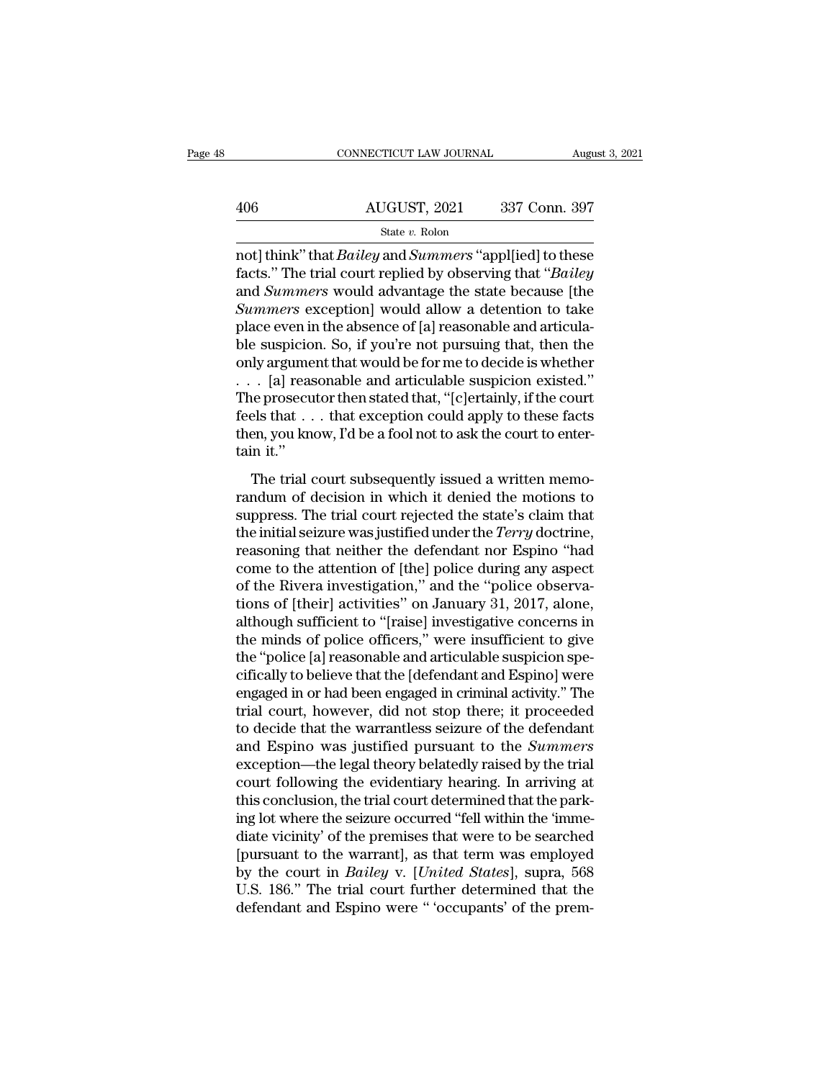|     | CONNECTICUT LAW JOURNAL | August 3, 2021 |
|-----|-------------------------|----------------|
|     |                         |                |
| 406 | AUGUST, 2021            | 337 Conn. 397  |
|     | State v. Rolon          |                |

CONNECTICUT LAW JOURNAL August 3, 2021<br>
AUGUST, 2021 337 Conn. 397<br>
State v. Rolon<br>
not] think'' that *Bailey* and *Summers* "appl[ied] to these<br>
facts." The trial court replied by observing that "*Bailey*<br>
and *Summers* w AUGUST, 2021 337 Conn. 397<br>
State v. Rolon<br>
The trial court replied by observing that '*'Bailey*<br>
and *Summers* would advantage the state because [the<br>
Summers expection] would allow a detention to take  $\frac{\text{AUGUST, 2021}}{\text{State } v. \text{ Rolon}}$ <br>
State  $v. \text{ Rolon}$ <br>
not] think" that *Bailey* and *Summers* "appl[ied] to these<br>
facts." The trial court replied by observing that "*Bailey*<br>
and *Summers* would advantage the state because [  $\frac{\text{AUGUST, 2021}}{\text{State } v. \text{ Rolon}}$   $\frac{\text{State } v. \text{ Rolon}}{\text{Bolic}}$ <br> **State v. Rolon**<br> **State v. Rolon**<br> **State v. Rolon**<br> **State v. Rolon**<br> **State v. Rolon**<br> **State v. Rolon**<br> **State v. Rolon**<br> **State is the take of the state because** state v. Rolon<br>
not] think" that *Bailey* and *Summers* "appl[ied] to these<br>
facts." The trial court replied by observing that "*Bailey*<br>
and *Summers* would advantage the state because [the<br> *Summers* exception] would al state v. Rolon<br>
https://witch/indextransference/state/sites." The trial court replied by observing that "*Bailey*<br>
and *Summers* would advantage the state because [the<br> *Summers* exception] would allow a detention to take not] think" that *Bailey* and *Summers* "appl[ied] to these<br>facts." The trial court replied by observing that "*Bailey*<br>and *Summers* would advantage the state because [the<br>*Summers* exception] would allow a detention to facts." The trial court replied by observing that "*Bailey*<br>and *Summers* would advantage the state because [the<br>*Summers* exception] would allow a detention to take<br>place even in the absence of [a] reasonable and articul and *Summers* would advantage the state because [the *Summers* exception] would allow a detention to take place even in the absence of [a] reasonable and articula-<br>ble suspicion. So, if you're not pursuing that, then the Summers exception] would allow a detention to take<br>place even in the absence of [a] reasonable and articula-<br>ble suspicion. So, if you're not pursuing that, then the<br>only argument that would be for me to decide is whether<br> place even in the absence of [a] reasonable and articula-<br>ble suspicion. So, if you're not pursuing that, then the<br>only argument that would be for me to decide is whether<br> $\ldots$  [a] reasonable and articulable suspicion exi ble suspicio<br>
only argume<br>  $\ldots$  [a] reas<br>
The prosecu<br>
feels that<br>  $\ldots$ <br>
then, you know<br>
tain it."<br>
The trial of The trial court subsequently issued a written memo-<br>noise and acticulable suspicion existed."<br>The trial court subsequently issued a written memo-<br>ndum of decision in which it denied the motions to<br>proces. The trial court The prosecutor then stated that, "[c]ertainly, if the court<br>feels that  $\ldots$  that exception could apply to these facts<br>then, you know, I'd be a fool not to ask the court to enter-<br>tain it."<br>The trial court subsequently is

Frie prosecutor and stated and,  $\frac{1}{2}$  ( $\frac{1}{2}$  radially), it are court<br>feels that . . . that exception could apply to these facts<br>then, you know, I'd be a fool not to ask the court to enter-<br>tain it."<br>The trial cour tects and  $\ldots$  and exception codia apply to arese racts then, you know, I'd be a fool not to ask the court to enter-<br>tain it."<br>The trial court subsequently issued a written memo-<br>randum of decision in which it denied the reasons it."<br>The trial court subsequently issued a written memo-<br>randum of decision in which it denied the motions to<br>suppress. The trial court rejected the state's claim that<br>the initial seizure was justified under the *T* The trial court subsequently issued a written memo-<br>randum of decision in which it denied the motions to<br>suppress. The trial court rejected the state's claim that<br>the initial seizure was justified under the *Terry* doctri The trial court subsequently issued a written memo-<br>randum of decision in which it denied the motions to<br>suppress. The trial court rejected the state's claim that<br>the initial seizure was justified under the *Terry* doctrin randum of decision in which it denied the motions to<br>suppress. The trial court rejected the state's claim that<br>the initial seizure was justified under the *Terry* doctrine,<br>reasoning that neither the defendant nor Espino " suppress. The trial court rejected the state's claim that<br>the initial seizure was justified under the *Terry* doctrine,<br>reasoning that neither the defendant nor Espino "had<br>come to the attention of [the] police during any the initial seizure was justified under the *Terry* doctrine,<br>reasoning that neither the defendant nor Espino "had<br>come to the attention of [the] police during any aspect<br>of the Rivera investigation," and the "police obser reasoning that neither the defendant nor Espino "had<br>come to the attention of [the] police during any aspect<br>of the Rivera investigation," and the "police observa-<br>tions of [their] activities" on January 31, 2017, alone,<br>a come to the attention of [the] police during any aspect<br>of the Rivera investigation," and the "police observa-<br>tions of [their] activities" on January 31, 2017, alone,<br>although sufficient to "[raise] investigative concerns of the Rivera investigation," and the "police observations of [their] activities" on January 31, 2017, alone, although sufficient to "[raise] investigative concerns in the minds of police officers," were insufficient to gi tions of [their] activities" on January 31, 2017, alone,<br>although sufficient to "[raise] investigative concerns in<br>the minds of police officers," were insufficient to give<br>the "police [a] reasonable and articulable suspici although sufficient to "[raise] investigative concerns in<br>the minds of police officers," were insufficient to give<br>the "police [a] reasonable and articulable suspicion spe-<br>cifically to believe that the [defendant and Espi the minds of police officers," were insufficient to give<br>the "police [a] reasonable and articulable suspicion spe-<br>cifically to believe that the [defendant and Espino] were<br>engaged in or had been engaged in criminal activi the "police [a] reasonable and articulable suspicion specifically to believe that the [defendant and Espino] were engaged in or had been engaged in criminal activity." The trial court, however, did not stop there; it proce cifically to believe that the [defendant and Espino] were<br>engaged in or had been engaged in criminal activity." The<br>trial court, however, did not stop there; it proceeded<br>to decide that the warrantless seizure of the defen engaged in or had been engaged in criminal activity." The<br>trial court, however, did not stop there; it proceeded<br>to decide that the warrantless seizure of the defendant<br>and Espino was justified pursuant to the *Summers*<br>ex trial court, however, did not stop there; it proceeded<br>to decide that the warrantless seizure of the defendant<br>and Espino was justified pursuant to the *Summers*<br>exception—the legal theory belatedly raised by the trial<br>cou to decide that the warrantless seizure of the defendant<br>and Espino was justified pursuant to the *Summers*<br>exception—the legal theory belatedly raised by the trial<br>court following the evidentiary hearing. In arriving at<br>th and Espino was justified pursuant to the *Summers*<br>exception—the legal theory belatedly raised by the trial<br>court following the evidentiary hearing. In arriving at<br>this conclusion, the trial court determined that the parkexception—the legal theory belatedly raised by the trial<br>court following the evidentiary hearing. In arriving at<br>this conclusion, the trial court determined that the park-<br>ing lot where the seizure occurred "fell within th court following the evidentiary hearing. In arriving at<br>this conclusion, the trial court determined that the park-<br>ing lot where the seizure occurred "fell within the 'imme-<br>diate vicinity' of the premises that were to be this conclusion, the trial court determined that the parking lot where the seizure occurred "fell within the 'immediate vicinity' of the premises that were to be searched [pursuant to the warrant], as that term was employe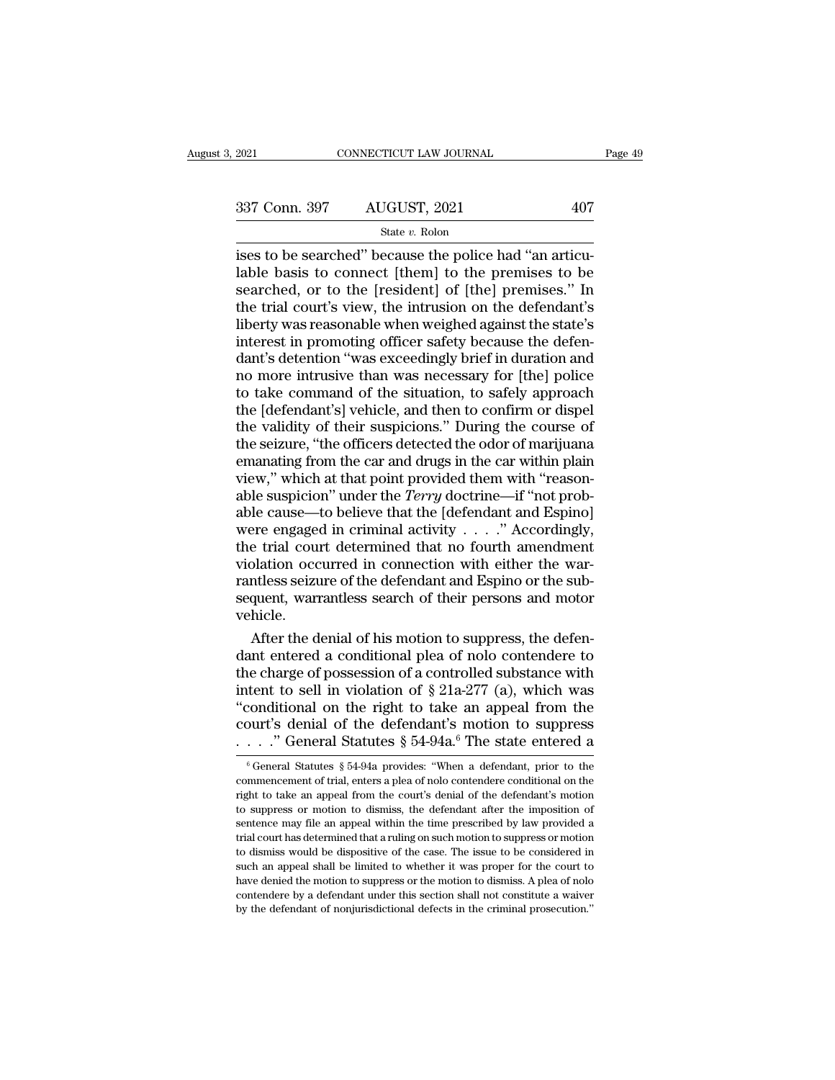### State *v.* Rolon

 $\frac{1}{2021}$  connectricut LAW JOURNAL<br>  $\frac{337 \text{ Conn. } 397}{\text{State } v. \text{ Robin}}$ <br>  $\frac{1}{2021}$ <br>  $\frac{407}{\text{State } v. \text{ Robin}}$ <br>  $\frac{1}{2021}$ <br>  $\frac{1}{2021}$ <br>  $\frac{1}{2021}$ <br>  $\frac{1}{2021}$ <br>  $\frac{1}{2021}$ <br>  $\frac{1}{2021}$ <br>  $\frac{1}{2021}$ <br>  $\frac{1}{2021}$ <br> 337 Conn. 397 AUGUST, 2021 407<br>
State v. Rolon<br>
ises to be searched" because the police had "an articulable basis to connect [them] to the premises to be<br>
searched, or to the [resident] of [the] premises." In<br>
the trial c 337 Conn. 397 AUGUST, 2021 407<br>
State v. Rolon<br>
ises to be searched" because the police had "an articu-<br>
lable basis to connect [them] to the premises to be<br>
searched, or to the [resident] of [the] premises." In<br>
the tria 337 Conn. 397 AUGUST, 2021 407<br>
State v. Rolon<br>
isses to be searched" because the police had "an articu-<br>
lable basis to connect [them] to the premises to be<br>
searched, or to the [resident] of [the] premises." In<br>
the tri Sold Cold. 851 Red Cost, 2021<br>
State v. Rolon<br>
ises to be searched" because the police had "an articu-<br>
lable basis to connect [them] to the premises to be<br>
searched, or to the [resident] of [the] premises." In<br>
the trial State v. Rolon<br>ises to be searched" because the police had "an articu-<br>lable basis to connect [them] to the premises to be<br>searched, or to the [resident] of [the] premises." In<br>the trial court's view, the intrusion on the ises to be searched" because the police had "an articulable basis to connect [them] to the premises to be searched, or to the [resident] of [the] premises." In the trial court's view, the intrusion on the defendant's liber lable basis to connect [them] to the premises to be<br>searched, or to the [resident] of [the] premises." In<br>the trial court's view, the intrusion on the defendant's<br>liberty was reasonable when weighed against the state's<br>int searched, or to the [resident] of [the] premises." In<br>the trial court's view, the intrusion on the defendant's<br>liberty was reasonable when weighed against the state's<br>interest in promoting officer safety because the defenthe trial court's view, the intrusion on the defendant's<br>liberty was reasonable when weighed against the state's<br>interest in promoting officer safety because the defen-<br>dant's detention "was exceedingly brief in duration a liberty was reasonable when weighed against the state's<br>interest in promoting officer safety because the defen-<br>dant's detention "was exceedingly brief in duration and<br>no more intrusive than was necessary for [the] police<br> interest in promoting officer safety because the defendant's detention "was exceedingly brief in duration and<br>no more intrusive than was necessary for [the] police<br>to take command of the situation, to safely approach<br>the [ dant's detention "was exceedingly brief in duration and<br>no more intrusive than was necessary for [the] police<br>to take command of the situation, to safely approach<br>the [defendant's] vehicle, and then to confirm or dispel<br>th no more intrusive than was necessary for [the] police<br>to take command of the situation, to safely approach<br>the [defendant's] vehicle, and then to confirm or dispel<br>the validity of their suspicions." During the course of<br>th to take command of the situation, to safely approach<br>the [defendant's] vehicle, and then to confirm or dispel<br>the validity of their suspicions." During the course of<br>the seizure, "the officers detected the odor of marijuan the [defendant's] vehicle, and then to confirm or dispel<br>the validity of their suspicions." During the course of<br>the seizure, "the officers detected the odor of marijuana<br>emanating from the car and drugs in the car within the validity of their suspicions." During the course of<br>the seizure, "the officers detected the odor of marijuana<br>emanating from the car and drugs in the car within plain<br>view," which at that point provided them with "rea the seizure, "the officers detected the odor of marijuana<br>emanating from the car and drugs in the car within plain<br>view," which at that point provided them with "reason-<br>able suspicion" under the *Terry* doctrine—if "not emanating from the car and drugs in the car within plain<br>view," which at that point provided them with "reason-<br>able suspicion" under the *Terry* doctrine—if "not prob-<br>able cause—to believe that the [defendant and Espino view," which at that point provided them with "reasonable suspicion" under the *Terry* doctrine—if "not probable cause—to believe that the [defendant and Espino] were engaged in criminal activity  $\ldots$ ." Accordingly, the able suspicion" under the *Terry* doctrine—if "not probable cause—to believe that the [defendant and Espino]<br>were engaged in criminal activity  $\ldots$ ." Accordingly,<br>the trial court determined that no fourth amendment<br>viola vehicle. For engaged in criminal activity  $\ldots$  ." Accordingly,<br>e trial court determined that no fourth amendment<br>plation occurred in connection with either the war-<br>ntless seizure of the defendant and Espino or the sub-<br>quent, wa the trial court determined that no fourth amendment<br>violation occurred in connection with either the war-<br>rantless seizure of the defendant and Espino or the sub-<br>sequent, warrantless search of their persons and motor<br>vehi

violation occurred in connection with either the warrantless seizure of the defendant and Espino or the subsequent, warrantless search of their persons and motor vehicle.<br>After the denial of his motion to suppress, the de rantless seizure of the defendant and Espino or the sub-<br>sequent, warrantless search of their persons and motor<br>vehicle.<br>After the denial of his motion to suppress, the defen-<br>dant entered a conditional plea of nolo conte sequent, warrantless search of their persons and motor<br>
vehicle.<br>
After the denial of his motion to suppress, the defen-<br>
dant entered a conditional plea of nolo contendere to<br>
the charge of possession of a controlled sub vehicle.<br>
After the denial of his motion to suppress, the defendant entered a conditional plea of nolo contendere to<br>
the charge of possession of a controlled substance with<br>
intent to sell in violation of  $\S 21a-277$  (a) After the denial of his motion to suppress, the defendant entered a conditional plea of nolo contendere to the charge of possession of a controlled substance with intent to sell in violation of  $\S 21a-277$  (a), which was tent to sell in violation of § 21a-277 (a), which was<br>conditional on the right to take an appeal from the<br>ourt's denial of the defendant's motion to suppress<br> $\dots$ ." General Statutes § 54-94a.<sup>6</sup> The state entered a<br><sup>6</sup> Ge "conditional on the right to take an appeal from the court's denial of the defendant's motion to suppress . . . . " General Statutes  $\S 54-94a$ .<sup>6</sup> The state entered a  $\frac{1}{6}$  General Statutes  $\S 54-94a$  provides: "When

court's denial of the defendant's motion to suppress<br>  $\ldots$  " General Statutes § 54-94a.<sup>6</sup> The state entered a<br>
<sup>6</sup> General Statutes § 54-94a provides: "When a defendant, prior to the<br>
commencement of trial, enters a ple to suppress<br>  $\ldots$  " General Statutes § 54-94a.<sup>6</sup> The state entered a<br>
<sup>6</sup> General Statutes § 54-94a provides: "When a defendant, prior to the<br>
commencement of trial, enters a plea of nolo contendere conditional on the<br> Sentence may file an appeal within the time prescribed by law provides of General Statutes § 54-94a provides: "When a defendant, prior to the commencement of trial, enters a plea of nolo contendere conditional on the righ <sup>6</sup> General Statutes § 54-94a provides: "When a defendant, prior to the commencement of trial, enters a plea of nolo contendere conditional on the right to take an appeal from the court's denial of the defendant's motion commencement of trial, enters a plea of nolo contendere contional on the right to take an appeal from the court's denial of the defendant's motion to suppress or motion to dismiss, the defendant after the imposition of sen be right to take an appeal from the court's denial of the defendant's motion to suppress or motion to dismiss, the defendant after the imposition of sentence may file an appeal within the time prescribed by law provided a have denied the motion to dismiss, the defendant after the imposition of sentence may file an appeal within the time prescribed by law provided a trial court has determined that a ruling on such motion to suppress or motio to suppress or motion to dismiss, the defendant after the imposition of sentence may file an appeal within the time prescribed by law provided a trial court has determined that a ruling on such motion to suppress or motion trial court has determined that a ruling on such motion to suppress or motion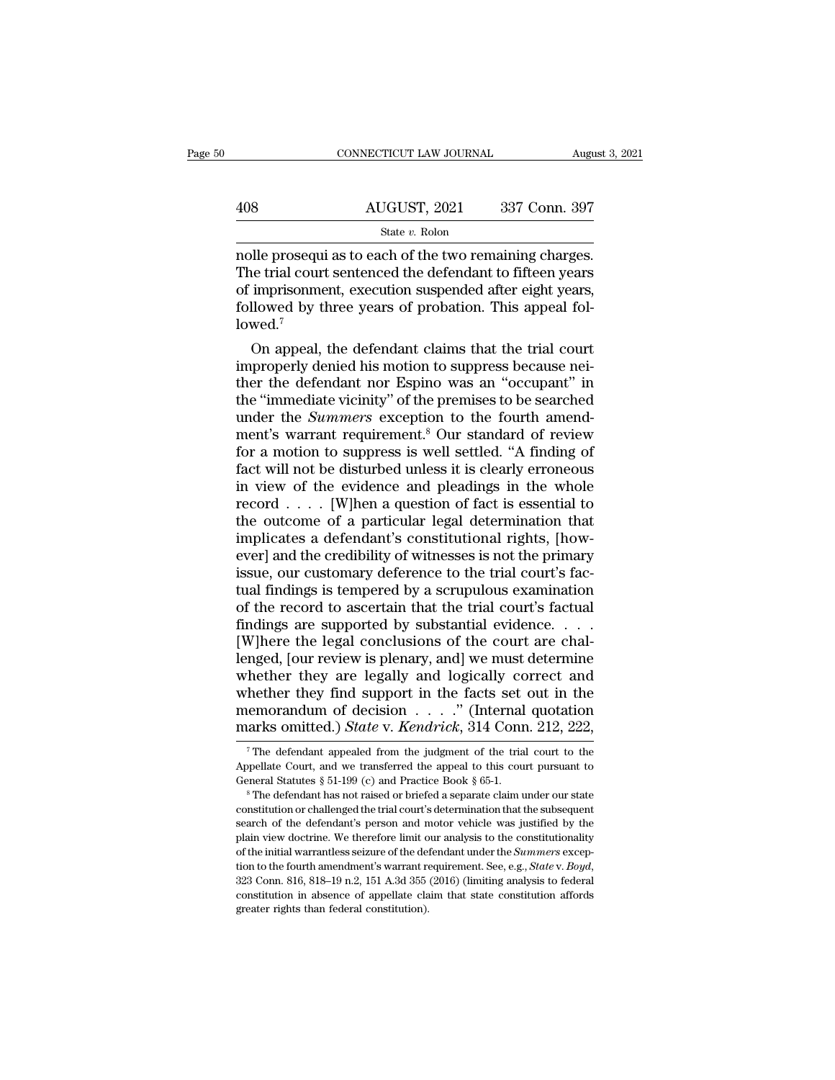|     | CONNECTICUT LAW JOURNAL                                                                                                                                                       | August 3, 2021 |
|-----|-------------------------------------------------------------------------------------------------------------------------------------------------------------------------------|----------------|
|     |                                                                                                                                                                               |                |
| 408 | AUGUST, 2021                                                                                                                                                                  | 337 Conn. 397  |
|     | State v. Rolon                                                                                                                                                                |                |
|     | nolle prosequi as to each of the two remaining charges.<br>The trial court sentenced the defendant to fifteen years<br>of imprisonment, evecution suspended after eight vears |                |

 $\frac{\text{AUGUST, 2021}}{\text{State } v. \text{ Rolon}}$  337 Conn. 397<br>
state  $v. \text{ Rolon}$ <br>
The trial court sentenced the defendant to fifteen years<br>
of imprisonment, execution suspended after eight years,<br>
followed by three years of probation. This 408 AUGUST, 2021 337 Conn. 397<br>
State v. Rolon<br>
nolle prosequi as to each of the two remaining charges.<br>
The trial court sentenced the defendant to fifteen years<br>
of imprisonment, execution suspended after eight years,<br>
f  $\frac{\text{AUGUST, 2021}}{\text{State } v. \text{ Rolon}}$ <br>
nolle prosequi as to each of the two remaining charges.<br>
The trial court sentenced the defendant to fifteen years<br>
of imprisonment, execution suspended after eight years,<br>
followed by three lowed.<sup>7</sup> belie prosequi as to each of the two remaining charges.<br>
i.e trial court sentenced the defendant to fifteen years<br>
imprisonment, execution suspended after eight years,<br>
llowed by three years of probation. This appeal fol-<br> nolle prosequi as to each of the two remaining charges.<br>The trial court sentenced the defendant to fifteen years<br>of imprisonment, execution suspended after eight years,<br>followed by three years of probation. This appeal fol

The trial court sentenced the defendant to fifteen years<br>of imprisonment, execution suspended after eight years,<br>followed by three years of probation. This appeal fol-<br>lowed.<sup>7</sup><br>On appeal, the defendant claims that the tr of imprisonment, execution suspended after eight years,<br>followed by three years of probation. This appeal fol-<br>lowed.<sup>7</sup><br>On appeal, the defendant claims that the trial court<br>improperly denied his motion to suppress becaus followed by three years of probation. This appeal followed.<sup>7</sup><br>On appeal, the defendant claims that the trial court<br>improperly denied his motion to suppress because nei-<br>ther the defendant nor Espino was an "occupant" in<br>t lowed.'<br>
On appeal, the defendant claims that the trial court<br>
improperly denied his motion to suppress because nei-<br>
ther the defendant nor Espino was an "occupant" in<br>
the "immediate vicinity" of the premises to be searc On appeal, the defendant claims that the trial court<br>improperly denied his motion to suppress because nei-<br>ther the defendant nor Espino was an "occupant" in<br>the "immediate vicinity" of the premises to be searched<br>under th improperly denied his motion to suppress because nei-<br>ther the defendant nor Espino was an "occupant" in<br>the "immediate vicinity" of the premises to be searched<br>under the *Summers* exception to the fourth amend-<br>ment's war ther the defendant nor Espino was an "occupant" in<br>the "immediate vicinity" of the premises to be searched<br>under the *Summers* exception to the fourth amend-<br>ment's warrant requirement.<sup>8</sup> Our standard of review<br>for a mot the "immediate vicinity" of the premises to be searched<br>under the *Summers* exception to the fourth amend-<br>ment's warrant requirement.<sup>8</sup> Our standard of review<br>for a motion to suppress is well settled. "A finding of<br>fact under the *Summers* exception to the fourth amend-<br>ment's warrant requirement.<sup>8</sup> Our standard of review<br>for a motion to suppress is well settled. "A finding of<br>fact will not be disturbed unless it is clearly erroneous<br>in ment's warrant requirement.<sup>8</sup> Our standard of review<br>for a motion to suppress is well settled. "A finding of<br>fact will not be disturbed unless it is clearly erroneous<br>in view of the evidence and pleadings in the whole<br>rec for a motion to suppress is well settled. "A finding of fact will not be disturbed unless it is clearly erroneous<br>in view of the evidence and pleadings in the whole<br>record  $\ldots$ . [W]hen a question of fact is essential to<br> fact will not be disturbed unless it is clearly erroneous<br>in view of the evidence and pleadings in the whole<br>record  $\ldots$ . [W]hen a question of fact is essential to<br>the outcome of a particular legal determination that<br>imp in view of the evidence and pleadings in the whole<br>record  $\ldots$ . [W]hen a question of fact is essential to<br>the outcome of a particular legal determination that<br>implicates a defendant's constitutional rights, [how-<br>ever] a record . . . . [W]hen a question of fact is essential to<br>the outcome of a particular legal determination that<br>implicates a defendant's constitutional rights, [how-<br>ever] and the credibility of witnesses is not the primary the outcome of a particular legal determination that<br>implicates a defendant's constitutional rights, [how-<br>ever] and the credibility of witnesses is not the primary<br>issue, our customary deference to the trial court's fac-<br> implicates a defendant's constitutional rights, [how-<br>ever] and the credibility of witnesses is not the primary<br>issue, our customary deference to the trial court's fac-<br>tual findings is tempered by a scrupulous examination ever] and the credibility of witnesses is not the primary<br>issue, our customary deference to the trial court's fac-<br>tual findings is tempered by a scrupulous examination<br>of the record to ascertain that the trial court's fac issue, our customary deference to the trial court's factual findings is tempered by a scrupulous examination<br>of the record to ascertain that the trial court's factual<br>findings are supported by substantial evidence. . . .<br>[ tual findings is tempered by a scrupulous examination<br>of the record to ascertain that the trial court's factual<br>findings are supported by substantial evidence. . . .<br>[W]here the legal conclusions of the court are chal-<br>le of the record to ascertain that the trial court's factual<br>findings are supported by substantial evidence. . . . .<br>[W]here the legal conclusions of the court are chal-<br>lenged, [our review is plenary, and] we must determine findings are supported by substantial evidence. . . . . [W]here the legal conclusions of the court are challenged, [our review is plenary, and] we must determine whether they are legally and logically correct and whether hether they are legally and logically correct and<br>hether they find support in the facts set out in the<br>emorandum of decision  $\ldots$ ." (Internal quotation<br>arks omitted.) *State* v. *Kendrick*, 314 Conn. 212, 222,<br><sup>7</sup>The def whether they find support in the facts set out in the memorandum of decision . . . ." (Internal quotation marks omitted.) *State* v. *Kendrick*, 314 Conn. 212, 222,<br><sup>7</sup> The defendant appealed from the judgment of the tria

memorandum of decision . . . ." (Internal quotation marks omitted.) *State* v. *Kendrick*, 314 Conn. 212, 222,  $\frac{1}{\sqrt{2}}$ . The defendant appealed from the judgment of the trial court to the Appellate Court, and we trans Appellate Court, and we transferred the appeal to this court pursuant to

The defendant appealed from the judgment of the trial court to the Appellate Court, and we transferred the appeal to this court pursuant to General Statutes  $\S 51-199$  (c) and Practice Book  $\S 65-1$ .<br><sup>8</sup> The defendant has Appellate Court, and we transferred the appeal to this court pursuant to General Statutes  $\S 51-199$  (c) and Practice Book  $\S 65-1$ .<br><sup>8</sup> The defendant has not raised or briefed a separate claim under our state constitutio constitution or challenged the trial court's determination that the subsequent<br>search of the defendant's person and motor vehicle was justified by the<br>plain view doctrine. We therefore limit our analysis to the constitutio <sup>8</sup> The defendant has not raised or briefed a separate claim under our state constitution or challenged the trial court's determination that the subsequent search of the defendant's person and motor vehicle was justified search of the defendant's person and motor vehicle was justified by the plain view doctrine. We therefore limit our analysis to the constitutionality of the initial warrantless seizure of the defendant under the *Summers* plain view doctrine. We therefore limit our analysis to the constitutionality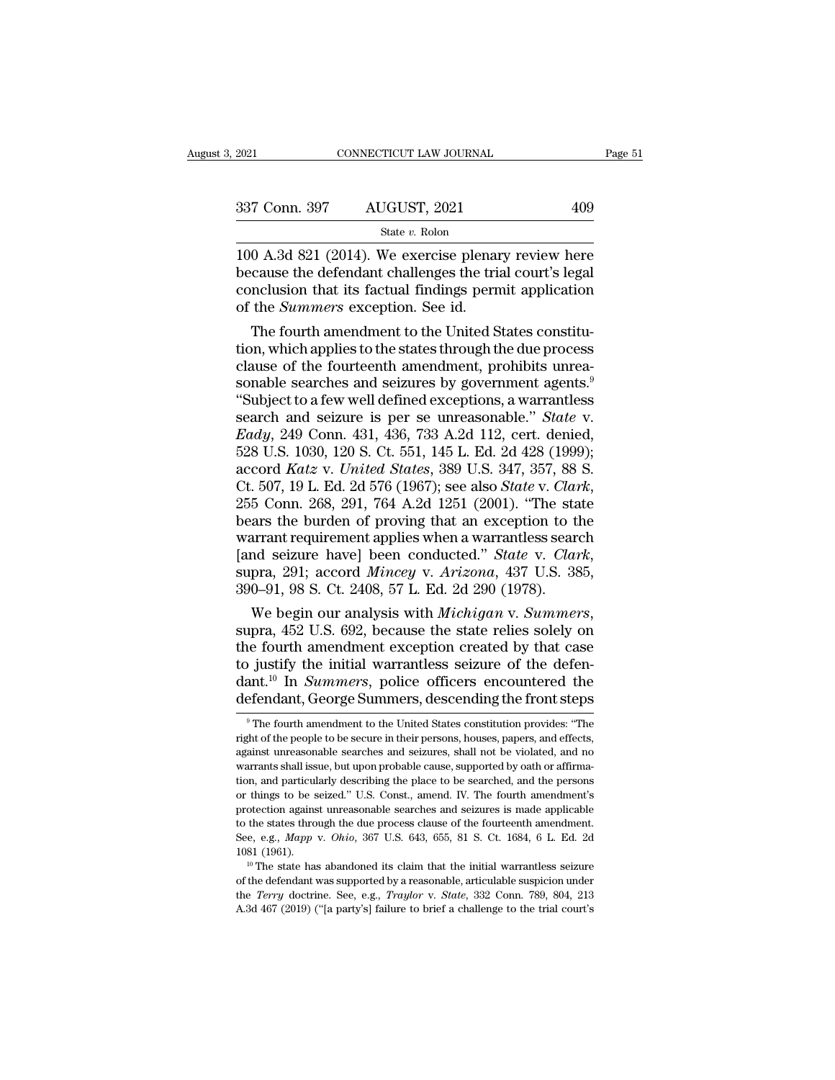| , 2021        | CONNECTICUT LAW JOURNAL | Page 51 |  |
|---------------|-------------------------|---------|--|
| 337 Conn. 397 | AUGUST, 2021            | 409     |  |
|               | State $v$ . Rolon       |         |  |

100 A.3d 821 (2014). We exercise plenary review here  $\begin{array}{r} 337 \text{ Conn. } 397 \qquad \text{AUGUST, } 2021 \qquad \qquad 409 \\ \text{State } v. \text{ Rolon} \end{array}$ <br>100 A.3d 821 (2014). We exercise plenary review here because the defendant challenges the trial court's legal conclusion that its factual findings permi 337 Conn. 397 AUGUST, 2021 409<br>
State v. Rolon<br>
100 A.3d 821 (2014). We exercise plenary review here<br>
because the defendant challenges the trial court's legal<br>
conclusion that its factual findings permit application<br>
of t 337 Conn. 397 AUGUST, 2021<br>
<sup>State *v*. Rolon<br>
100 A.3d 821 (2014). We exercise plenan<br>
because the defendant challenges the tric<br>
conclusion that its factual findings pern<br>
of the *Summers* exception. See id.<br>
The fourth </sup> State  $v$ . Rolon<br>
0 A.3d 821 (2014). We exercise plenary review here<br>
cause the defendant challenges the trial court's legal<br>
nclusion that its factual findings permit application<br>
the *Summers* exception. See id.<br>
The fo 100 A.3d 821 (2014). We exercise plenary review here<br>because the defendant challenges the trial court's legal<br>conclusion that its factual findings permit application<br>of the *Summers* exception. See id.<br>The fourth amendmen

100 A.3d 821 (2014). We exercise plenary review here<br>because the defendant challenges the trial court's legal<br>conclusion that its factual findings permit application<br>of the *Summers* exception. See id.<br>The fourth amendmen because the defendant challenges the trial court's legal<br>conclusion that its factual findings permit application<br>of the *Summers* exception. See id.<br>The fourth amendment to the United States constitu-<br>tion, which applies conclusion that its factual findings permit application<br>
of the *Summers* exception. See id.<br>
The fourth amendment to the United States constitu-<br>
tion, which applies to the states through the due process<br>
clause of the f of the *Summers* exception. See id.<br>The fourth amendment to the United States constitu-<br>tion, which applies to the states through the due process<br>clause of the fourteenth amendment, prohibits unrea-<br>sonable searches and se The fourth amendment to the United States constitution, which applies to the states through the due process clause of the fourteenth amendment, prohibits unreasonable searches and seizures by government agents.<sup>9</sup><br>
"Subjec tion, which applies to the states through the due process<br>clause of the fourteenth amendment, prohibits unrea-<br>sonable searches and seizures by government agents.<sup>9</sup><br>"Subject to a few well defined exceptions, a warrantless clause of the fourteenth amendment, prohibits unrea-<br>sonable searches and seizures by government agents.<sup>9</sup><br>"Subject to a few well defined exceptions, a warrantless<br>search and seizure is per se unreasonable." *State* v.<br>*E* sonable searches and seizures by government agents.<sup>9</sup><br>
"Subject to a few well defined exceptions, a warrantless<br>
search and seizure is per se unreasonable." *State* v.<br> *Cady*, 249 Conn. 431, 436, 733 A.2d 112, cert. deni search and seizure is per se unreasonable." *State v.*<br> *Eady*, 249 Conn. 431, 436, 733 A.2d 112, cert. denied, 528 U.S. 1030, 120 S. Ct. 551, 145 L. Ed. 2d 428 (1999);<br>
accord *Katz v. United States*, 389 U.S. 347, 357, Eady, 249 Conn. 431, 436, 733 A.2d 112, cert. denied, 528 U.S. 1030, 120 S. Ct. 551, 145 L. Ed. 2d 428 (1999); accord *Katz* v. *United States*, 389 U.S. 347, 357, 88 S. Ct. 507, 19 L. Ed. 2d 576 (1967); see also *State* 528 U.S. 1030, 120 S. Ct. 551, 145 L. Ed. 2d 428 (1999);<br>accord *Katz* v. *United States*, 389 U.S. 347, 357, 88 S.<br>Ct. 507, 19 L. Ed. 2d 576 (1967); see also *State* v. *Clark*,<br>255 Conn. 268, 291, 764 A.2d 1251 (2001). " Ct. 507, 19 L. Ed. 2d 576 (1967); see also *State* v. *Clar* 255 Conn. 268, 291, 764 A.2d 1251 (2001). "The stabears the burden of proving that an exception to the warrant requirement applies when a warrantless sear [and 255 Conn. 268, 291, 764 A.2d 1251 (2001). "The state<br>bears the burden of proving that an exception to the<br>warrant requirement applies when a warrantless search<br>[and seizure have] been conducted." *State v. Clark*,<br>supra, 2

warrant requirement applies when a warrantless search<br>
[and seizure have] been conducted." *State v. Clark*,<br>
supra, 291; accord *Mincey v. Arizona*, 437 U.S. 385,<br>
390–91, 98 S. Ct. 2408, 57 L. Ed. 2d 290 (1978).<br>
We beg [and seizure have] been conducted." *State* v. *Clark*, supra, 291; accord *Mincey* v. *Arizona*, 437 U.S. 385, 390–91, 98 S. Ct. 2408, 57 L. Ed. 2d 290 (1978). We begin our analysis with *Michigan* v. *Summers*, supra, 4 supra, 291; accord *Mincey* v. *Arizona*, 437 U.S. 385, 390–91, 98 S. Ct. 2408, 57 L. Ed. 2d 290 (1978).<br>We begin our analysis with *Michigan* v. *Summers*, supra, 452 U.S. 692, because the state relies solely on the fourt 390–91, 98 S. Ct. 2408, 57 L. Ed. 2d 290 (1978).<br>
We begin our analysis with *Michigan* v. *Summers*,<br>
supra, 452 U.S. 692, because the state relies solely on<br>
the fourth amendment exception created by that case<br>
to justi 10 is justify the initial warrantless seizure of the defen-<br>ant.<sup>10</sup> In *Summers*, police officers encountered the<br>efendant, George Summers, descending the front steps<br><sup>9</sup> The fourth amendment to the United States constit to justify the initial warrantless seizure of the defendant.<sup>10</sup> In *Summers*, police officers encountered the defendant, George Summers, descending the front steps  $\frac{1}{\pi}$  The fourth amendment to the United States con

dant.<sup>10</sup> In *Summers*, police officers encountered the defendant, George Summers, descending the front steps  $\overline{\phantom{a}}$  The fourth amendment to the United States constitution provides: "The right of the people to be secu defendant, George Summers, descending the front steps<br>
<sup>9</sup> The fourth amendment to the United States constitution provides: "The<br>
right of the people to be secure in their persons, houses, papers, and effects,<br>
against unr The fourth amendment to the United States constitution provides: "The right of the people to be secure in their persons, houses, papers, and effects, against unreasonable searches and seizures, shall not be violated, and n  $\degree$  The fourth amendment to the United States constitution provides: "The right of the people to be secure in their persons, houses, papers, and effects, against unreasonable searches and seizures, shall not be violated, right of the people to be secure in their persons, houses, papers, and effects, against unreasonable searches and seizures, shall not be violated, and no warrants shall issue, but upon probable cause, supported by oath or against unreasonable searches and seizures, shall not be violated, and no<br>warrants shall issue, but upon probable cause, supported by oath or affirma-<br>tion, and particularly describing the place to be searched, and the per warrants shall issue, but upon probable cause, supported by oath or affirma-<br>tion, and particularly describing the place to be searched, and the persons<br>or things to be seized." U.S. Const., amend. IV. The fourth amendment 1081 (1961). The state has abandoned its claim that the initial warrantless seizure of the states through the due process clause of the fourth amendment's protection against unreasonable searches and seizures is made appl protection against unreasonable searches and seizures is made applicable<br>to the states through the due process clause of the fourteenth amendment.<br>See, e.g., *Mapp* v. *Ohio*, 367 U.S. 643, 655, 81 S. Ct. 1684, 6 L. Ed. 2 See, e.g., Mapp v. Ohio, 367 U.S. 643, 655, 81 S. Ct. 1684, 6 L. Ed. 2d

the states through the due process clause of the fourteenth amendment.<br>See, e.g., *Mapp* v. *Ohio*, 367 U.S. 643, 655, 81 S. Ct. 1684, 6 L. Ed. 2d<br>1081 (1961).<br><sup>10</sup> The state has abandoned its claim that the initial warran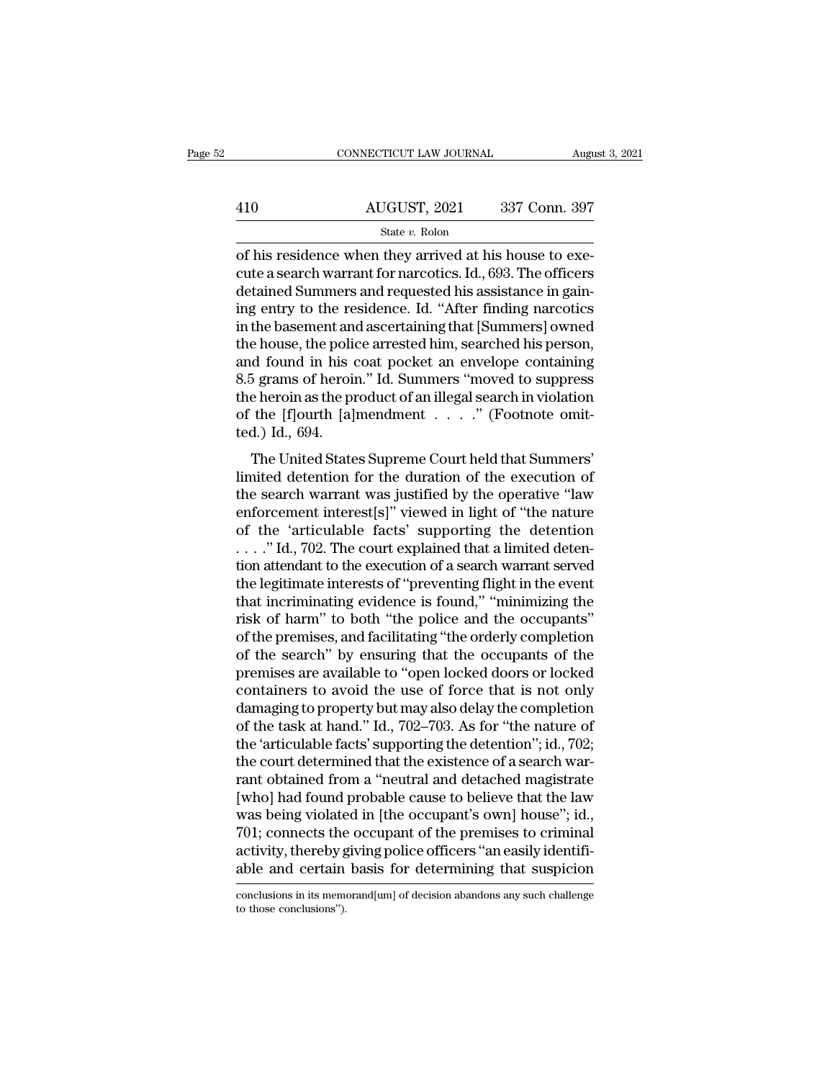|     | CONNECTICUT LAW JOURNAL | August 3, 2021 |
|-----|-------------------------|----------------|
|     |                         |                |
| 410 | AUGUST, 2021            | 337 Conn. 397  |
|     | State v. Rolon          |                |

CONNECTICUT LAW JOURNAL August 2021<br>
AUGUST, 2021 337 Conn. 397<br>
State v. Rolon<br>
of his residence when they arrived at his house to exe-<br>
cute a search warrant for narcotics. Id., 693. The officers 410 AUGUST, 2021 337 Conn. 397<br>
State v. Rolon<br>
of his residence when they arrived at his house to execute a search warrant for narcotics. Id., 693. The officers<br>
detained Summers and requested his assistance in gain-<br>
in 410  $\overline{AUGUST}$ , 2021  $\overline{337}$  Conn. 397<br>
of his residence when they arrived at his house to execute a search warrant for narcotics. Id., 693. The officers<br>
detained Summers and requested his assistance in gain-<br>
ing ent  $\frac{\text{AUGUST, 2021}}{\text{State } v. \text{ Rolon}}$ <br>
of his residence when they arrived at his house to execute a search warrant for narcotics. Id., 693. The officers<br>
detained Summers and requested his assistance in gain-<br>
ing entry to the r State v. Rolon<br>
State v. Rolon<br>
of his residence when they arrived at his house to execute<br>
a search warrant for narcotics. Id., 693. The officers<br>
detained Summers and requested his assistance in gain-<br>
ing entry to the state v. Rolon<br>
of his residence when they arrived at his house to execute a search warrant for narcotics. Id., 693. The officers<br>
detained Summers and requested his assistance in gain-<br>
ing entry to the residence. Id. "A of his residence when they arrived at his house to execute a search warrant for narcotics. Id., 693. The officers<br>detained Summers and requested his assistance in gain-<br>ing entry to the residence. Id. "After finding narcot cute a search warrant for narcotics. Id., 693. The officers<br>detained Summers and requested his assistance in gain-<br>ing entry to the residence. Id. "After finding narcotics<br>in the basement and ascertaining that [Summers] ow detained Summers and requested his assistance in gain-<br>ing entry to the residence. Id. "After finding narcotics<br>in the basement and ascertaining that [Summers] owned<br>the house, the police arrested him, searched his person, ing entry to the residence. Id. "After finding narcotics<br>in the basement and ascertaining that [Summers] owned<br>the house, the police arrested him, searched his person,<br>and found in his coat pocket an envelope containing<br>8. in the basement and<br>the house, the police<br>and found in his<br>8.5 grams of heroin<br>the heroin as the prof the [f]ourth [a]:<br>ted.) Id., 694.<br>The United State The United States Supreme Court held that Summers'<br>
The United States Supreme Court held that Summers'<br>
The United States Supreme Court held that Summers'<br>
The United States Supreme Court held that Summers'<br>
and detention and found in his coat pocket an envelope containing<br>8.5 grams of heroin." Id. Summers "moved to suppress<br>the heroin as the product of an illegal search in violation<br>of the [f]ourth [a]mendment . . . . . " (Footnote omit-<br>t

 $\sigma$ .<br>  $\sigma$  grants of neroth. The standards involved to suppress<br>
the heroin as the product of an illegal search in violation<br>
of the [f]ourth [a]mendment  $\dots$ ." (Footnote omit-<br>
ted.) Id., 694.<br>
The United States Supreme enforcement interest is all product of an integal search in violation<br>of the [f]ourth [a]mendment . . . . ." (Footnote omit-<br>ted.) Id., 694.<br>The United States Supreme Court held that Summers'<br>limited detention for the dura of the 'plotter' approaches a set of the detention of the search warrant was justified by the operative "law enforcement interest[s]" viewed in light of "the nature of the 'articulable facts' supporting the detention  $\ldots$ The United States Supreme Court held that Summers'<br>limited detention for the duration of the execution of<br>the search warrant was justified by the operative "law<br>enforcement interest[s]" viewed in light of "the nature<br>of t The United States Supreme Court held that Summers'<br>limited detention for the duration of the execution of<br>the search warrant was justified by the operative "law<br>enforcement interest[s]" viewed in light of "the nature<br>of th limited detention for the duration of the execution of<br>the search warrant was justified by the operative "law<br>enforcement interest[s]" viewed in light of "the nature<br>of the 'articulable facts' supporting the detention<br>..." the search warrant was justified by the operative "law<br>enforcement interest[s]" viewed in light of "the nature<br>of the 'articulable facts' supporting the detention<br>...." Id., 702. The court explained that a limited deten-<br>t enforcement interest[s]" viewed in light of "the nature<br>of the 'articulable facts' supporting the detention<br> $\ldots$ ." Id., 702. The court explained that a limited deten-<br>tion attendant to the execution of a search warrant s of the 'articulable facts' supporting the detention<br>
...." Id., 702. The court explained that a limited deten-<br>
tion attendant to the execution of a search warrant served<br>
the legitimate interests of "preventing flight in ...." Id., 702. The court explained that a limited detention attendant to the execution of a search warrant served<br>the legitimate interests of "preventing flight in the event<br>that incriminating evidence is found," "minimiz tion attendant to the execution of a search warrant served<br>the legitimate interests of "preventing flight in the event<br>that incriminating evidence is found," "minimizing the<br>risk of harm" to both "the police and the occupa the legitimate interests of "preventing flight in the event<br>that incriminating evidence is found," "minimizing the<br>risk of harm" to both "the police and the occupants"<br>of the premises, and facilitating "the orderly complet that incriminating evidence is found," "minimizing the<br>risk of harm" to both "the police and the occupants"<br>of the premises, and facilitating "the orderly completion<br>of the search" by ensuring that the occupants of the<br>pre risk of harm" to both "the police and the occupants"<br>of the premises, and facilitating "the orderly completion<br>of the search" by ensuring that the occupants of the<br>premises are available to "open locked doors or locked<br>con of the premises, and facilitating "the orderly completion<br>of the search" by ensuring that the occupants of the<br>premises are available to "open locked doors or locked<br>containers to avoid the use of force that is not only<br>da of the search" by ensuring that the occupants of the<br>premises are available to "open locked doors or locked<br>containers to avoid the use of force that is not only<br>damaging to property but may also delay the completion<br>of th premises are available to "open locked doors or locked<br>containers to avoid the use of force that is not only<br>damaging to property but may also delay the completion<br>of the task at hand." Id., 702–703. As for "the nature of<br> containers to avoid the use of force that is not only<br>damaging to property but may also delay the completion<br>of the task at hand." Id., 702–703. As for "the nature of<br>the 'articulable facts' supporting the detention"; id., damaging to property but may also delay the completion<br>of the task at hand." Id., 702–703. As for "the nature of<br>the 'articulable facts' supporting the detention"; id., 702;<br>the court determined that the existence of a sea of the task at hand." Id., 702–703. As for "the nature of<br>the 'articulable facts' supporting the detention"; id., 702;<br>the court determined that the existence of a search war-<br>rant obtained from a "neutral and detached mag the 'articulable facts' supporting the detention''; id., 702; the court determined that the existence of a search warrant obtained from a "neutral and detached magistrate [who] had found probable cause to believe that the the court determined that the existence of a search warrant obtained from a "neutral and detached magistrate [who] had found probable cause to believe that the law was being violated in [the occupant's own] house"; id., 70 was being violated in [the occupant's own] house"; id., 701; connects the occupant of the premises to criminal activity, thereby giving police officers "an easily identifiable and certain basis for determining that suspici able and certain basis for determining that suspicion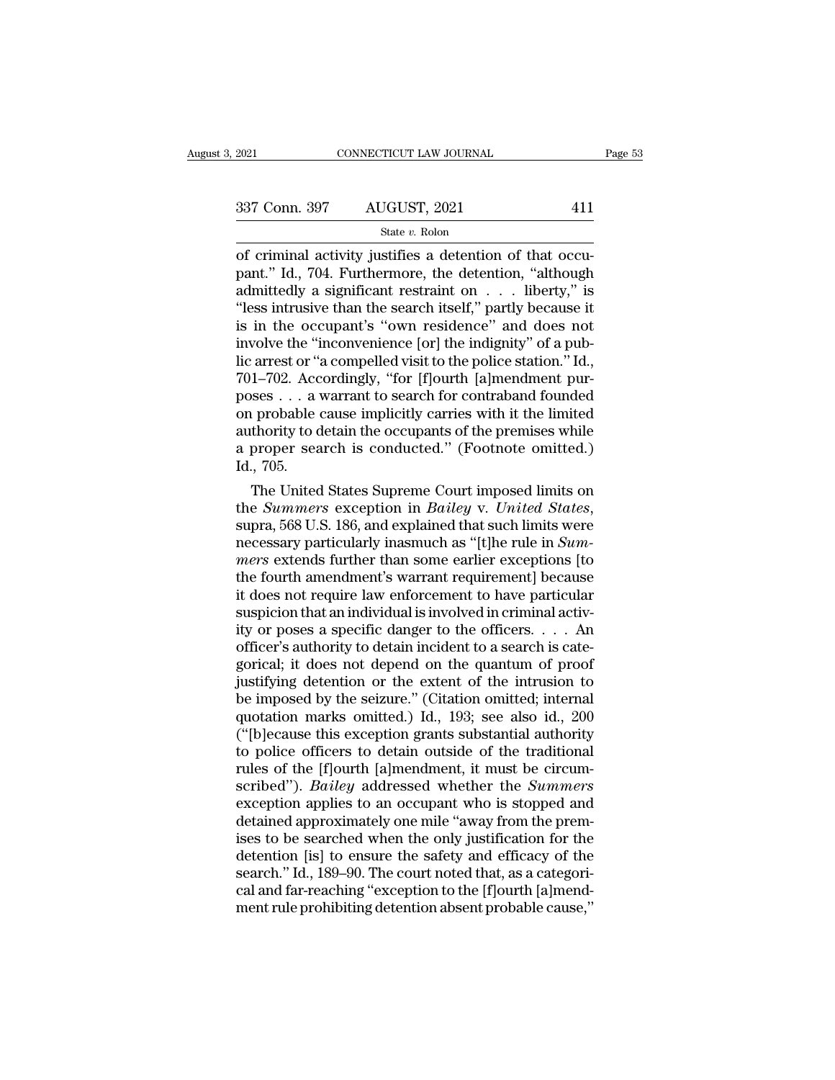| 2021          | CONNECTICUT LAW JOURNAL | Page 53 |  |
|---------------|-------------------------|---------|--|
| 337 Conn. 397 | AUGUST, 2021            | 411     |  |
|               | State v. Rolon          |         |  |

CONNECTICUT LAW JOURNAL<br>
337 Conn. 397 AUGUST, 2021 411<br>
5tate v. Rolon<br>
of criminal activity justifies a detention of that occu-<br>
pant." Id., 704. Furthermore, the detention, "although<br>
admittedly a significant restraint 337 Conn. 397 AUGUST, 2021 411<br>
State v. Rolon<br>
of criminal activity justifies a detention of that occupant." Id., 704. Furthermore, the detention, "although<br>
admittedly a significant restraint on . . . liberty," is<br>
"les 337 Conn. 397 AUGUST, 2021 411<br>
State v. Rolon<br>
of criminal activity justifies a detention of that occupant." Id., 704. Furthermore, the detention, "although<br>
admittedly a significant restraint on . . . liberty," is<br>
"les <sup>337</sup> Conn. 397 AUGUST, 2021 411<br>
<sup>State v. Rolon</sup><br>
of criminal activity justifies a detention of that occupant." Id., 704. Furthermore, the detention, "although<br>
admittedly a significant restraint on . . . liberty," is<br> Solution of the occupant<br>
of criminal activity justifies a detention of that occupant." Id., 704. Furthermore, the detention, "although<br>
admittedly a significant restraint on  $\ldots$  liberty," is<br>
"less intrusive than the s state v. Rolon<br>
of criminal activity justifies a detention of that occu-<br>
pant." Id., 704. Furthermore, the detention, "although<br>
admittedly a significant restraint on  $\ldots$  liberty," is<br>
"less intrusive than the search i of criminal activity justifies a detention of that occupant." Id., 704. Furthermore, the detention, "although admittedly a significant restraint on . . . liberty," is "less intrusive than the search itself," partly because pant." Id., 704. Furthermore, the detention, "although admittedly a significant restraint on  $\ldots$  liberty," is "less intrusive than the search itself," partly because it is in the occupant's "own residence" and does not admittedly a significant restraint on . . . liberty," is<br>
"less intrusive than the search itself," partly because it<br>
is in the occupant's "own residence" and does not<br>
involve the "inconvenience [or] the indignity" of a p "less intrusive than the search itself," partly because it<br>is in the occupant's "own residence" and does not<br>involve the "inconvenience [or] the indignity" of a pub-<br>lic arrest or "a compelled visit to the police station." is in the occupant's "own residence" and does not<br>involve the "inconvenience [or] the indignity" of a pub-<br>lic arrest or "a compelled visit to the police station." Id.,<br>701–702. Accordingly, "for [f]ourth [a]mendment pur-<br> involve the "inconvenience [or] the indignity" of a pub-<br>lic arrest or "a compelled visit to the police station." Id.,<br>701–702. Accordingly, "for [f]ourth [a]mendment pur-<br>poses . . . a warrant to search for contraband fou lic arrest or ";<br>701–702. Acc<br>poses . . . a v<br>on probable (<br>authority to c<br>a proper sea<br>Id., 705.<br>The United  $1-702$ . Accordingly, "for [1]ourth [a]mendment pursess . . . a warrant to search for contraband founded<br>a probable cause implicitly carries with it the limited<br>thority to detain the occupants of the premises while<br>proper poses . . . a warrant to search for contraband founded<br>on probable cause implicitly carries with it the limited<br>authority to detain the occupants of the premises while<br>a proper search is conducted." (Footnote omitted.)<br>Id.

authority to detain the occupants of the premises while<br>a proper search is conducted." (Footnote omitted.)<br>Id., 705.<br>The United States Supreme Court imposed limits on<br>the *Summers* exception in *Bailey* v. *United States*, a proper search is conducted." (Footnote omitted.)<br>Id., 705.<br>The United States Supreme Court imposed limits on<br>the *Summers* exception in *Bailey* v. *United States*,<br>supra, 568 U.S. 186, and explained that such limits wer 1d., 705.<br>The United States Supreme Court imposed limits on<br>the *Summers* exception in *Bailey* v. *United States*,<br>supra, 568 U.S. 186, and explained that such limits were<br>necessary particularly inasmuch as "[t]he rule i The United States Supreme Court imposed limits on<br>the *Summers* exception in *Bailey* v. *United States*,<br>supra, 568 U.S. 186, and explained that such limits were<br>necessary particularly inasmuch as "[t]he rule in *Sum-<br>mer* the *Summers* exception in *Bailey* v. United States, supra, 568 U.S. 186, and explained that such limits were necessary particularly inasmuch as "[t]he rule in *Summers* extends further than some earlier exceptions [to t supra, 568 U.S. 186, and explained that such limits were<br>necessary particularly inasmuch as "[t]he rule in *Summers* extends further than some earlier exceptions [to<br>the fourth amendment's warrant requirement] because<br>it d necessary particularly inasmuch as "[t]he rule in *Summers* extends further than some earlier exceptions [to the fourth amendment's warrant requirement] because it does not require law enforcement to have particular suspic mers extends further than some earlier exceptions [to the fourth amendment's warrant requirement] because it does not require law enforcement to have particular suspicion that an individual is involved in criminal activit the fourth amendment's warrant requirement] because<br>it does not require law enforcement to have particular<br>suspicion that an individual is involved in criminal activ-<br>ity or poses a specific danger to the officers.  $\dots$  A it does not require law enforcement to have particular<br>suspicion that an individual is involved in criminal activ-<br>ity or poses a specific danger to the officers. . . . An<br>officer's authority to detain incident to a search suspicion that an individual is involved in criminal activity or poses a specific danger to the officers. . . . An officer's authority to detain incident to a search is categorical; it does not depend on the quantum of pr ity or poses a specific danger to the officers. . . . An officer's authority to detain incident to a search is categorical; it does not depend on the quantum of proof justifying detention or the extent of the intrusion to officer's authority to detain incident to a search is categorical; it does not depend on the quantum of proof<br>justifying detention or the extent of the intrusion to<br>be imposed by the seizure." (Citation omitted; internal<br>q gorical; it does not depend on the quantum of proof<br>justifying detention or the extent of the intrusion to<br>be imposed by the seizure." (Citation omitted; internal<br>quotation marks omitted.) Id., 193; see also id., 200<br>("[b] justifying detention or the extent of the intrusion to<br>be imposed by the seizure." (Citation omitted; internal<br>quotation marks omitted.) Id., 193; see also id., 200<br>("[b]ecause this exception grants substantial authority<br>t be imposed by the seizure." (Citation omitted; internal quotation marks omitted.) Id., 193; see also id., 200 ("[b]ecause this exception grants substantial authority to police officers to detain outside of the traditional quotation marks omitted.) Id., 193; see also id., 200 ("[b]ecause this exception grants substantial authority<br>to police officers to detain outside of the traditional<br>rules of the [f]ourth [a]mendment, it must be circum-<br>sc ("[b]ecause this exception grants substantial authority<br>to police officers to detain outside of the traditional<br>rules of the [f]ourth [a]mendment, it must be circum-<br>scribed"). *Bailey* addressed whether the *Summers*<br>exc to police officers to detain outside of the traditional<br>rules of the [f]ourth [a]mendment, it must be circum-<br>scribed"). *Bailey* addressed whether the *Summers*<br>exception applies to an occupant who is stopped and<br>detained rules of the [f]ourth [a]mendment, it must be circum-<br>scribed"). *Bailey* addressed whether the *Summers*<br>exception applies to an occupant who is stopped and<br>detained approximately one mile "away from the prem-<br>ises to be scribed"). *Bailey* addressed whether the *Summers* exception applies to an occupant who is stopped and detained approximately one mile "away from the premises to be searched when the only justification for the detention [ exception applies to an occupant who is stopped and<br>detained approximately one mile "away from the prem-<br>ises to be searched when the only justification for the<br>detention [is] to ensure the safety and efficacy of the<br>searc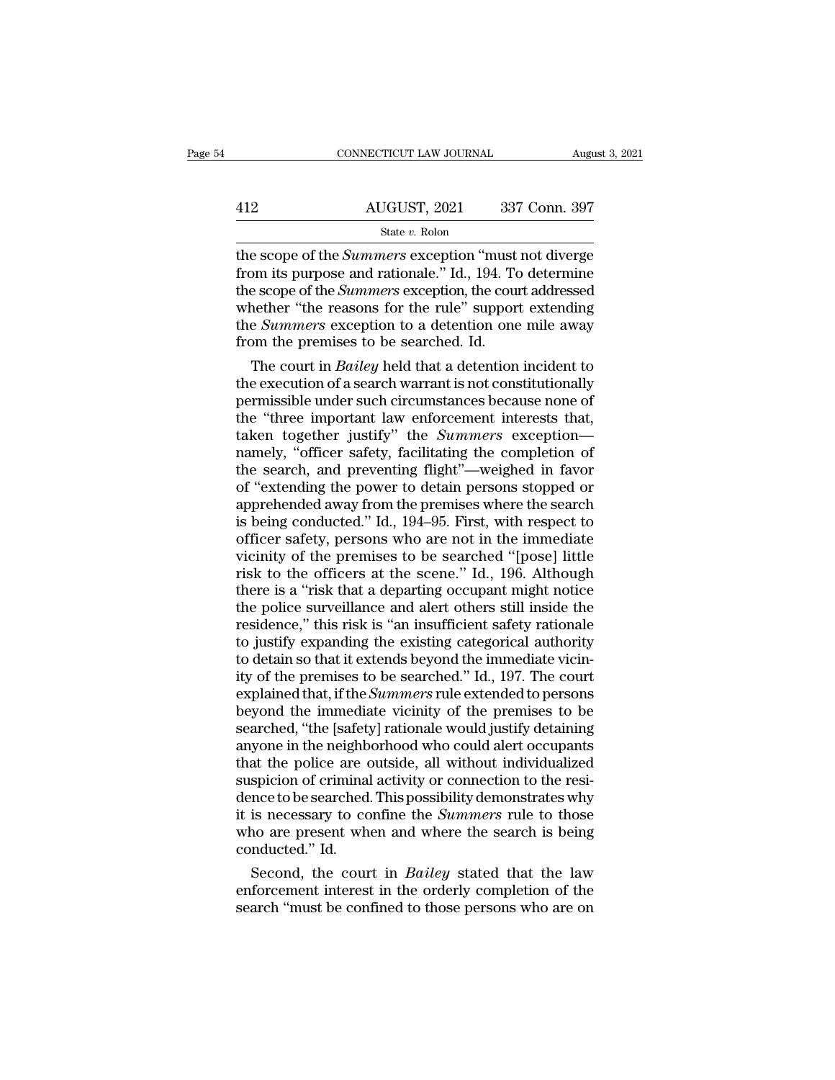|     | CONNECTICUT LAW JOURNAL | August 3, 2021 |
|-----|-------------------------|----------------|
| 412 | AUGUST, 2021            | 337 Conn. 397  |
|     | State $v$ . Rolon       |                |

CONNECTICUT LAW JOURNAL August 3, 2021<br>
AUGUST, 2021 337 Conn. 397<br>
State *v*. Rolon<br>
the scope of the *Summers* exception "must not diverge<br>
from its purpose and rationale." Id., 194. To determine<br>
the scope of the *Summe* 412 AUGUST, 2021 337 Conn. 397<br>  $\frac{\text{State } v. \text{ Rolon}}{\text{the scope of the *Summers* exception "must not diverge from its purpose and rationale." Id., 194. To determine the scope of the *Summers* exception, the court addressed whether "the reasons for the rule" support extending.$ AUGUST, 2021 337 Conn. 397<br>
State v. Rolon<br>
the scope of the *Summers* exception "must not diverge<br>
from its purpose and rationale." Id., 194. To determine<br>
the scope of the *Summers* exception, the court addressed<br>
wheth AUGUST, 2021 337 Conn. 397<br>
State v. Rolon<br>
the scope of the *Summers* exception "must not diverge<br>
from its purpose and rationale." Id., 194. To determine<br>
the scope of the *Summers* exception, the court addressed<br>
wheth State *v*. Rolon<br>
State *v*. Rolon<br>
the scope of the *Summers* exception "must not diverge<br>
from its purpose and rationale." Id., 194. To determine<br>
the scope of the *Summers* exception, the court addressed<br>
whether "the State *v*. Rolon<br>the scope of the *Summers* exception "must<br>from its purpose and rationale." Id., 194. To<br>the scope of the *Summers* exception, the cour<br>whether "the reasons for the rule" suppor<br>the *Summers* exception to e scope of the *Summers* exception "must not diverge<br>om its purpose and rationale." Id., 194. To determine<br>e scope of the *Summers* exception, the court addressed<br>nether "the reasons for the rule" support extending<br>e *Summ* from its purpose and rationale." Id., 194. To determine<br>the scope of the *Summers* exception, the court addressed<br>whether "the reasons for the rule" support extending<br>the *Summers* exception to a detention one mile away<br>f

the scope of the *Summers* exception, the court addressed<br>whether "the reasons for the rule" support extending<br>the *Summers* exception to a detention one mile away<br>from the premises to be searched. Id.<br>The court in *Bailey* whether "the reasons for the rule" support extending<br>the *Summers* exception to a detention one mile away<br>from the premises to be searched. Id.<br>The court in *Bailey* held that a detention incident to<br>the execution of a se the *Summers* exception to a detention one mile away<br>from the premises to be searched. Id.<br>The court in *Bailey* held that a detention incident to<br>the execution of a search warrant is not constitutionally<br>permissible under from the premises to be searched. Id.<br>
The court in *Bailey* held that a detention incident to<br>
the execution of a search warrant is not constitutionally<br>
permissible under such circumstances because none of<br>
the "three i The court in *Bailey* held that a detention incident to<br>the execution of a search warrant is not constitutionally<br>permissible under such circumstances because none of<br>the "three important law enforcement interests that,<br>ta the execution of a search warrant is not constitutionally<br>permissible under such circumstances because none of<br>the "three important law enforcement interests that,<br>taken together justify" the *Summers* exception—<br>namely, " permissible under such circumstances because none of<br>the "three important law enforcement interests that,<br>taken together justify" the *Summers* exception—<br>namely, "officer safety, facilitating the completion of<br>the search, the "three important law enforcement interests that,<br>taken together justify" the *Summers* exception—<br>namely, "officer safety, facilitating the completion of<br>the search, and preventing flight"—weighed in favor<br>of "extendin taken together justify" the *Summers* exception—<br>namely, "officer safety, facilitating the completion of<br>the search, and preventing flight"—weighed in favor<br>of "extending the power to detain persons stopped or<br>apprehended namely, "officer safety, facilitating the completion of<br>the search, and preventing flight"—weighed in favor<br>of "extending the power to detain persons stopped or<br>apprehended away from the premises where the search<br>is being the search, and preventing flight"—weighed in favor<br>of "extending the power to detain persons stopped or<br>apprehended away from the premises where the search<br>is being conducted." Id., 194–95. First, with respect to<br>officer of "extending the power to detain persons stopped or<br>apprehended away from the premises where the search<br>is being conducted." Id., 194–95. First, with respect to<br>officer safety, persons who are not in the immediate<br>vicinit apprehended away from the premises where the search<br>is being conducted." Id., 194–95. First, with respect to<br>officer safety, persons who are not in the immediate<br>vicinity of the premises to be searched "[pose] little<br>risk is being conducted." Id., 194–95. First, with respect to officer safety, persons who are not in the immediate vicinity of the premises to be searched "[pose] little risk to the officers at the scene." Id., 196. Although th officer safety, persons who are not in the immediate<br>vicinity of the premises to be searched "[pose] little<br>risk to the officers at the scene." Id., 196. Although<br>there is a "risk that a departing occupant might notice<br>the vicinity of the premises to be searched "[pose] little<br>risk to the officers at the scene." Id., 196. Although<br>there is a "risk that a departing occupant might notice<br>the police surveillance and alert others still inside th risk to the officers at the scene." Id., 196. Although<br>there is a "risk that a departing occupant might notice<br>the police surveillance and alert others still inside the<br>residence," this risk is "an insufficient safety rati there is a "risk that a departing occupant might notice<br>the police surveillance and alert others still inside the<br>residence," this risk is "an insufficient safety rationale<br>to justify expanding the existing categorical aut the police surveillance and alert others still inside the residence," this risk is "an insufficient safety rationale to justify expanding the existing categorical authority to detain so that it extends beyond the immediate residence," this risk is "an insufficient safety rationale<br>to justify expanding the existing categorical authority<br>to detain so that it extends beyond the immediate vicin-<br>ity of the premises to be searched." Id., 197. The to justify expanding the existing categorical authority<br>to detain so that it extends beyond the immediate vicin-<br>ity of the premises to be searched." Id., 197. The court<br>explained that, if the *Summers* rule extended to pe to detain so that it extends beyond the immediate vicinity of the premises to be searched." Id., 197. The court<br>explained that, if the *Summers* rule extended to persons<br>beyond the immediate vicinity of the premises to be<br> ity of the premises to be searched." Id., 197. The court<br>explained that, if the *Summers* rule extended to persons<br>beyond the immediate vicinity of the premises to be<br>searched, "the [safety] rationale would justify detaini explained that, if the *Summers* rule extended to persons<br>beyond the immediate vicinity of the premises to be<br>searched, "the [safety] rationale would justify detaining<br>anyone in the neighborhood who could alert occupants<br>t beyond the immediate vicinity of the premises to be<br>searched, "the [safety] rationale would justify detaining<br>anyone in the neighborhood who could alert occupants<br>that the police are outside, all without individualized<br>sus searched, "the [safety] rationale would justify detaining<br>anyone in the neighborhood who could alert occupants<br>that the police are outside, all without individualized<br>suspicion of criminal activity or connection to the res anyone in the neighb<br>that the police are c<br>suspicion of criminal<br>dence to be searched<br>it is necessary to co<br>who are present wh<br>conducted." Id.<br>Second, the cour at the police are outside, all without individualized<br>spicion of criminal activity or connection to the resi-<br>nce to be searched. This possibility demonstrates why<br>is necessary to confine the *Summers* rule to those<br>no are suspicion of criminal activity or connection to the residence to be searched. This possibility demonstrates why<br>it is necessary to confine the *Summers* rule to those<br>who are present when and where the search is being<br>cond dence to be searched. This possibility demonstrates why<br>it is necessary to confine the *Summers* rule to those<br>who are present when and where the search is being<br>conducted." Id.<br>Second, the court in *Bailey* stated that th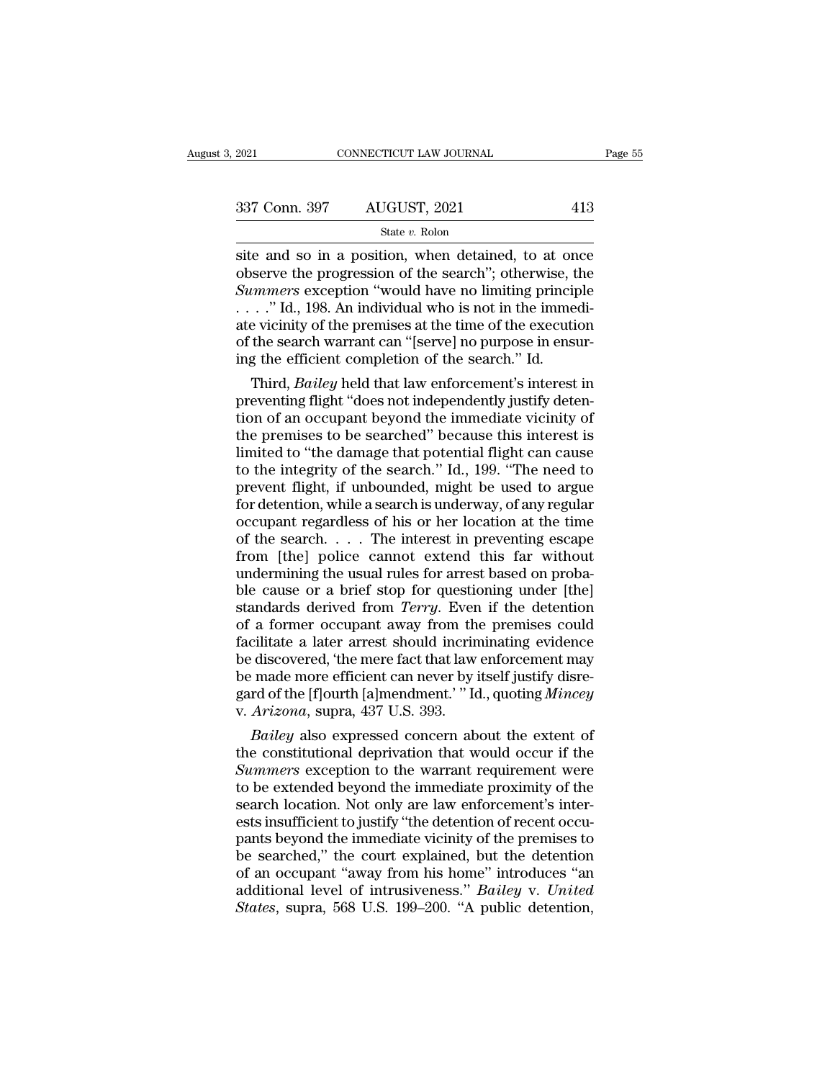| 2021          | CONNECTICUT LAW JOURNAL | Page 55 |  |
|---------------|-------------------------|---------|--|
| 337 Conn. 397 | AUGUST, 2021            | 413     |  |
|               | State v. Rolon          |         |  |

Figure 2021 CONNECTICUT LAW JOURNAL Page 55<br>
337 Conn. 397 AUGUST, 2021 413<br>
5tate v. Rolon<br>
site and so in a position, when detained, to at once<br>
observe the progression of the search''; otherwise, the<br>
Summers exception 337 Conn. 397 AUGUST, 2021 413<br>
State v. Rolon<br>
site and so in a position, when detained, to at once<br>
observe the progression of the search''; otherwise, the<br>
Summers exception "would have no limiting principle<br>
"Id 198 A <sup>337</sup> Conn. 397 **AUGUST**, 2021 413<br> **State v. Rolon**<br> **State v. Rolon**<br> **State v. Rolon**<br> **State v. Rolon**<br> **State and so in a position, when detained, to at once**<br> **observe the progression of the search''; otherwise, the** 337 Conn. 397 AUGUST, 2021 413<br>
State v. Rolon<br>
site and so in a position, when detained, to at once<br>
observe the progression of the search"; otherwise, the<br> *Summers* exception "would have no limiting principle<br>
...." Id Solution of the search victory,  $\frac{1}{2021}$ <br>
State *v*. Rolon<br>
Site and so in a position, when detained, to at once<br>
observe the progression of the search"; otherwise, the<br> *Summers* exception "would have no limiting pri State *v*. Rolon<br>site and so in a position, when detained, to at once<br>observe the progression of the search"; otherwise, the<br>Summers exception "would have no limiting principle<br>...." Id., 198. An individual who is not in site and so in a position, when detained, to at on<br>observe the progression of the search"; otherwise, t<br>Summers exception "would have no limiting princip<br> $\dots$ ." Id., 198. An individual who is not in the imme<br>ate vicinity serve the progression of the search''; otherwise, the<br> *ummers* exception "would have no limiting principle<br>
. ." Id., 198. An individual who is not in the immedi-<br>
evicinity of the premises at the time of the execution<br>
t Summers exception "would have no limiting principle<br>  $\ldots$  ." Id., 198. An individual who is not in the immedi-<br>
ate vicinity of the premises at the time of the execution<br>
of the search warrant can "[serve] no purpose in

 $\ldots$  ." Id., 198. An individual who is not in the immediate vicinity of the premises at the time of the execution of the search warrant can "[serve] no purpose in ensuring the efficient completion of the search." Id.<br>Thi ate vicinity of the premises at the time of the execution<br>of the search warrant can "[serve] no purpose in ensur-<br>ing the efficient completion of the search." Id.<br>Third, *Bailey* held that law enforcement's interest in<br>pre of the search warrant can "[serve] no purpose in ensur-<br>ing the efficient completion of the search." Id.<br>Third, *Bailey* held that law enforcement's interest in<br>preventing flight "does not independently justify deten-<br>tion Ing the efficient completion of the search." Id.<br>
Third, *Bailey* held that law enforcement's interest in<br>
preventing flight "does not independently justify deten-<br>
tion of an occupant beyond the immediate vicinity of<br>
the Third, *Bailey* held that law enforcement's interest in<br>preventing flight "does not independently justify deten-<br>tion of an occupant beyond the immediate vicinity of<br>the premises to be searched" because this interest is<br>li preventing flight "does not independently justify detention of an occupant beyond the immediate vicinity of the premises to be searched" because this interest is limited to "the damage that potential flight can cause to th tion of an occupant beyond the immediate vicinity of<br>the premises to be searched" because this interest is<br>limited to "the damage that potential flight can cause<br>to the integrity of the search." Id., 199. "The need to<br>pre the premises to be searched" because this interest is<br>limited to "the damage that potential flight can cause<br>to the integrity of the search." Id., 199. "The need to<br>prevent flight, if unbounded, might be used to argue<br>for limited to "the damage that potential flight can cause<br>to the integrity of the search." Id., 199. "The need to<br>prevent flight, if unbounded, might be used to argue<br>for detention, while a search is underway, of any regular<br> to the integrity of the search." Id., 199. "The need to prevent flight, if unbounded, might be used to argue for detention, while a search is underway, of any regular occupant regardless of his or her location at the time prevent flight, if unbounded, might be used to argue<br>for detention, while a search is underway, of any regular<br>occupant regardless of his or her location at the time<br>of the search. . . . The interest in preventing escape<br> for detention, while a search is underway, of any regular<br>occupant regardless of his or her location at the time<br>of the search. . . . The interest in preventing escape<br>from [the] police cannot extend this far without<br>under occupant regardless of his or her location at the time<br>of the search. . . . The interest in preventing escape<br>from [the] police cannot extend this far without<br>undermining the usual rules for arrest based on proba-<br>ble cau of the search.  $\ldots$  The interest in preventing escape<br>from [the] police cannot extend this far without<br>undermining the usual rules for arrest based on proba-<br>ble cause or a brief stop for questioning under [the]<br>standard from [the] police cannot extend this far without<br>undermining the usual rules for arrest based on proba-<br>ble cause or a brief stop for questioning under [the]<br>standards derived from *Terry*. Even if the detention<br>of a forme undermining the usual rules for arrest based on probable cause or a brief stop for questioning under [the] standards derived from *Terry*. Even if the detention of a former occupant away from the premises could facilitate ble cause or a brief stop for questioning under [the]<br>standards derived from *Terry*. Even if the detention<br>of a former occupant away from the premises could<br>facilitate a later arrest should incriminating evidence<br>be disco standards derived from *Terry*. Even<br>of a former occupant away from th<br>facilitate a later arrest should incrin<br>be discovered, 'the mere fact that law<br>be made more efficient can never by i<br>gard of the [f]ourth [a]mendment.' a former occupant away from the premises could<br>cilitate a later arrest should incriminating evidence<br>discovered, 'the mere fact that law enforcement may<br>made more efficient can never by itself justify disre-<br>rd of the [f]o facilitate a later arrest should incriminating evidence<br>be discovered, 'the mere fact that law enforcement may<br>be made more efficient can never by itself justify disre-<br>gard of the [f]ourth [a]mendment.' " Id., quoting *M* 

be discovered, 'the mere fact that law enforcement may<br>be made more efficient can never by itself justify disre-<br>gard of the [f]ourth [a]mendment.' " Id., quoting *Mincey*<br>v. *Arizona*, supra, 437 U.S. 393.<br>*Bailey* also e be made more efficient can never by itself justify disregard of the [f]ourth [a]mendment.' " Id., quoting *Mincey*<br>v. *Arizona*, supra, 437 U.S. 393.<br>*Bailey* also expressed concern about the extent of<br>the constitutional d gard of the [f]ourth [a]mendment.' "Id., quoting *Mincey*<br>v. *Arizona*, supra, 437 U.S. 393.<br>*Bailey* also expressed concern about the extent of<br>the constitutional deprivation that would occur if the<br>*Summers* exception to v. Arizona, supra,  $437$  U.S. 393.<br>Bailey also expressed concern about the extent of<br>the constitutional deprivation that would occur if the<br>Summers exception to the warrant requirement were<br>to be extended beyond the immed Bailey also expressed concern about the extent of<br>the constitutional deprivation that would occur if the<br>Summers exception to the warrant requirement were<br>to be extended beyond the immediate proximity of the<br>search locatio the constitutional deprivation that would occur if the<br>
Summers exception to the warrant requirement were<br>
to be extended beyond the immediate proximity of the<br>
search location. Not only are law enforcement's inter-<br>
ests Summers exception to the warrant requirement were<br>to be extended beyond the immediate proximity of the<br>search location. Not only are law enforcement's inter-<br>ests insufficient to justify "the detention of recent occu-<br>pant to be extended beyond the immediate proximity of the<br>search location. Not only are law enforcement's inter-<br>ests insufficient to justify "the detention of recent occu-<br>pants beyond the immediate vicinity of the premises to search location. Not only are law enforcement's interests insufficient to justify "the detention of recent occupants beyond the immediate vicinity of the premises to be searched," the court explained, but the detention of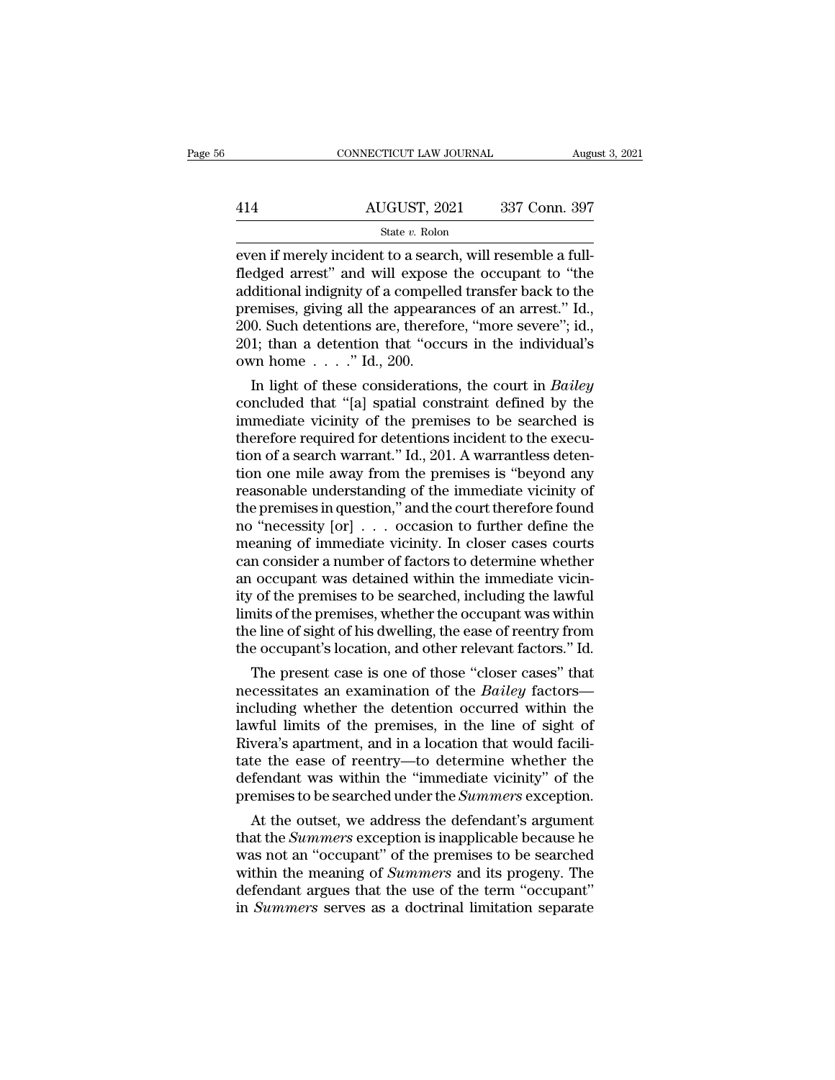|     | CONNECTICUT LAW JOURNAL | August 3, 2021 |
|-----|-------------------------|----------------|
|     |                         |                |
| 414 | AUGUST, 2021            | 337 Conn. 397  |
|     | State v. Rolon          |                |

EVEN CONNECTICUT LAW JOURNAL AUGUST<br>
AUGUST, 2021 337 Conn. 397<br>
State v. Rolon<br>
Even if merely incident to a search, will resemble a full-<br>
fledged arrest" and will expose the occupant to "the<br>
additional indignity of a c  $\frac{\text{AUGUST, 2021}}{\text{State } v. \text{ Rolon}}$ <br>  $\frac{\text{State } v. \text{ Rolon}}{\text{even if merely incident to a search, will resemble a full-fledged arrest" and will expose the occupant to "the additional indignity of a compelled transfer back to the promises, giving all the anopaxances of an arrest" led.}$ 414 AUGUST, 2021 337 Conn. 397<br>
State v. Rolon<br>
even if merely incident to a search, will resemble a full-<br>
fledged arrest" and will expose the occupant to "the<br>
additional indignity of a compelled transfer back to the<br>
p AUGUST, 2021 337 Conn. 397<br>
State v. Rolon<br>
even if merely incident to a search, will resemble a full-<br>
fledged arrest" and will expose the occupant to "the<br>
additional indignity of a compelled transfer back to the<br>
premi State v. Rolon<br>
Even if merely incident to a search, will resemble a full-<br>
fledged arrest" and will expose the occupant to "the<br>
additional indignity of a compelled transfer back to the<br>
premises, giving all the appearan <sup>21</sup> State *v*. Rolon<br>
2016 a search, will resemble a full-<br>
fledged arrest" and will expose the occupant to "the<br>
additional indignity of a compelled transfer back to the<br>
premises, giving all the appearances of an arres even if merely incident to a searc<br>fledged arrest" and will expose<br>additional indignity of a compell<br>premises, giving all the appeara<br>200. Such detentions are, therefor<br>201; than a detention that "occ<br>own home . . . . " Id diational indignity of a compelled transfer back to the<br>emises, giving all the appearances of an arrest." Id.,<br>0. Such detentions are, therefore, "more severe"; id.,<br>1; than a detention that "occurs in the individual's<br>vn additional maighty of a competied transfer back to the<br>premises, giving all the appearances of an arrest." Id.,<br>200. Such detentions are, therefore, "more severe"; id.,<br>201; than a detention that "occurs in the individual

premises, giving all the appearances of an arrest. Id.,<br>200. Such detentions are, therefore, "more severe"; id.,<br>201; than a detention that "occurs in the individual's<br>own home  $\ldots$ ." Id., 200.<br>In light of these consider 200. Such detentions are, therefore, "more severe"; id., 201; than a detention that "occurs in the individual's own home  $\ldots$ ." Id., 200.<br>In light of these considerations, the court in *Bailey* concluded that "[a] spatia 201; than a detention that occurs in the monvioual s<br>own home  $\ldots$ ." Id., 200.<br>In light of these considerations, the court in *Bailey*<br>concluded that "[a] spatial constraint defined by the<br>immediate vicinity of the premi own nome  $\ldots$  10., 200.<br>
In light of these considerations, the court in *Bailey*<br>
concluded that "[a] spatial constraint defined by the<br>
immediate vicinity of the premises to be searched is<br>
therefore required for detent In light of these considerations, the court in *Bailey*<br>concluded that "[a] spatial constraint defined by the<br>immediate vicinity of the premises to be searched is<br>therefore required for detentions incident to the execu-<br>t concluded that "[a] spatial constraint defined by the<br>immediate vicinity of the premises to be searched is<br>therefore required for detentions incident to the execu-<br>tion of a search warrant." Id., 201. A warrantless deten-<br> immediate vicinity of the premises to be searched is<br>therefore required for detentions incident to the execu-<br>tion of a search warrant." Id., 201. A warrantless deten-<br>tion one mile away from the premises is "beyond any<br>re therefore required for detentions incident to the execution of a search warrant." Id., 201. A warrantless detention one mile away from the premises is "beyond any reasonable understanding of the immediate vicinity of the p tion of a search warrant." Id., 201. A warrantless detention one mile away from the premises is "beyond any reasonable understanding of the immediate vicinity of the premises in question," and the court therefore found no tion one mile away from the premises is "beyond any<br>reasonable understanding of the immediate vicinity of<br>the premises in question," and the court therefore found<br>no "necessity [or]  $\ldots$  occasion to further define the<br>me reasonable understanding of the immediate vicinity of<br>the premises in question," and the court therefore found<br>no "necessity [or]  $\ldots$  occasion to further define the<br>meaning of immediate vicinity. In closer cases courts<br> the premises in question," and the court therefore found<br>no "necessity  $[or] \ldots$  occasion to further define the<br>meaning of immediate vicinity. In closer cases courts<br>can consider a number of factors to determine whether<br>an no "necessity [or] . . . occasion to further define the<br>meaning of immediate vicinity. In closer cases courts<br>can consider a number of factors to determine whether<br>an occupant was detained within the immediate vicin-<br>ity o meaning of immediate vicinity. In closer cases courts<br>can consider a number of factors to determine whether<br>an occupant was detained within the immediate vicin-<br>ity of the premises to be searched, including the lawful<br>limi In consider a number of factors to determine whether<br>
cocupant was detained within the immediate vicin-<br>
The premises to be searched, including the lawful<br>
ints of the premises, whether the occupant was within<br>
e line of s an occupant was detained within the immediate vicinity of the premises to be searched, including the lawful<br>limits of the premises, whether the occupant was within<br>the line of sight of his dwelling, the ease of reentry fro

ity of the premises to be searched, including the lawful<br>limits of the premises, whether the occupant was within<br>the line of sight of his dwelling, the ease of reentry from<br>the occupant's location, and other relevant facto limits of the premises, whether the occupant was within<br>the line of sight of his dwelling, the ease of reentry from<br>the occupant's location, and other relevant factors." Id.<br>The present case is one of those "closer cases" the line of sight of his awelling, the ease of reentry from<br>the occupant's location, and other relevant factors." Id.<br>The present case is one of those "closer cases" that<br>necessitates an examination of the *Bailey* factors the occupant s location, and other relevant factors. Id.<br>
The present case is one of those "closer cases" that<br>
necessitates an examination of the *Bailey* factors—<br>
including whether the detention occurred within the<br>
la The present case is one of those "closer cases" that<br>necessitates an examination of the *Bailey* factors—<br>including whether the detention occurred within the<br>lawful limits of the premises, in the line of sight of<br>Rivera's necessitates an examination of the *Bailey* factors—<br>including whether the detention occurred within the<br>lawful limits of the premises, in the line of sight of<br>Rivera's apartment, and in a location that would facili-<br>tate cluding whether the detention occurred within the<br>wful limits of the premises, in the line of sight of<br>vera's apartment, and in a location that would facili-<br>te the ease of reentry—to determine whether the<br>fendant was wit ready in the premises, in the line of sight of<br>Rivera's apartment, and in a location that would facili-<br>tate the ease of reentry—to determine whether the<br>defendant was within the "immediate vicinity" of the<br>premises to be

Rivera's apartment, and in a location that would racin-<br>tate the ease of reentry—to determine whether the<br>defendant was within the "immediate vicinity" of the<br>premises to be searched under the *Summers* exception.<br>At the o tate the ease of reentry—to determine whether the<br>defendant was within the "immediate vicinity" of the<br>premises to be searched under the *Summers* exception.<br>At the outset, we address the defendant's argument<br>that the *Sum* defendant was within the "immediate vicinity" of the<br>premises to be searched under the *Summers* exception.<br>At the outset, we address the defendant's argument<br>that the *Summers* exception is inapplicable because he<br>was not premises to be searched under the *Summers* exception.<br>At the outset, we address the defendant's argument<br>that the *Summers* exception is inapplicable because he<br>was not an "occupant" of the premises to be searched<br>within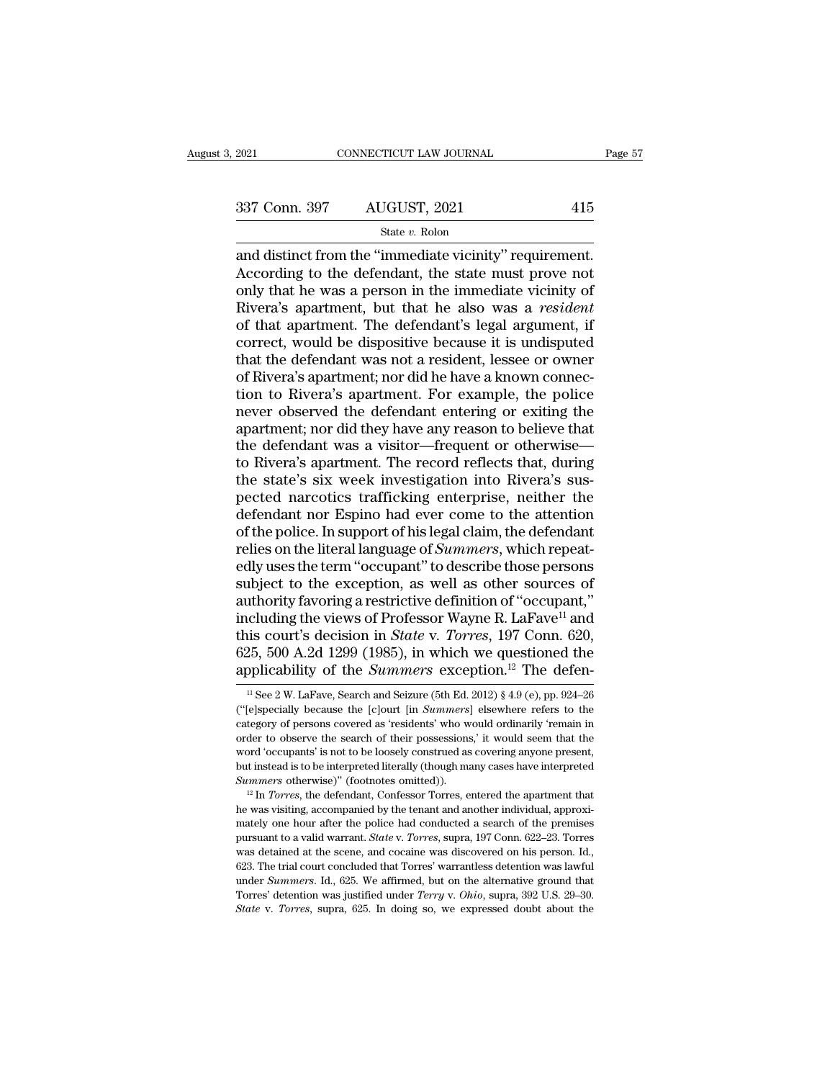### State *v.* Rolon

 $\begin{array}{ccc}\n 2021 \text{} & \text{COMRECTICUT LAW JOURNAL} & \text{Page}\n \hline\n 337 \text{ Conn. } 397 & \text{AUGUST, } 2021 & 415 \\
 \hline\n 844 \text{ true.} \text{ Rolon}\n \end{array}$ and distinct from the "immediate vicinity" requirement.<br>
According to the defendant, the state must prove not<br>
only  $\frac{337 \text{ Conn. } 397}{\text{State } v. \text{ Rolon}}$ <br>
and distinct from the "immediate vicinity" requirement.<br>
According to the defendant, the state must prove not<br>
only that he was a person in the immediate vicinity of<br>
Bivera's apartment, 337 Conn. 397 AUGUST, 2021 415<br>
State v. Rolon<br>
and distinct from the "immediate vicinity" requirement.<br>
According to the defendant, the state must prove not<br>
only that he was a person in the immediate vicinity of<br>
Rivera  $R_{\text{R}}$  apartment. 397 AUGUST, 2021 415<br>  $\frac{\text{State } v. \text{ Rolon}}{\text{and distinct from the "immediate vicinity" requirement.}\n\text{According to the defendant, the state must prove not only that he was a person in the immediate vicinity of Rivera's apartment, but that he also was a *resident* of that apartment. The defendant's legal argument, if correct would be dissipative because it is undisputed.$ Sof Collar applies to Houses 1, 2021<br>
State v. Rolon<br>
and distinct from the "immediate vicinity" requirement.<br>
According to the defendant, the state must prove not<br>
only that he was a person in the immediate vicinity of<br> State v. Rolon<br>and distinct from the "immediate vicinity" requirement.<br>According to the defendant, the state must prove not<br>only that he was a person in the immediate vicinity of<br>Rivera's apartment, but that he also was a and distinct from the "immediate vicinity" requirement.<br>According to the defendant, the state must prove not<br>only that he was a person in the immediate vicinity of<br>Rivera's apartment, but that he also was a *resident*<br>of t According to the defendant, the state must prove not<br>only that he was a person in the immediate vicinity of<br>Rivera's apartment, but that he also was a *resident*<br>of that apartment. The defendant's legal argument, if<br>correc only that he was a person in the immediate vicinity of<br>Rivera's apartment, but that he also was a *resident*<br>of that apartment. The defendant's legal argument, if<br>correct, would be dispositive because it is undisputed<br>that Rivera's apartment, but that he also was a *resident*<br>of that apartment. The defendant's legal argument, if<br>correct, would be dispositive because it is undisputed<br>that the defendant was not a resident, lessee or owner<br>of R of that apartment. The defendant's legal argument, if<br>correct, would be dispositive because it is undisputed<br>that the defendant was not a resident, lessee or owner<br>of Rivera's apartment; nor did he have a known connec-<br>tio correct, would be dispositive because it is undisputed<br>that the defendant was not a resident, lessee or owner<br>of Rivera's apartment; nor did he have a known connec-<br>tion to Rivera's apartment. For example, the police<br>never that the defendant was not a resident, lessee or owner<br>of Rivera's apartment; nor did he have a known connec-<br>tion to Rivera's apartment. For example, the police<br>never observed the defendant entering or exiting the<br>apartme of Rivera's apartment; nor did he have a known connection to Rivera's apartment. For example, the police<br>never observed the defendant entering or exiting the<br>apartment; nor did they have any reason to believe that<br>the defe tion to Rivera's apartment. For example, the police<br>never observed the defendant entering or exiting the<br>apartment; nor did they have any reason to believe that<br>the defendant was a visitor—frequent or otherwise—<br>to Rivera' never observed the defendant entering or exiting the<br>apartment; nor did they have any reason to believe that<br>the defendant was a visitor—frequent or otherwise—<br>to Rivera's apartment. The record reflects that, during<br>the st apartment; nor did they have any reason to believe that<br>the defendant was a visitor—frequent or otherwise—<br>to Rivera's apartment. The record reflects that, during<br>the state's six week investigation into Rivera's sus-<br>pecte the defendant was a visitor—frequent or otherwise—<br>to Rivera's apartment. The record reflects that, during<br>the state's six week investigation into Rivera's sus-<br>pected narcotics trafficking enterprise, neither the<br>defendan to Rivera's apartment. The record reflects that, during<br>the state's six week investigation into Rivera's sus-<br>pected narcotics trafficking enterprise, neither the<br>defendant nor Espino had ever come to the attention<br>of the the state's six week investigation into Rivera's sus-<br>pected narcotics trafficking enterprise, neither the<br>defendant nor Espino had ever come to the attention<br>of the police. In support of his legal claim, the defendant<br>rel pected narcotics trafficking enterprise, neither the<br>defendant nor Espino had ever come to the attention<br>of the police. In support of his legal claim, the defendant<br>relies on the literal language of *Summers*, which repeat defendant nor Espino had ever come to the attention<br>of the police. In support of his legal claim, the defendant<br>relies on the literal language of *Summers*, which repeat-<br>edly uses the term "occupant" to describe those pe of the police. In support of his legal claim, the defendant<br>relies on the literal language of *Summers*, which repeat-<br>edly uses the term "occupant" to describe those persons<br>subject to the exception, as well as other sour relies on the literal language of *Summers*, which repeatedly uses the term "occupant" to describe those persons subject to the exception, as well as other sources of authority favoring a restrictive definition of "occupan edly uses the term "occupant" to describe those persons<br>subject to the exception, as well as other sources of<br>authority favoring a restrictive definition of "occupant,"<br>including the views of Professor Wayne R. LaFave<sup>11</sup> cluding the views of Professor Wayne R. LaFave<sup>11</sup> and<br>is court's decision in *State* v. *Torres*, 197 Conn. 620,<br>25, 500 A.2d 1299 (1985), in which we questioned the<br>oplicability of the *Summers* exception.<sup>12</sup> The defen this court's decision in *State* v. *Torres*, 197 Conn. 620, 625, 500 A.2d 1299 (1985), in which we questioned the applicability of the *Summers* exception.<sup>12</sup> The defen-<br><sup>11</sup> See 2 W. LaFave, Search and Seizure (5th Ed.

<sup>625, 500</sup> A.2d 1299 (1985), in which we questioned the applicability of the *Summers* exception.<sup>12</sup> The defen-<br><sup>11</sup> See 2 W. LaFave, Search and Seizure (5th Ed. 2012) § 4.9 (e), pp. 924–26 ("[e]specially because the [c]ou applicability of the *Summers* exception.<sup>12</sup> The defen-<br>
<sup>11</sup> See 2 W. LaFave, Search and Seizure (5th Ed. 2012) § 4.9 (e), pp. 924–26<br>
("[e]specially because the [c]ourt [in *Summers*] elsewhere refers to the<br>
category appricability of the *Summers* exception.<sup>2</sup> The defer-<br><sup>11</sup> See 2 W. LaFave, Search and Seizure (5th Ed. 2012) § 4.9 (e), pp. 924–26<br>
("[e]specially because the [c]ourt [in *Summers*] elsewhere refers to the<br>category of <sup>11</sup> See 2 W. LaFave, Search and Seizure (5th Ed. 2012) § 4.9 (e), pp. 924–26 ("[e]specially because the [c]ourt [in *Summers*] elsewhere refers to the category of persons covered as 'residents' who would ordinarily 'rema ("[e]specially because the [c]ourt [in *Summers*] elsewhere refers to the category of persons covered as 'residents' who would ordinarily 'remain in order to observe the search of their possessions,' it would seem that the order to observe the search of their possessions,' it would seem that the word 'occupants' is not to be loosely construed as covering anyone present, but instead is to be interpreted literally (though many cases have inte

word 'occupants' is not to be loosely construed as covering anyone present,<br>but instead is to be interpreted literally (though many cases have interpreted<br>batter the police of the premises of the premises  $\frac{12}{10}$  Torr but instead is to be interpreted literally (though many cases have interpreted *Summers* otherwise)" (footnotes omitted)).<br><sup>12</sup> In *Torres*, the defendant, Confessor Torres, entered the apartment that he was visiting, acco Summers otherwise)" (footnotes omitted)).<br>
<sup>12</sup> In *Torres*, the defendant, Confessor Torres, entered the apartment that<br>
he was visiting, accompanied by the tenant and another individual, approxi-<br>
mately one hour after <sup>12</sup> In *Torres*, the defendant, Confessor Torres, entered the apartment that he was visiting, accompanied by the tenant and another individual, approximately one hour after the police had conducted a search of the premis the was visiting, accompanied by the tenant and another individual, approximately one hour after the police had conducted a search of the premises pursuant to a valid warrant. *State v. Torres*, supra, 197 Conn. 622–23. To mately one hour after the police had conducted a search of the premises pursuant to a valid warrant. *State* v. *Torres*, supra, 197 Conn. 622–23. Torres was detained at the scene, and cocaine was discovered on his person. pursuant to a valid warrant. *State* v. *Torres*, supra, 197 Conn. 622-23. Torres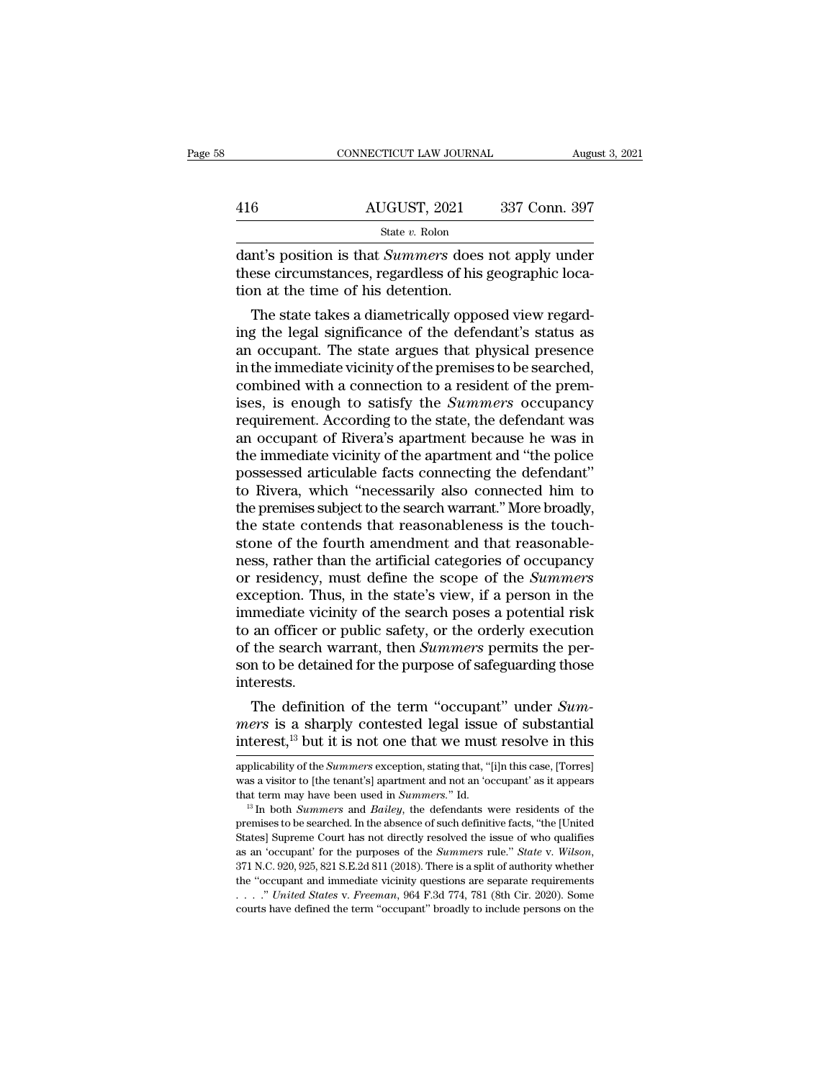| CONNECTICUT LAW JOURNAL |                                                                     | August 3, 2021                                                                                                                          |
|-------------------------|---------------------------------------------------------------------|-----------------------------------------------------------------------------------------------------------------------------------------|
|                         |                                                                     |                                                                                                                                         |
|                         |                                                                     |                                                                                                                                         |
|                         |                                                                     |                                                                                                                                         |
|                         |                                                                     |                                                                                                                                         |
|                         |                                                                     |                                                                                                                                         |
|                         |                                                                     |                                                                                                                                         |
|                         | AUGUST, 2021<br>State v. Rolon<br>tion at the time of his detention | 337 Conn. 397<br>dant's position is that <i>Summers</i> does not apply under<br>these circumstances, regardless of his geographic loca- |

416  $\frac{\text{AUGUST, 2021}}{\text{State } v. \text{ Robin}}$  337 Conn. 397<br>dant's position is that *Summers* does not apply under<br>these circumstances, regardless of his geographic loca-<br>tion at the time of his detention. 416 AUGUST, 2021<br>  $\frac{\text{State } v. \text{ Rolon}}{\text{dant's position is that } \text{Summers does}}$ <br>
these circumstances, regardless of his<br>
tion at the time of his detention.<br>
The state takes a diametrically oppo  $\frac{\text{AUGUST, 2021}}{\text{State } v. \text{ Rolon}}$ <br>  $\frac{\text{State } v. \text{ Rolon}}{\text{State } v. \text{ Rolon}}$ <br>  $\frac{\text{State } v. \text{ Rolon}}{\text{State } v. \text{ Rolon}}$ <br>  $\frac{\text{State } v. \text{ Rolon}}{\text{Stab } v. \text{ Roin}}$ <br>  $\frac{\text{State } v. \text{ Rolon}}{\text{Stab } v. \text{ Roin}}$ <br>  $\frac{\text{State } v. \text{ Rolon}}{\text{Stab } v. \text{ Roin}}$ <br>  $\frac{\text{State } v. \text{ Rolon}}{\text{Stab } v. \text$ 

State v. Rolon<br>
dant's position is that *Summers* does not apply under<br>
these circumstances, regardless of his geographic loca-<br>
tion at the time of his detention.<br>
The state takes a diametrically opposed view regard-<br>
in dant's position is that *Summers* does not apply under<br>these circumstances, regardless of his geographic loca-<br>tion at the time of his detention.<br>The state takes a diametrically opposed view regard-<br>ing the legal significa dant's position is that *Summers* does not apply under<br>these circumstances, regardless of his geographic loca-<br>tion at the time of his detention.<br>The state takes a diametrically opposed view regard-<br>ing the legal significa these circumstances, regardless of his geographic location at the time of his detention.<br>The state takes a diametrically opposed view regarding the legal significance of the defendant's status as<br>an occupant. The state arg tion at the time of his detention.<br>The state takes a diametrically opposed view regard-<br>ing the legal significance of the defendant's status as<br>an occupant. The state argues that physical presence<br>in the immediate vicinity The state takes a diametrically opposed view regard-<br>ing the legal significance of the defendant's status as<br>an occupant. The state argues that physical presence<br>in the immediate vicinity of the premises to be searched,<br>co ing the legal significance of the defendant's status as<br>an occupant. The state argues that physical presence<br>in the immediate vicinity of the premises to be searched,<br>combined with a connection to a resident of the prem-<br>i an occupant. The state argues that physical presence<br>in the immediate vicinity of the premises to be searched,<br>combined with a connection to a resident of the prem-<br>ises, is enough to satisfy the *Summers* occupancy<br>requir in the immediate vicinity of the premises to be searched,<br>combined with a connection to a resident of the premises, is enough to satisfy the *Summers* occupancy<br>requirement. According to the state, the defendant was<br>an occ combined with a connection to a resident of the premises, is enough to satisfy the *Summers* occupancy requirement. According to the state, the defendant was an occupant of Rivera's apartment because he was in the immediat ises, is enough to satisfy the *Summers* occupancy<br>requirement. According to the state, the defendant was<br>an occupant of Rivera's apartment because he was in<br>the immediate vicinity of the apartment and "the police<br>possesse requirement. According to the state, the defendant was<br>an occupant of Rivera's apartment because he was in<br>the immediate vicinity of the apartment and "the police<br>possessed articulable facts connecting the defendant"<br>to Ri an occupant of Rivera's apartment because he was in<br>the immediate vicinity of the apartment and "the police<br>possessed articulable facts connecting the defendant"<br>to Rivera, which "necessarily also connected him to<br>the prem the immediate vicinity of the apartment and "the police<br>possessed articulable facts connecting the defendant"<br>to Rivera, which "necessarily also connected him to<br>the premises subject to the search warrant." More broadly,<br>t possessed articulable facts connecting the defendant"<br>to Rivera, which "necessarily also connected him to<br>the premises subject to the search warrant." More broadly,<br>the state contends that reasonableness is the touch-<br>ston to Rivera, which "necessarily also connected him to<br>the premises subject to the search warrant." More broadly,<br>the state contends that reasonableness is the touch-<br>stone of the fourth amendment and that reasonable-<br>ness, r the premises subject to the search warrant." More broadly,<br>the state contends that reasonableness is the touch-<br>stone of the fourth amendment and that reasonable-<br>ness, rather than the artificial categories of occupancy<br>or the state contends that reasonableness is the touch-<br>stone of the fourth amendment and that reasonable-<br>ness, rather than the artificial categories of occupancy<br>or residency, must define the scope of the *Summers*<br>exceptio stone of the fourth amendment and that reasonable-<br>ness, rather than the artificial categories of occupancy<br>or residency, must define the scope of the *Summers*<br>exception. Thus, in the state's view, if a person in the<br>imme ness, rather than the artificial categories of occupancy<br>or residency, must define the scope of the *Summers*<br>exception. Thus, in the state's view, if a person in the<br>immediate vicinity of the search poses a potential risk interests. ception. Thus, in the state's view, if a person in the<br>mediate vicinity of the search poses a potential risk<br>an officer or public safety, or the orderly execution<br>the search warrant, then *Summers* permits the per-<br>n to be mmediate vicinity of the search poses a potential risk<br>to an officer or public safety, or the orderly execution<br>of the search warrant, then *Summers* permits the per-<br>son to be detained for the purpose of safeguarding thos to an officer or public safety, or the orderly execution<br>of the search warrant, then *Summers* permits the per-<br>son to be detained for the purpose of safeguarding those<br>interests.<br>The definition of the term "occupant" und

The definition of the term "occupant" under *Summers* is a sharply contested legal issue of substantial interest,<sup>13</sup> but it is not one that we must resolve in this applicability of the *Summers* exception, stating that, " The definition of the term "occupant" under *Summers* is a sharply contested legal issue of substantial interest,<sup>13</sup> but it is not one that we must resolve in this applicability of the *Summers* exception, stating that,

mers is a sharply contested legal issue of substantial<br>interest,<sup>13</sup> but it is not one that we must resolve in this<br>applicability of the *Summers* exception, stating that, "[i]n this case, [Torres]<br>was a visitor to [the te

muerest, '''Dut It is not one triat we must resorve in this<br>applicability of the *Summers* exception, stating that, "[i]n this case, [Torres]<br>was a visitor to [the tenant's] apartment and not an 'occupant' as it appears<br>th applicability of the *Summers* exception, stating that, "[i]n this case, [Torres] was a visitor to [the tenant's] apartment and not an 'occupant' as it appears that term may have been used in *Summers*." Id.<br><sup>13</sup> In both as a visitor to [the tenant's] apartment and not an 'occupant' as it appears that term may have been used in *Summers*." Id.<br><sup>13</sup> In both *Summers* and *Bailey*, the defendants were residents of the premises to be searched <sup>13</sup> In both *Summers* and *Bailey*, the defendants were residents of the premises to be searched. In the absence of such definitive facts, "the [United States] Supreme Court has not directly resolved the issue of who qua In soar *Sammers* and *Latasy*, are decided definitive facts, "the [United States] Supreme Court has not directly resolved the issue of who qualifies as an 'occupant' for the purposes of the *Summers* rule." *State* v. *Wi* States] Supreme Court has not directly resolved the issue of who qualifies as an 'occupant' for the purposes of the *Summers* rule." *State* v. *Wilson*, 371 N.C. 920, 925, 821 S.E.2d 811 (2018). There is a split of autho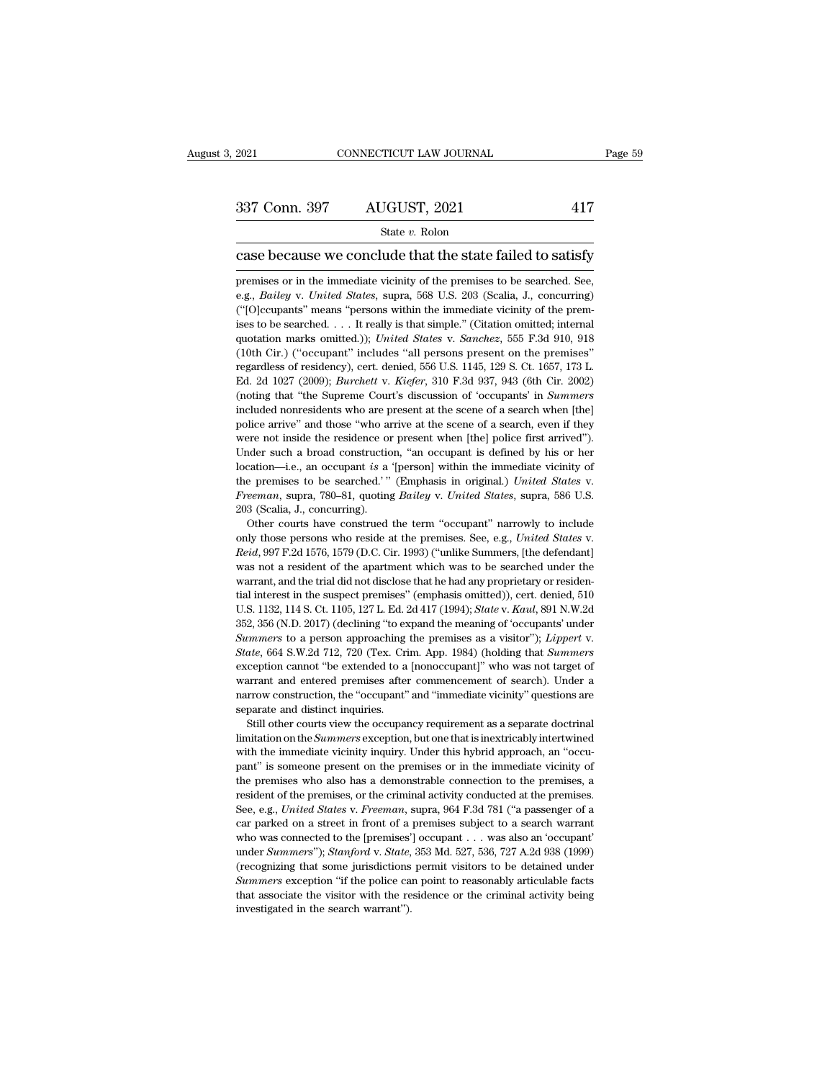# 337 Conn. 397 AUGUST, 2021 <sup>417</sup>

### State *v.* Rolon

2021 CONNECTICUT LAW JOURNAL Page 59<br>
237 Conn. 397 AUGUST, 2021 417<br>
238 State v. Rolon<br>
238 Decause we conclude that the state failed to satisfy<br>
26 premises or in the immediate vicinity of the premises to be searched. 337 Conn. 397 AUGUST, 2021 417<br>
State v. Rolon<br>
Case because we conclude that the state failed to satisfy<br>
premises or in the immediate vicinity of the premises to be searched. See,<br>
e.g., *Bailey* v. *United States*, sup State *v*. Rolon<br>
State *v*. Rolon<br>
Case because we conclude that the state failed to satisfy<br>
premises or in the immediate vicinity of the premises to be searched. See,<br>
e.g., *Bailey* v. *United States*, supra, 568 U.S. State v. Rolon<br>
Case because we conclude that the state failed to satisfy<br>
premises or in the immediate vicinity of the premises to be searched. See,<br>
e.g., *Bailey* v. *United States*, supra, 568 U.S. 203 (Scalia, J., co case because we conclude that the state failed to satisfy<br>premises or in the immediate vicinity of the premises to be searched. See,<br>e.g., *Bailey* v. *United States*, supra, 568 U.S. 203 (Scalia, J., concurring)<br>("[O]ccup Case because we conclude that the state raned to satisfy<br>premises or in the immediate vicinity of the premises to be searched. See,<br>e.g., *Bailey* v. *United States*, supra, 568 U.S. 203 (Scalia, J., concurring)<br>("[O]ccupa premises or in the immediate vicinity of the premises to be searched. See, e.g., *Bailey* v. *United States*, supra, 568 U.S. 203 (Scalia, J., concurring) ("[O]ccupants" means "persons within the immediate vicinity of the e.g., *Bailey* v. United States, supra, 568 U.S. 203 (Scalia, J., concurring) ("[O]ccupants" means "persons within the immediate vicinity of the premises to be searched. . . . It really is that simple." (Citation omitted; <sup>e</sup>("[O]ccupants" means "persons within the immediate vicinity of the premises to be searched. . . . It really is that simple." (Citation omitted; internal quotation marks omitted.)); *United States* v. *Sanchez*, 555 F.3d (reference of the Supreme Court's that simple." (Citation omitted; internal quotation marks omitted.)); *United States v. Sanchez*, 555 F.3d 910, 918 (10th Cir.) ("occupant" includes "all persons present on the premises" r quotation marks omitted.)); *United States v. Sanchez*, 555 F.3d 910, 918 (10th Cir.) ("occupant" includes "all persons present on the premises" regardless of residency), cert. denied, 556 U.S. 1145, 129 S. Ct. 1657, 173 L (10th Cir.) ("occupant" includes "all persons present on the premises" regardless of residency), cert. denied, 556 U.S. 1145, 129 S. Ct. 1657, 173 L. Ed. 2d 1027 (2009); *Burchett* v. *Kiefer*, 310 F.3d 937, 943 (6th Cir. regardless of residency), cert. denied, 556 U.S. 1145, 129 S. Ct. 1657, 173 L.<br>Ed. 2d 1027 (2009); *Burchett* v. *Kiefer*, 310 F.3d 937, 943 (6th Cir. 2002)<br>(noting that "the Supreme Court's discussion of 'occupants' in Ed. 2d 1027 (2009); *Burchett v. Kiefer*, 310 F.3d 937, 943 (6th Cir. 2002) (noting that "the Supreme Court's discussion of 'occupants' in *Summers* included nonresidents who are present at the scene of a search when [the Location—i.e., an occupant *is* a '[person] within the immediate vicinity of the properties and those "who arrive at the scene of a search when [the] police arrive" and those "who arrive at the scene of a search, even if t the premises the basis of the scale of a search when [the]<br>police arrive" and those "who arrive at the scene of a search, even if they<br>were not inside the residence or present when [the] police first arrived").<br>Under such were not inside the residence or<br>Under such a broad construction<br>location—i.e., an occupant *is* a<br>the premises to be searched."<br>*Freeman*, supra, 780–81, quoting<br>203 (Scalia, J., concurring).<br>Other courts have construed nder such a broad construction, "an occupant is defined by his or her cation—i.e., an occupant *is* a '[person] within the immediate vicinity of e premises to be searched.' " (Emphasis in original.) *United States v. eem* 

only the premises to be searched.'" (Emphasis in original.) *United States* v. *Freeman*, supra, 780–81, quoting *Bailey* v. *United States*, supra, 586 U.S. 203 (Scalia, J., concurring). <br>
Other courts have construed the Freeman, supra, 780–81, quoting *Bailey* v. United States, supra, 586 U.S.<br>203 (Scalia, J., concurring).<br>203 (Scalia, J., concurring).<br>Other courts have construed the term "occupant" narrowly to include<br>only those persons Freeman, supra, 780–81, quoting Bailey v. United States, supra, 586 U.S. 203 (Scalia, J., concurring).<br>
Other courts have construed the term "occupant" narrowly to include<br>
only those persons who reside at the premises. S Other courts have construed the term "occupant" narrowly to include<br>only those persons who reside at the premises. See, e.g., *United States v.*<br>Reid, 997 F.2d 1576, 1579 (D.C. Cir. 1993) ("unlike Summers, [the defendant]<br> only those persons who reside at the premises. See, e.g., *United States* v.<br>*Reid*, 997 F.2d 1576, 1579 (D.C. Cir. 1993) ("unlike Summers, [the defendant]<br>was not a resident of the apartment which was to be searched under *Reid*, 997 F.2d 1576, 1579 (D.C. Cir. 1993) ("unlike Summers, [the defendant]<br>was not a resident of the apartment which was to be searched under the<br>warrant, and the trial did not disclose that he had any proprietary or r *Summers* to a person of the apartment which was to be searched uder the warrant, and the trial did not disclose that he had any proprietary or residential interest in the suspect premises" (emphasis omitted)), cert. denie tial interest in the suspect premises" (emphasis omitted)), cert. denied, 510 U.S. 1132, 114 S. Ct. 1105, 127 L. Ed. 2d 417 (1994); *State v. Kaul*, 891 N.W.2d 352, 356 (N.D. 2017) (declining "to expand the meaning of 'oc U.S. 1132, 114 S. Ct. 1105, 127 L. Ed. 2d 417 (1994); *State v. Kaul*, 891 N.W.2d 352, 356 (N.D. 2017) (declining "to expand the meaning of 'occupants' under *Summers* to a person approaching the premises as a visitor"); 352, 356 (N.D. 2017) (declining "to expand the meaning of 'occupants' under Summers to a person approaching the premises as a visitor"); *Lippert* v. *State*, 664 S.W.2d 712, 720 (Tex. Crim. App. 1984) (holding that *Summ* Summers to a person approaching<br>State, 664 S.W.2d 712, 720 (Tex. Cri<br>exception cannot "be extended to a<br>warrant and entered premises after<br>narrow construction, the "occupant"<br>separate and distinct inquiries.<br>Still other co State, 664 S.W.2d 712, 720 (Tex. Crim. App. 1984) (holding that *Summers* exception cannot "be extended to a [nonoccupant]" who was not target of warrant and entered premises after commencement of search). Under a narrow exception cannot "be extended to a [nonoccupant]" who was not target of warrant and entered premises after commencement of search). Under a narrow construction, the "occupant" and "immediate vicinity" questions are separat

warrant and entered premises after commencement of search). Under a narrow construction, the "occupant" and "immediate vicinity" questions are separate and distinct inquiries. Still other courts view the occupancy require marrow construction, the "occupant" and "immediate vicinity" questions are separate and distinct inquiries.<br>
Still other courts view the occupancy requirement as a separate doctrinal limitation on the *Summers* exception, Experiment and distinct inquiries.<br>
Still other courts view the occupancy requirement as a separate doctrinal<br>
limitation on the *Summers* exception, but one that is inextricably intertwined<br>
with the immediate vicinity i Still other courts view the occupancy requirement as a separate doctrinal limitation on the *Summers* exception, but one that is inextricably intertwined with the immediate vicinity inquiry. Under this hybrid approach, an Ilmitation on the *Summers* exception, but one that is inextricably intertwined with the immediate vicinity inquiry. Under this hybrid approach, an "occupant" is someone present on the premises or in the immediate vicinity with the immediate vicinity inquiry. Under this hybrid approach, an "occupant" is someone present on the premises or in the immediate vicinity of the premises who also has a demonstrable connection to the premises, a resi what we member of the premises or in the immediate vicinity of the premises who also has a demonstrable connection to the premises, a resident of the premises, or the criminal activity conducted at the premises. See, e.g. place remisses who also has a demonstrable connection to the premises, a resident of the premises, or the criminal activity conducted at the premises. See, e.g., *United States v. Freeman*, supra, 964 F.3d 781 ("a passenge resident of the premises, or the criminal activity conducted at the premises.<br>See, e.g., *United States v. Freeman*, supra, 964 F.3d 781 ("a passenger of a<br>car parked on a street in front of a premises subject to a search See, e.g., *United States v. Freeman*, supra, 964 F.3d 781 ("a passenger of a car parked on a street in front of a premises subject to a search warrant who was connected to the [premises'] occupant . . . was also an 'occup car parked on a street in front of a premises subject to a search warrant who was connected to the [premises'] occupant . . . was also an 'occupant' under *Summers'*); *Stanford* v. *State*, 353 Md. 527, 536, 727 A.2d 938 car parked on a street in front of a premises subject to a search warrant<br>who was connected to the [premises'] occupant . . . was also an 'occupant'<br>under Summers''); Stanford v. State, 353 Md. 527, 536, 727 A.2d 938 (199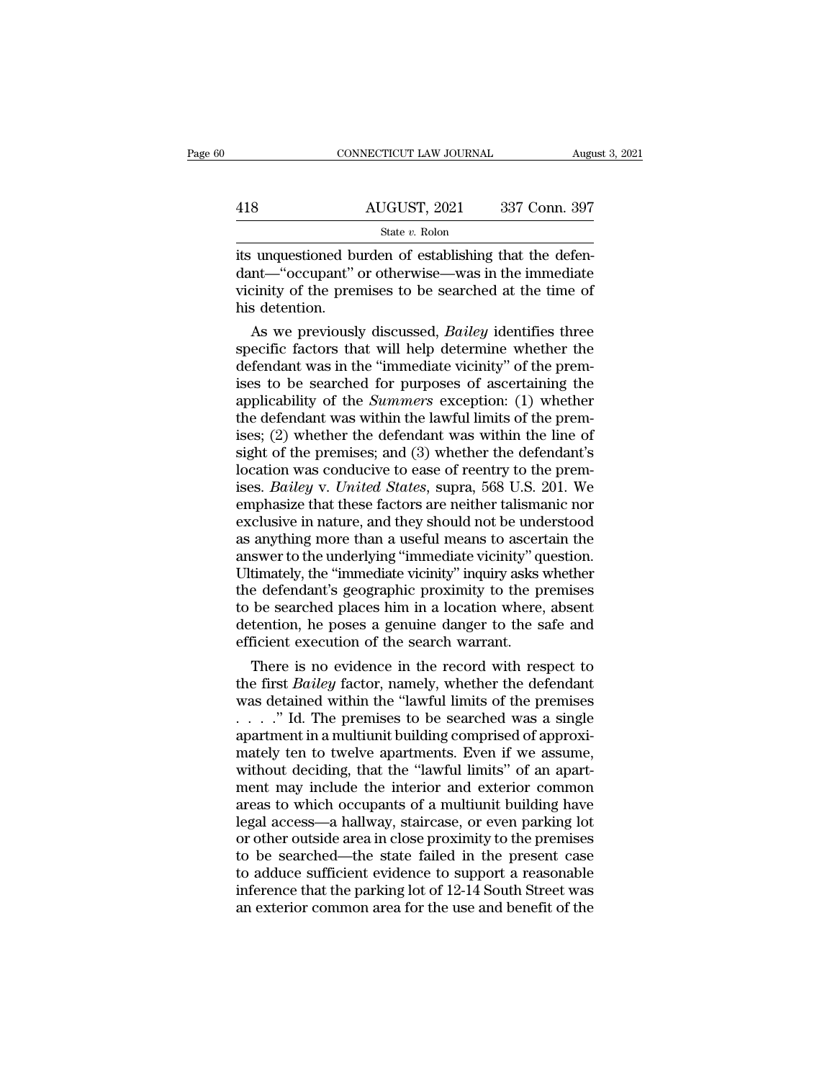|     | CONNECTICUT LAW JOURNAL | August 3, 2021 |
|-----|-------------------------|----------------|
|     |                         |                |
| 418 | AUGUST, 2021            | 337 Conn. 397  |
|     | State v. Rolon          |                |

CONNECTICUT LAW JOURNAL Augu<br>
AUGUST, 2021 337 Conn. 397<br>
State v. Rolon<br>
its unquestioned burden of establishing that the defen-<br>
dant—"occupant" or otherwise—was in the immediate<br>
vicinity of the premises to be searched 418 AUGUST, 2021 337 Conn. 397<br>
state v. Rolon<br>
its unquestioned burden of establishing that the defen-<br>
dant—"occupant" or otherwise—was in the immediate<br>
vicinity of the premises to be searched at the time of<br>
his deten 418 AUGUST, 2021 337 Conn. 397<br>
State v. Rolon<br>
its unquestioned burden of establishing that the defen-<br>
dant—"occupant" or otherwise—was in the immediate<br>
vicinity of the premises to be searched at the time of<br>
his deten 418<br>its unquestioned by<br>dant—"occupant"<br>vicinity of the prer<br>his detention.<br>As we previousl State v. Rolon<br>
unquestioned burden of establishing that the defen-<br>
nt—"occupant" or otherwise—was in the immediate<br>
cinity of the premises to be searched at the time of<br>
s detention.<br>
As we previously discussed, *Bailey* state is understood burden of establishing that the defendant—"occupant" or otherwise—was in the immediate vicinity of the premises to be searched at the time of his detention.<br>As we previously discussed, *Bailey* identifi

its unquestioned burden of establishing that the defendant—"occupant" or otherwise—was in the immediate vicinity of the premises to be searched at the time of his detention.<br>As we previously discussed, *Bailey* identifies dant—"occupant" or otherwise—was in the immediate<br>vicinity of the premises to be searched at the time of<br>his detention.<br>As we previously discussed, *Bailey* identifies three<br>specific factors that will help determine wheth viently of the premises to be searched at the time of<br>his detention.<br>As we previously discussed, *Bailey* identifies three<br>specific factors that will help determine whether the<br>defendant was in the "immediate vicinity" of his detention.<br>
As we previously discussed, *Bailey* identifies three<br>
specific factors that will help determine whether the<br>
defendant was in the "immediate vicinity" of the prem-<br>
ises to be searched for purposes of asc As we previously discussed, *Bailey* identifies three<br>specific factors that will help determine whether the<br>defendant was in the "immediate vicinity" of the prem-<br>ises to be searched for purposes of ascertaining the<br>appli specific factors that will help determine whether the<br>defendant was in the "immediate vicinity" of the prem-<br>ises to be searched for purposes of ascertaining the<br>applicability of the *Summers* exception: (1) whether<br>the d defendant was in the "immediate vicinity" of the premises to be searched for purposes of ascertaining the applicability of the *Summers* exception: (1) whether the defendant was within the lawful limits of the premises; (2 ises to be searched for purposes of ascertaining the<br>applicability of the *Summers* exception: (1) whether<br>the defendant was within the lawful limits of the prem-<br>ises; (2) whether the defendant was within the line of<br>sigh applicability of the *Summers* exception: (1) whether<br>the defendant was within the lawful limits of the prem-<br>ises; (2) whether the defendant was within the line of<br>sight of the premises; and (3) whether the defendant's<br>lo the defendant was within the lawful limits of the premises; (2) whether the defendant was within the line of sight of the premises; and (3) whether the defendant's location was conducive to ease of reentry to the premises. ises; (2) whether the defendant was within the line of<br>sight of the premises; and (3) whether the defendant's<br>location was conducive to ease of reentry to the prem-<br>ises. *Bailey* v. *United States*, supra, 568 U.S. 201. W sight of the premises; and (3) whether the defendant's location was conducive to ease of reentry to the premises. *Bailey v. United States*, supra, 568 U.S. 201. We emphasize that these factors are neither talismanic nor e location was conducive to ease of reentry to the premises. *Bailey* v. *United States*, supra, 568 U.S. 201. We emphasize that these factors are neither talismanic nor exclusive in nature, and they should not be understood ises. *Bailey* v. *United States*, supra, 568 U.S. 201. We<br>emphasize that these factors are neither talismanic nor<br>exclusive in nature, and they should not be understood<br>as anything more than a useful means to ascertain th emphasize that these factors are neither talismanic nor exclusive in nature, and they should not be understood<br>as anything more than a useful means to ascertain the<br>answer to the underlying "immediate vicinity" question.<br>U exclusive in nature, and they should not be understood<br>as anything more than a useful means to ascertain the<br>answer to the underlying "immediate vicinity" question.<br>Ultimately, the "immediate vicinity" inquiry asks whether as anything more than a useful means to ascert answer to the underlying "immediate vicinity" quantity" quantity" (Ultimately, the "immediate vicinity" inquiry asks the defendant's geographic proximity to the proto be searc swer to the underlying "immediate vicinity" question.<br>
timately, the "immediate vicinity" inquiry asks whether<br>
e defendant's geographic proximity to the premises<br>
be searched places him in a location where, absent<br>
tentio Ultimately, the "immediate vicinity" inquiry asks whether<br>the defendant's geographic proximity to the premises<br>to be searched places him in a location where, absent<br>detention, he poses a genuine danger to the safe and<br>effi

the detendant's geographic proximity to the premises<br>to be searched places him in a location where, absent<br>detention, he poses a genuine danger to the safe and<br>efficient execution of the search warrant.<br>There is no eviden to be searched places him in a location where, absent<br>detention, he poses a genuine danger to the safe and<br>efficient execution of the search warrant.<br>There is no evidence in the record with respect to<br>the first *Bailey* f detention, he poses a genuine danger to the safe and<br>efficient execution of the search warrant.<br>There is no evidence in the record with respect to<br>the first *Bailey* factor, namely, whether the defendant<br>was detained with efficient execution of the search warrant.<br>
There is no evidence in the record with respect to<br>
the first *Bailey* factor, namely, whether the defendant<br>
was detained within the "lawful limits of the premises<br>  $\ldots$ ..." I There is no evidence in the record with respect to<br>the first *Bailey* factor, namely, whether the defendant<br>was detained within the "lawful limits of the premises<br> $\ldots$ ..." Id. The premises to be searched was a single<br>apa the first *Bailey* factor, namely, whether the defendant<br>was detained within the "lawful limits of the premises<br> $\ldots$ ." Id. The premises to be searched was a single<br>apartment in a multiunit building comprised of approxi-<br> was detained within the "lawful limits of the premises  $\ldots$ " Id. The premises to be searched was a single apartment in a multiunit building comprised of approximately ten to twelve apartments. Even if we assume, without ....." Id. The premises to be searched was a single apartment in a multiunit building comprised of approximately ten to twelve apartments. Even if we assume, without deciding, that the "lawful limits" of an apartment may apartment in a multiunit building comprised of approximately ten to twelve apartments. Even if we assume, without deciding, that the "lawful limits" of an apartment may include the interior and exterior common areas to whi mately ten to twelve apartments. Even if we assume,<br>without deciding, that the "lawful limits" of an apart-<br>ment may include the interior and exterior common<br>areas to which occupants of a multiunit building have<br>legal acce without deciding, that the "lawful limits" of an apartment may include the interior and exterior common areas to which occupants of a multiunit building have legal access—a hallway, staircase, or even parking lot or other ment may include the interior and exterior common<br>areas to which occupants of a multiunit building have<br>legal access—a hallway, staircase, or even parking lot<br>or other outside area in close proximity to the premises<br>to be areas to which occupants of a multiunit building have<br>legal access—a hallway, staircase, or even parking lot<br>or other outside area in close proximity to the premises<br>to be searched—the state failed in the present case<br>to a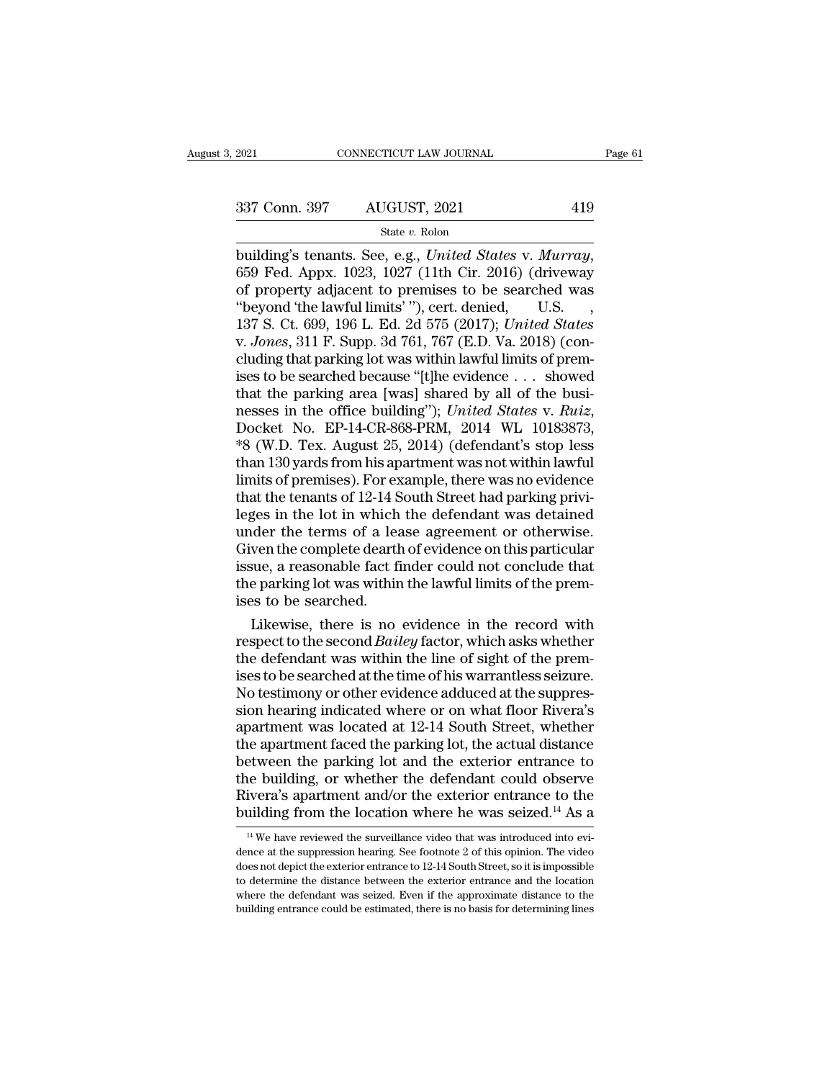State *v.* Rolon

building's tenants. See, e.g., *United States* v. *Murray*, 659 Fed. Appx. 1023, 1027 (11th Cir. 2016) (driveway of property adjacent to premises to be searched was "heyond 'the lawful limits' ") cert denied U.S. 337 Conn. 397 AUGUST, 2021 419<br>
State v. Rolon<br>
building's tenants. See, e.g., *United States v. Murray*,<br>
659 Fed. Appx. 1023, 1027 (11th Cir. 2016) (driveway<br>
of property adjacent to premises to be searched was<br>
"beyond 337 Conn. 397 AUGUST, 2021 419<br>
State v. Rolon<br>
building's tenants. See, e.g., *United States v. Murray*,<br>
659 Fed. Appx. 1023, 1027 (11th Cir. 2016) (driveway<br>
of property adjacent to premises to be searched was<br>
"beyond Solution 1961 Medeosi, 2021 110<br>
building's tenants. See, e.g., *United States v. Murray*,<br>
659 Fed. Appx. 1023, 1027 (11th Cir. 2016) (driveway<br>
of property adjacent to premises to be searched was<br>
"beyond 'the lawful li state *v.* Rolon<br>
building's tenants. See, e.g., *United States v. Murray*,<br>
659 Fed. Appx. 1023, 1027 (11th Cir. 2016) (driveway<br>
of property adjacent to premises to be searched was<br>
"beyond 'the lawful limits' "), cert. building's tenants. See, e.g., *United States v. Murray*, 659 Fed. Appx. 1023, 1027 (11th Cir. 2016) (driveway of property adjacent to premises to be searched was "beyond 'the lawful limits' "), cert. denied, U.S. , 137 S. 659 Fed. Appx. 1023, 1027 (11th Cir. 2016) (driveway<br>of property adjacent to premises to be searched was<br>"beyond 'the lawful limits'"), cert. denied, U.S.<br>137 S. Ct. 699, 196 L. Ed. 2d 575 (2017); United States<br>v. Jones, of property adjacent to premises to be searched was<br>
"beyond 'the lawful limits' "), cert. denied, U.S.<br>
137 S. Ct. 699, 196 L. Ed. 2d 575 (2017); United States<br>
v. Jones, 311 F. Supp. 3d 761, 767 (E.D. Va. 2018) (con-<br>
c "beyond 'the lawful limits' "), cert. denied, U.S.<br>137 S. Ct. 699, 196 L. Ed. 2d 575 (2017); *United States* v. *Jones*, 311 F. Supp. 3d 761, 767 (E.D. Va. 2018) (concluding that parking lot was within lawful limits of pre v. Jones, 311 F. Supp. 3d 761, 767 (E.D. Va. 2018) (concluding that parking lot was within lawful limits of premises to be searched because "[t]he evidence  $\ldots$  showed that the parking area [was] shared by all of the bus cluding that parking lot was within lawful limits of premises to be searched because "[t]he evidence  $\ldots$  showed<br>that the parking area [was] shared by all of the busi-<br>nesses in the office building"); *United States v. R* ises to be searched because "[t]he evidence . . . showed<br>that the parking area [was] shared by all of the busi-<br>nesses in the office building"); *United States v. Ruiz*,<br>Docket No. EP-14-CR-868-PRM, 2014 WL 10183873,<br>\*8 (W that the parking area [was] shared by all of the businesses in the office building"); *United States v. Ruiz*, Docket No. EP-14-CR-868-PRM, 2014 WL 10183873, \*8 (W.D. Tex. August 25, 2014) (defendant's stop less than 130 y nesses in the office building"); *United States v. Ruiz*,<br>Docket No. EP-14-CR-868-PRM, 2014 WL 10183873,<br>\*8 (W.D. Tex. August 25, 2014) (defendant's stop less<br>than 130 yards from his apartment was not within lawful<br>limits Docket No. EP-14-CR-868-PRM, 2014 WL 10183873,<br>\*8 (W.D. Tex. August 25, 2014) (defendant's stop less<br>than 130 yards from his apartment was not within lawful<br>limits of premises). For example, there was no evidence<br>that the  $*8$  (W.D. Tex. August 25, 2014) (defendant's stop less<br>than 130 yards from his apartment was not within lawful<br>limits of premises). For example, there was no evidence<br>that the tenants of 12-14 South Street had parking pr than 130 yards from his apartment was not within lawful<br>limits of premises). For example, there was no evidence<br>that the tenants of 12-14 South Street had parking privi-<br>leges in the lot in which the defendant was detained limits of premises). For example, there was no evidence<br>that the tenants of 12-14 South Street had parking privi-<br>leges in the lot in which the defendant was detained<br>under the terms of a lease agreement or otherwise.<br>Give that the tenants of 12-14 S<br>leges in the lot in which<br>under the terms of a lea<br>Given the complete dearth<br>issue, a reasonable fact fi<br>the parking lot was withir<br>ises to be searched.<br>Likewise, there is no response in the lot in which the defendant was detained<br>der the terms of a lease agreement or otherwise.<br>ven the complete dearth of evidence on this particular<br>sue, a reasonable fact finder could not conclude that<br>e parkin under the terms of a lease agreement or otherwise.<br>Given the complete dearth of evidence on this particular<br>issue, a reasonable fact finder could not conclude that<br>the parking lot was within the lawful limits of the prem-<br>

Given the complete dearth of evidence on this particular<br>issue, a reasonable fact finder could not conclude that<br>the parking lot was within the lawful limits of the prem-<br>ises to be searched.<br>Likewise, there is no evidence issue, a reasonable fact finder could not conclude that<br>the parking lot was within the lawful limits of the prem-<br>ises to be searched.<br>Likewise, there is no evidence in the record with<br>respect to the second *Bailey* factor the parking lot was within the lawful limits of the premises to be searched.<br>Likewise, there is no evidence in the record with<br>respect to the second *Bailey* factor, which asks whether<br>the defendant was within the line of ises to be searched.<br>
Likewise, there is no evidence in the record with<br>
respect to the second *Bailey* factor, which asks whether<br>
the defendant was within the line of sight of the prem-<br>
ises to be searched at the time o Likewise, there is no evidence in the record with<br>respect to the second *Bailey* factor, which asks whether<br>the defendant was within the line of sight of the prem-<br>ises to be searched at the time of his warrantless seizure respect to the second *Bailey* factor, which asks whether<br>the defendant was within the line of sight of the prem-<br>ises to be searched at the time of his warrantless seizure.<br>No testimony or other evidence adduced at the su the defendant was within the line of sight of the premises to be searched at the time of his warrantless seizure.<br>No testimony or other evidence adduced at the suppression hearing indicated where or on what floor Rivera's<br> ises to be searched at the time of his warrantless seizure.<br>No testimony or other evidence adduced at the suppression hearing indicated where or on what floor Rivera's<br>apartment was located at 12-14 South Street, whether<br>t No testimony or other evidence adduced at the suppres-<br>sion hearing indicated where or on what floor Rivera's<br>apartment was located at 12-14 South Street, whether<br>the apartment faced the parking lot, the actual distance<br>be sion hearing indicated where or on what floor Rivera's<br>apartment was located at 12-14 South Street, whether<br>the apartment faced the parking lot, the actual distance<br>between the parking lot and the exterior entrance to<br>the etween the parking lot and the exterior entrance to<br>the building, or whether the defendant could observe<br>ivera's apartment and/or the exterior entrance to the<br>uilding from the location where he was seized.<sup>14</sup> As a<br><sup>14</sup> We the building, or whether the defendant could observe<br>Rivera's apartment and/or the exterior entrance to the<br>building from the location where he was seized.<sup>14</sup> As a<br> $\frac{14 \text{ We}}{4 \text{ We}}$  have reviewed the surveillance vid

Rivera's apartment and/or the exterior entrance to the building from the location where he was seized.<sup>14</sup> As a  $\frac{14 \text{ We}}{4 \text{ We}}$  have reviewed the surveillance video that was introduced into evidence at the suppressi building from the location where he was seized.<sup>14</sup> As a  $\frac{14}{14}$  We have reviewed the surveillance video that was introduced into evidence at the suppression hearing. See footnote 2 of this opinion. The video does not bunding from the location where he was seized.<sup>22</sup> As a<br><sup>14</sup> We have reviewed the surveillance video that was introduced into evidence at the suppression hearing. See footnote 2 of this opinion. The video<br>does not depict <sup>14</sup> We have reviewed the surveillance video that was introduced into evidence at the suppression hearing. See footnote 2 of this opinion. The video does not depict the exterior entrance to 12-14 South Street, so it is im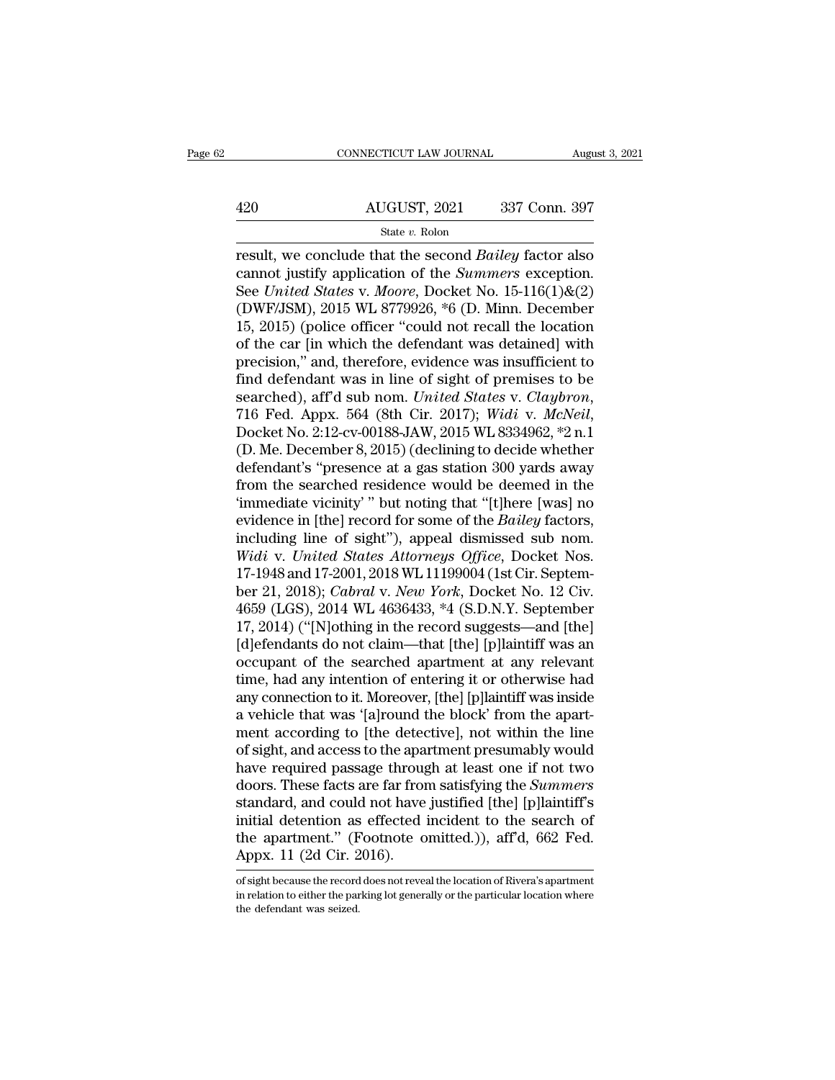# EXECUTE CONNECTICUT LAW JOURNAL August 3, 2021<br>420 AUGUST, 2021 337 Conn. 397 State *v.* Rolon

result, we conclude that the second *Bailey* factor also<br>
result, we conclude that the second *Bailey* factor also<br>
cannot justify application of the *Summers* exception.<br>
See *United States v. Moore* Docket No. 15,116(1) 420 AUGUST, 2021 337 Conn. 397<br>
<sup>State v. Rolon</sup><br>
result, we conclude that the second *Bailey* factor also<br>
cannot justify application of the *Summers* exception.<br>
See *United States* v. *Moore*, Docket No. 15-116(1)&(2)<br> AUGUST, 2021 337 Conn. 397<br>
State *v.* Rolon<br>
Tesult, we conclude that the second *Bailey* factor also<br>
cannot justify application of the *Summers* exception.<br>
See *United States* v. *Moore*, Docket No. 15-116(1)&(2)<br>
(DWF 420 AUGUST, 2021 337 Conn. 397<br>
State v. Rolon<br>
result, we conclude that the second *Bailey* factor also<br>
cannot justify application of the *Summers* exception.<br>
See *United States v. Moore*, Docket No. 15-116(1)&(2)<br>
(DW State v. Rolon<br>
Figure 2002, 2014 (books of the second Bailey factor also<br>
cannot justify application of the *Summers* exception.<br>
See *United States v. Moore*, Docket No. 15-116(1)&(2)<br>
(DWF/JSM), 2015 WL 8779926, \*6 (D. state v. Rolon<br>result, we conclude that the second *Bailey* factor also<br>cannot justify application of the *Summers* exception.<br>See *United States v. Moore*, Docket No. 15-116(1)&(2)<br>(DWF/JSM), 2015 WL 8779926, \*6 (D. Minn result, we conclude that the second *Bailey* factor also<br>cannot justify application of the *Summers* exception.<br>See *United States v. Moore*, Docket No. 15-116(1)&(2)<br>(DWF/JSM), 2015 WL 8779926, \*6 (D. Minn. December<br>15, 2 cannot justify application of the *Summers* exception.<br>See *United States v. Moore*, Docket No. 15-116(1)&(2)<br>(DWF/JSM), 2015 WL 8779926, \*6 (D. Minn. December<br>15, 2015) (police officer "could not recall the location<br>of t See *United States* v. *Moore*, Docket No. 15-116(1)&(2)<br>(DWF/JSM), 2015 WL 8779926, \*6 (D. Minn. December<br>15, 2015) (police officer "could not recall the location<br>of the car [in which the defendant was detained] with<br>prec of the car [in which the defendant was detained] with<br>precision," and, therefore, evidence was insufficient to<br>find defendant was in line of sight of premises to be<br>searched), aff'd sub nom. *United States v. Claybron*,<br>71 precision," and, therefore, evidence was insufficient to<br>find defendant was in line of sight of premises to be<br>searched), aff'd sub nom. *United States v. Claybron*,<br>716 Fed. Appx. 564 (8th Cir. 2017); *Widi v. McNeil*,<br>Do find defendant was in line of sight of premises to be<br>searched), aff'd sub nom. *United States v. Claybron*,<br>716 Fed. Appx. 564 (8th Cir. 2017); *Widi v. McNeil*,<br>Docket No. 2:12-cv-00188-JAW, 2015 WL 8334962, \*2 n.1<br>(D. M searched), aff'd sub nom. *United States v. Claybron*,<br>716 Fed. Appx. 564 (8th Cir. 2017); *Widi v. McNeil*,<br>Docket No. 2:12-cv-00188-JAW, 2015 WL 8334962, \*2 n.1<br>(D. Me. December 8, 2015) (declining to decide whether<br>defe 716 Fed. Appx. 564 (8th Cir. 2017); *Widi v. McNeil*, Docket No. 2:12-cv-00188-JAW, 2015 WL 8334962, \*2 n.1 (D. Me. December 8, 2015) (declining to decide whether defendant's "presence at a gas station 300 yards away from Docket No. 2:12-cv-00188-JAW, 2015 WL 8334962, \*2 n.1<br>(D. Me. December 8, 2015) (declining to decide whether<br>defendant's "presence at a gas station 300 yards away<br>from the searched residence would be deemed in the<br>"immedia (D. Me. December 8, 2015) (declining to decide whether<br>defendant's "presence at a gas station 300 yards away<br>from the searched residence would be deemed in the<br>"immediate vicinity" but noting that "[t]here [was] no<br>evidenc defendant's "presence at a gas station 300 yards away<br>from the searched residence would be deemed in the<br>"immediate vicinity" but noting that "[t]here [was] no<br>evidence in [the] record for some of the *Bailey* factors,<br>in from the searched residence would be deemed in the<br>
"immediate vicinity" but noting that "[t]here [was] no<br>
evidence in [the] record for some of the *Bailey* factors,<br>
including line of sight"), appeal dismissed sub nom.<br> "immediate vicinity" " but noting that "[t]here [was] no<br>evidence in [the] record for some of the *Bailey* factors,<br>including line of sight"), appeal dismissed sub nom.<br>Widi v. United States Attorneys Office, Docket Nos.<br> evidence in [the] record for some of the *Bailey* factors,<br>including line of sight"), appeal dismissed sub nom.<br>Widi v. United States Attorneys Office, Docket Nos.<br>17-1948 and 17-2001, 2018 WL 11199004 (1st Cir. Septem-<br>be including line of sight"), appeal dismissed sub nom.<br>
Widi v. United States Attorneys Office, Docket Nos.<br>
17-1948 and 17-2001, 2018 WL 11199004 (1st Cir. Septem-<br>
ber 21, 2018); *Cabral* v. *New York*, Docket No. 12 Civ.<br> Widi v. United States Attorneys Office, Docket Nos.<br>17-1948 and 17-2001, 2018 WL 11199004 (1st Cir. Septem-<br>ber 21, 2018); *Cabral v. New York*, Docket No. 12 Civ.<br>4659 (LGS), 2014 WL 4636433, \*4 (S.D.N.Y. September<br>17, 20 17-1948 and 17-2001, 2018 WL 11199004 (1st Cir. Septem-<br>ber 21, 2018); *Cabral v. New York*, Docket No. 12 Civ.<br>4659 (LGS), 2014 WL 4636433, \*4 (S.D.N.Y. September<br>17, 2014) ("[N]othing in the record suggests—and [the]<br>[d] ber 21, 2018); *Cabral v. New York*, Docket No. 12 Civ.<br>4659 (LGS), 2014 WL 4636433, \*4 (S.D.N.Y. September<br>17, 2014) ("[N]othing in the record suggests—and [the]<br>[d]efendants do not claim—that [the] [p]laintiff was an<br>occ 4659 (LGS), 2014 WL 4636433, \*4 (S.D.N.Y. September 17, 2014) ("[N]othing in the record suggests—and [the] [d]efendants do not claim—that [the] [p]laintiff was an occupant of the searched apartment at any relevant time, ha 17, 2014) ("[N]othing in the record suggests—and [the]<br>[d]efendants do not claim—that [the] [p]laintiff was an<br>occupant of the searched apartment at any relevant<br>time, had any intention of entering it or otherwise had<br>any [d]efendants do not claim—that [the] [p]laintiff was an<br>occupant of the searched apartment at any relevant<br>time, had any intention of entering it or otherwise had<br>any connection to it. Moreover, [the] [p]laintiff was insid occupant of the searched apartment at any relevant<br>time, had any intention of entering it or otherwise had<br>any connection to it. Moreover, [the] [p]laintiff was inside<br>a vehicle that was '[a]round the block' from the apart time, had any intention of entering it or otherwise had<br>any connection to it. Moreover, [the] [p]laintiff was inside<br>a vehicle that was '[a]round the block' from the apart-<br>ment according to [the detective], not within the any connection to it. Moreover, [the] [p]laintiff was inside<br>a vehicle that was '[a]round the block' from the apart-<br>ment according to [the detective], not within the line<br>of sight, and access to the apartment presumably w a vehicle that was '[a]round the block' from the apart-<br>ment according to [the detective], not within the line<br>of sight, and access to the apartment presumably would<br>have required passage through at least one if not two<br>d ment according to [the detective], not within the line<br>of sight, and access to the apartment presumably would<br>have required passage through at least one if not two<br>doors. These facts are far from satisfying the *Summers*<br>s of sight, and access to the apartment presumably would<br>have required passage through at least one if not two<br>doors. These facts are far from satisfying the *Summers*<br>standard, and could not have justified [the] [p]laintif standard, and could not have justified [the] [p]laintiff's<br>initial detention as effected incident to the search of<br>the apartment." (Footnote omitted.)), aff'd, 662 Fed.<br>Appx. 11 (2d Cir. 2016).<br>of sight because the record initial detention as effected incident to the search of<br>the apartment." (Footnote omitted.)), aff'd, 662 Fed.<br>Appx. 11 (2d Cir. 2016).<br>of sight because the record does not reveal the location of Rivera's apartment<br>in relat

the apartment." (F<br>Appx. 11 (2d Cir. 2<br>of sight because the record<br>in relation to either the par<br>the defendant was seized.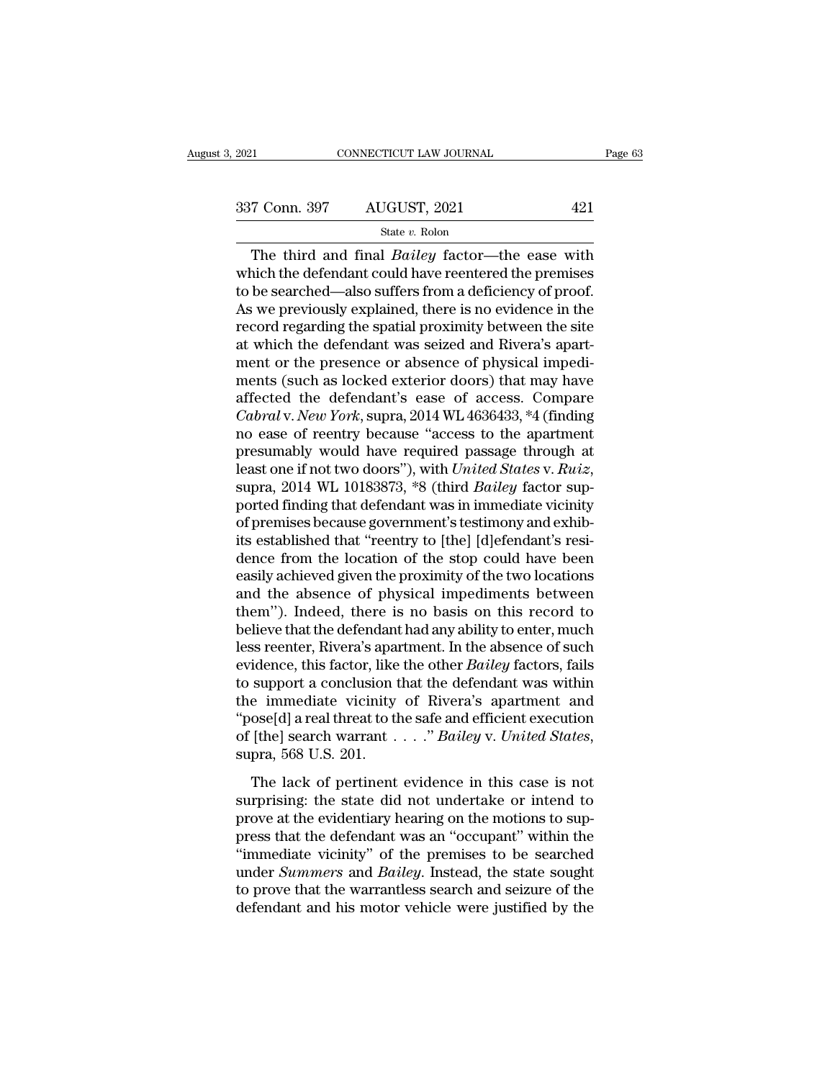State *v.* Rolon

The third and final *Bailey* factor—the ease with<br>
the defendant could have reentered the premises<br>
the searched also suffers from a deficional of proof 337 Conn. 397 AUGUST, 2021 421<br>
State v. Rolon<br>
The third and final *Bailey* factor—the ease with<br>
which the defendant could have reentered the premises<br>
to be searched—also suffers from a deficiency of proof.<br>
As we prev 337 Conn. 397 AUGUST, 2021 421<br>
State v. Rolon<br>
The third and final *Bailey* factor—the ease with<br>
which the defendant could have reentered the premises<br>
to be searched—also suffers from a deficiency of proof.<br>
As we prev 337 Conn. 397 AUGUST, 2021 421<br>
State v. Rolon<br>
The third and final *Bailey* factor—the ease with<br>
which the defendant could have reentered the premises<br>
to be searched—also suffers from a deficiency of proof.<br>
As we prev The third and final *Bailey* factor—the ease with<br>which the defendant could have reentered the premises<br>to be searched—also suffers from a deficiency of proof.<br>As we previously explained, there is no evidence in the<br>recor state v. Rolon<br>The third and final *Bailey* factor—the ease with<br>which the defendant could have reentered the premises<br>to be searched—also suffers from a deficiency of proof.<br>As we previously explained, there is no eviden The third and final *Bailey* factor—the ease with<br>which the defendant could have reentered the premises<br>to be searched—also suffers from a deficiency of proof.<br>As we previously explained, there is no evidence in the<br>record which the defendant could have reentered the premises<br>to be searched—also suffers from a deficiency of proof.<br>As we previously explained, there is no evidence in the<br>record regarding the spatial proximity between the site<br> to be searched—also suffers from a deficiency of proof.<br>As we previously explained, there is no evidence in the<br>record regarding the spatial proximity between the site<br>at which the defendant was seized and Rivera's apart-<br> As we previously explained, there is no evidence in the record regarding the spatial proximity between the site at which the defendant was seized and Rivera's apartment or the presence or absence of physical impediments (s record regarding the spatial proximity between the site<br>at which the defendant was seized and Rivera's apart-<br>ment or the presence or absence of physical impedi-<br>ments (such as locked exterior doors) that may have<br>affected at which the defendant was seized and Rivera's apartment or the presence or absence of physical impedi-<br>ments (such as locked exterior doors) that may have<br>affected the defendant's ease of access. Compare<br>*Cabral* v. *New* ment or the presence or absence of physical impedi-<br>ments (such as locked exterior doors) that may have<br>affected the defendant's ease of access. Compare<br>*Cabral* v. *New York*, supra, 2014 WL 4636433, \*4 (finding<br>no ease o affected the defendant's ease of access. Compare<br>Cabral v. New York, supra, 2014 WL 4636433, \*4 (finding<br>no ease of reentry because "access to the apartment<br>presumably would have required passage through at<br>least one if no Cabral v. New York, supra, 2014 WL 4636433, \*4 (finding<br>no ease of reentry because "access to the apartment<br>presumably would have required passage through at<br>least one if not two doors"), with United States v. Ruiz,<br>supra, no ease of reentry because "access to the apartment<br>presumably would have required passage through at<br>least one if not two doors"), with *United States v. Ruiz*,<br>supra, 2014 WL 10183873, \*8 (third *Bailey* factor sup-<br>port presumably would have required passage through at<br>least one if not two doors"), with *United States* v. *Ruiz*,<br>supra, 2014 WL 10183873, \*8 (third *Bailey* factor sup-<br>ported finding that defendant was in immediate vicinit least one if not two doors"), with United States v. Ruiz,<br>supra, 2014 WL 10183873, \*8 (third *Bailey* factor sup-<br>ported finding that defendant was in immediate vicinity<br>of premises because government's testimony and exhib supra, 2014 WL 10183873, \*8 (third *Bailey* factor sup-<br>ported finding that defendant was in immediate vicinity<br>of premises because government's testimony and exhib-<br>its established that "reentry to [the] [d]efendant's res ported finding that defendant was in immediate vicinity<br>of premises because government's testimony and exhib-<br>its established that "reentry to [the] [d]efendant's resi-<br>dence from the location of the stop could have been<br>e of premises because government's testimony and exhibits<br>its established that "reentry to [the] [d]efendant's resi-<br>dence from the location of the stop could have been<br>easily achieved given the proximity of the two location its established that "reentry to [the] [d]efendant's resi-<br>dence from the location of the stop could have been<br>easily achieved given the proximity of the two locations<br>and the absence of physical impediments between<br>them") dence from the location of the stop could have been<br>easily achieved given the proximity of the two locations<br>and the absence of physical impediments between<br>them''). Indeed, there is no basis on this record to<br>believe that easily achieved given the proximity of the two locations<br>and the absence of physical impediments between<br>them"). Indeed, there is no basis on this record to<br>believe that the defendant had any ability to enter, much<br>less re and the absence of physical impediments between<br>them"). Indeed, there is no basis on this record to<br>believe that the defendant had any ability to enter, much<br>less reenter, Rivera's apartment. In the absence of such<br>evidenc them''). Indeed, there is no basis on this record to<br>believe that the defendant had any ability to enter, much<br>less reenter, Rivera's apartment. In the absence of such<br>evidence, this factor, like the other *Bailey* factors believe that the defendant had any ability to enter, much<br>less reenter, Rivera's apartment. In the absence of such<br>evidence, this factor, like the other *Bailey* factors, fails<br>to support a conclusion that the defendant wa support a conclusion that the defendant was within<br>e immediate vicinity of Rivera's apartment and<br>ose[d] a real threat to the safe and efficient execution<br>[the] search warrant . . . . " Bailey v. United States,<br>pra, 568 U surprising: the state did not undertake or intend to the solel a real threat to the safe and efficient execution<br>of [the] search warrant  $\ldots$  " Bailey v. United States,<br>supra, 568 U.S. 201.<br>The lack of pertinent evidence

prove at the safe and efficient execution<br>of [the] search warrant  $\ldots$  "Bailey v. United States,<br>supra, 568 U.S. 201.<br>The lack of pertinent evidence in this case is not<br>surprising: the state did not undertake or intend t presetal areas of the state and embedded interest of the search of [the] search warrant  $\ldots$ ." Bailey v. United States, supra, 568 U.S. 201.<br>The lack of pertinent evidence in this case is not surprising: the state did no supra, 568 U.S. 201.<br>
The lack of pertinent evidence in this case is not<br>
surprising: the state did not undertake or intend to<br>
prove at the evidentiary hearing on the motions to sup-<br>
press that the defendant was an "occ The lack of pertinent evidence in this case is not<br>surprising: the state did not undertake or intend to<br>prove at the evidentiary hearing on the motions to sup-<br>press that the defendant was an "occupant" within the<br>"immedia The lack of pertinent evidence in this case is not<br>surprising: the state did not undertake or intend to<br>prove at the evidentiary hearing on the motions to sup-<br>press that the defendant was an "occupant" within the<br>"immedia surprising: the state did not undertake or intend to<br>prove at the evidentiary hearing on the motions to sup-<br>press that the defendant was an "occupant" within the<br>"immediate vicinity" of the premises to be searched<br>under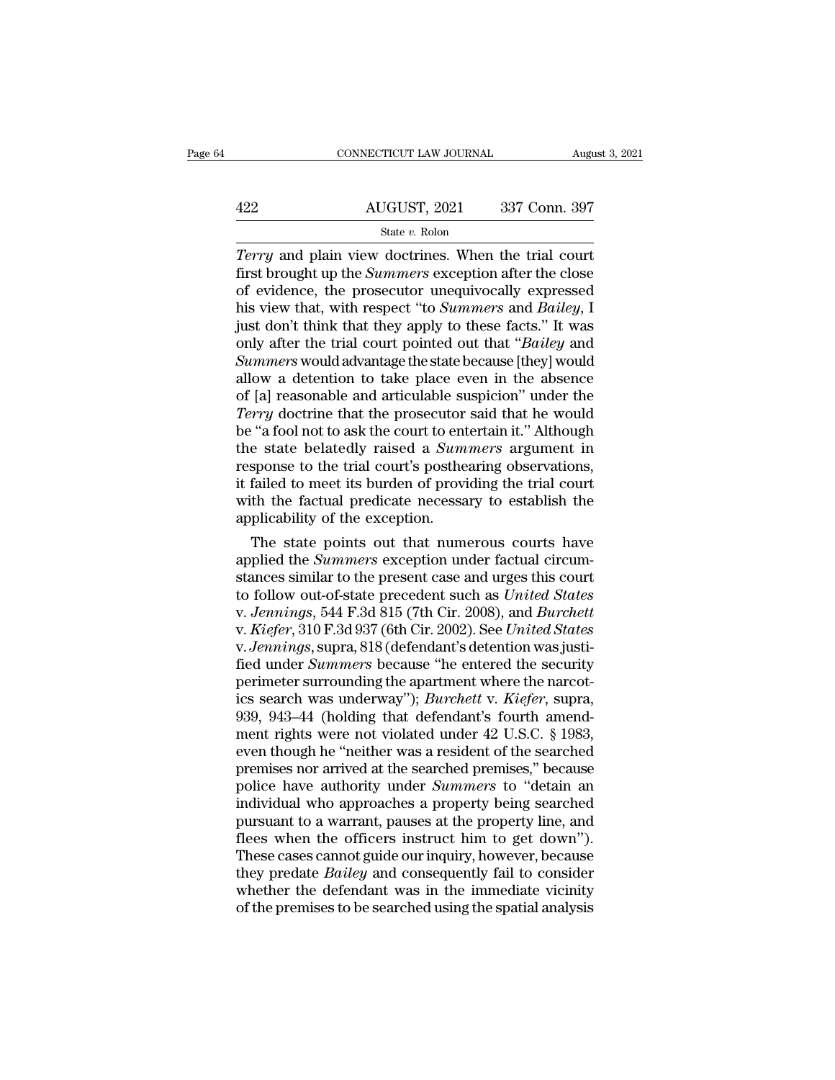|     | CONNECTICUT LAW JOURNAL | August 3, 2021 |
|-----|-------------------------|----------------|
|     |                         |                |
| 422 | AUGUST, 2021            | 337 Conn. 397  |
|     | State v. Rolon          |                |

CONNECTICUT LAW JOURNAL August 3, 202<br> **AUGUST**, 2021 337 Conn. 397<br> *Terry* and plain view doctrines. When the trial court<br>
first brought up the *Summers* exception after the close<br>
of ovidence, the prosecutor unequivocal AUGUST, 2021 337 Conn. 397<br>
State *v*. Rolon<br> *Terry* and plain view doctrines. When the trial court<br>
first brought up the *Summers* exception after the close<br>
of evidence, the prosecutor unequivocally expressed<br>
his view  $\begin{array}{c|c} \text{AUGUST, 2021} & \text{337 Conn. 397} \ \hline \text{State } v. \text{ Robin} \ \hline \text{Term } y \text{ and plain view doctrines. When the trial court first brought up the *Summers* exception after the close of evidence, the processor unequivocally expressed his view that, with respect "to *Summers* and *Bailey*, I just don't think that they apply to those facts." It was$ AUGUST, 2021 337 Conn. 397<br>
State v. Rolon<br>
Terry and plain view doctrines. When the trial court<br>
first brought up the *Summers* exception after the close<br>
of evidence, the prosecutor unequivocally expressed<br>
his view that State v. Rolon<br>
Terry and plain view doctrines. When the trial court<br>
first brought up the *Summers* exception after the close<br>
of evidence, the prosecutor unequivocally expressed<br>
his view that, with respect "to *Summers* State v. Rolon<br> *Terry* and plain view doctrines. When the trial court<br>
first brought up the *Summers* exception after the close<br>
of evidence, the prosecutor unequivocally expressed<br>
his view that, with respect "to *Summe Terry* and plain view doctrines. When the trial court<br>first brought up the *Summers* exception after the close<br>of evidence, the prosecutor unequivocally expressed<br>his view that, with respect "to *Summers* and *Bailey*, I<br> first brought up the *Summers* exception after the close<br>of evidence, the prosecutor unequivocally expressed<br>his view that, with respect "to *Summers* and *Bailey*, I<br>just don't think that they apply to these facts." It wa of evidence, the prosecutor unequivocally expressed<br>his view that, with respect "to *Summers* and *Bailey*, I<br>just don't think that they apply to these facts." It was<br>only after the trial court pointed out that "*Bailey* a his view that, with respect "to *Summers* and *Bailey*, I just don't think that they apply to these facts." It was only after the trial court pointed out that "*Bailey* and *Summers* would advantage the state because [they just don't think that they apply to these facts." It was<br>only after the trial court pointed out that "*Bailey* and<br>*Summers* would advantage the state because [they] would<br>allow a detention to take place even in the absenc only after the trial court pointed out that "*Bailey* and *Summers* would advantage the state because [they] would allow a detention to take place even in the absence of [a] reasonable and articulable suspicion" under the Summers would advantage the state because [they] would<br>allow a detention to take place even in the absence<br>of [a] reasonable and articulable suspicion" under the<br>*Terry* doctrine that the prosecutor said that he would<br>be " allow a detention to take place even in the absence<br>of [a] reasonable and articulable suspicion" under the<br>*Terry* doctrine that the prosecutor said that he would<br>be "a fool not to ask the court to entertain it." Although<br> of [a] reasonable and articulable suspicion" under the *Terry* doctrine that the prosecutor said that he would be "a fool not to ask the court to entertain it." Although the state belatedly raised a *Summers* argument in r Terry doctrine that the prosecutor<br>be "a fool not to ask the court to ent<br>the state belatedly raised a Sum<br>response to the trial court's posthe<br>it failed to meet its burden of provi<br>with the factual predicate necessa<br>appli Fa rool not to ask the court to entertain it. This<br>course a state belatedly raised a *Summers* argument in<br>sponse to the trial court's posthearing observations,<br>failed to meet its burden of providing the trial court<br>th th the state belatedly raised a *Summers* argument in<br>response to the trial court's posthearing observations,<br>it failed to meet its burden of providing the trial court<br>with the factual predicate necessary to establish the<br>app

response to the trial court's posthearing observations,<br>it failed to meet its burden of providing the trial court<br>with the factual predicate necessary to establish the<br>applicability of the exception.<br>The state points out It failed to meet its burden of providing the trial court<br>with the factual predicate necessary to establish the<br>applicability of the exception.<br>The state points out that numerous courts have<br>applied the *Summers* exception with the factual predicate necessary to establish the<br>applicability of the exception.<br>The state points out that numerous courts have<br>applied the *Summers* exception under factual circum-<br>stances similar to the present case applicability of the exception.<br>
The state points out that numerous courts have<br>
applied the *Summers* exception under factual circumstances similar to the present case and urges this court<br>
to follow out-of-state preceden The state points out that numerous courts have<br>applied the *Summers* exception under factual circum-<br>stances similar to the present case and urges this court<br>to follow out-of-state precedent such as *United States*<br>v. *Jen* applied the *Summers* exception under factual circumstances similar to the present case and urges this court<br>to follow out-of-state precedent such as *United States*<br>v. Jennings, 544 F.3d 815 (7th Cir. 2008), and *Burchett* stances similar to the present case and urges this court<br>to follow out-of-state precedent such as *United States*<br>v. Jennings, 544 F.3d 815 (7th Cir. 2008), and *Burchett*<br>v. Kiefer, 310 F.3d 937 (6th Cir. 2002). See *Unit* to follow out-of-state precedent such as *United States*<br>v. *Jennings*, 544 F.3d 815 (7th Cir. 2008), and *Burchett*<br>v. *Kiefer*, 310 F.3d 937 (6th Cir. 2002). See *United States*<br>v. *Jennings*, supra, 818 (defendant's det v. Jennings, 544 F.3d 815 (7th Cir. 2008), and *Burchett* v. *Kiefer*, 310 F.3d 937 (6th Cir. 2002). See *United States* v. Jennings, supra, 818 (defendant's detention was justified under *Summers* because "he entered the v. *Kiefer*, 310 F.3d 937 (6th Cir. 2002). See *United States*<br>v. *Jennings*, supra, 818 (defendant's detention was justi-<br>fied under *Summers* because "he entered the security<br>perimeter surrounding the apartment where the v. *Jennings*, supra, 818 (defendant's detention was justified under *Summers* because "he entered the security perimeter surrounding the apartment where the narcotics search was underway"); *Burchett* v. *Kiefer*, supra, fied under *Summers* because "he entered the security<br>perimeter surrounding the apartment where the narcot-<br>ics search was underway"); *Burchett v. Kiefer*, supra,<br>939, 943–44 (holding that defendant's fourth amend-<br>ment r perimeter surrounding the apartment where the narcotics search was underway"); *Burchett* v. *Kiefer*, supra, 939, 943–44 (holding that defendant's fourth amendment rights were not violated under 42 U.S.C. § 1983, even tho ics search was underway"); *Burchett* v. *Kiefer*, supra, 939, 943–44 (holding that defendant's fourth amend-<br>ment rights were not violated under 42 U.S.C. § 1983, even though he "neither was a resident of the searched<br>pre 939, 943–44 (holding that defendant's fourth amend-<br>ment rights were not violated under 42 U.S.C. § 1983,<br>even though he "neither was a resident of the searched<br>premises nor arrived at the searched premises," because<br>poli ment rights were not violated under 42 U.S.C. § 1983,<br>even though he "neither was a resident of the searched<br>premises nor arrived at the searched premises," because<br>police have authority under *Summers* to "detain an<br>indiv even though he "neither was a resident of the searched<br>premises nor arrived at the searched premises," because<br>police have authority under *Summers* to "detain an<br>individual who approaches a property being searched<br>pursuan premises nor arrived at the searched premises," because<br>police have authority under *Summers* to "detain an<br>individual who approaches a property being searched<br>pursuant to a warrant, pauses at the property line, and<br>flees police have authority under *Summers* to "detain an individual who approaches a property being searched pursuant to a warrant, pauses at the property line, and flees when the officers instruct him to get down"). These case individual who approaches a property being searched<br>pursuant to a warrant, pauses at the property line, and<br>flees when the officers instruct him to get down").<br>These cases cannot guide our inquiry, however, because<br>they pr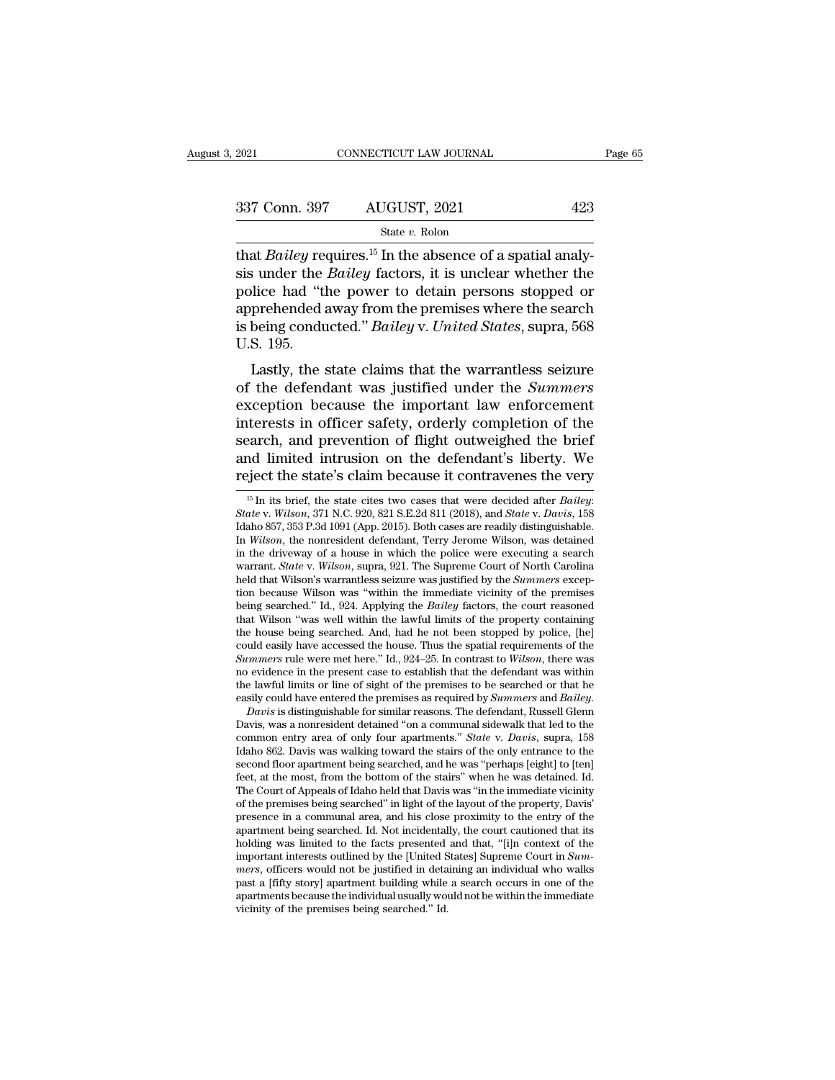| 2021          | CONNECTICUT LAW JOURNAL |     | Page 65 |
|---------------|-------------------------|-----|---------|
|               |                         |     |         |
| 337 Conn. 397 | AUGUST, 2021            | 423 |         |
|               | State v. Rolon          |     |         |

EXERCT 2021<br>
Bailey requires.<sup>15</sup> In the absence of a spatial analy-<br>
State v. Rolon<br>
EXERCT: Bailey requires.<sup>15</sup> In the absence of a spatial analy-<br>
Sis under the *Bailey* factors, it is unclear whether the<br>
police had " 337 Conn. 397 AUGUST, 2021 423<br>
<sup>State v. Rolon</sup><br>
that *Bailey* requires.<sup>15</sup> In the absence of a spatial analy-<br>
sis under the *Bailey* factors, it is unclear whether the<br>
police had "the power to detain persons stopped o 337 Conn. 397 AUGUST, 2021 423<br>
State v. Rolon<br>
that *Bailey* requires.<sup>15</sup> In the absence of a spatial analy-<br>
sis under the *Bailey* factors, it is unclear whether the<br>
police had "the power to detain persons stopped or 337 Conn. 397 AUGUST, 2021 423<br>
State v. Rolon<br>
that *Bailey* requires.<sup>15</sup> In the absence of a spatial analy-<br>
sis under the *Bailey* factors, it is unclear whether the<br>
police had "the power to detain persons stopped or State v. Rolon<br> **is being conducted.**<sup>15</sup> In the absence of a spatial analy-<br>
sis under the *Bailey* factors, it is unclear whether the<br>
police had "the power to detain persons stopped or<br>
apprehended away from the premis that *Bailey* realists under the police had "the police had"<br>police had "the apprehended and use being conduction.<br>U.S. 195.<br>Lastly, the s Lastly, the state claims that the warrantless seizure<br>the direct detain persons stopped or<br>prehended away from the premises where the search<br>being conducted." *Bailey v. United States*, supra, 568<br>S. 195.<br>Lastly, the state sis under the *Buttey* ractors, it is unclear whether the<br>police had "the power to detain persons stopped or<br>apprehended away from the premises where the search<br>is being conducted." *Bailey* v. United States, supra, 568<br>U.

ponce had the power to detail persons stopped of<br>apprehended away from the premises where the search<br>is being conducted." *Bailey v. United States*, supra, 568<br>U.S. 195.<br>Lastly, the state claims that the warrantless seizur apprenented away from the premises where the search<br>is being conducted." *Bailey v. United States*, supra, 568<br>U.S. 195.<br>Lastly, the state claims that the warrantless seizure<br>of the defendant was justified under the *Summe* is being conducted. *Battey v. Chitted States*, supra, 506<br>U.S. 195.<br>Lastly, the state claims that the warrantless seizure<br>of the defendant was justified under the *Summers*<br>exception because the important law enforcement<br> Lastly, the state claims that the warrantless seizure<br>of the defendant was justified under the *Summers*<br>exception because the important law enforcement<br>interests in officer safety, orderly completion of the<br>search, and pr Lastly, the state claims that the warrantless seizure<br>of the defendant was justified under the *Summers*<br>exception because the important law enforcement<br>interests in officer safety, orderly completion of the<br>search, and p interests in officer safety, orderly completion of the<br>search, and prevention of flight outweighed the brief<br>and limited intrusion on the defendant's liberty. We<br>reject the state's claim because it contravenes the very<br> $\frac$ 

Summers rule were met here." Id., 924–25. In contrast to *Wilson*, there was no evidence in the present case to establish that the defendant was within the lawful limits or line of sight of the premises to be searched or t no evidence in the present case to establish that the defendant was within<br>the lawful limits or line of sight of the premises to be searched or that he<br>easily could have entered the premises as required by *Summers* and *B* the lawful limits or line of sight of the premises to be searched or that he easily could have entered the premises as required by *Summers* and *Bailey.* Davis is distinguishable for similar reasons. The defendant, Russe easily could have entered the premises as required by *Summers* and *Bailey.*<br> *Davis* is distinguishable for similar reasons. The defendant, Russell Glenn<br>
Davis, was a nonresident detained "on a communal sidewalk that le Davis is distinguishable for similar reasons. The defendant, Russell Glenn<br>Davis, was a nonresident detained "on a communal sidewalk that led to the<br>common entry area of only four apartments." *State v. Davis*, supra, 158 Davis, was a nonresident detained "on a communal sidewalk that led to the common entry area of only four apartments." *State v. Davis*, supra, 158 Idaho 862. Davis was walking toward the stairs of the only entrance to the common entry area of only four apartments." *State v. Davis*, supra, 158 Idaho 862. Davis was walking toward the stairs of the only entrance to the second floor apartment being searched, and he was "perhaps [eight] to [ten Idaho 862. Davis was walking toward the stairs of the only entrance to the second floor apartment being searched, and he was "perhaps [eight] to [ten] feet, at the most, from the bottom of the stairs" when he was detained. second floor apartment being searched, and he was "perhaps [eight] to [ten]<br>feet, at the most, from the bottom of the stairs" when he was detained. Id.<br>The Court of Appeals of Idaho held that Davis was "in the immediate vi feet, at the most, from the bottom of the stairs" when he was detained. Id.<br>The Court of Appeals of Idaho held that Davis was "in the immediate vicinity<br>of the premises being searched" in light of the layout of the propert of the premises being searched" in light of the layout of the property, Davis'<br>presence in a communal area, and his close proximity to the entry of the<br>apartment being searched. Id. Not incidentally, the court cautioned t presence in a communal area, and his close proximity to the entry of the apartment being searched. Id. Not incidentally, the court cautioned that its holding was limited to the facts presented and that, "[i]n context of th apartment being searched. Id. Not incidentally, the court cautioned that its holding was limited to the facts presented and that, "[i]n context of the important interests outlined by the [United States] Supreme Court in

search, and prevention of flight outweighed the brief and limited intrusion on the defendant's liberty. We reject the state's claim because it contravenes the very  $\frac{15 \text{ In its brief, the state cities two cases that were decided after Bailey: State v. Wilson, 371 N.C. 920, 821 S.E.2d 811 (20$ and influed intrusion on the defendant s inberty. We<br>reject the state's claim because it contravenes the very<br> $\frac{15 \text{ In its brief, the state cities two cases that were decided after Bailey.}$ <br>*State v. Wilson,* 371 N.C. 920, 821 S.E.2d 811 (2018), and *State v. Davis*, 158<br>Ida reject the state's claim because it contravenes the very  $\frac{15}{10}$  in its brief, the state cites two cases that were decided after *Bailey:* State v. Wilson, 371 N.C. 920, 821 S.E.2d 811 (2018), and *State v. Davis*, 15 <sup>15</sup> In its brief, the state cites two cases that were decided after *Bailey*: *State* v. *Wilson*, 371 N.C. 920, 821 S.E.2d 811 (2018), and *State* v. *Davis*, 158 Idaho 857, 353 P.3d 1091 (App. 2015). Both cases are rea In *Wilson*, the nonresident defendant, Terry Jerome Wilson, was detained in the driveway of a house in which the police were executing a search warrant. *State* v. *Wilson*, supra, 921. The Supreme Court of North Carolina being searched." Id., 924. Applying the *Bailey* factors, the court reasoned that Wilson "was well within the lawful limits of the property containing Idaho 857, 353 P.3d 1091 (App. 2015). Both cases are readily distinguishable.<br>In *Wilson*, the nonresident defendant, Terry Jerome Wilson, was detained<br>in the driveway of a house in which the police were executing a search In *Wilson*, the nonresident defendant, Terry Jerome Wilson, was detained<br>in the driveway of a house in which the police were executing a search<br>warrant. *State* v. *Wilson*, supra, 921. The Supreme Court of North Carolin in the driveway of a house in which the police were executing a search<br>warrant. *State* v. *Wilson*, supra, 921. The Supreme Court of North Carolina<br>held that Wilson's warrantless seizure was justified by the *Summers* ex warrant. *State* v. *Wilson*, supra, 921. The Supreme Court of North Carolina<br>held that Wilson's warrantless seizure was justified by the *Summers* excep-<br>tion because Wilson was "within the immediate vicinity of the prem held that Wilson's warrantless seizure was justified by the *Summers* exception because Wilson was "within the immediate vicinity of the premises being searched." Id., 924. Applying the *Bailey* factors, the court reasoned tion because Wilson was "within the immediate vicinity of the premises being searched." Id., 924. Applying the *Bailey* factors, the court reasoned that Wilson "was well within the lawful limits of the property containing being searched." Id., 924. Applying the *Bailey* factors, the court reasoned that Wilson "was well within the lawful limits of the property containing the house being searched. And, had he not been stopped by police, [he] that Wilson "was well within the lawful limits of the property containing<br>the house being searched. And, had he not been stopped by police, [he]<br>could easily have accessed the house. Thus the spatial requirements of the<br>*S* could easily have accessed the house. Thus the spatial requirements of the *Summers* rule were met here." Id., 924–25. In contrast to *Wilson*, there was no evidence in the present case to establish that the defendant was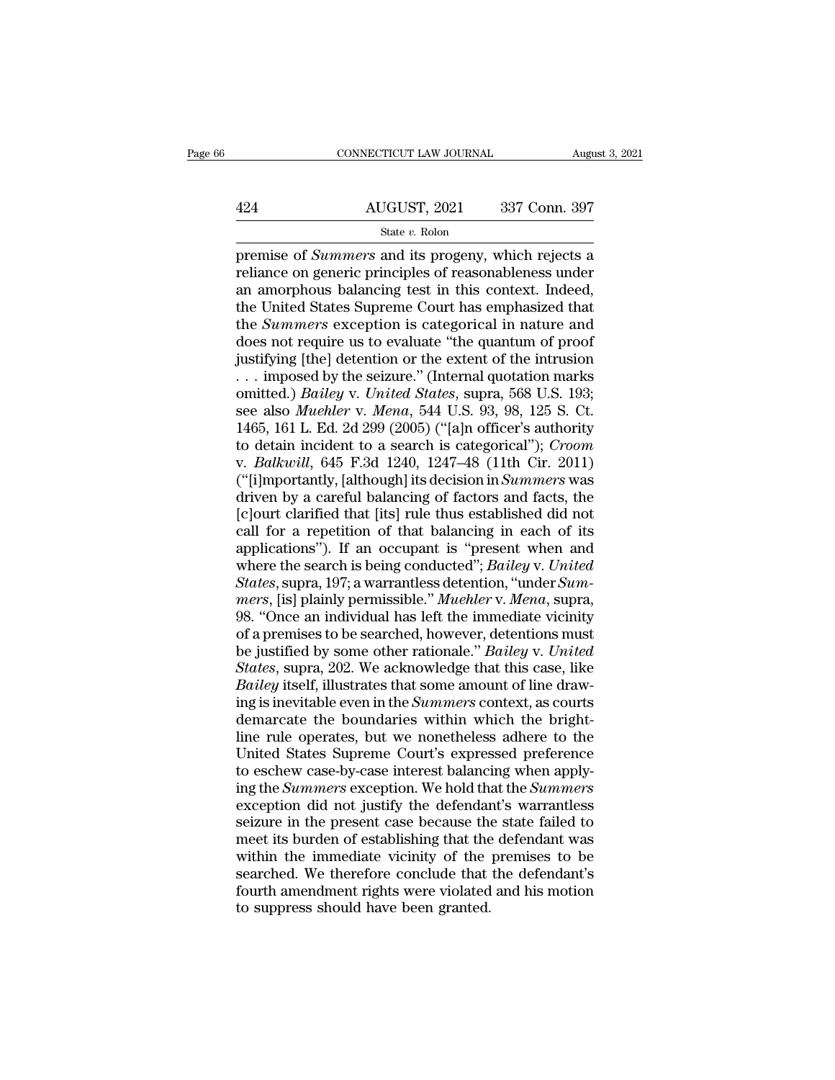# CONNECTICUT LAW JOURNAL August 3, 2021<br>424 AUGUST, 2021 337 Conn. 397<br>5tate v. Rolon State *v.* Rolon

FREE CONNECTICUT LAW JOURNAL August 3, 2021<br>
AUGUST, 2021 337 Conn. 397<br>
State v. Rolon<br>
premise of *Summers* and its progeny, which rejects a<br>
reliance on generic principles of reasonableness under<br>
an amorphous balancing  $\frac{\text{AUGUST, 2021}}{\text{State } v. \text{ Rolon}}$ <br>  $\frac{\text{State } v. \text{ Rolon}}{\text{premise of *Summers}* and its progeny, which rejects a  
\nreliance on generic principles of reasonableness under  
\nan amorphous balancing test in this context. Indeed,  
\nthe United States Supreme Court has emphasized that$ 424 AUGUST, 2021 337 Conn. 397<br>
State v. Rolon<br>
premise of *Summers* and its progeny, which rejects a<br>
reliance on generic principles of reasonableness under<br>
an amorphous balancing test in this context. Indeed,<br>
the Unit  $\frac{\text{AUGUST, 2021}}{\text{State } v. \text{ Rolon}}$ <br>  $\frac{\text{State } v. \text{ Rolon}}{\text{premise of *Summers}* and its progeny, which rejects a  
\nrelative on generic principles of reasonableness under  
\nan amorphous balancing test in this context. Indeed,  
\nthe United States Supreme Court has emphasized that  
\nthe *Summers* exception is categorical in nature and  
\ndoes not require us to evaluate "the quantity of proof$ State *v*. Rolon<br>
State *v*. Rolon<br>
premise of *Summers* and its progeny, which rejects a<br>
reliance on generic principles of reasonableness under<br>
an amorphous balancing test in this context. Indeed,<br>
the United States Su State  $v$ . Rolon<br>premise of *Summers* and its progeny, which rejects a<br>reliance on generic principles of reasonableness under<br>an amorphous balancing test in this context. Indeed,<br>the United States Supreme Court has emphas premise of *Summers* and its progeny, which rejects a<br>reliance on generic principles of reasonableness under<br>an amorphous balancing test in this context. Indeed,<br>the United States Supreme Court has emphasized that<br>the *Sum* reliance on generic principles of reasonableness under<br>an amorphous balancing test in this context. Indeed,<br>the United States Supreme Court has emphasized that<br>the *Summers* exception is categorical in nature and<br>does not an amorphous balancing test in this context. Indeed,<br>the United States Supreme Court has emphasized that<br>the *Summers* exception is categorical in nature and<br>does not require us to evaluate "the quantum of proof<br>justifying the United States Supreme Court has emphasized that<br>the *Summers* exception is categorical in nature and<br>does not require us to evaluate "the quantum of proof<br>justifying [the] detention or the extent of the intrusion<br>... i the *Summers* exception is categorical in nature and<br>does not require us to evaluate "the quantum of proof<br>justifying [the] detention or the extent of the intrusion<br>... imposed by the seizure." (Internal quotation marks<br>o does not require us to evaluate "the quantum of proof<br>justifying [the] detention or the extent of the intrusion<br>... imposed by the seizure." (Internal quotation marks<br>omitted.) *Bailey v. United States*, supra, 568 U.S. 19 justifying [the] detention or the extent of the intrusion<br>
... imposed by the seizure." (Internal quotation marks<br>
omitted.) *Bailey* v. *United States*, supra, 568 U.S. 193;<br>
see also *Muehler* v. *Mena*, 544 U.S. 93, 98, ... imposed by the seizure." (Internal quotation marks<br>omitted.) *Bailey v. United States*, supra, 568 U.S. 193;<br>see also *Muehler v. Mena*, 544 U.S. 93, 98, 125 S. Ct.<br>1465, 161 L. Ed. 2d 299 (2005) ("[a]n officer's autho omitted.) *Bailey v. United States*, supra, 568 U.S. 193;<br>see also *Muehler v. Mena*, 544 U.S. 93, 98, 125 S. Ct.<br>1465, 161 L. Ed. 2d 299 (2005) ("[a]n officer's authority<br>to detain incident to a search is categorical"); see also *Muehler* v. *Mena*, 544 U.S. 93, 98, 125 S. Ct.<br>1465, 161 L. Ed. 2d 299 (2005) ("[a]n officer's authority<br>to detain incident to a search is categorical"); *Croom*<br>v. *Balkwill*, 645 F.3d 1240, 1247–48 (11th Cir. 1465, 161 L. Ed. 2d 299 (2005) ("[a]n officer's authority<br>to detain incident to a search is categorical"); *Croom*<br>v. *Balkwill*, 645 F.3d 1240, 1247–48 (11th Cir. 2011)<br>("[i]mportantly, [although] its decision in *Summer* to detain incident to a search is categorical"); *Croom*<br>v. *Balkwill*, 645 F.3d 1240, 1247–48 (11th Cir. 2011)<br>("[i]mportantly, [although] its decision in *Summers* was<br>driven by a careful balancing of factors and facts, v. *Balkwill*, 645 F.3d 1240, 1247–48 (11th Cir. 2011)<br>
("[i]mportantly, [although] its decision in *Summers* was<br>
driven by a careful balancing of factors and facts, the<br>
[c]ourt clarified that [its] rule thus established ("[i]mportantly, [although] its decision in *Summers* was<br>driven by a careful balancing of factors and facts, the<br>[c]ourt clarified that [its] rule thus established did not<br>call for a repetition of that balancing in each o driven by a careful balancing of factors and facts, the [c]ourt clarified that [its] rule thus established did not call for a repetition of that balancing in each of its applications"). If an occupant is "present when and [c]ourt clarified that [its] rule thus established did not<br>call for a repetition of that balancing in each of its<br>applications"). If an occupant is "present when and<br>where the search is being conducted"; *Bailey v. United* call for a repetition of that balancing in each of its<br>applications"). If an occupant is "present when and<br>where the search is being conducted"; *Bailey v. United*<br>States, supra, 197; a warrantless detention, "under Sum-<br> applications"). If an occupant is "present when and<br>where the search is being conducted"; *Bailey* v. *United*<br>*States*, supra, 197; a warrantless detention, "under *Sum-<br>mers*, [is] plainly permissible." *Muehler* v. *Men* where the search is being conducted"; *Bailey v. United*<br>*States*, supra, 197; a warrantless detention, "under *Summers*, [is] plainly permissible." *Muehler v. Mena*, supra,<br>98. "Once an individual has left the immediate where the search is being conducted"; *Bailey* v. United<br>*States*, supra, 197; a warrantless detention, "under *Summers*, [is] plainly permissible." *Muehler* v. *Mena*, supra, 98. "Once an individual has left the immediat mers, [is] plainly permissible." Muehler v. Mena, supra,<br>98. "Once an individual has left the immediate vicinity<br>of a premises to be searched, however, detentions must<br>be justified by some other rationale." Bailey v. Unite be justified by some other rationale." *Bailey v. United*<br>States, supra, 202. We acknowledge that this case, like<br>*Bailey* itself, illustrates that some amount of line draw-<br>ing is inevitable even in the *Summers* context, of a premises to be searched, however, detentions must<br>be justified by some other rationale." *Bailey* v. *United*<br>*States*, supra, 202. We acknowledge that this case, like<br>*Bailey* itself, illustrates that some amount of be justified by some other rationale." Bailey v. United<br>States, supra, 202. We acknowledge that this case, like<br>Bailey itself, illustrates that some amount of line draw-<br>ing is inevitable even in the Summers context, as co States, supra, 202. We acknowledge that this case, like Bailey itself, illustrates that some amount of line drawing is inevitable even in the Summers context, as courts demarcate the boundaries within which the bright-<br>lin Bailey itself, illustrates that some amount of line drawing is inevitable even in the *Summers* context, as courts demarcate the boundaries within which the brightline rule operates, but we nonetheless adhere to the United ing is inevitable even in the *Summers* context, as courts<br>demarcate the boundaries within which the bright-<br>line rule operates, but we nonetheless adhere to the<br>United States Supreme Court's expressed preference<br>to eschew demarcate the boundaries within which the bright-<br>line rule operates, but we nonetheless adhere to the<br>United States Supreme Court's expressed preference<br>to eschew case-by-case interest balancing when apply-<br>ing the *Summe* line rule operates, but we nonetheless adhere to the<br>United States Supreme Court's expressed preference<br>to eschew case-by-case interest balancing when apply-<br>ing the *Summers* exception. We hold that the *Summers*<br>exceptio United States Supreme Court's expressed preference<br>to eschew case-by-case interest balancing when apply-<br>ing the *Summers* exception. We hold that the *Summers*<br>exception did not justify the defendant's warrantless<br>seizure to eschew case-by-case interest balancing when apply-<br>ing the *Summers* exception. We hold that the *Summers*<br>exception did not justify the defendant's warrantless<br>seizure in the present case because the state failed to<br>me ing the *Summers* exception. We hold that the *Summers* exception did not justify the defendant's warrantless seizure in the present case because the state failed to meet its burden of establishing that the defendant was w exception did not justify the defendare<br>seizure in the present case because the<br>meet its burden of establishing that the<br>within the immediate vicinity of the<br>searched. We therefore conclude that<br>fourth amendment rights wer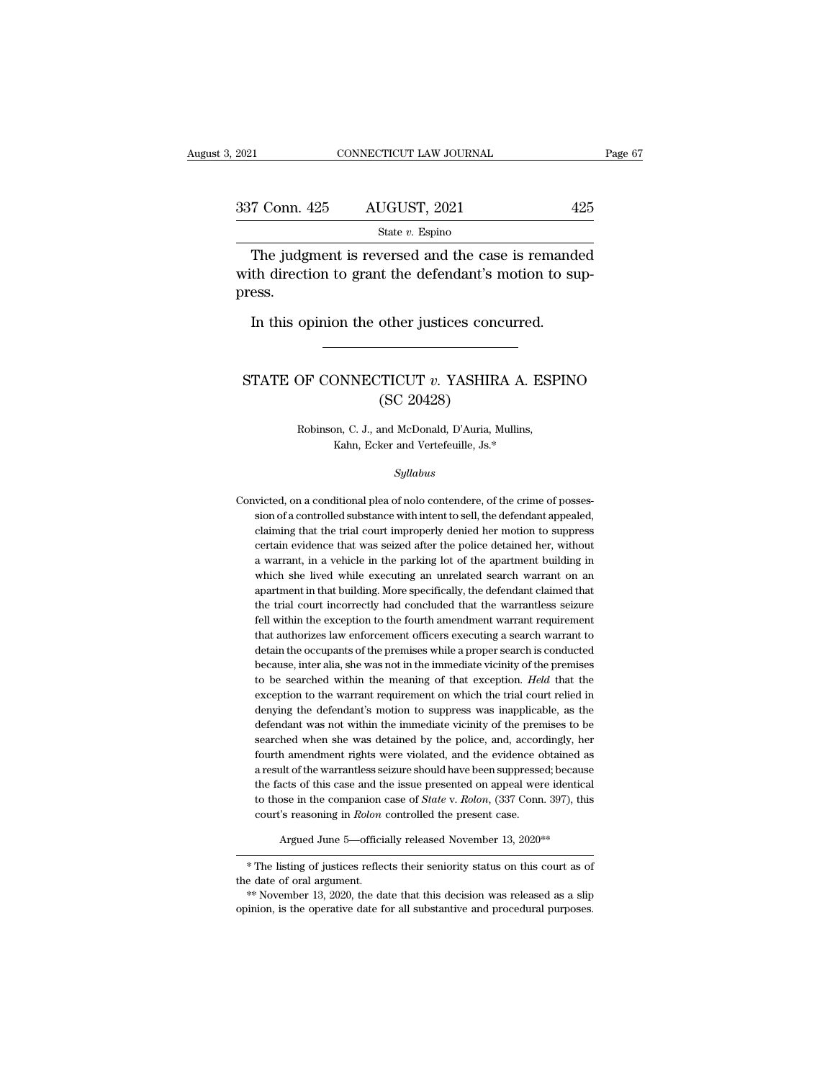| 2021          | CONNECTICUT LAW JOURNAL                                                                                     | Page 67 |  |
|---------------|-------------------------------------------------------------------------------------------------------------|---------|--|
| 337 Conn. 425 | AUGUST, 2021                                                                                                | 425     |  |
|               | State $v$ . Espino                                                                                          |         |  |
| press.        | The judgment is reversed and the case is remanded<br>with direction to grant the defendant's motion to sup- |         |  |

press. The judgment is reversed and the case is remand<br>th direction to grant the defendant's motion to surface.<br>In this opinion the other justices concurred. % with direction to grant the defendant's motion to suppress.<br>
In this opinion the other justices concurred.<br>
STATE OF CONNECTICUT  $v$ . YASHIRA A. ESPINO<br>
(SC 20428)

# other justices conc<br>TICUT v. YASHIR/<br>(SC 20428)<br>and McDonald, D'Auria, M THE CONNECTICUT *v*. YASHIRA A. ESP<br>(SC 20428)<br>Robinson, C. J., and McDonald, D'Auria, Mullins,<br>Kahn, Ecker and Vertefeuille, Js.\* DNNECTICUT  $v$ . YASHIRA A. E<br>
(SC 20428)<br>
on, C. J., and McDonald, D'Auria, Mullins,<br>
Kahn, Ecker and Vertefeuille, Js.\*

### *Syllabus*

 ${\rm Robinson,~C.~J.,~and~McDonald,~D'Auria,~Mullins,~Kahn,~Ecker~and~Vertefeuille,~Js.*~$}$   $Syllabus$  <br> Convicted, on a conditional plea of nolo contendere, of the crime of possession of a controlled substance with intent to sell, the defendant appealed, sion, the and Vertefeuille, Js.\*<br>Kahn, Ecker and Vertefeuille, Js.\*<br>Syllabus<br>victed, on a conditional plea of nolo contendere, of the crime of posses-<br>sion of a controlled substance with intent to sell, the defendant appea Syllabus<br>Syllabus<br>victed, on a conditional plea of nolo contendere, of the crime of posses-<br>sion of a controlled substance with intent to sell, the defendant appealed,<br>claiming that the trial court improperly denied her mo Syllabus<br>victed, on a conditional plea of nolo contendere, of the crime of posses-<br>sion of a controlled substance with intent to sell, the defendant appealed,<br>claiming that the trial court improperly denied her motion to s victed, on a conditional plea of nolo contendere, of the crime of posses-<br>sion of a controlled substance with intent to sell, the defendant appealed,<br>claiming that the trial court improperly denied her motion to suppress<br>c victed, on a conditional plea of nolo contendere, of the crime of possession of a controlled substance with intent to sell, the defendant appealed, claiming that the trial court improperly denied her motion to suppress cer sion of a controlled substance with intent to sell, the defendant appealed, claiming that the trial court improperly denied her motion to suppress certain evidence that was seized after the police detained her, without a w claiming that the trial court improperly denied her motion to suppress<br>certain evidence that was seized after the police detained her, without<br>a warrant, in a vehicle in the parking lot of the apartment building in<br>which s certain evidence that was seized after the police detained her, without a warrant, in a vehicle in the parking lot of the apartment building in which she lived while executing an unrelated search warrant on an apartment in a warrant, in a vehicle in the parking lot of the apartment building in which she lived while executing an unrelated search warrant on an apartment in that building. More specifically, the defendant claimed that the trial which she lived while executing an unrelated search warrant on an apartment in that building. More specifically, the defendant claimed that the trial court incorrectly had concluded that the warrantless seizure fell within apartment in that building. More specifically, the defendant claimed that<br>the trial court incorrectly had concluded that the warrantless seizure<br>fell within the exception to the fourth amendment warrant requirement<br>that au the trial court incorrectly had concluded that the warrantless seizure<br>fell within the exception to the fourth amendment warrant requirement<br>that authorizes law enforcement officers executing a search warrant to<br>detain the fell within the exception to the fourth amendment warrant requirement that authorizes law enforcement officers executing a search warrant to detain the occupants of the premises while a proper search is conducted because, that authorizes law enforcement officers executing a search warrant to<br>detain the occupants of the premises while a proper search is conducted<br>because, inter alia, she was not in the immediate vicinity of the premises<br>to b detain the occupants of the premises while a proper search is conducted<br>because, inter alia, she was not in the immediate vicinity of the premises<br>to be searched within the meaning of that exception. *Held* that the<br>except because, inter alia, she was not in the immediate vicinity of the premises<br>to be searched within the meaning of that exception. Held that the<br>exception to the warrant requirement on which the trial court relied in<br>denying to be searched within the meaning of that exception. *Held* that the exception to the warrant requirement on which the trial court relied in denying the defendant's motion to suppress was inapplicable, as the defendant was exception to the warrant requirement on which the trial court relied in denying the defendant's motion to suppress was inapplicable, as the defendant was not within the immediate vicinity of the premises to be searched whe denying the defendant's motion to suppress was inapplicable, as the defendant was not within the immediate vicinity of the premises to be searched when she was detained by the police, and, accordingly, her fourth amendment defendant was not within the immediate vicinity of the premises to be searched when she was detained by the police, and, accordingly, her fourth amendment rights were violated, and the evidence obtained as a result of the searched when she was detained by the police, and, accorribation<br>fourth amendment rights were violated, and the evidence of a result of the warrantless seizure should have been suppresse<br>the facts of this case and the issu a result of the warrantless seizure should have been suppressed; because<br>the facts of this case and the issue presented on appeal were identical<br>to those in the companion case of *State* v. *Rolon*, (337 Conn. 397), this<br> the racts of this case and the issue presented on appeal were identical<br>to those in the companion case of *State* v. *Rolon*, (337 Conn. 397), this<br>court's reasoning in *Rolon* controlled the present case.<br>Argued June 5—of

to those in the companion case of *State v. Roton*, (337 Conn. 397), this<br>court's reasoning in *Roton* controlled the present case.<br>Argued June 5—officially released November 13, 2020<sup>\*\*</sup><br> $*$  The listing of justices refle Argued June 5—officially released November 13, 2020<sup>\*\*</sup><br>
\* The listing of justices reflects their seniority status on this court as of<br>
the date of oral argument.<br>
\*\* November 13, 2020, the date that this decision was rele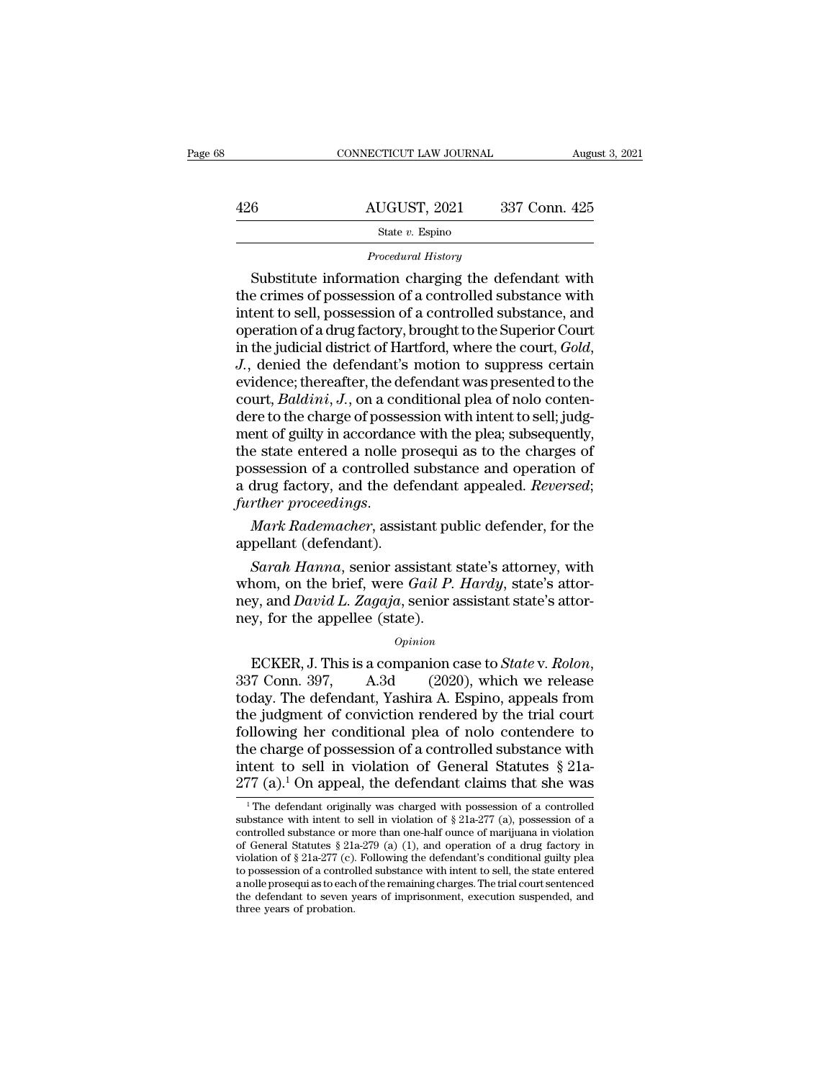|     | CONNECTICUT LAW JOURNAL | August 3, 2021 |
|-----|-------------------------|----------------|
| 426 | AUGUST, 2021            | 337 Conn. 425  |
|     | State $v$ . Espino      |                |

*Procedural History*<br>Substitute information charging the defendant with  $\begin{array}{r} \text{SUSY} & 337 \text{ Conn. } 425 \\ \text{State } v. \text{ Espino} \end{array}$ <br>  $\begin{array}{r} \text{Procedural History} \\ \text{Substitute information charging the defendant with} \\ \text{e crimes of possession of a controlled substance with} \\ \text{tent to sell possession of a controlled substance and} \end{array}$ 426  $\frac{\text{AUGUST, 2021}}{\text{State } v. \text{ Espino}}$ <br>  $\frac{\text{State } v. \text{ Espino}}{\text{Proceedural History}}$ <br>  $\frac{\text{Frocedural History}}{\text{the crimes of possession of a controlled substance with}}$ <br>
the crimes of possession of a controlled substance with intent to sell, possession of a controlled substance, and<br>
coneration of a 426 AUGUST, 2021 337 Conn. 425<br>  $\frac{\text{State } v. \text{ Espino}}{\text{Proceedural History}}$ <br>
Procedural History<br>  $\frac{\text{Substitute information charging the defendant with}}{\text{the crimes of possession of a controlled substance with}}$ <br>
intent to sell, possession of a controlled substance, and<br>
operation of a drug factory, brought to the Superior C  $\begin{array}{c} \text{State }v. \text{ Espino} \\\text{Procedural History} \end{array}$   $\begin{array}{c} \text{Substitute information charging the defendant with} \\ \text{the crimes of possession of a controlled substance with} \\ \text{intent to sell, possession of a controlled substance, and} \\ \text{operation of a drug factory, brought to the Superior Court} \\ \text{in the judicial district of Hartford, where the court, Gold,} \\ \text{I, denied the defendant's motion to suppress certain} \end{array}$ Frocedural History<br>
Frocedural History<br>
the crimes of possession of a controlled substance with<br>
intent to sell, possession of a controlled substance, and<br>
operation of a drug factory, brought to the Superior Court<br>
in the Substitute information charging the defendant with<br>the crimes of possession of a controlled substance with<br>intent to sell, possession of a controlled substance, and<br>operation of a drug factory, brought to the Superior Cour the crimes of possession of a controlled substance with<br>intent to sell, possession of a controlled substance, and<br>operation of a drug factory, brought to the Superior Court<br>in the judicial district of Hartford, where the c intent to sell, possession of a controlled substance, and<br>operation of a drug factory, brought to the Superior Court<br>in the judicial district of Hartford, where the court, *Gold,*<br>J., denied the defendant's motion to suppr operation of a drug factory, brought to the Superior Court<br>in the judicial district of Hartford, where the court, *Gold*,<br>*J.*, denied the defendant's motion to suppress certain<br>evidence; thereafter, the defendant was pres in the judicial district of Hartford, where the court,  $Gold$ ,<br>J., denied the defendant's motion to suppress certain<br>evidence; thereafter, the defendant was presented to the<br>court,  $Baldini$ , J., on a conditional plea of nolo co J., denied the defendant's motion to suppress certain<br>evidence; thereafter, the defendant was presented to the<br>court, *Baldini*, J., on a conditional plea of nolo conten-<br>dere to the charge of possession with intent to sel evidence; thereafter, the defendant was presented to the court, *Baldini*, *J*., on a conditional plea of nolo contendere to the charge of possession with intent to sell; judgment of guilty in accordance with the plea; sub *further court, Baldini, J.,* on a conditional plea of nolo conten-<br>dere to the charge of possession with intent to sell; judg-<br>ment of guilty in accordance with the plea; subsequently,<br>the state entered a nolle prosequi a ment of guilty in accordance<br>the state entered a nolle pr<br>possession of a controlled :<br>a drug factory, and the deferent<br>further proceedings.<br>Mark Rademacher, assist<br>appellant (defendant).<br>Sarah Hanna, senior ass *Sarah Hanna*, senior assistant state's attorney and peak and the defendant appealed. *Reversed*;<br> *Mark Rademacher*, assistant public defender, for the<br>
pellant (defendant).<br> *Sarah Hanna*, senior assistant state's attorn

possession of a controlled substance and operation of<br>a drug factory, and the defendant appealed. *Reversed*;<br>further proceedings.<br>Mark Rademacher, assistant public defender, for the<br>appellant (defendant).<br>Sarah Hanna, sen net a drag ractory, and the detendant appeared. *Hetersed*, further proceedings.<br> *Mark Rademacher*, assistant public defender, for the appellant (defendant).<br> *Sarah Hanna*, senior assistant state's attorney, with whom, o Mark Rademacher, assistant pu<br>appellant (defendant).<br>Sarah Hanna, senior assistant :<br>whom, on the brief, were Gail P.<br>ney, and David L. Zagaja, senior a<br>ney, for the appellee (state).<br>opinion Example 1. This is a companion case to *State's* attorney, with<br>whom, on the brief, were *Gail P. Hardy*, state's attor-<br>ney, and *David L. Zagaja*, senior assistant state's attor-<br>ney, for the appellee (state).<br>*Opinion*<br>

### *Opinion*

whoht, on the brief, were *Gau F*. *Hartay*, state's attor-<br>ney, and *David L. Zagaja*, senior assistant state's attor-<br>ney, for the appellee (state).<br> $opinion$ <br>ECKER, J. This is a companion case to *State* v. *Rolon*,<br>337 Con they, and *David L. Zagaga*, senior assistant state's attor-<br>ney, for the appellee (state).<br>*Opinion*<br>ECKER, J. This is a companion case to *State* v. *Rolon*,<br>337 Conn. 397, A.3d (2020), which we release<br>today. The defend Following the synthesis opinion<br>for the appender (state).<br> $opinion$  asset to *State v. Rolon*,<br> $337$  Conn.  $397$ , A.3d (2020), which we release<br>today. The defendant, Yashira A. Espino, appeals from<br>the judgment of conviction r *Opinion*<br>
ECKER, J. This is a companion case to *State* v. *Rolon*,<br>
337 Conn. 397, A.3d (2020), which we release<br>
today. The defendant, Yashira A. Espino, appeals from<br>
the judgment of conviction rendered by the trial c ECKER, J. This is a companion case to *State* v. *Rolon*, 337 Conn. 397, A.3d (2020), which we release today. The defendant, Yashira A. Espino, appeals from the judgment of conviction rendered by the trial court following 337 Conn. 397, A.3d (2020), which we release<br>today. The defendant, Yashira A. Espino, appeals from<br>the judgment of conviction rendered by the trial court<br>following her conditional plea of nolo contendere to<br>the charge of by a definite the defendant originally was charged with the defendant claims that she was  $^1$ The defendant originally was charged with possession of a controlled with possession of a controlled by the defendant originall the charge of possession of a controlled substance with<br>intent to sell in violation of General Statutes § 21a-<br>277 (a), <sup>1</sup> On appeal, the defendant claims that she was<br><sup>1</sup> The defendant originally was charged with posses

intent to sell in violation of General Statutes § 21a-277 (a).<sup>1</sup> On appeal, the defendant claims that she was <br><sup>1</sup>The defendant originally was charged with possession of a controlled substance with intent to sell in viol intent to sell in violation of General Statutes § 21a-<br>277 (a).<sup>1</sup> On appeal, the defendant claims that she was<br><sup>1</sup>The defendant originally was charged with possession of a controlled<br>substance with intent to sell in viol 277 (a).<sup>1</sup> On appeal, the defendant claims that she was<br><sup>1</sup>The defendant originally was charged with possession of a controlled<br>substance with intent to sell in violation of § 21a-277 (a), possession of a<br>controlled subs The defendant originally was charged with possession of a controlled substance with intent to sell in violation of § 21a-277 (a), possession of a controlled substance or more than one-half ounce of marijuana in violation <sup>1</sup> The defendant originally was charged with possession of a controlled substance with intent to sell in violation of  $\S 21a-277$  (a), possession of a controlled substance or more than one-half ounce of marijuana in viol substance with intent to sell in violation of  $\S$  21a-277 (a), possession of a controlled substance or more than one-half ounce of marijuana in violation of General Statutes  $\S$  21a-279 (a) (1), and operation of a drug fa controlled substance or r<br>of General Statutes § 21:<br>violation of § 21a-277 (c).<br>to possession of a contro<br>a nolle prosequi as to each<br>the defendant to seven y<br>three years of probation.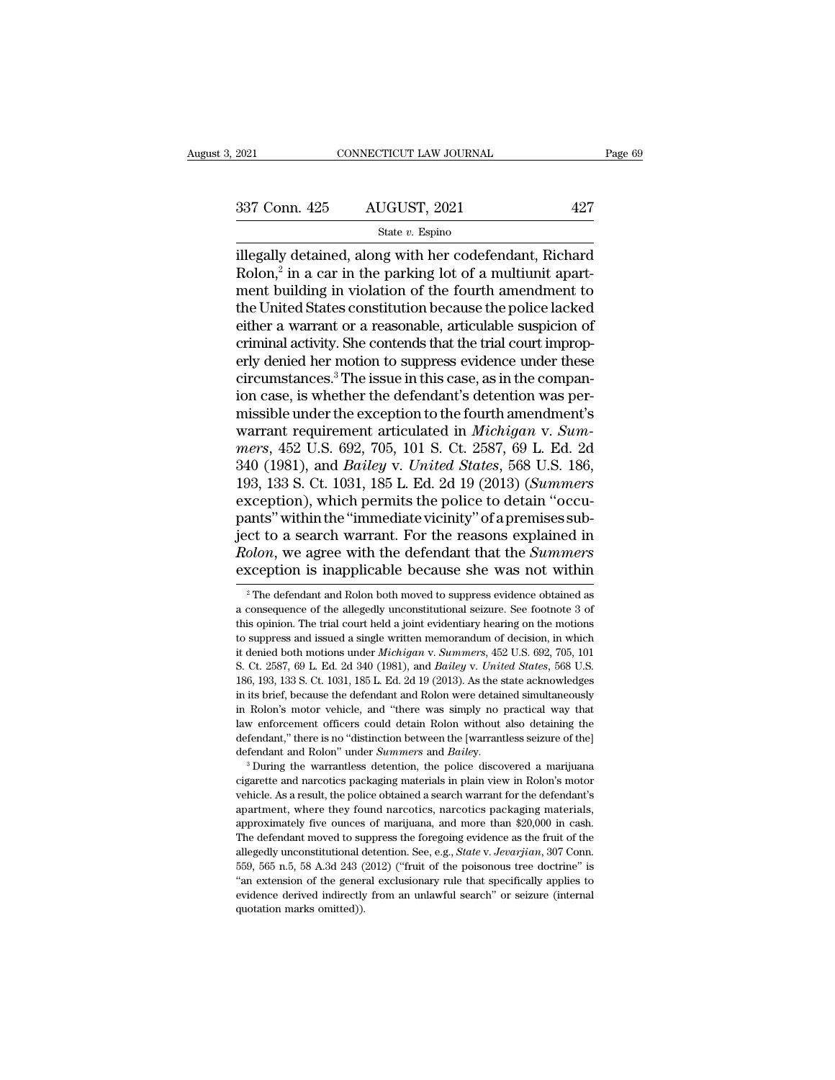| 2021          | CONNECTICUT LAW JOURNAL | Page 69 |  |
|---------------|-------------------------|---------|--|
| 337 Conn. 425 | AUGUST, 2021            | 427     |  |
|               | State $v$ . Espino      |         |  |

### State *v.* Espino

EXECTE 2021 CONNECTICUT LAW JOURNAL Page 69<br>
337 Conn. 425 AUGUST, 2021 427<br>
337 Conn. 425 AUGUST, 2021 427<br>
31 State v. Espino<br>
illegally detained, along with her codefendant, Richard<br>
Rolon,<sup>2</sup> in a car in the parking l Rolon, $2$  in a car in the parking lot of a multiunit apart- $\begin{array}{ll} \text{an. 425} & \text{AUGUST, 2021} & \text{427} \\ \text{State } v. \text{ Espino} \\ \text{detailed, along with her codefendant, Richard} \\ \text{in a car in the parking lot of a multiunit apart-} \\ \text{itiding in violation of the fourth amendment to} \\ \text{ed States constitution because the police lacked} \end{array}$ 337 Conn. 425 AUGUST, 2021 427<br>
State v. Espino<br>
illegally detained, along with her codefendant, Richard<br>
Rolon,<sup>2</sup> in a car in the parking lot of a multiunit apart-<br>
ment building in violation of the fourth amendment to<br> 337 Conn. 425 AUGUST, 2021 427<br>
State v. Espino<br>
illegally detained, along with her codefendant, Richard<br>
Rolon,<sup>2</sup> in a car in the parking lot of a multiunit apart-<br>
ment building in violation of the fourth amendment to<br> Set both  $\frac{125}{120}$  and  $\frac{125}{120}$  and  $\frac{125}{120}$  and  $\frac{125}{120}$  and  $\frac{125}{120}$  are  $\frac{125}{120}$  and  $\frac{125}{120}$  and  $\frac{125}{120}$  are  $\frac{125}{120}$  and  $\frac{125}{120}$  and  $\frac{125}{120}$  and  $\frac{125}{120}$  state  $v$ . Espino<br>illegally detained, along with her codefendant, Richard<br>Rolon,<sup>2</sup> in a car in the parking lot of a multiunit apart-<br>ment building in violation of the fourth amendment to<br>the United States constitution be illegally detained, along with her codefendant, Richard Rolon,<sup>2</sup> in a car in the parking lot of a multiunit apartment building in violation of the fourth amendment to the United States constitution because the police lack Rolon,<sup>2</sup> in a car in the parking lot of a multiunit apartment building in violation of the fourth amendment to the United States constitution because the police lacked either a warrant or a reasonable, articulable suspic ment building in violation of the fourth amendment to<br>the United States constitution because the police lacked<br>either a warrant or a reasonable, articulable suspicion of<br>criminal activity. She contends that the trial court the United States constitution because the police lacked<br>either a warrant or a reasonable, articulable suspicion of<br>criminal activity. She contends that the trial court improp-<br>erly denied her motion to suppress evidence either a warrant or a reasonable, articulable suspicion of<br>criminal activity. She contends that the trial court improp-<br>erly denied her motion to suppress evidence under these<br>circumstances.<sup>3</sup> The issue in this case, as i criminal activity. She contends that the trial court improperly denied her motion to suppress evidence under these<br>circumstances.<sup>3</sup> The issue in this case, as in the compan-<br>ion case, is whether the defendant's detention erly denied her motion to suppress evidence under these<br>circumstances.<sup>3</sup> The issue in this case, as in the compan-<br>ion case, is whether the defendant's detention was per-<br>missible under the exception to the fourth amendme circumstances.<sup>3</sup> The issue in this case, as in the companion case, is whether the defendant's detention was permissible under the exception to the fourth amendment's warrant requirement articulated in *Michigan* v. *Summe* ion case, is whether the defendant's detention was permissible under the exception to the fourth amendment's warrant requirement articulated in *Michigan* v. *Summers*, 452 U.S. 692, 705, 101 S. Ct. 2587, 69 L. Ed. 2d 340 missible under the exception to the fourth amendment's<br>warrant requirement articulated in *Michigan v. Summers*, 452 U.S. 692, 705, 101 S. Ct. 2587, 69 L. Ed. 2d<br>340 (1981), and *Bailey v. United States*, 568 U.S. 186,<br>193 warrant requirement articulated in *Michigan* v. Summers, 452 U.S. 692, 705, 101 S. Ct. 2587, 69 L. Ed. 2d<br>340 (1981), and *Bailey* v. *United States*, 568 U.S. 186, 193, 133 S. Ct. 1031, 185 L. Ed. 2d 19 (2013) (*Summers* mers, 452 U.S. 692, 705, 101 S. Ct. 2587, 69 L. Ed. 2d<br>340 (1981), and *Bailey v. United States*, 568 U.S. 186,<br>193, 133 S. Ct. 1031, 185 L. Ed. 2d 19 (2013) (*Summers*<br>exception), which permits the police to detain "occu-340 (1981), and *Bailey* v. *United States*, 568 U.S. 186, 193, 133 S. Ct. 1031, 185 L. Ed. 2d 19 (2013) (*Summers* exception), which permits the police to detain "occupants" within the "immediate vicinity" of a premises ants" within the "immediate vicinity" of a premises sub-<br>ct to a search warrant. For the reasons explained in<br>*olon*, we agree with the defendant that the *Summers*<br>xception is inapplicable because she was not within<br> $\frac{$ ject to a search warrant. For the reasons explained in *Rolon*, we agree with the defendant that the *Summers* exception is inapplicable because she was not within  $a^2$ The defendant and Rolon both moved to suppress evide

In wehroment officers could detain Rolon without also detaining the<br>defendant," there is no "distinction between the [warrantless seizure of the]<br>defendant and Rolon" under *Summers* and *Bailey*.<br><sup>3</sup> During the warrantles defendant," there is no "distinction between the [warrantless seizure of the]<br>defendant and Rolon" under *Summers* and *Bailey*.<br><sup>3</sup> During the warrantless detention, the police discovered a marijuana<br>cigarette and narcoti defendant and Rolon" under *Summers* and *Bailey*.<br><sup>3</sup> During the warrantless detention, the police discovered a marijuana cigarette and narcotics packaging materials in plain view in Rolon's motor vehicle. As a result, th <sup>3</sup> During the warrantless detention, the police discovered a marijuana cigarette and narcotics packaging materials in plain view in Rolon's motor vehicle. As a result, the police obtained a search warrant for the defenda eigarette and narcotics packaging materials in plain view in Rolon's motor<br>reporticle. As a result, the police obtained a search warrant for the defendant's<br>apartment, where they found narcotics, narcotics packaging materi vehicle. As a result, the police obtained a search warrant for the defendant's apartment, where they found narcotics, narcotics packaging materials, approximately five ounces of marijuana, and more than \$20,000 in cash. T Experiment, where they found narcotics, narcotics packaging materials, approximately five ounces of marijuana, and more than \$20,000 in cash. The defendant moved to suppress the foregoing evidence as the fruit of the alle approximately five ounces of marijuana, and more than \$20,000 in cash. The defendant moved to suppress the foregoing evidence as the fruit of the allegedly unconstitutional detention. See, e.g., *State v. Jevarjian*, 307 The defendant moved to suppress the foregoing evidence as the fruit of the

Rolon, we agree with the defendant that the *Summers* exception is inapplicable because she was not within  $\frac{1}{\pi}$  The defendant and Rolon both moved to suppress evidence obtained as a consequence of the allegedly unco **Exercise and is imapplicable because she was not within**<br>
<sup>2</sup> The defendant and Rolon both moved to suppress evidence obtained as<br>
a consequence of the allegedly unconstitutional seizure. See footnote 3 of<br>
this opinion. **EXCEPLIOIT IS INAPPICADIE DECAUSE SITE WAS HOT WITHIT**<br>
<sup>2</sup> The defendant and Rolon both moved to suppress evidence obtained as<br>
a consequence of the allegedly unconstitutional seizure. See footnote 3 of<br>
this opinion. Th <sup>2</sup> The defendant and Rolon both moved to suppress evidence obtained as a consequence of the allegedly unconstitutional seizure. See footnote 3 of this opinion. The trial court held a joint evidentiary hearing on the motio a consequence of the allegedly unconstitutional seizure. See footnote 3 of this opinion. The trial court held a joint evidentiary hearing on the motions to suppress and issued a single written memorandum of decision, in wh in this opinion. The trial court held a joint evidentiary hearing on the motions to suppress and issued a single written memorandum of decision, in which it denied both motions under *Michigan v. Summers*, 452 U.S. 692, 70 and suppress and issued a single written memorandum of decision, in which<br>ti denied both motions under *Michigan* v. *Summers*, 452 U.S. 692, 705, 101<br>S. Ct. 2587, 69 L. Ed. 2d 340 (1981), and *Bailey* v. *United States*, it denied both motions under *Michigan* v. Summers, 452 U.S. 692, 705, 101 S. Ct. 2587, 69 L. Ed. 2d 340 (1981), and *Bailey* v. *United States*, 568 U.S. 186, 193, 133 S. Ct. 1031, 185 L. Ed. 2d 19 (2013). As the state a defendant,'' there is no ''distinction between the [warrantless seizure of the]<br>defendant and Rolen were detained simultaneously<br>in Rolon's motor vehicle, and ''there was simply no practical way that<br>law enforcement offic 186, 193, 133 S. Ct. 1031, 185 L. Ed. 2d 19 (2013). As the state acknowledges in its brief, because the defendant and Rolon were detained simultaneously in Rolon's motor vehicle, and "there was simply no practical way that in Rolon's motor vehicle, and "there was simply no practical way that<br>law enforcement officers could detain Rolon without also detaining the<br>defendant," there is no "distinction between the [warrantless seizure of the]<br>de